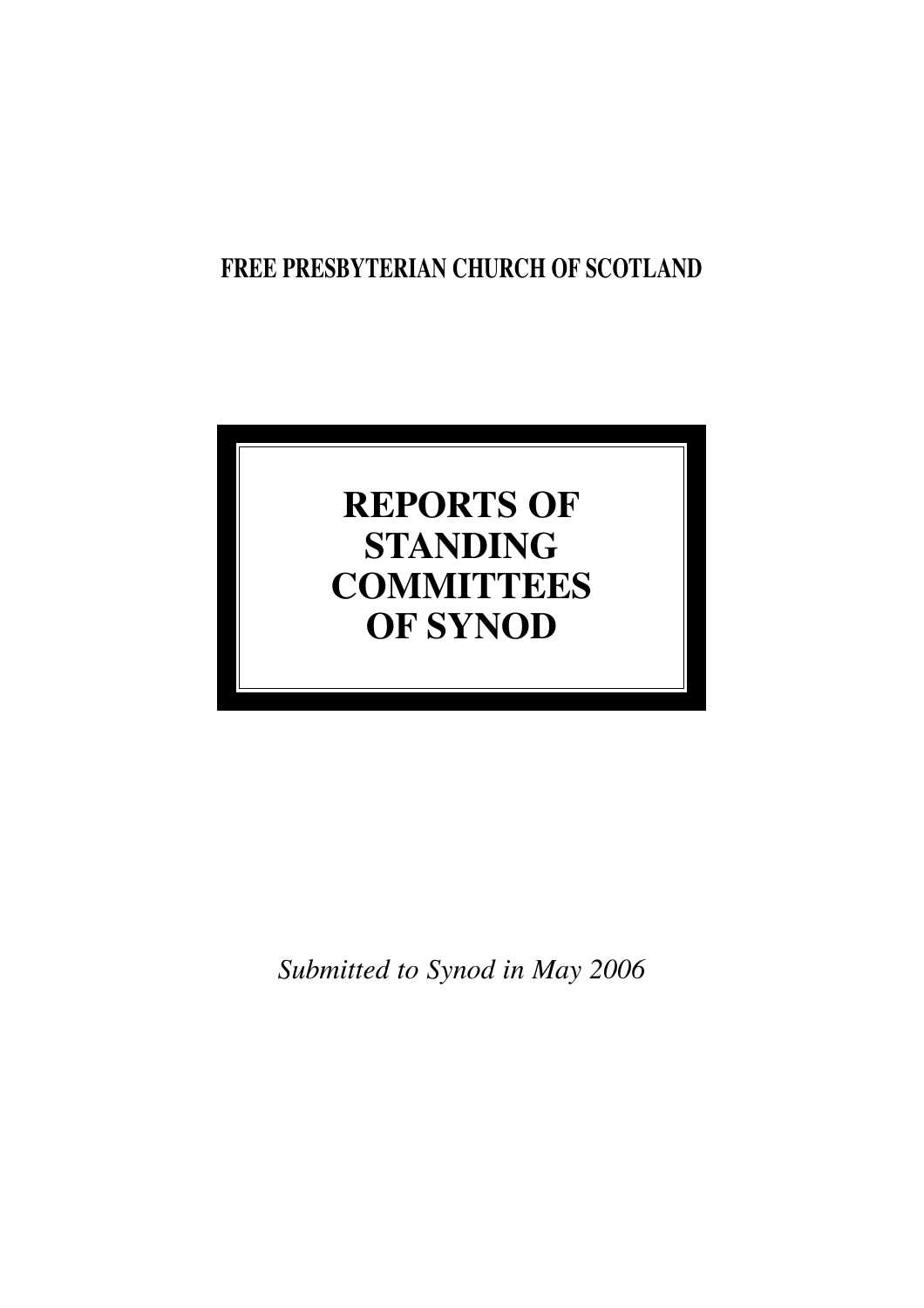## **FREE PRESBYTERIAN CHURCH OF SCOTLAND**

# **REPORTS OF STANDING COMMITTEES OF SYNOD**

*Submitted to Synod in May 2006*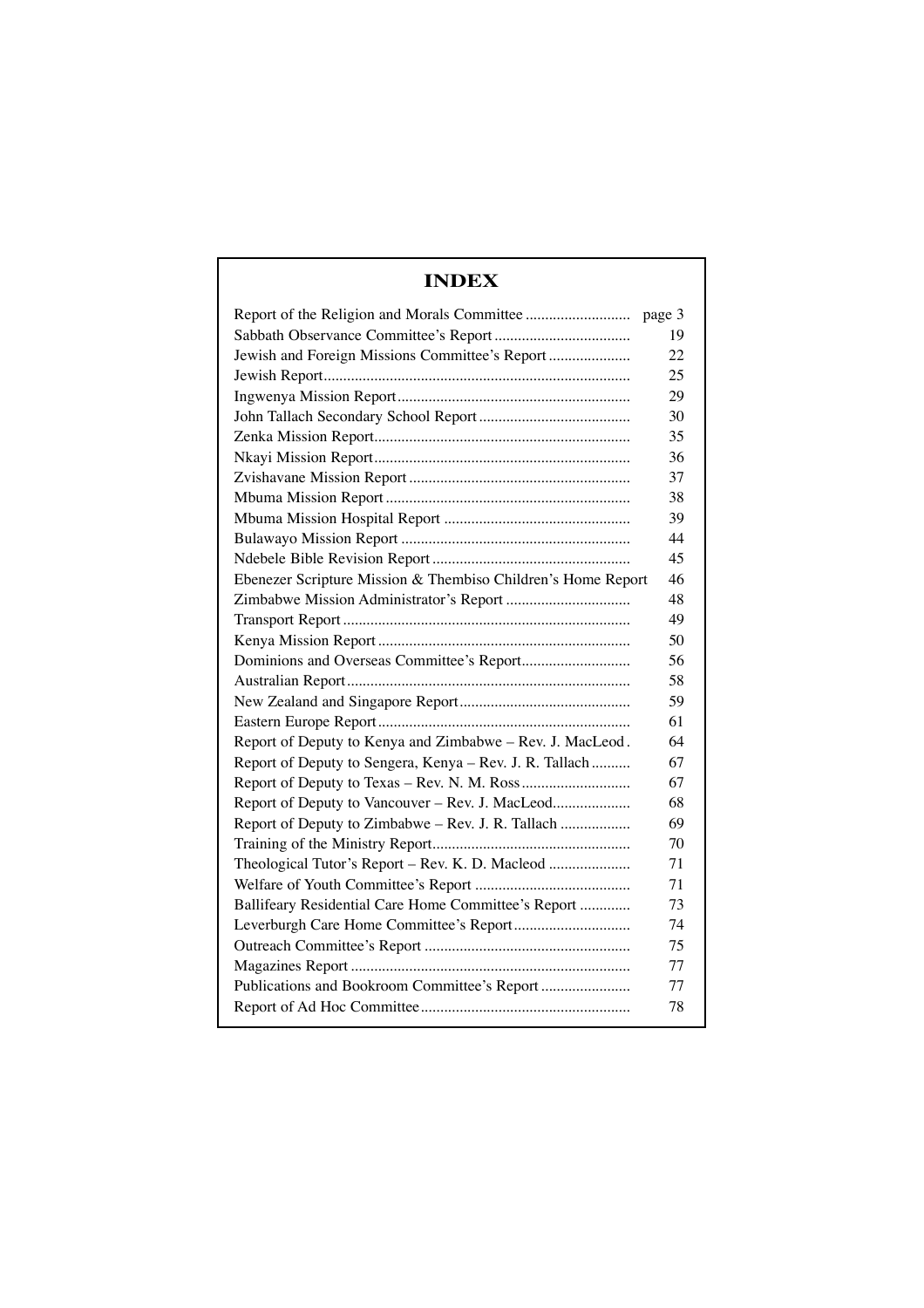### **INDEX**

|                                                              | page 3 |
|--------------------------------------------------------------|--------|
|                                                              | 19     |
| Jewish and Foreign Missions Committee's Report               | 22     |
|                                                              | 25     |
|                                                              | 29     |
|                                                              | 30     |
|                                                              | 35     |
|                                                              | 36     |
|                                                              | 37     |
|                                                              | 38     |
|                                                              | 39     |
|                                                              | 44     |
|                                                              | 45     |
| Ebenezer Scripture Mission & Thembiso Children's Home Report | 46     |
| Zimbabwe Mission Administrator's Report                      | 48     |
|                                                              | 49     |
|                                                              | 50     |
|                                                              | 56     |
|                                                              | 58     |
|                                                              | 59     |
|                                                              | 61     |
| Report of Deputy to Kenya and Zimbabwe - Rev. J. MacLeod.    | 64     |
| Report of Deputy to Sengera, Kenya - Rev. J. R. Tallach      | 67     |
|                                                              | 67     |
| Report of Deputy to Vancouver - Rev. J. MacLeod              | 68     |
| Report of Deputy to Zimbabwe - Rev. J. R. Tallach            | 69     |
|                                                              | 70     |
| Theological Tutor's Report - Rev. K. D. Macleod              | 71     |
|                                                              | 71     |
| Ballifeary Residential Care Home Committee's Report          | 73     |
|                                                              | 74     |
|                                                              | 75     |
|                                                              | 77     |
| Publications and Bookroom Committee's Report                 | 77     |
|                                                              | 78     |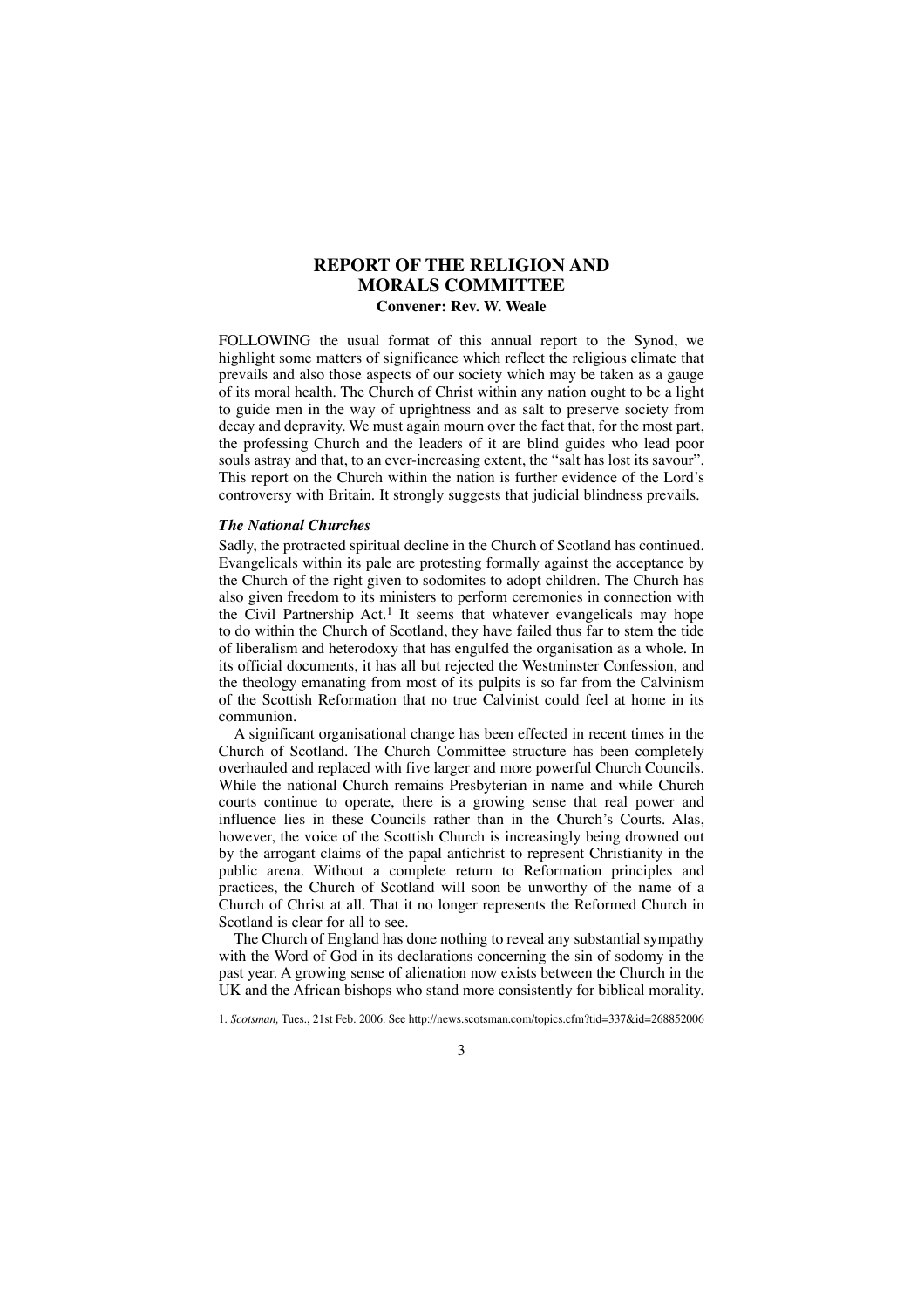### **REPORT OF THE RELIGION AND MORALS COMMITTEE**

### **Convener: Rev. W. Weale**

FOLLOWING the usual format of this annual report to the Synod, we highlight some matters of significance which reflect the religious climate that prevails and also those aspects of our society which may be taken as a gauge of its moral health. The Church of Christ within any nation ought to be a light to guide men in the way of uprightness and as salt to preserve society from decay and depravity. We must again mourn over the fact that, for the most part, the professing Church and the leaders of it are blind guides who lead poor souls astray and that, to an ever-increasing extent, the "salt has lost its savour". This report on the Church within the nation is further evidence of the Lord's controversy with Britain. It strongly suggests that judicial blindness prevails.

### *The National Churches*

Sadly, the protracted spiritual decline in the Church of Scotland has continued. Evangelicals within its pale are protesting formally against the acceptance by the Church of the right given to sodomites to adopt children. The Church has also given freedom to its ministers to perform ceremonies in connection with the Civil Partnership  $Act.1$  It seems that whatever evangelicals may hope to do within the Church of Scotland, they have failed thus far to stem the tide of liberalism and heterodoxy that has engulfed the organisation as a whole. In its official documents, it has all but rejected the Westminster Confession, and the theology emanating from most of its pulpits is so far from the Calvinism of the Scottish Reformation that no true Calvinist could feel at home in its communion.

A significant organisational change has been effected in recent times in the Church of Scotland. The Church Committee structure has been completely overhauled and replaced with five larger and more powerful Church Councils. While the national Church remains Presbyterian in name and while Church courts continue to operate, there is a growing sense that real power and influence lies in these Councils rather than in the Church's Courts. Alas, however, the voice of the Scottish Church is increasingly being drowned out by the arrogant claims of the papal antichrist to represent Christianity in the public arena. Without a complete return to Reformation principles and practices, the Church of Scotland will soon be unworthy of the name of a Church of Christ at all. That it no longer represents the Reformed Church in Scotland is clear for all to see.

The Church of England has done nothing to reveal any substantial sympathy with the Word of God in its declarations concerning the sin of sodomy in the past year. A growing sense of alienation now exists between the Church in the UK and the African bishops who stand more consistently for biblical morality.

<sup>1.</sup> *Scotsman,* Tues., 21st Feb. 2006. See http://news.scotsman.com/topics.cfm?tid=337&id=268852006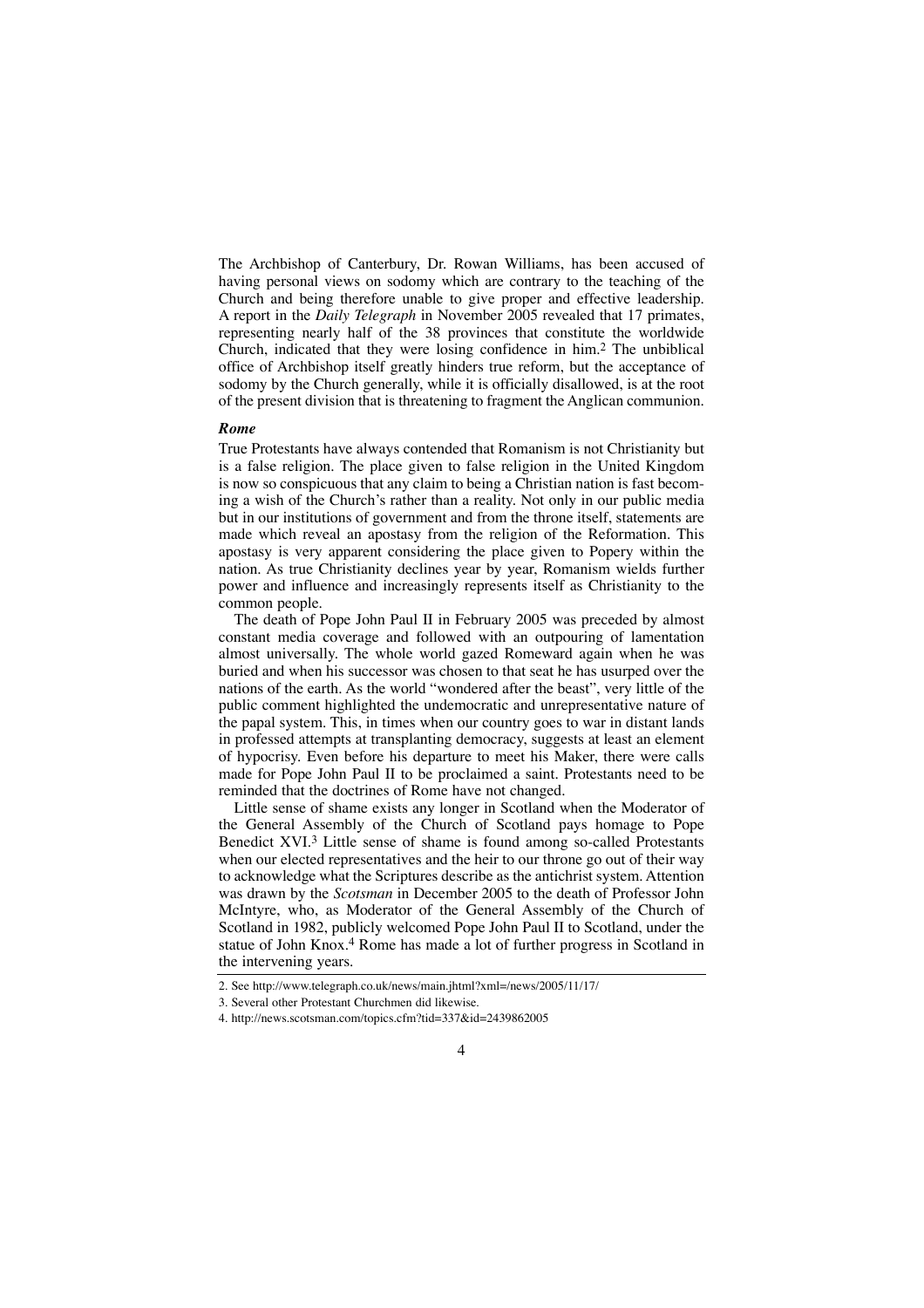The Archbishop of Canterbury, Dr. Rowan Williams, has been accused of having personal views on sodomy which are contrary to the teaching of the Church and being therefore unable to give proper and effective leadership. A report in the *Daily Telegraph* in November 2005 revealed that 17 primates, representing nearly half of the 38 provinces that constitute the worldwide Church, indicated that they were losing confidence in him.2 The unbiblical office of Archbishop itself greatly hinders true reform, but the acceptance of sodomy by the Church generally, while it is officially disallowed, is at the root of the present division that is threatening to fragment the Anglican communion.

#### *Rome*

True Protestants have always contended that Romanism is not Christianity but is a false religion. The place given to false religion in the United Kingdom is now so conspicuous that any claim to being a Christian nation is fast becoming a wish of the Church's rather than a reality. Not only in our public media but in our institutions of government and from the throne itself, statements are made which reveal an apostasy from the religion of the Reformation. This apostasy is very apparent considering the place given to Popery within the nation. As true Christianity declines year by year, Romanism wields further power and influence and increasingly represents itself as Christianity to the common people.

The death of Pope John Paul II in February 2005 was preceded by almost constant media coverage and followed with an outpouring of lamentation almost universally. The whole world gazed Romeward again when he was buried and when his successor was chosen to that seat he has usurped over the nations of the earth. As the world "wondered after the beast", very little of the public comment highlighted the undemocratic and unrepresentative nature of the papal system. This, in times when our country goes to war in distant lands in professed attempts at transplanting democracy, suggests at least an element of hypocrisy. Even before his departure to meet his Maker, there were calls made for Pope John Paul II to be proclaimed a saint. Protestants need to be reminded that the doctrines of Rome have not changed.

Little sense of shame exists any longer in Scotland when the Moderator of the General Assembly of the Church of Scotland pays homage to Pope Benedict XVI.3 Little sense of shame is found among so-called Protestants when our elected representatives and the heir to our throne go out of their way to acknowledge what the Scriptures describe as the antichrist system. Attention was drawn by the *Scotsman* in December 2005 to the death of Professor John McIntyre, who, as Moderator of the General Assembly of the Church of Scotland in 1982, publicly welcomed Pope John Paul II to Scotland, under the statue of John Knox.<sup>4</sup> Rome has made a lot of further progress in Scotland in the intervening years.

 $\Delta$ 

<sup>2.</sup> See http://www.telegraph.co.uk/news/main.jhtml?xml=/news/2005/11/17/

<sup>3.</sup> Several other Protestant Churchmen did likewise.

<sup>4.</sup> http://news.scotsman.com/topics.cfm?tid=337&id=2439862005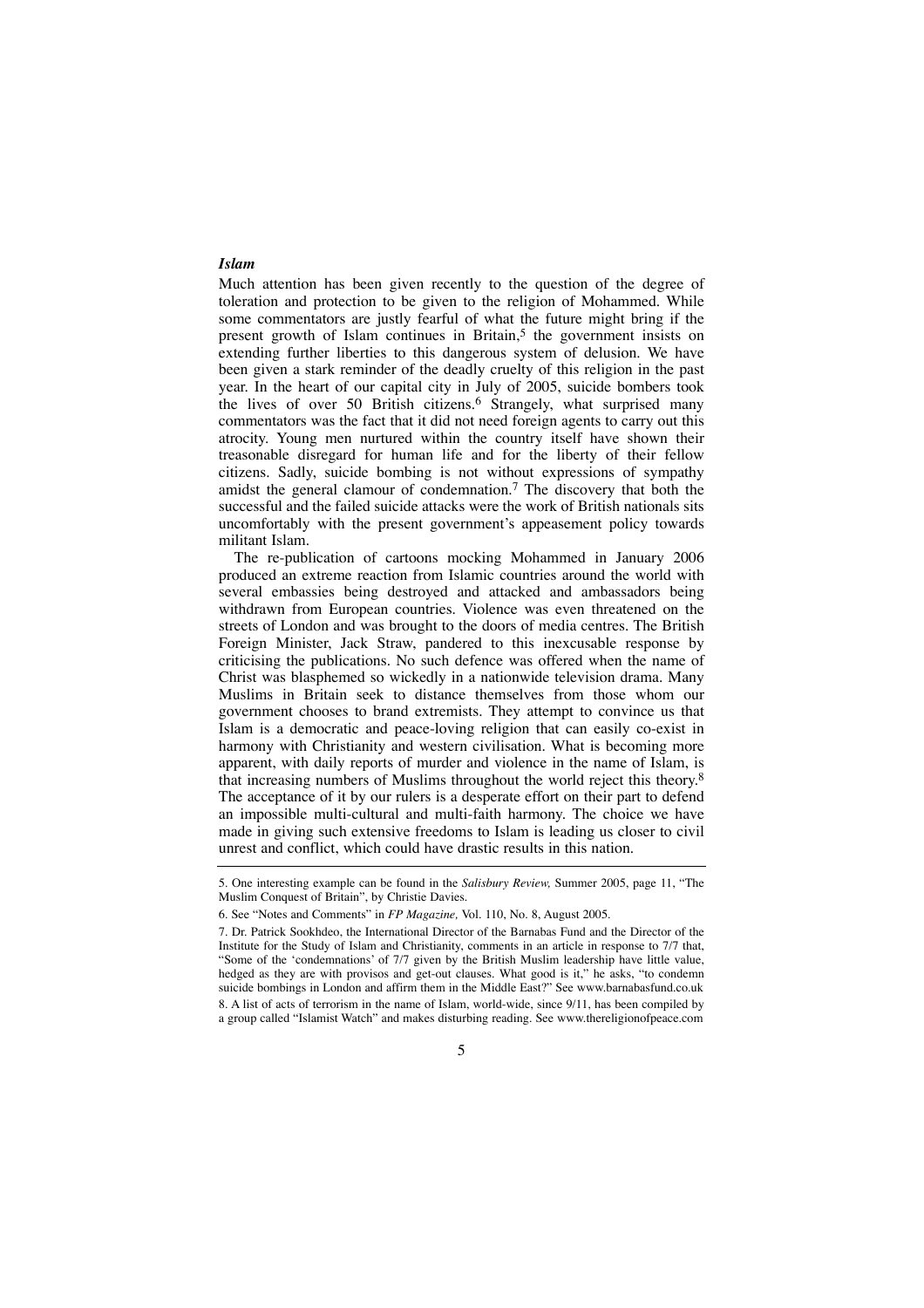### *Islam*

Much attention has been given recently to the question of the degree of toleration and protection to be given to the religion of Mohammed. While some commentators are justly fearful of what the future might bring if the present growth of Islam continues in Britain,<sup>5</sup> the government insists on extending further liberties to this dangerous system of delusion. We have been given a stark reminder of the deadly cruelty of this religion in the past year. In the heart of our capital city in July of 2005, suicide bombers took the lives of over 50 British citizens. 6 Strangely, what surprised many commentators was the fact that it did not need foreign agents to carry out this atrocity. Young men nurtured within the country itself have shown their treasonable disregard for human life and for the liberty of their fellow citizens. Sadly, suicide bombing is not without expressions of sympathy amidst the general clamour of condemnation.7 The discovery that both the successful and the failed suicide attacks were the work of British nationals sits uncomfortably with the present government's appeasement policy towards militant Islam.

The re-publication of cartoons mocking Mohammed in January 2006 produced an extreme reaction from Islamic countries around the world with several embassies being destroyed and attacked and ambassadors being withdrawn from European countries. Violence was even threatened on the streets of London and was brought to the doors of media centres. The British Foreign Minister, Jack Straw, pandered to this inexcusable response by criticising the publications. No such defence was offered when the name of Christ was blasphemed so wickedly in a nationwide television drama. Many Muslims in Britain seek to distance themselves from those whom our government chooses to brand extremists. They attempt to convince us that Islam is a democratic and peace-loving religion that can easily co-exist in harmony with Christianity and western civilisation. What is becoming more apparent, with daily reports of murder and violence in the name of Islam, is that increasing numbers of Muslims throughout the world reject this theory. 8 The acceptance of it by our rulers is a desperate effort on their part to defend an impossible multi-cultural and multi-faith harmony. The choice we have made in giving such extensive freedoms to Islam is leading us closer to civil unrest and conflict, which could have drastic results in this nation.

<sup>5.</sup> One interesting example can be found in the *Salisbury Review,* Summer 2005, page 11, "The Muslim Conquest of Britain", by Christie Davies.

<sup>6.</sup> See "Notes and Comments" in *FP Magazine,* Vol. 110, No. 8, August 2005.

<sup>7.</sup> Dr. Patrick Sookhdeo, the International Director of the Barnabas Fund and the Director of the Institute for the Study of Islam and Christianity, comments in an article in response to 7/7 that, "Some of the 'condemnations' of 7/7 given by the British Muslim leadership have little value, hedged as they are with provisos and get-out clauses. What good is it," he asks, "to condemn suicide bombings in London and affirm them in the Middle East?" See www.barnabasfund.co.uk 8. A list of acts of terrorism in the name of Islam, world-wide, since 9/11, has been compiled by a group called "Islamist Watch" and makes disturbing reading. See www.thereligionofpeace.com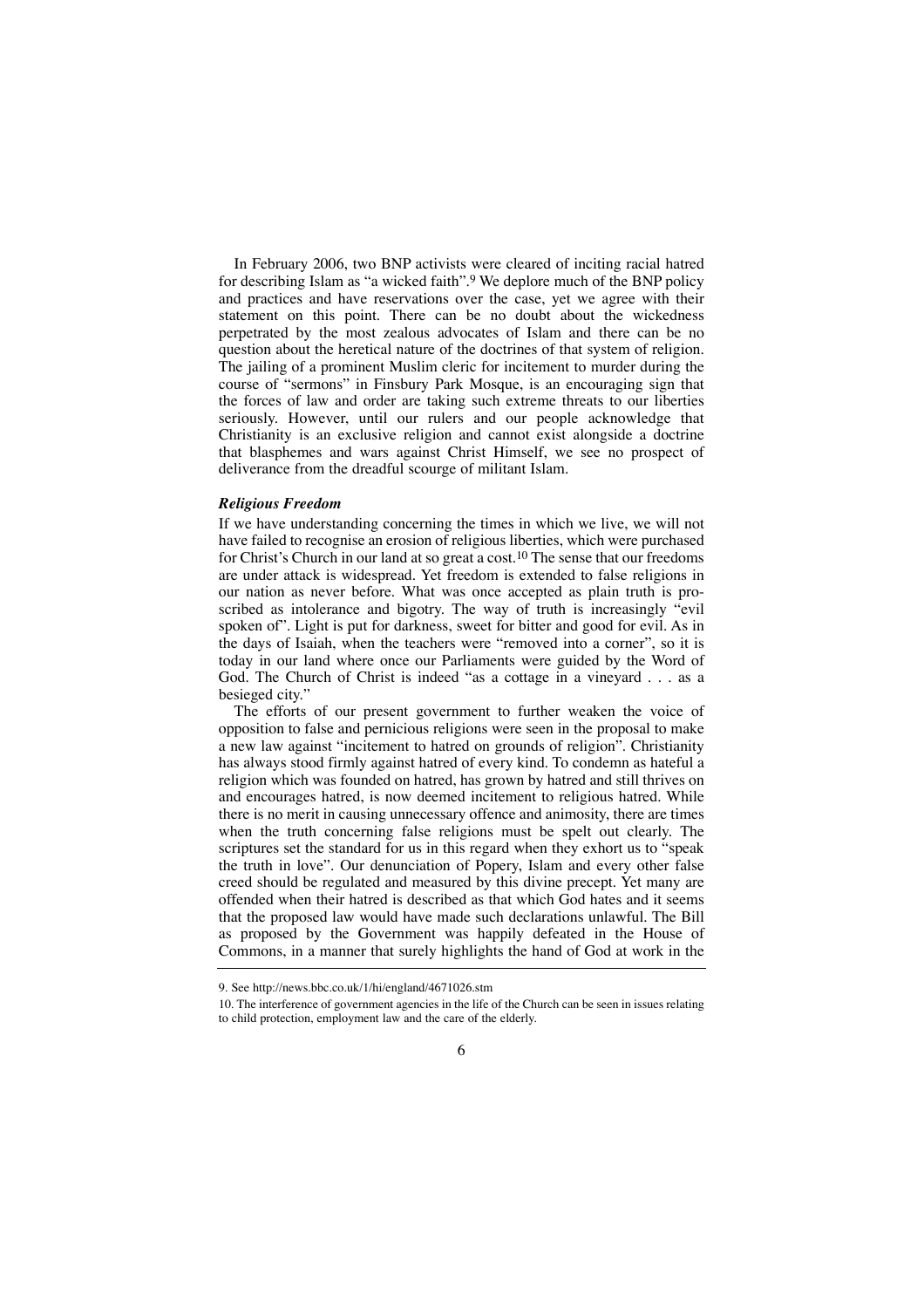In February 2006, two BNP activists were cleared of inciting racial hatred for describing Islam as "a wicked faith".9 We deplore much of the BNP policy and practices and have reservations over the case, yet we agree with their statement on this point. There can be no doubt about the wickedness perpetrated by the most zealous advocates of Islam and there can be no question about the heretical nature of the doctrines of that system of religion. The jailing of a prominent Muslim cleric for incitement to murder during the course of "sermons" in Finsbury Park Mosque, is an encouraging sign that the forces of law and order are taking such extreme threats to our liberties seriously. However, until our rulers and our people acknowledge that Christianity is an exclusive religion and cannot exist alongside a doctrine that blasphemes and wars against Christ Himself, we see no prospect of deliverance from the dreadful scourge of militant Islam.

### *Religious Freedom*

If we have understanding concerning the times in which we live, we will not have failed to recognise an erosion of religious liberties, which were purchased for Christ's Church in our land at so great a cost.<sup>10</sup> The sense that our freedoms are under attack is widespread. Yet freedom is extended to false religions in our nation as never before. What was once accepted as plain truth is proscribed as intolerance and bigotry. The way of truth is increasingly "evil spoken of". Light is put for darkness, sweet for bitter and good for evil. As in the days of Isaiah, when the teachers were "removed into a corner", so it is today in our land where once our Parliaments were guided by the Word of God. The Church of Christ is indeed "as a cottage in a vineyard . . . as a besieged city."

The efforts of our present government to further weaken the voice of opposition to false and pernicious religions were seen in the proposal to make a new law against "incitement to hatred on grounds of religion". Christianity has always stood firmly against hatred of every kind. To condemn as hateful a religion which was founded on hatred, has grown by hatred and still thrives on and encourages hatred, is now deemed incitement to religious hatred. While there is no merit in causing unnecessary offence and animosity, there are times when the truth concerning false religions must be spelt out clearly. The scriptures set the standard for us in this regard when they exhort us to "speak the truth in love". Our denunciation of Popery, Islam and every other false creed should be regulated and measured by this divine precept. Yet many are offended when their hatred is described as that which God hates and it seems that the proposed law would have made such declarations unlawful. The Bill as proposed by the Government was happily defeated in the House of Commons, in a manner that surely highlights the hand of God at work in the

<sup>9.</sup> See http://news.bbc.co.uk/1/hi/england/4671026.stm

<sup>10.</sup> The interference of government agencies in the life of the Church can be seen in issues relating to child protection, employment law and the care of the elderly.

<sup>6</sup>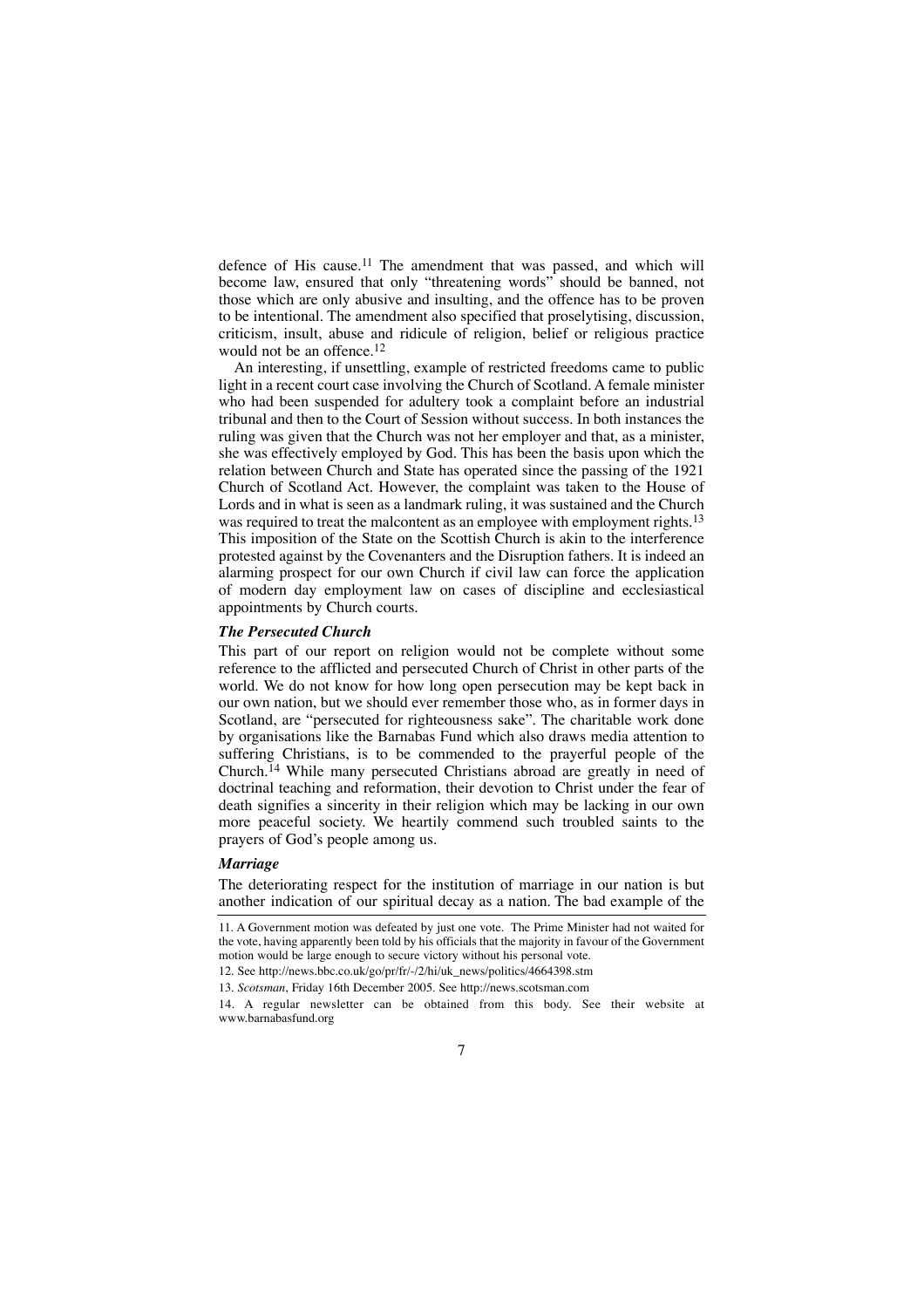defence of His cause.11 The amendment that was passed, and which will become law, ensured that only "threatening words" should be banned, not those which are only abusive and insulting, and the offence has to be proven to be intentional. The amendment also specified that proselytising, discussion, criticism, insult, abuse and ridicule of religion, belief or religious practice would not be an offence.12

An interesting, if unsettling, example of restricted freedoms came to public light in a recent court case involving the Church of Scotland. A female minister who had been suspended for adultery took a complaint before an industrial tribunal and then to the Court of Session without success. In both instances the ruling was given that the Church was not her employer and that, as a minister, she was effectively employed by God. This has been the basis upon which the relation between Church and State has operated since the passing of the 1921 Church of Scotland Act. However, the complaint was taken to the House of Lords and in what is seen as a landmark ruling, it was sustained and the Church was required to treat the malcontent as an employee with employment rights.<sup>13</sup> This imposition of the State on the Scottish Church is akin to the interference protested against by the Covenanters and the Disruption fathers. It is indeed an alarming prospect for our own Church if civil law can force the application of modern day employment law on cases of discipline and ecclesiastical appointments by Church courts.

#### *The Persecuted Church*

This part of our report on religion would not be complete without some reference to the afflicted and persecuted Church of Christ in other parts of the world. We do not know for how long open persecution may be kept back in our own nation, but we should ever remember those who, as in former days in Scotland, are "persecuted for righteousness sake". The charitable work done by organisations like the Barnabas Fund which also draws media attention to suffering Christians, is to be commended to the prayerful people of the Church.14 While many persecuted Christians abroad are greatly in need of doctrinal teaching and reformation, their devotion to Christ under the fear of death signifies a sincerity in their religion which may be lacking in our own more peaceful society. We heartily commend such troubled saints to the prayers of God's people among us.

### *Marriage*

The deteriorating respect for the institution of marriage in our nation is but another indication of our spiritual decay as a nation. The bad example of the

<sup>11.</sup> A Government motion was defeated by just one vote. The Prime Minister had not waited for the vote, having apparently been told by his officials that the majority in favour of the Government motion would be large enough to secure victory without his personal vote.

<sup>12.</sup> See http://news.bbc.co.uk/go/pr/fr/-/2/hi/uk\_news/politics/4664398.stm

<sup>13.</sup> *Scotsman*, Friday 16th December 2005. See http://news.scotsman.com

<sup>14.</sup> A regular newsletter can be obtained from this body. See their website at www.barnabasfund.org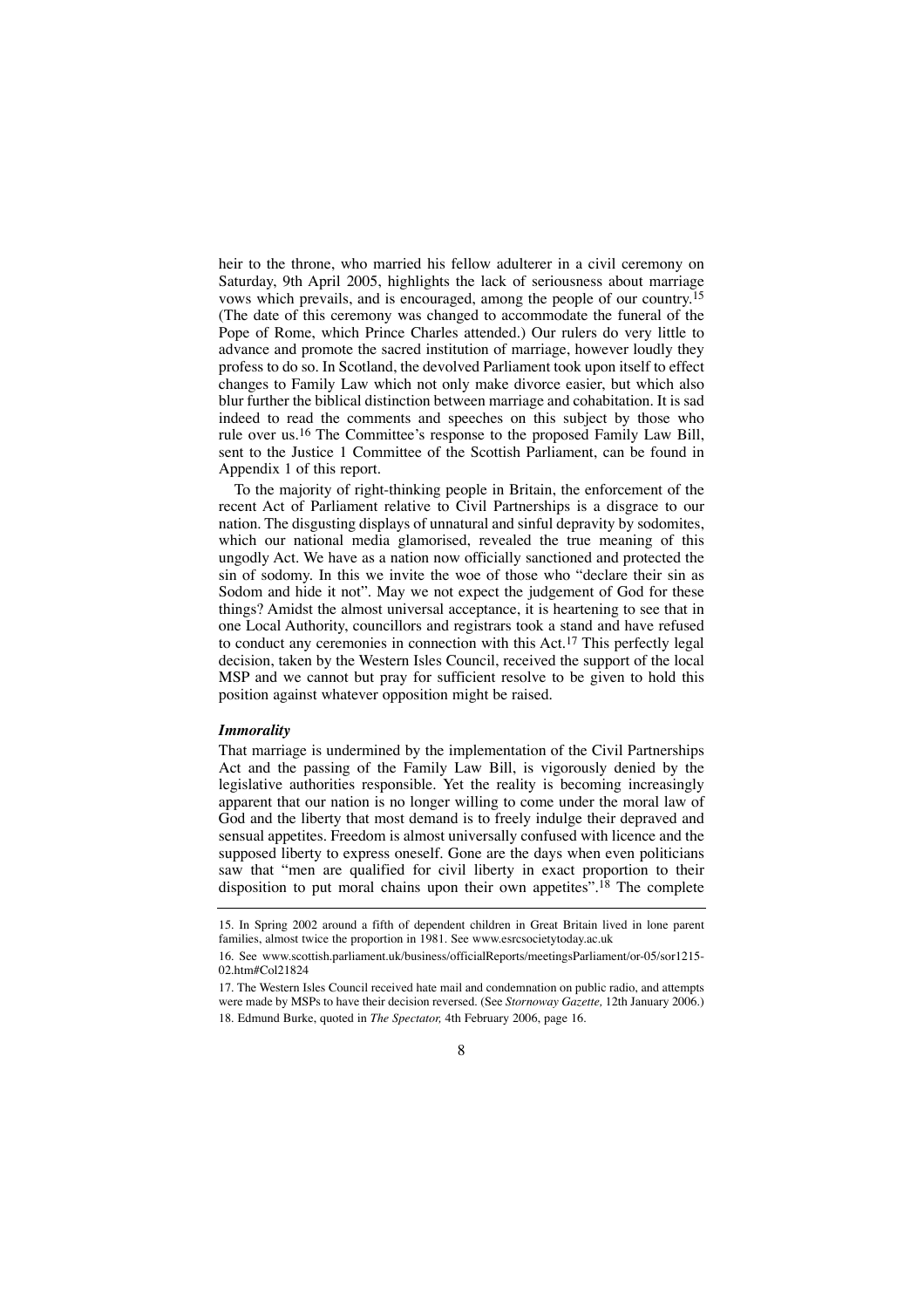heir to the throne, who married his fellow adulterer in a civil ceremony on Saturday, 9th April 2005, highlights the lack of seriousness about marriage vows which prevails, and is encouraged, among the people of our country. 15 (The date of this ceremony was changed to accommodate the funeral of the Pope of Rome, which Prince Charles attended.) Our rulers do very little to advance and promote the sacred institution of marriage, however loudly they profess to do so. In Scotland, the devolved Parliament took upon itself to effect changes to Family Law which not only make divorce easier, but which also blur further the biblical distinction between marriage and cohabitation. It is sad indeed to read the comments and speeches on this subject by those who rule over us.16 The Committee's response to the proposed Family Law Bill, sent to the Justice 1 Committee of the Scottish Parliament, can be found in Appendix 1 of this report.

To the majority of right-thinking people in Britain, the enforcement of the recent Act of Parliament relative to Civil Partnerships is a disgrace to our nation. The disgusting displays of unnatural and sinful depravity by sodomites, which our national media glamorised, revealed the true meaning of this ungodly Act. We have as a nation now officially sanctioned and protected the sin of sodomy. In this we invite the woe of those who "declare their sin as Sodom and hide it not". May we not expect the judgement of God for these things? Amidst the almost universal acceptance, it is heartening to see that in one Local Authority, councillors and registrars took a stand and have refused to conduct any ceremonies in connection with this Act.17 This perfectly legal decision, taken by the Western Isles Council, received the support of the local MSP and we cannot but pray for sufficient resolve to be given to hold this position against whatever opposition might be raised.

#### *Immorality*

That marriage is undermined by the implementation of the Civil Partnerships Act and the passing of the Family Law Bill, is vigorously denied by the legislative authorities responsible. Yet the reality is becoming increasingly apparent that our nation is no longer willing to come under the moral law of God and the liberty that most demand is to freely indulge their depraved and sensual appetites. Freedom is almost universally confused with licence and the supposed liberty to express oneself. Gone are the days when even politicians saw that "men are qualified for civil liberty in exact proportion to their disposition to put moral chains upon their own appetites".<sup>18</sup> The complete

<sup>15.</sup> In Spring 2002 around a fifth of dependent children in Great Britain lived in lone parent families, almost twice the proportion in 1981. See www.esrcsocietytoday.ac.uk

<sup>16.</sup> See www.scottish.parliament.uk/business/officialReports/meetingsParliament/or-05/sor1215- 02.htm#Col21824

<sup>17.</sup> The Western Isles Council received hate mail and condemnation on public radio, and attempts were made by MSPs to have their decision reversed. (See *Stornoway Gazette,* 12th January 2006.) 18. Edmund Burke, quoted in *The Spectator,* 4th February 2006, page 16.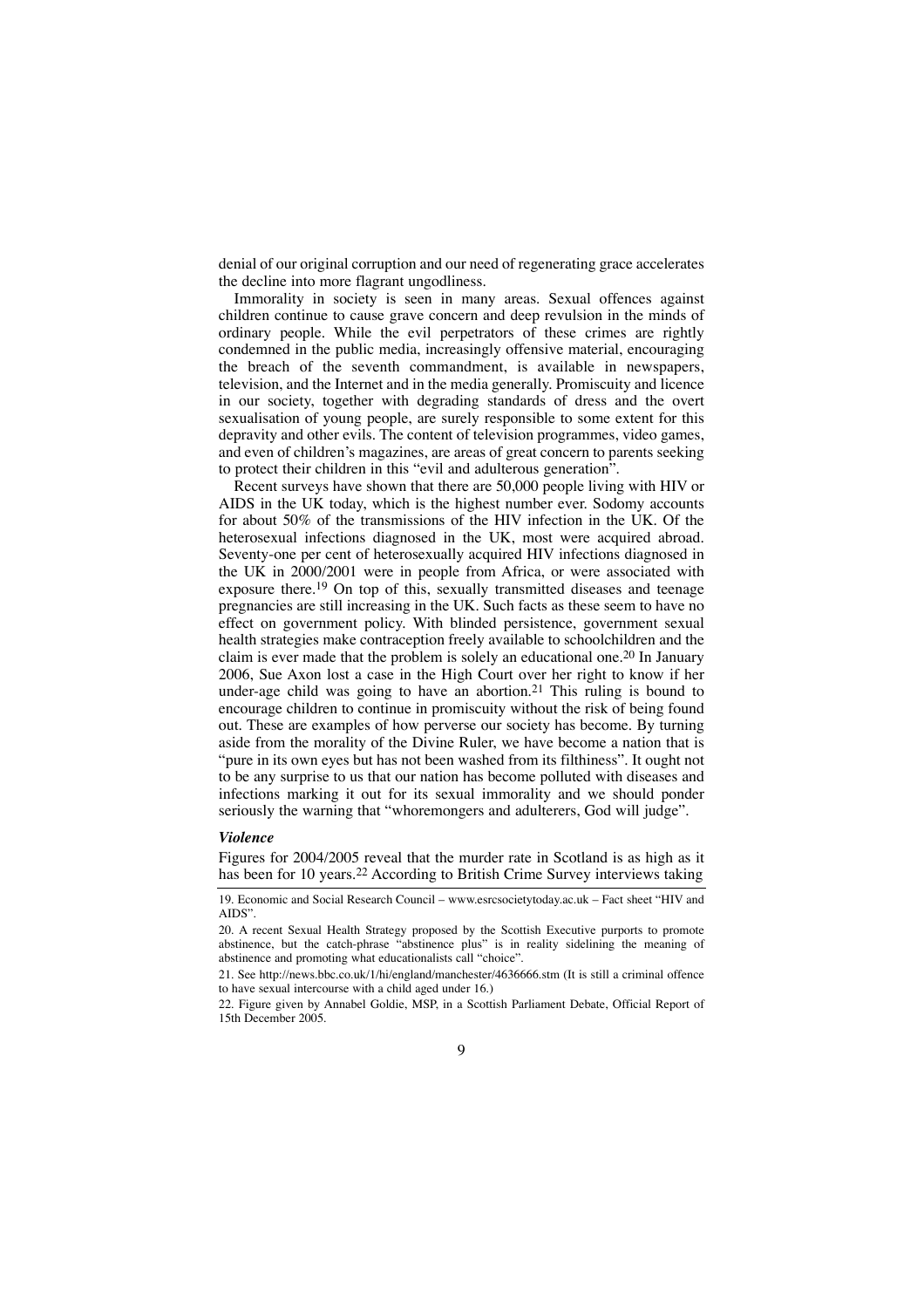denial of our original corruption and our need of regenerating grace accelerates the decline into more flagrant ungodliness.

Immorality in society is seen in many areas. Sexual offences against children continue to cause grave concern and deep revulsion in the minds of ordinary people. While the evil perpetrators of these crimes are rightly condemned in the public media, increasingly offensive material, encouraging the breach of the seventh commandment, is available in newspapers, television, and the Internet and in the media generally. Promiscuity and licence in our society, together with degrading standards of dress and the overt sexualisation of young people, are surely responsible to some extent for this depravity and other evils. The content of television programmes, video games, and even of children's magazines, are areas of great concern to parents seeking to protect their children in this "evil and adulterous generation".

Recent surveys have shown that there are 50,000 people living with HIV or AIDS in the UK today, which is the highest number ever. Sodomy accounts for about 50% of the transmissions of the HIV infection in the UK. Of the heterosexual infections diagnosed in the UK, most were acquired abroad. Seventy-one per cent of heterosexually acquired HIV infections diagnosed in the UK in 2000/2001 were in people from Africa, or were associated with exposure there.19 On top of this, sexually transmitted diseases and teenage pregnancies are still increasing in the UK. Such facts as these seem to have no effect on government policy. With blinded persistence, government sexual health strategies make contraception freely available to schoolchildren and the claim is ever made that the problem is solely an educational one.20 In January 2006, Sue Axon lost a case in the High Court over her right to know if her under-age child was going to have an abortion.<sup>21</sup> This ruling is bound to encourage children to continue in promiscuity without the risk of being found out. These are examples of how perverse our society has become. By turning aside from the morality of the Divine Ruler, we have become a nation that is "pure in its own eyes but has not been washed from its filthiness". It ought not to be any surprise to us that our nation has become polluted with diseases and infections marking it out for its sexual immorality and we should ponder seriously the warning that "whoremongers and adulterers, God will judge".

#### *Violence*

Figures for 2004/2005 reveal that the murder rate in Scotland is as high as it has been for 10 years.<sup>22</sup> According to British Crime Survey interviews taking

19. Economic and Social Research Council – www.esrcsocietytoday.ac.uk – Fact sheet "HIV and AIDS".

20. A recent Sexual Health Strategy proposed by the Scottish Executive purports to promote abstinence, but the catch-phrase "abstinence plus" is in reality sidelining the meaning of abstinence and promoting what educationalists call "choice".

21. See http://news.bbc.co.uk/1/hi/england/manchester/4636666.stm (It is still a criminal offence to have sexual intercourse with a child aged under 16.)

22. Figure given by Annabel Goldie, MSP, in a Scottish Parliament Debate, Official Report of 15th December 2005.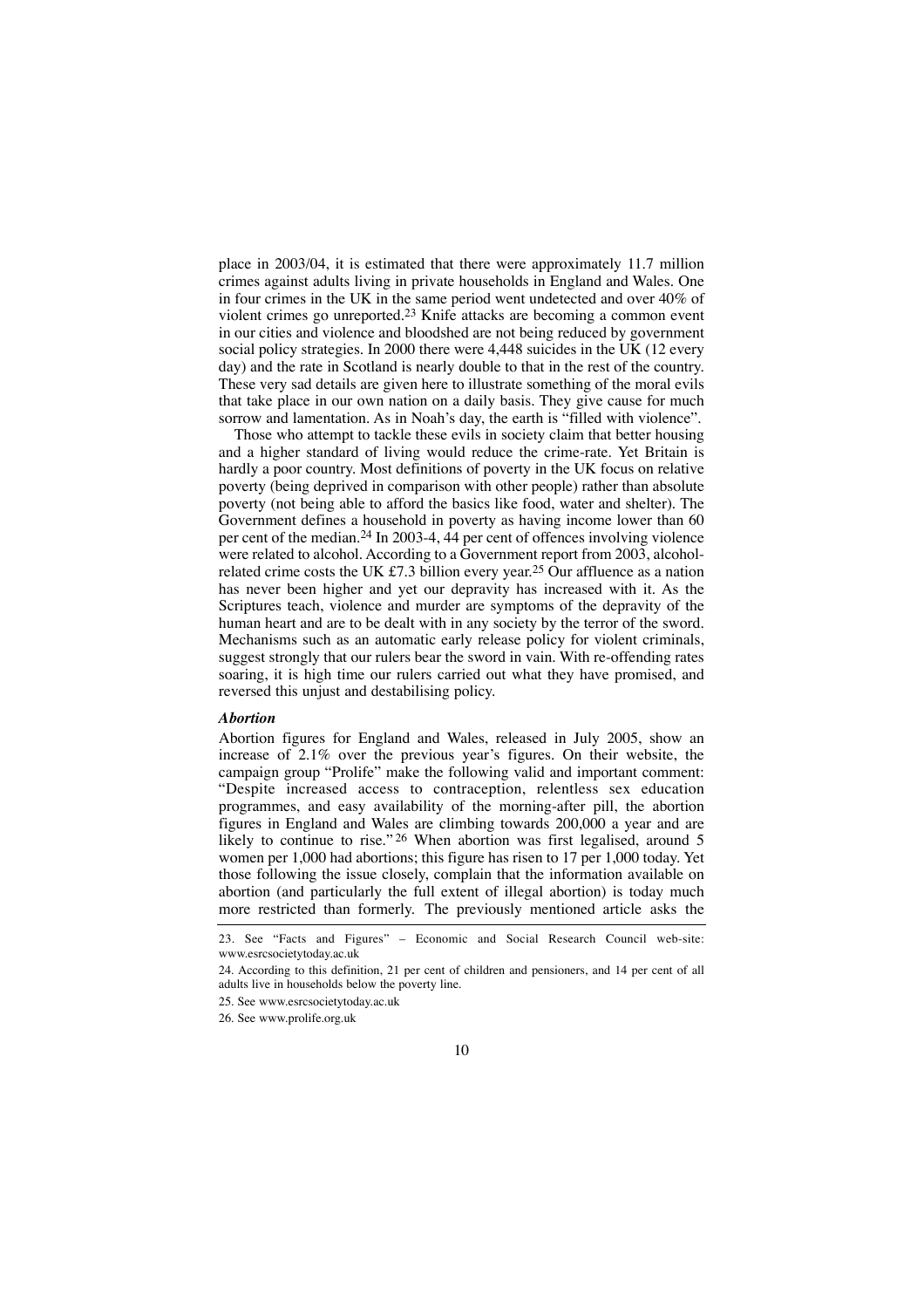place in 2003/04, it is estimated that there were approximately 11.7 million crimes against adults living in private households in England and Wales. One in four crimes in the UK in the same period went undetected and over 40% of violent crimes go unreported.23 Knife attacks are becoming a common event in our cities and violence and bloodshed are not being reduced by government social policy strategies. In 2000 there were 4,448 suicides in the UK (12 every day) and the rate in Scotland is nearly double to that in the rest of the country. These very sad details are given here to illustrate something of the moral evils that take place in our own nation on a daily basis. They give cause for much sorrow and lamentation. As in Noah's day, the earth is "filled with violence".

Those who attempt to tackle these evils in society claim that better housing and a higher standard of living would reduce the crime-rate. Yet Britain is hardly a poor country. Most definitions of poverty in the UK focus on relative poverty (being deprived in comparison with other people) rather than absolute poverty (not being able to afford the basics like food, water and shelter). The Government defines a household in poverty as having income lower than 60 per cent of the median.24 In 2003-4, 44 per cent of offences involving violence were related to alcohol. According to a Government report from 2003, alcoholrelated crime costs the UK £7.3 billion every year.<sup>25</sup> Our affluence as a nation has never been higher and yet our depravity has increased with it. As the Scriptures teach, violence and murder are symptoms of the depravity of the human heart and are to be dealt with in any society by the terror of the sword. Mechanisms such as an automatic early release policy for violent criminals, suggest strongly that our rulers bear the sword in vain. With re-offending rates soaring, it is high time our rulers carried out what they have promised, and reversed this unjust and destabilising policy.

#### *Abortion*

Abortion figures for England and Wales, released in July 2005, show an increase of 2.1% over the previous year's figures. On their website, the campaign group "Prolife" make the following valid and important comment: "Despite increased access to contraception, relentless sex education programmes, and easy availability of the morning-after pill, the abortion figures in England and Wales are climbing towards 200,000 a year and are likely to continue to rise."<sup>26</sup> When abortion was first legalised, around 5 women per 1,000 had abortions; this figure has risen to 17 per 1,000 today. Yet those following the issue closely, complain that the information available on abortion (and particularly the full extent of illegal abortion) is today much more restricted than formerly. The previously mentioned article asks the

23. See "Facts and Figures" – Economic and Social Research Council web-site: www.esrcsocietytoday.ac.uk

24. According to this definition, 21 per cent of children and pensioners, and 14 per cent of all adults live in households below the poverty line.

25. See www.esrcsocietytoday.ac.uk

26. See www.prolife.org.uk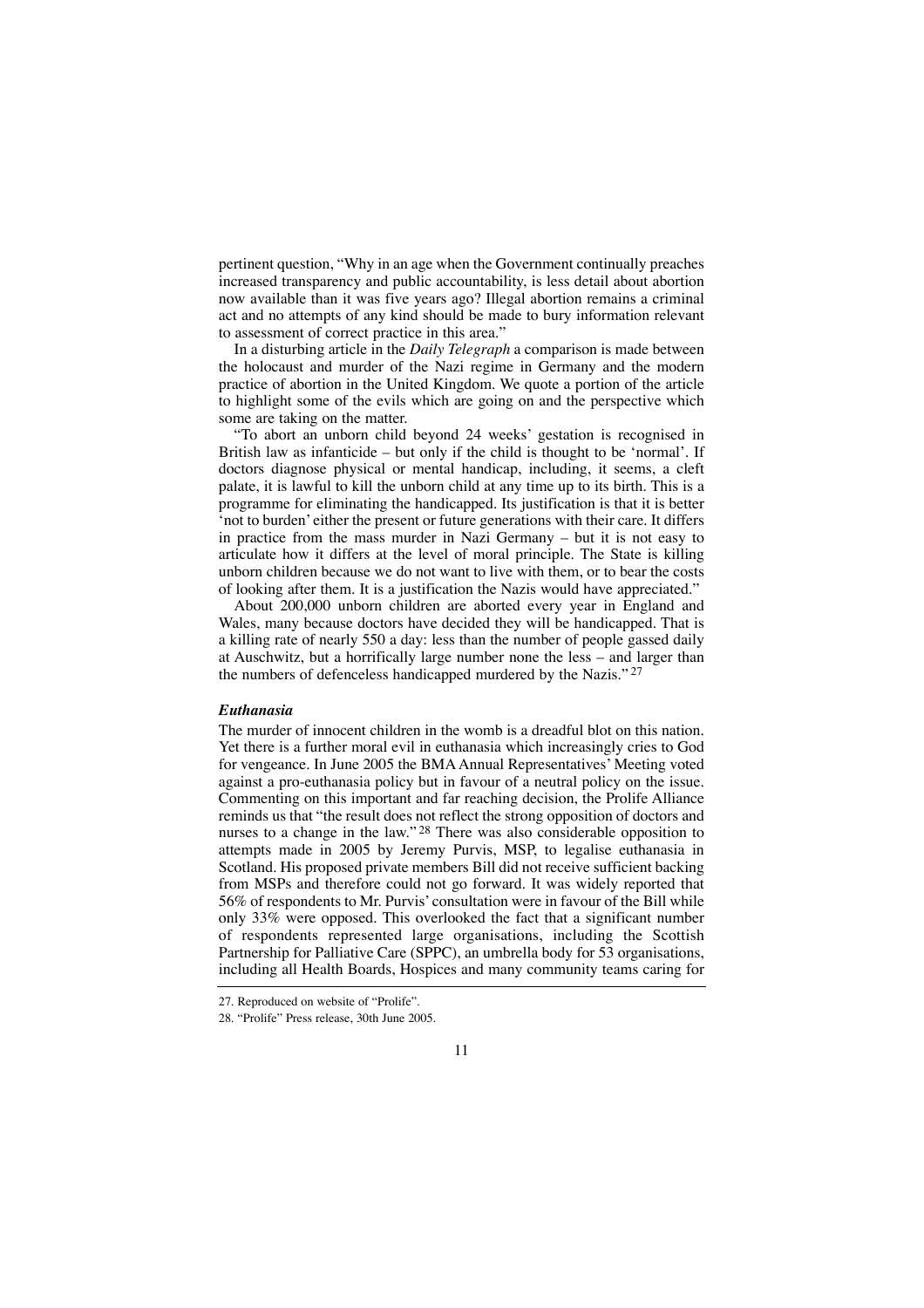pertinent question, "Why in an age when the Government continually preaches increased transparency and public accountability, is less detail about abortion now available than it was five years ago? Illegal abortion remains a criminal act and no attempts of any kind should be made to bury information relevant to assessment of correct practice in this area."

In a disturbing article in the *Daily Telegraph* a comparison is made between the holocaust and murder of the Nazi regime in Germany and the modern practice of abortion in the United Kingdom. We quote a portion of the article to highlight some of the evils which are going on and the perspective which some are taking on the matter.

"To abort an unborn child beyond 24 weeks' gestation is recognised in British law as infanticide – but only if the child is thought to be 'normal'. If doctors diagnose physical or mental handicap, including, it seems, a cleft palate, it is lawful to kill the unborn child at any time up to its birth. This is a programme for eliminating the handicapped. Its justification is that it is better 'not to burden' either the present or future generations with their care. It differs in practice from the mass murder in Nazi Germany – but it is not easy to articulate how it differs at the level of moral principle. The State is killing unborn children because we do not want to live with them, or to bear the costs of looking after them. It is a justification the Nazis would have appreciated."

About 200,000 unborn children are aborted every year in England and Wales, many because doctors have decided they will be handicapped. That is a killing rate of nearly 550 a day: less than the number of people gassed daily at Auschwitz, but a horrifically large number none the less – and larger than the numbers of defenceless handicapped murdered by the Nazis." 27

### *Euthanasia*

The murder of innocent children in the womb is a dreadful blot on this nation. Yet there is a further moral evil in euthanasia which increasingly cries to God for vengeance. In June 2005 the BMA Annual Representatives' Meeting voted against a pro-euthanasia policy but in favour of a neutral policy on the issue. Commenting on this important and far reaching decision, the Prolife Alliance reminds us that "the result does not reflect the strong opposition of doctors and nurses to a change in the law."<sup>28</sup> There was also considerable opposition to attempts made in 2005 by Jeremy Purvis, MSP, to legalise euthanasia in Scotland. His proposed private members Bill did not receive sufficient backing from MSPs and therefore could not go forward. It was widely reported that 56% of respondents to Mr. Purvis' consultation were in favour of the Bill while only 33% were opposed. This overlooked the fact that a significant number of respondents represented large organisations, including the Scottish Partnership for Palliative Care (SPPC), an umbrella body for 53 organisations, including all Health Boards, Hospices and many community teams caring for

<sup>27.</sup> Reproduced on website of "Prolife".

<sup>28. &</sup>quot;Prolife" Press release, 30th June 2005.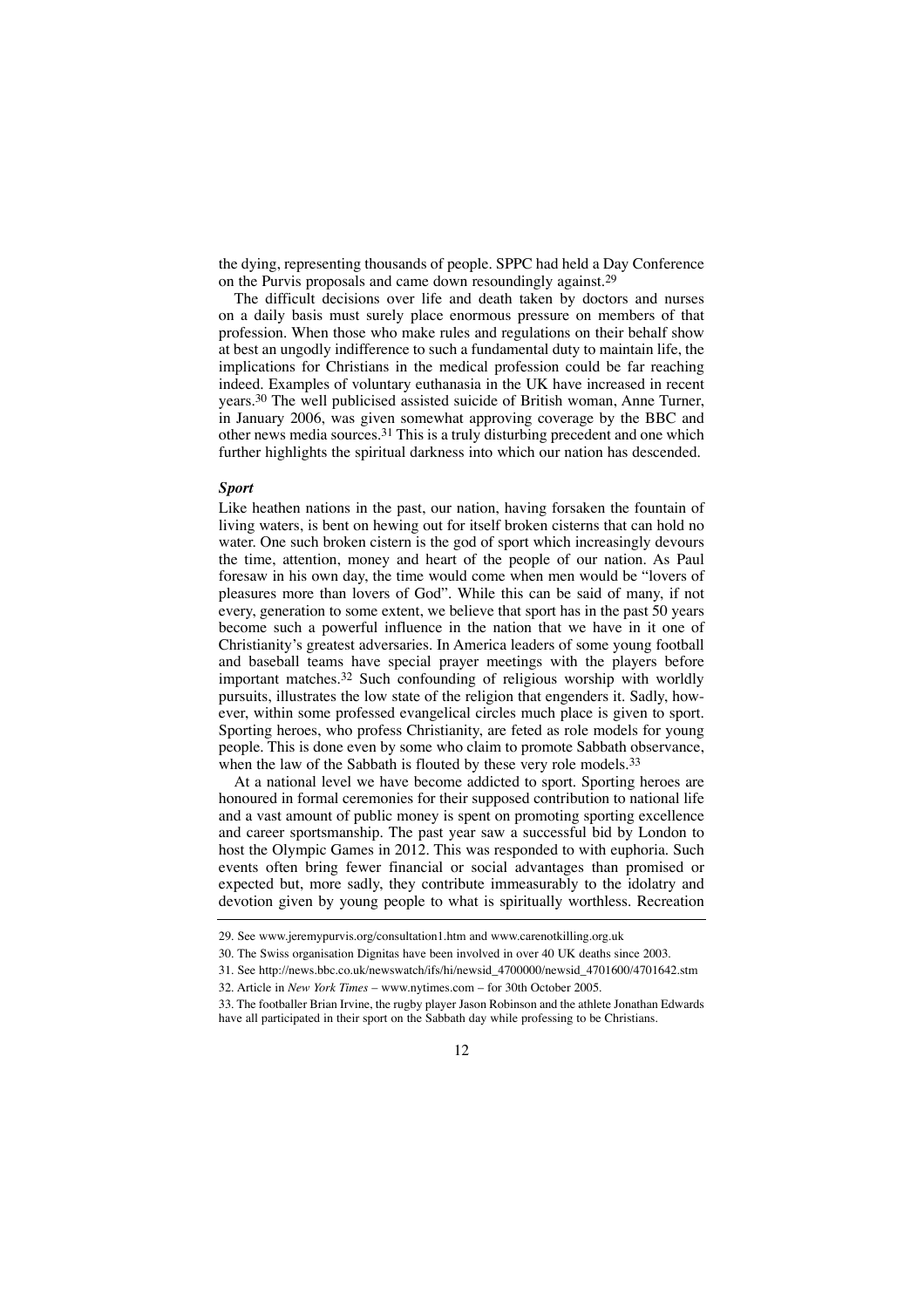the dying, representing thousands of people. SPPC had held a Day Conference on the Purvis proposals and came down resoundingly against.<sup>29</sup>

The difficult decisions over life and death taken by doctors and nurses on a daily basis must surely place enormous pressure on members of that profession. When those who make rules and regulations on their behalf show at best an ungodly indifference to such a fundamental duty to maintain life, the implications for Christians in the medical profession could be far reaching indeed. Examples of voluntary euthanasia in the UK have increased in recent years.30 The well publicised assisted suicide of British woman, Anne Turner, in January 2006, was given somewhat approving coverage by the BBC and other news media sources.31 This is a truly disturbing precedent and one which further highlights the spiritual darkness into which our nation has descended.

#### *Sport*

Like heathen nations in the past, our nation, having forsaken the fountain of living waters, is bent on hewing out for itself broken cisterns that can hold no water. One such broken cistern is the god of sport which increasingly devours the time, attention, money and heart of the people of our nation. As Paul foresaw in his own day, the time would come when men would be "lovers of pleasures more than lovers of God". While this can be said of many, if not every, generation to some extent, we believe that sport has in the past 50 years become such a powerful influence in the nation that we have in it one of Christianity's greatest adversaries. In America leaders of some young football and baseball teams have special prayer meetings with the players before important matches.32 Such confounding of religious worship with worldly pursuits, illustrates the low state of the religion that engenders it. Sadly, however, within some professed evangelical circles much place is given to sport. Sporting heroes, who profess Christianity, are feted as role models for young people. This is done even by some who claim to promote Sabbath observance, when the law of the Sabbath is flouted by these very role models.<sup>33</sup>

At a national level we have become addicted to sport. Sporting heroes are honoured in formal ceremonies for their supposed contribution to national life and a vast amount of public money is spent on promoting sporting excellence and career sportsmanship. The past year saw a successful bid by London to host the Olympic Games in 2012. This was responded to with euphoria. Such events often bring fewer financial or social advantages than promised or expected but, more sadly, they contribute immeasurably to the idolatry and devotion given by young people to what is spiritually worthless. Recreation

<sup>29.</sup> See www.jeremypurvis.org/consultation1.htm and www.carenotkilling.org.uk

<sup>30.</sup> The Swiss organisation Dignitas have been involved in over 40 UK deaths since 2003.

<sup>31.</sup> See http://news.bbc.co.uk/newswatch/ifs/hi/newsid\_4700000/newsid\_4701600/4701642.stm

<sup>32.</sup> Article in *New York Times* – www.nytimes.com – for 30th October 2005.

<sup>33.</sup> The footballer Brian Irvine, the rugby player Jason Robinson and the athlete Jonathan Edwards have all participated in their sport on the Sabbath day while professing to be Christians.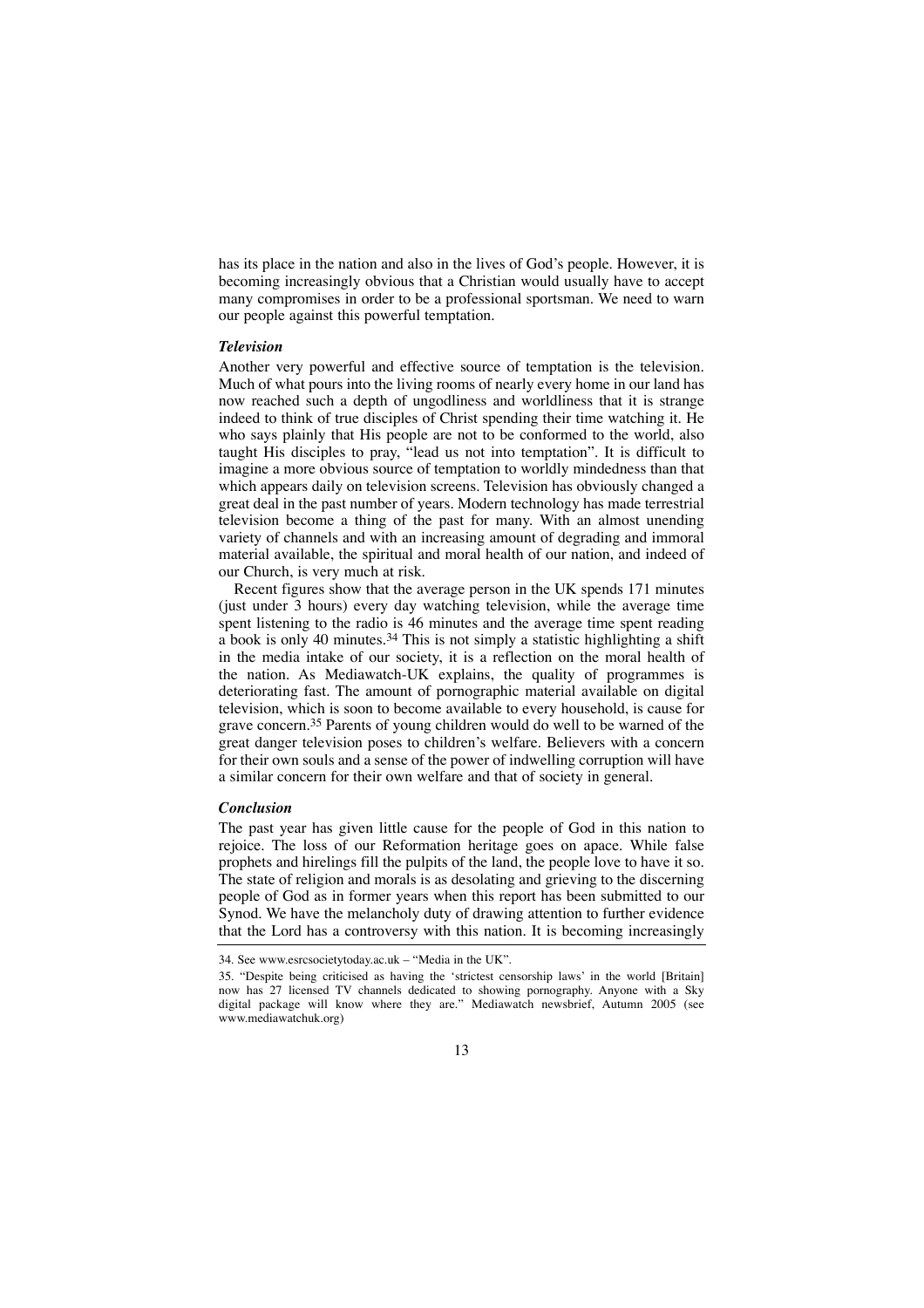has its place in the nation and also in the lives of God's people. However, it is becoming increasingly obvious that a Christian would usually have to accept many compromises in order to be a professional sportsman. We need to warn our people against this powerful temptation.

#### *Television*

Another very powerful and effective source of temptation is the television. Much of what pours into the living rooms of nearly every home in our land has now reached such a depth of ungodliness and worldliness that it is strange indeed to think of true disciples of Christ spending their time watching it. He who says plainly that His people are not to be conformed to the world, also taught His disciples to pray, "lead us not into temptation". It is difficult to imagine a more obvious source of temptation to worldly mindedness than that which appears daily on television screens. Television has obviously changed a great deal in the past number of years. Modern technology has made terrestrial television become a thing of the past for many. With an almost unending variety of channels and with an increasing amount of degrading and immoral material available, the spiritual and moral health of our nation, and indeed of our Church, is very much at risk.

Recent figures show that the average person in the UK spends 171 minutes (just under 3 hours) every day watching television, while the average time spent listening to the radio is 46 minutes and the average time spent reading a book is only 40 minutes.<sup>34</sup> This is not simply a statistic highlighting a shift in the media intake of our society, it is a reflection on the moral health of the nation. As Mediawatch-UK explains, the quality of programmes is deteriorating fast. The amount of pornographic material available on digital television, which is soon to become available to every household, is cause for grave concern.35 Parents of young children would do well to be warned of the great danger television poses to children's welfare. Believers with a concern for their own souls and a sense of the power of indwelling corruption will have a similar concern for their own welfare and that of society in general.

### *Conclusion*

The past year has given little cause for the people of God in this nation to rejoice. The loss of our Reformation heritage goes on apace. While false prophets and hirelings fill the pulpits of the land, the people love to have it so. The state of religion and morals is as desolating and grieving to the discerning people of God as in former years when this report has been submitted to our Synod. We have the melancholy duty of drawing attention to further evidence that the Lord has a controversy with this nation. It is becoming increasingly

<sup>34.</sup> See www.esrcsocietytoday.ac.uk – "Media in the UK".

<sup>35. &</sup>quot;Despite being criticised as having the 'strictest censorship laws' in the world [Britain] now has 27 licensed TV channels dedicated to showing pornography. Anyone with a Sky digital package will know where they are." Mediawatch newsbrief, Autumn 2005 (see www.mediawatchuk.org)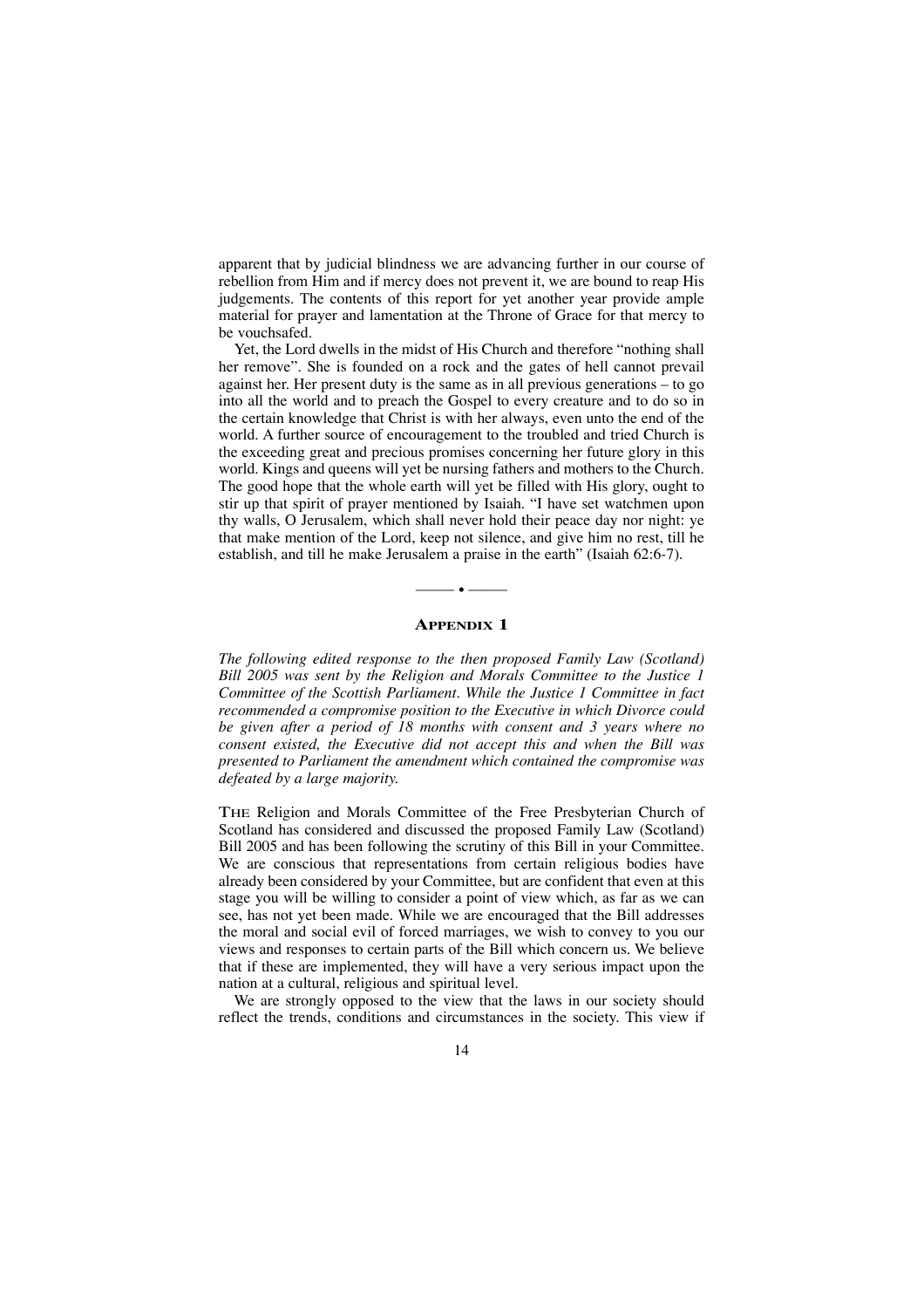apparent that by judicial blindness we are advancing further in our course of rebellion from Him and if mercy does not prevent it, we are bound to reap His judgements. The contents of this report for yet another year provide ample material for prayer and lamentation at the Throne of Grace for that mercy to be vouchsafed.

Yet, the Lord dwells in the midst of His Church and therefore "nothing shall her remove". She is founded on a rock and the gates of hell cannot prevail against her. Her present duty is the same as in all previous generations – to go into all the world and to preach the Gospel to every creature and to do so in the certain knowledge that Christ is with her always, even unto the end of the world. A further source of encouragement to the troubled and tried Church is the exceeding great and precious promises concerning her future glory in this world. Kings and queens will yet be nursing fathers and mothers to the Church. The good hope that the whole earth will yet be filled with His glory, ought to stir up that spirit of prayer mentioned by Isaiah. "I have set watchmen upon thy walls, O Jerusalem, which shall never hold their peace day nor night: ye that make mention of the Lord, keep not silence, and give him no rest, till he establish, and till he make Jerusalem a praise in the earth" (Isaiah 62:6-7).

### **APPENDIX 1**

––––– • –––––

*The following edited response to the then proposed Family Law (Scotland) Bill 2005 was sent by the Religion and Morals Committee to the Justice 1 Committee of the Scottish Parliament. While the Justice 1 Committee in fact recommended a compromise position to the Executive in which Divorce could be given after a period of 18 months with consent and 3 years where no consent existed, the Executive did not accept this and when the Bill was presented to Parliament the amendment which contained the compromise was defeated by a large majority.*

THE Religion and Morals Committee of the Free Presbyterian Church of Scotland has considered and discussed the proposed Family Law (Scotland) Bill 2005 and has been following the scrutiny of this Bill in your Committee. We are conscious that representations from certain religious bodies have already been considered by your Committee, but are confident that even at this stage you will be willing to consider a point of view which, as far as we can see, has not yet been made. While we are encouraged that the Bill addresses the moral and social evil of forced marriages, we wish to convey to you our views and responses to certain parts of the Bill which concern us. We believe that if these are implemented, they will have a very serious impact upon the nation at a cultural, religious and spiritual level.

We are strongly opposed to the view that the laws in our society should reflect the trends, conditions and circumstances in the society. This view if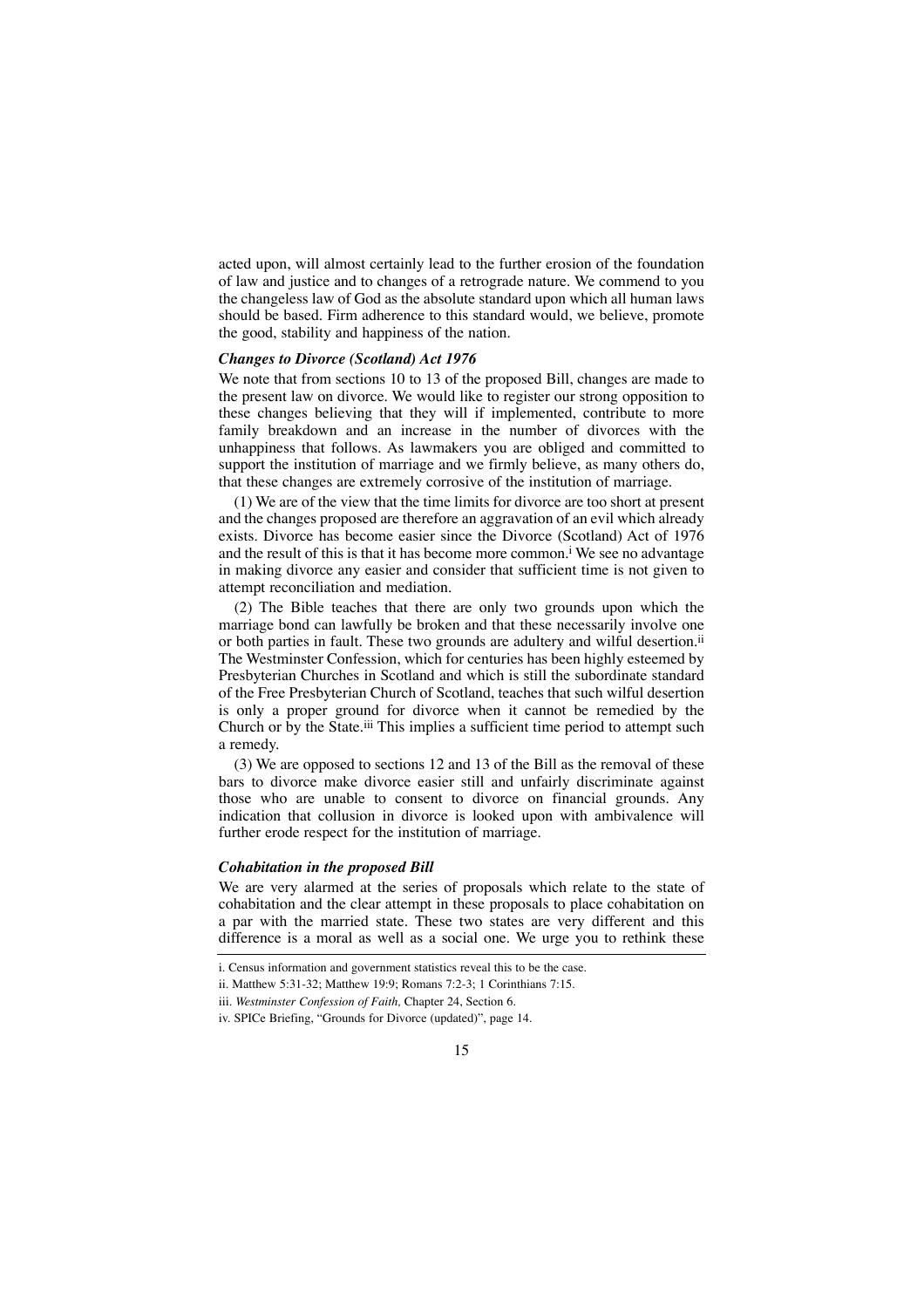acted upon, will almost certainly lead to the further erosion of the foundation of law and justice and to changes of a retrograde nature. We commend to you the changeless law of God as the absolute standard upon which all human laws should be based. Firm adherence to this standard would, we believe, promote the good, stability and happiness of the nation.

### *Changes to Divorce (Scotland) Act 1976*

We note that from sections 10 to 13 of the proposed Bill, changes are made to the present law on divorce. We would like to register our strong opposition to these changes believing that they will if implemented, contribute to more family breakdown and an increase in the number of divorces with the unhappiness that follows. As lawmakers you are obliged and committed to support the institution of marriage and we firmly believe, as many others do, that these changes are extremely corrosive of the institution of marriage.

(1) We are of the view that the time limits for divorce are too short at present and the changes proposed are therefore an aggravation of an evil which already exists. Divorce has become easier since the Divorce (Scotland) Act of 1976 and the result of this is that it has become more common.<sup>i</sup> We see no advantage in making divorce any easier and consider that sufficient time is not given to attempt reconciliation and mediation.

(2) The Bible teaches that there are only two grounds upon which the marriage bond can lawfully be broken and that these necessarily involve one or both parties in fault. These two grounds are adultery and wilful desertion.<sup>ii</sup> The Westminster Confession, which for centuries has been highly esteemed by Presbyterian Churches in Scotland and which is still the subordinate standard of the Free Presbyterian Church of Scotland, teaches that such wilful desertion is only a proper ground for divorce when it cannot be remedied by the Church or by the State.iii This implies a sufficient time period to attempt such a remedy.

(3) We are opposed to sections 12 and 13 of the Bill as the removal of these bars to divorce make divorce easier still and unfairly discriminate against those who are unable to consent to divorce on financial grounds. Any indication that collusion in divorce is looked upon with ambivalence will further erode respect for the institution of marriage.

### *Cohabitation in the proposed Bill*

We are very alarmed at the series of proposals which relate to the state of cohabitation and the clear attempt in these proposals to place cohabitation on a par with the married state. These two states are very different and this difference is a moral as well as a social one. We urge you to rethink these

i. Census information and government statistics reveal this to be the case.

ii. Matthew 5:31-32; Matthew 19:9; Romans 7:2-3; 1 Corinthians 7:15.

iii. *Westminster Confession of Faith,* Chapter 24, Section 6.

iv. SPICe Briefing, "Grounds for Divorce (updated)", page 14.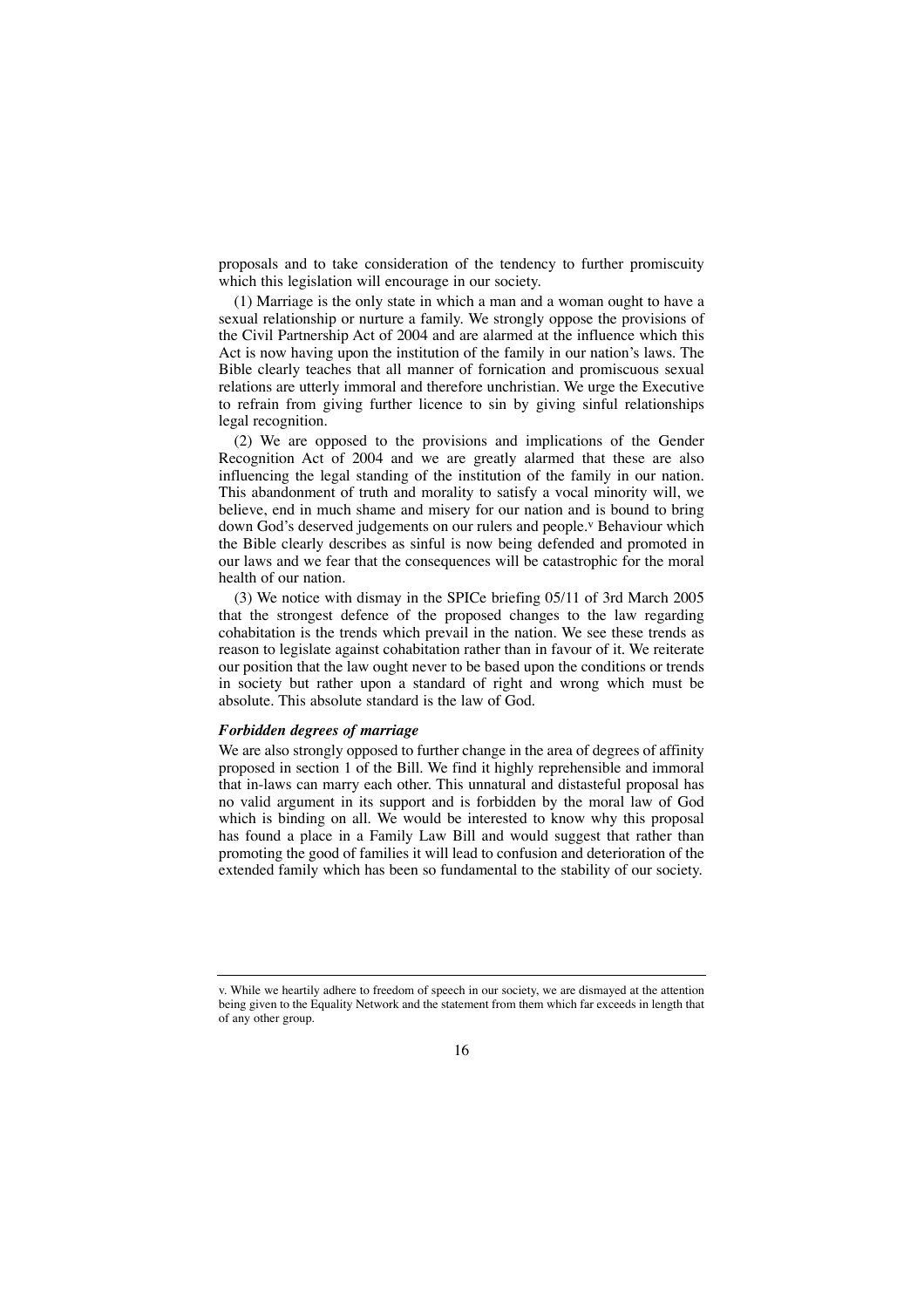proposals and to take consideration of the tendency to further promiscuity which this legislation will encourage in our society.

(1) Marriage is the only state in which a man and a woman ought to have a sexual relationship or nurture a family. We strongly oppose the provisions of the Civil Partnership Act of 2004 and are alarmed at the influence which this Act is now having upon the institution of the family in our nation's laws. The Bible clearly teaches that all manner of fornication and promiscuous sexual relations are utterly immoral and therefore unchristian. We urge the Executive to refrain from giving further licence to sin by giving sinful relationships legal recognition.

(2) We are opposed to the provisions and implications of the Gender Recognition Act of 2004 and we are greatly alarmed that these are also influencing the legal standing of the institution of the family in our nation. This abandonment of truth and morality to satisfy a vocal minority will, we believe, end in much shame and misery for our nation and is bound to bring down God's deserved judgements on our rulers and people.<sup>v</sup> Behaviour which the Bible clearly describes as sinful is now being defended and promoted in our laws and we fear that the consequences will be catastrophic for the moral health of our nation.

(3) We notice with dismay in the SPICe briefing 05/11 of 3rd March 2005 that the strongest defence of the proposed changes to the law regarding cohabitation is the trends which prevail in the nation. We see these trends as reason to legislate against cohabitation rather than in favour of it. We reiterate our position that the law ought never to be based upon the conditions or trends in society but rather upon a standard of right and wrong which must be absolute. This absolute standard is the law of God.

### *Forbidden degrees of marriage*

We are also strongly opposed to further change in the area of degrees of affinity proposed in section 1 of the Bill. We find it highly reprehensible and immoral that in-laws can marry each other. This unnatural and distasteful proposal has no valid argument in its support and is forbidden by the moral law of God which is binding on all. We would be interested to know why this proposal has found a place in a Family Law Bill and would suggest that rather than promoting the good of families it will lead to confusion and deterioration of the extended family which has been so fundamental to the stability of our society.

v. While we heartily adhere to freedom of speech in our society, we are dismayed at the attention being given to the Equality Network and the statement from them which far exceeds in length that of any other group.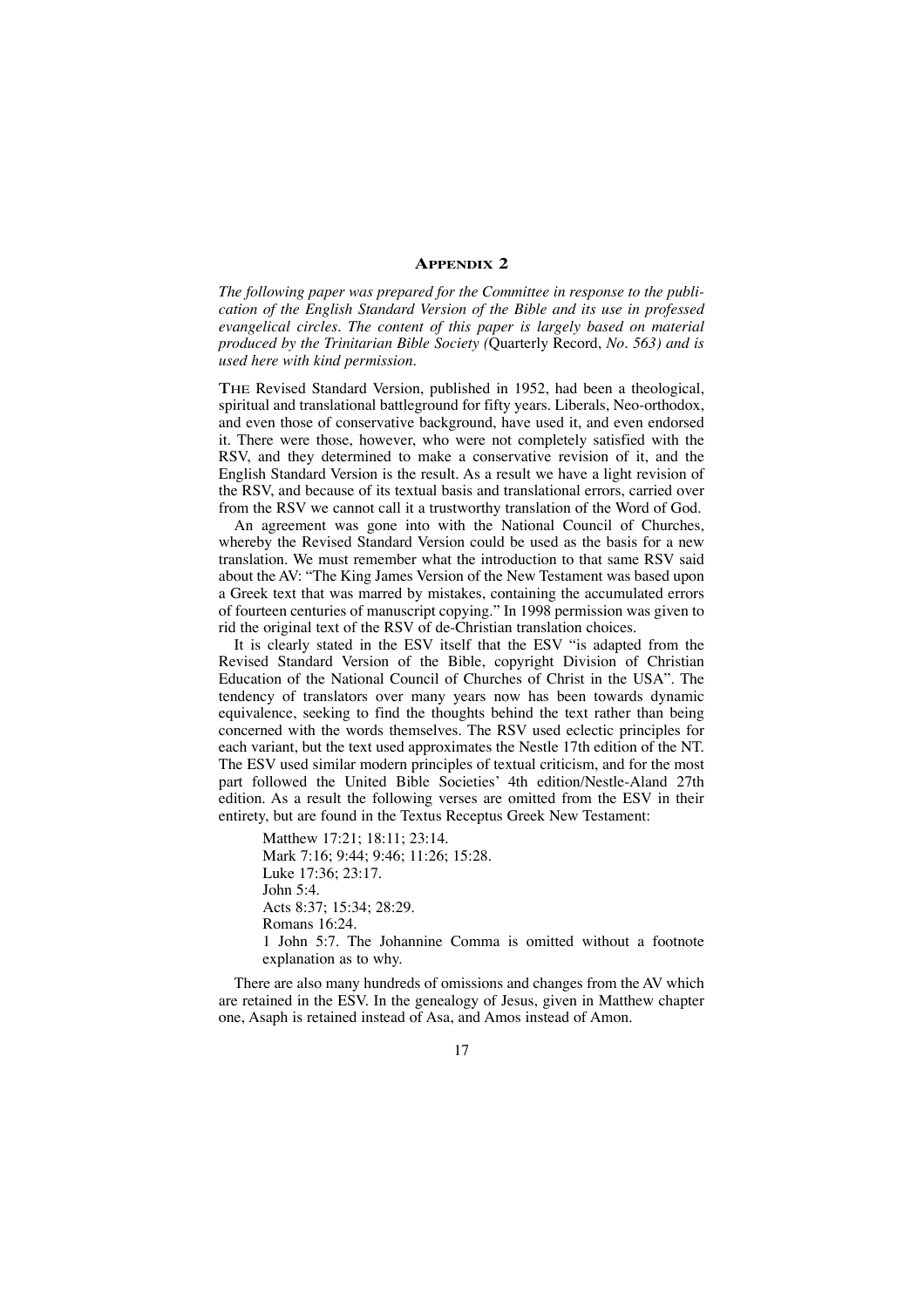### **APPENDIX 2**

*The following paper was prepared for the Committee in response to the publication of the English Standard Version of the Bible and its use in professed evangelical circles. The content of this paper is largely based on material produced by the Trinitarian Bible Society (*Quarterly Record, *No. 563) and is used here with kind permission.*

THE Revised Standard Version, published in 1952, had been a theological, spiritual and translational battleground for fifty years. Liberals, Neo-orthodox, and even those of conservative background, have used it, and even endorsed it. There were those, however, who were not completely satisfied with the RSV, and they determined to make a conservative revision of it, and the English Standard Version is the result. As a result we have a light revision of the RSV, and because of its textual basis and translational errors, carried over from the RSV we cannot call it a trustworthy translation of the Word of God.

An agreement was gone into with the National Council of Churches, whereby the Revised Standard Version could be used as the basis for a new translation. We must remember what the introduction to that same RSV said about the AV: "The King James Version of the New Testament was based upon a Greek text that was marred by mistakes, containing the accumulated errors of fourteen centuries of manuscript copying." In 1998 permission was given to rid the original text of the RSV of de-Christian translation choices.

It is clearly stated in the ESV itself that the ESV "is adapted from the Revised Standard Version of the Bible, copyright Division of Christian Education of the National Council of Churches of Christ in the USA". The tendency of translators over many years now has been towards dynamic equivalence, seeking to find the thoughts behind the text rather than being concerned with the words themselves. The RSV used eclectic principles for each variant, but the text used approximates the Nestle 17th edition of the NT. The ESV used similar modern principles of textual criticism, and for the most part followed the United Bible Societies' 4th edition/Nestle-Aland 27th edition. As a result the following verses are omitted from the ESV in their entirety, but are found in the Textus Receptus Greek New Testament:

Matthew 17:21; 18:11; 23:14. Mark 7:16; 9:44; 9:46; 11:26; 15:28. Luke 17:36; 23:17. John 5:4. Acts 8:37; 15:34; 28:29. Romans 16:24. 1 John 5:7. The Johannine Comma is omitted without a footnote explanation as to why.

There are also many hundreds of omissions and changes from the AV which are retained in the ESV. In the genealogy of Jesus, given in Matthew chapter one, Asaph is retained instead of Asa, and Amos instead of Amon.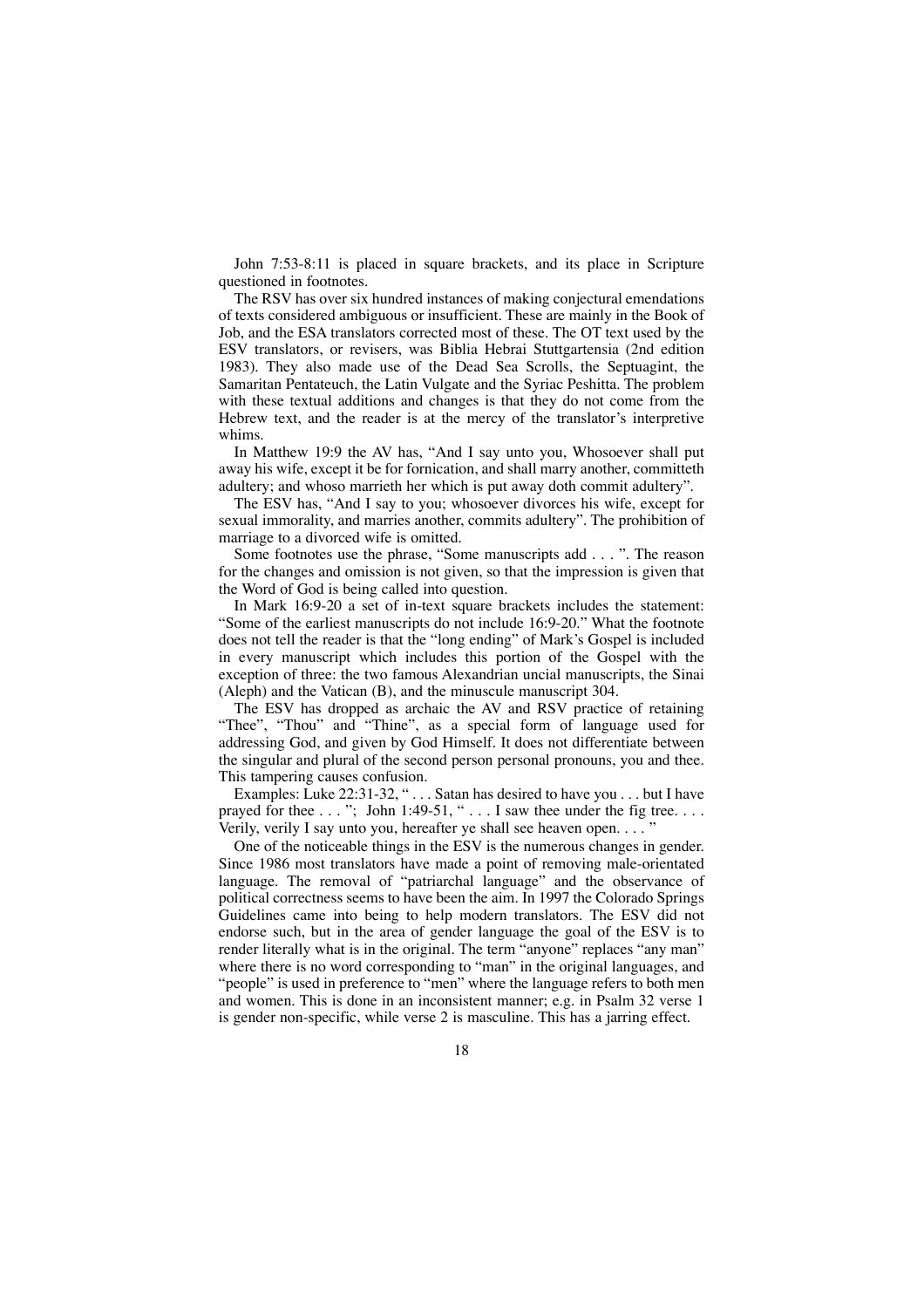John 7:53-8:11 is placed in square brackets, and its place in Scripture questioned in footnotes.

The RSV has over six hundred instances of making conjectural emendations of texts considered ambiguous or insufficient. These are mainly in the Book of Job, and the ESA translators corrected most of these. The OT text used by the ESV translators, or revisers, was Biblia Hebrai Stuttgartensia (2nd edition 1983). They also made use of the Dead Sea Scrolls, the Septuagint, the Samaritan Pentateuch, the Latin Vulgate and the Syriac Peshitta. The problem with these textual additions and changes is that they do not come from the Hebrew text, and the reader is at the mercy of the translator's interpretive whims.

In Matthew 19:9 the AV has, "And I say unto you, Whosoever shall put away his wife, except it be for fornication, and shall marry another, committeth adultery; and whoso marrieth her which is put away doth commit adultery".

The ESV has, "And I say to you; whosoever divorces his wife, except for sexual immorality, and marries another, commits adultery". The prohibition of marriage to a divorced wife is omitted.

Some footnotes use the phrase, "Some manuscripts add . . . ". The reason for the changes and omission is not given, so that the impression is given that the Word of God is being called into question.

In Mark 16:9-20 a set of in-text square brackets includes the statement: "Some of the earliest manuscripts do not include 16:9-20." What the footnote does not tell the reader is that the "long ending" of Mark's Gospel is included in every manuscript which includes this portion of the Gospel with the exception of three: the two famous Alexandrian uncial manuscripts, the Sinai (Aleph) and the Vatican (B), and the minuscule manuscript 304.

The ESV has dropped as archaic the AV and RSV practice of retaining "Thee", "Thou" and "Thine", as a special form of language used for addressing God, and given by God Himself. It does not differentiate between the singular and plural of the second person personal pronouns, you and thee. This tampering causes confusion.

Examples: Luke 22:31-32, " . . . Satan has desired to have you . . . but I have prayed for thee  $\dots$ "; John 1:49-51, " $\dots$  I saw thee under the fig tree. $\dots$ Verily, verily I say unto you, hereafter ye shall see heaven open.  $\ldots$ 

One of the noticeable things in the ESV is the numerous changes in gender. Since 1986 most translators have made a point of removing male-orientated language. The removal of "patriarchal language" and the observance of political correctness seems to have been the aim. In 1997 the Colorado Springs Guidelines came into being to help modern translators. The ESV did not endorse such, but in the area of gender language the goal of the ESV is to render literally what is in the original. The term "anyone" replaces "any man" where there is no word corresponding to "man" in the original languages, and "people" is used in preference to "men" where the language refers to both men and women. This is done in an inconsistent manner; e.g. in Psalm 32 verse 1 is gender non-specific, while verse 2 is masculine. This has a jarring effect.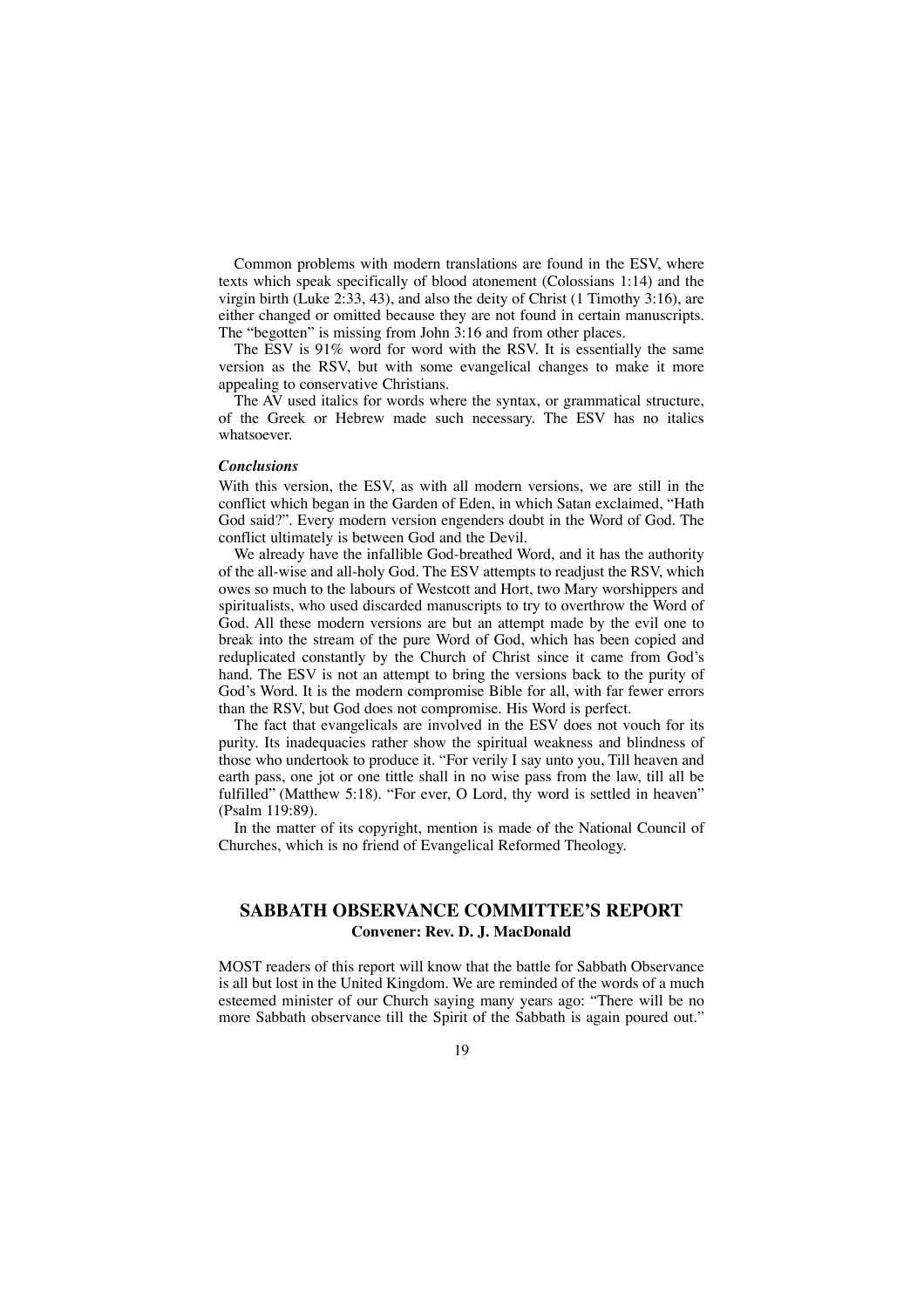Common problems with modern translations are found in the ESV, where texts which speak specifically of blood atonement (Colossians 1:14) and the virgin birth (Luke 2:33, 43), and also the deity of Christ (1 Timothy 3:16), are either changed or omitted because they are not found in certain manuscripts. The "begotten" is missing from John 3:16 and from other places.

The ESV is 91% word for word with the RSV. It is essentially the same version as the RSV, but with some evangelical changes to make it more appealing to conservative Christians.

The AV used italics for words where the syntax, or grammatical structure, of the Greek or Hebrew made such necessary. The ESV has no italics whatsoever.

### *Conclusions*

With this version, the ESV, as with all modern versions, we are still in the conflict which began in the Garden of Eden, in which Satan exclaimed, "Hath God said?". Every modern version engenders doubt in the Word of God. The conflict ultimately is between God and the Devil.

We already have the infallible God-breathed Word, and it has the authority of the all-wise and all-holy God. The ESV attempts to readjust the RSV, which owes so much to the labours of Westcott and Hort, two Mary worshippers and spiritualists, who used discarded manuscripts to try to overthrow the Word of God. All these modern versions are but an attempt made by the evil one to break into the stream of the pure Word of God, which has been copied and reduplicated constantly by the Church of Christ since it came from God's hand. The ESV is not an attempt to bring the versions back to the purity of God's Word. It is the modern compromise Bible for all, with far fewer errors than the RSV, but God does not compromise. His Word is perfect.

The fact that evangelicals are involved in the ESV does not vouch for its purity. Its inadequacies rather show the spiritual weakness and blindness of those who undertook to produce it. "For verily I say unto you, Till heaven and earth pass, one jot or one tittle shall in no wise pass from the law, till all be fulfilled" (Matthew 5:18). "For ever, O Lord, thy word is settled in heaven" (Psalm 119:89).

In the matter of its copyright, mention is made of the National Council of Churches, which is no friend of Evangelical Reformed Theology.

### **SABBATH OBSERVANCE COMMITTEE'S REPORT Convener: Rev. D. J. MacDonald**

MOST readers of this report will know that the battle for Sabbath Observance is all but lost in the United Kingdom. We are reminded of the words of a much esteemed minister of our Church saying many years ago: "There will be no more Sabbath observance till the Spirit of the Sabbath is again poured out."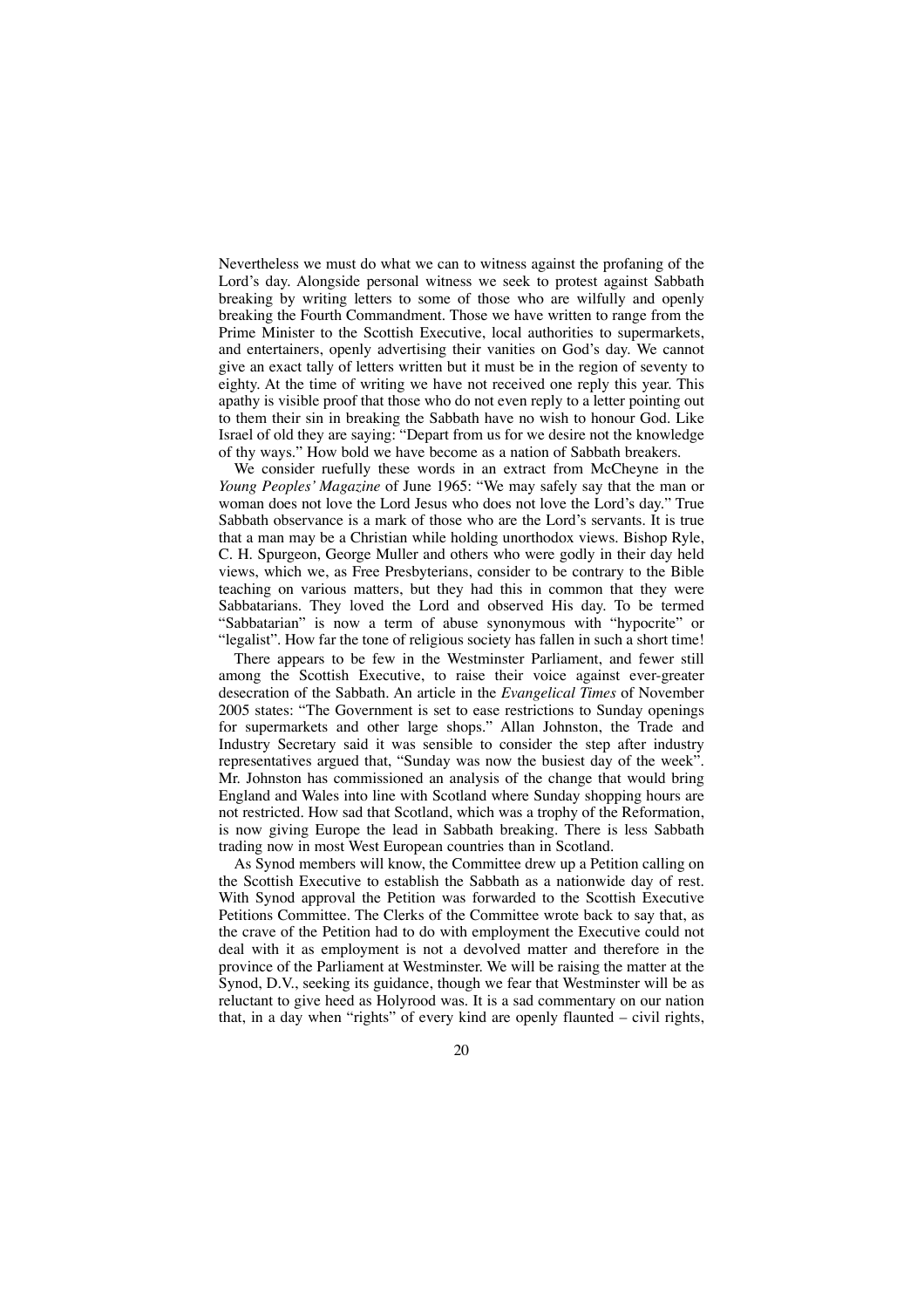Nevertheless we must do what we can to witness against the profaning of the Lord's day. Alongside personal witness we seek to protest against Sabbath breaking by writing letters to some of those who are wilfully and openly breaking the Fourth Commandment. Those we have written to range from the Prime Minister to the Scottish Executive, local authorities to supermarkets, and entertainers, openly advertising their vanities on God's day. We cannot give an exact tally of letters written but it must be in the region of seventy to eighty. At the time of writing we have not received one reply this year. This apathy is visible proof that those who do not even reply to a letter pointing out to them their sin in breaking the Sabbath have no wish to honour God. Like Israel of old they are saying: "Depart from us for we desire not the knowledge of thy ways." How bold we have become as a nation of Sabbath breakers.

We consider ruefully these words in an extract from McCheyne in the *Young Peoples' Magazine* of June 1965: "We may safely say that the man or woman does not love the Lord Jesus who does not love the Lord's day." True Sabbath observance is a mark of those who are the Lord's servants. It is true that a man may be a Christian while holding unorthodox views. Bishop Ryle, C. H. Spurgeon, George Muller and others who were godly in their day held views, which we, as Free Presbyterians, consider to be contrary to the Bible teaching on various matters, but they had this in common that they were Sabbatarians. They loved the Lord and observed His day. To be termed "Sabbatarian" is now a term of abuse synonymous with "hypocrite" or "legalist". How far the tone of religious society has fallen in such a short time!

There appears to be few in the Westminster Parliament, and fewer still among the Scottish Executive, to raise their voice against ever-greater desecration of the Sabbath. An article in the *Evangelical Times* of November 2005 states: "The Government is set to ease restrictions to Sunday openings for supermarkets and other large shops." Allan Johnston, the Trade and Industry Secretary said it was sensible to consider the step after industry representatives argued that, "Sunday was now the busiest day of the week". Mr. Johnston has commissioned an analysis of the change that would bring England and Wales into line with Scotland where Sunday shopping hours are not restricted. How sad that Scotland, which was a trophy of the Reformation, is now giving Europe the lead in Sabbath breaking. There is less Sabbath trading now in most West European countries than in Scotland.

As Synod members will know, the Committee drew up a Petition calling on the Scottish Executive to establish the Sabbath as a nationwide day of rest. With Synod approval the Petition was forwarded to the Scottish Executive Petitions Committee. The Clerks of the Committee wrote back to say that, as the crave of the Petition had to do with employment the Executive could not deal with it as employment is not a devolved matter and therefore in the province of the Parliament at Westminster. We will be raising the matter at the Synod, D.V., seeking its guidance, though we fear that Westminster will be as reluctant to give heed as Holyrood was. It is a sad commentary on our nation that, in a day when "rights" of every kind are openly flaunted – civil rights,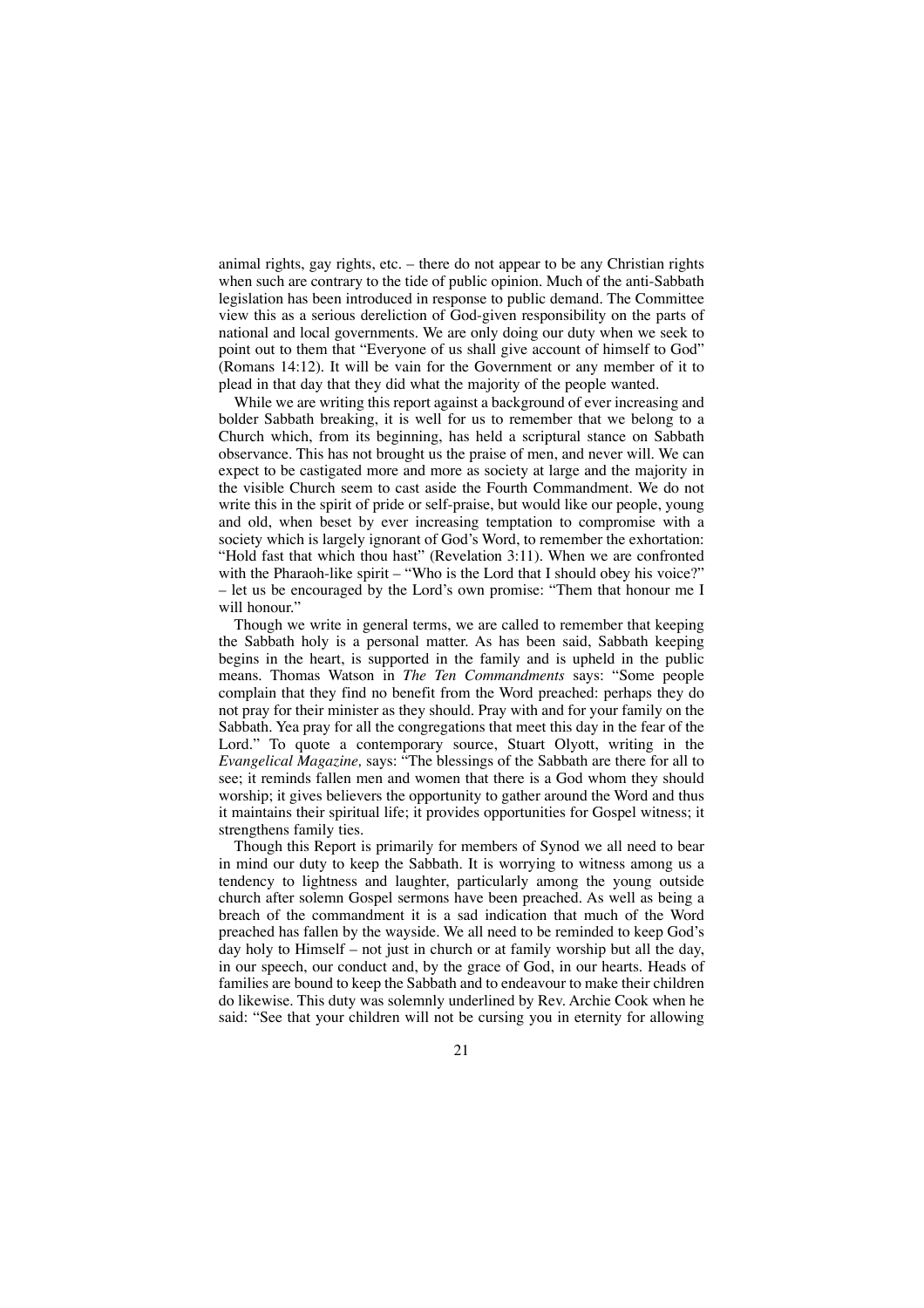animal rights, gay rights, etc. – there do not appear to be any Christian rights when such are contrary to the tide of public opinion. Much of the anti-Sabbath legislation has been introduced in response to public demand. The Committee view this as a serious dereliction of God-given responsibility on the parts of national and local governments. We are only doing our duty when we seek to point out to them that "Everyone of us shall give account of himself to God" (Romans 14:12). It will be vain for the Government or any member of it to plead in that day that they did what the majority of the people wanted.

While we are writing this report against a background of ever increasing and bolder Sabbath breaking, it is well for us to remember that we belong to a Church which, from its beginning, has held a scriptural stance on Sabbath observance. This has not brought us the praise of men, and never will. We can expect to be castigated more and more as society at large and the majority in the visible Church seem to cast aside the Fourth Commandment. We do not write this in the spirit of pride or self-praise, but would like our people, young and old, when beset by ever increasing temptation to compromise with a society which is largely ignorant of God's Word, to remember the exhortation: "Hold fast that which thou hast" (Revelation 3:11). When we are confronted with the Pharaoh-like spirit – "Who is the Lord that I should obey his voice?" – let us be encouraged by the Lord's own promise: "Them that honour me I will honour."

Though we write in general terms, we are called to remember that keeping the Sabbath holy is a personal matter. As has been said, Sabbath keeping begins in the heart, is supported in the family and is upheld in the public means. Thomas Watson in *The Ten Commandments* says: "Some people complain that they find no benefit from the Word preached: perhaps they do not pray for their minister as they should. Pray with and for your family on the Sabbath. Yea pray for all the congregations that meet this day in the fear of the Lord." To quote a contemporary source, Stuart Olyott, writing in the *Evangelical Magazine,* says: "The blessings of the Sabbath are there for all to see; it reminds fallen men and women that there is a God whom they should worship; it gives believers the opportunity to gather around the Word and thus it maintains their spiritual life; it provides opportunities for Gospel witness; it strengthens family ties.

Though this Report is primarily for members of Synod we all need to bear in mind our duty to keep the Sabbath. It is worrying to witness among us a tendency to lightness and laughter, particularly among the young outside church after solemn Gospel sermons have been preached. As well as being a breach of the commandment it is a sad indication that much of the Word preached has fallen by the wayside. We all need to be reminded to keep God's day holy to Himself – not just in church or at family worship but all the day, in our speech, our conduct and, by the grace of God, in our hearts. Heads of families are bound to keep the Sabbath and to endeavour to make their children do likewise. This duty was solemnly underlined by Rev. Archie Cook when he said: "See that your children will not be cursing you in eternity for allowing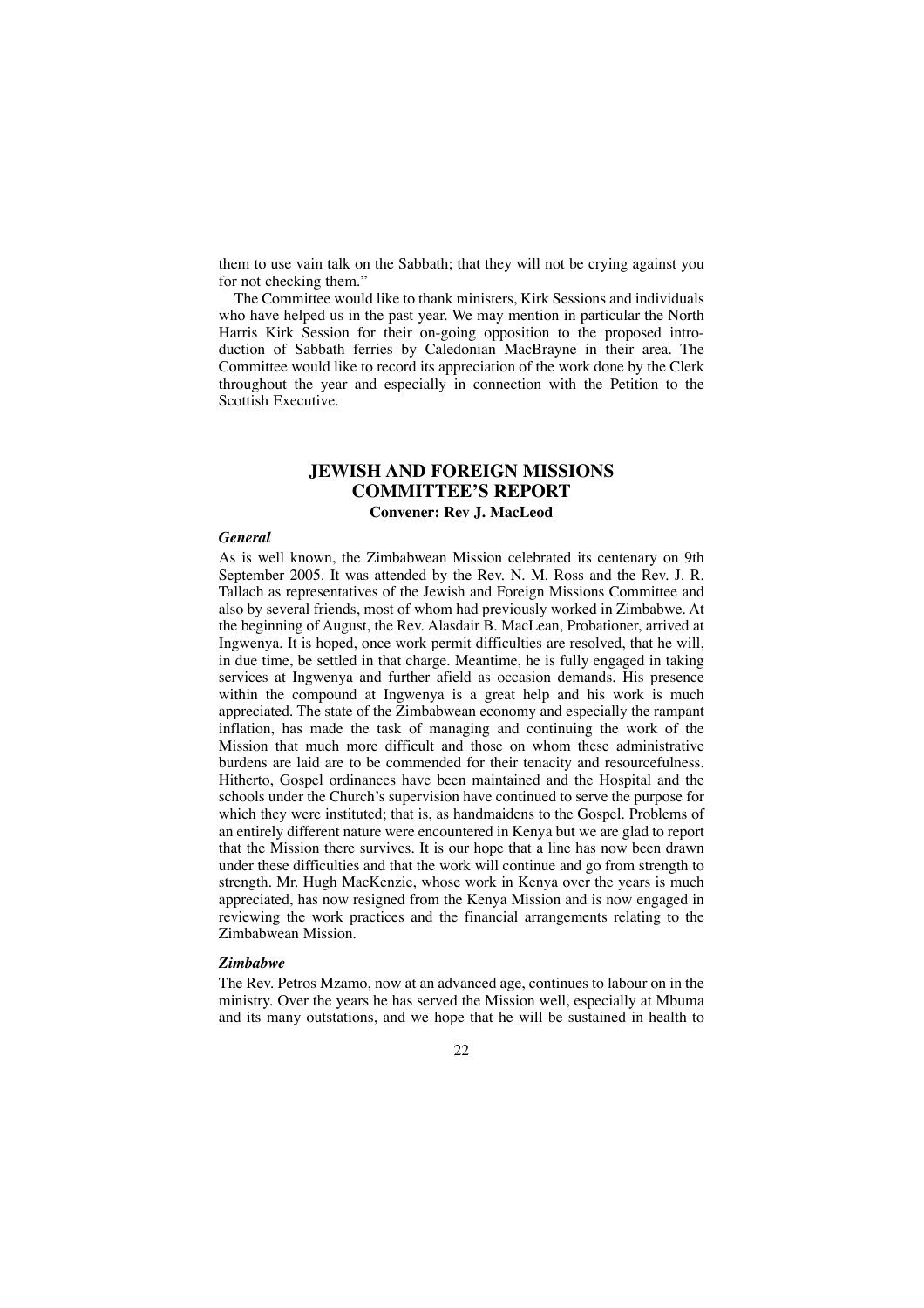them to use vain talk on the Sabbath; that they will not be crying against you for not checking them."

The Committee would like to thank ministers, Kirk Sessions and individuals who have helped us in the past year. We may mention in particular the North Harris Kirk Session for their on-going opposition to the proposed introduction of Sabbath ferries by Caledonian MacBrayne in their area. The Committee would like to record its appreciation of the work done by the Clerk throughout the year and especially in connection with the Petition to the Scottish Executive.

### **JEWISH AND FOREIGN MISSIONS COMMITTEE'S REPORT**

### **Convener: Rev J. MacLeod**

### *General*

As is well known, the Zimbabwean Mission celebrated its centenary on 9th September 2005. It was attended by the Rev. N. M. Ross and the Rev. J. R. Tallach as representatives of the Jewish and Foreign Missions Committee and also by several friends, most of whom had previously worked in Zimbabwe. At the beginning of August, the Rev. Alasdair B. MacLean, Probationer, arrived at Ingwenya. It is hoped, once work permit difficulties are resolved, that he will, in due time, be settled in that charge. Meantime, he is fully engaged in taking services at Ingwenya and further afield as occasion demands. His presence within the compound at Ingwenya is a great help and his work is much appreciated. The state of the Zimbabwean economy and especially the rampant inflation, has made the task of managing and continuing the work of the Mission that much more difficult and those on whom these administrative burdens are laid are to be commended for their tenacity and resourcefulness. Hitherto, Gospel ordinances have been maintained and the Hospital and the schools under the Church's supervision have continued to serve the purpose for which they were instituted; that is, as handmaidens to the Gospel. Problems of an entirely different nature were encountered in Kenya but we are glad to report that the Mission there survives. It is our hope that a line has now been drawn under these difficulties and that the work will continue and go from strength to strength. Mr. Hugh MacKenzie, whose work in Kenya over the years is much appreciated, has now resigned from the Kenya Mission and is now engaged in reviewing the work practices and the financial arrangements relating to the Zimbabwean Mission.

### *Zimbabwe*

The Rev. Petros Mzamo, now at an advanced age, continues to labour on in the ministry. Over the years he has served the Mission well, especially at Mbuma and its many outstations, and we hope that he will be sustained in health to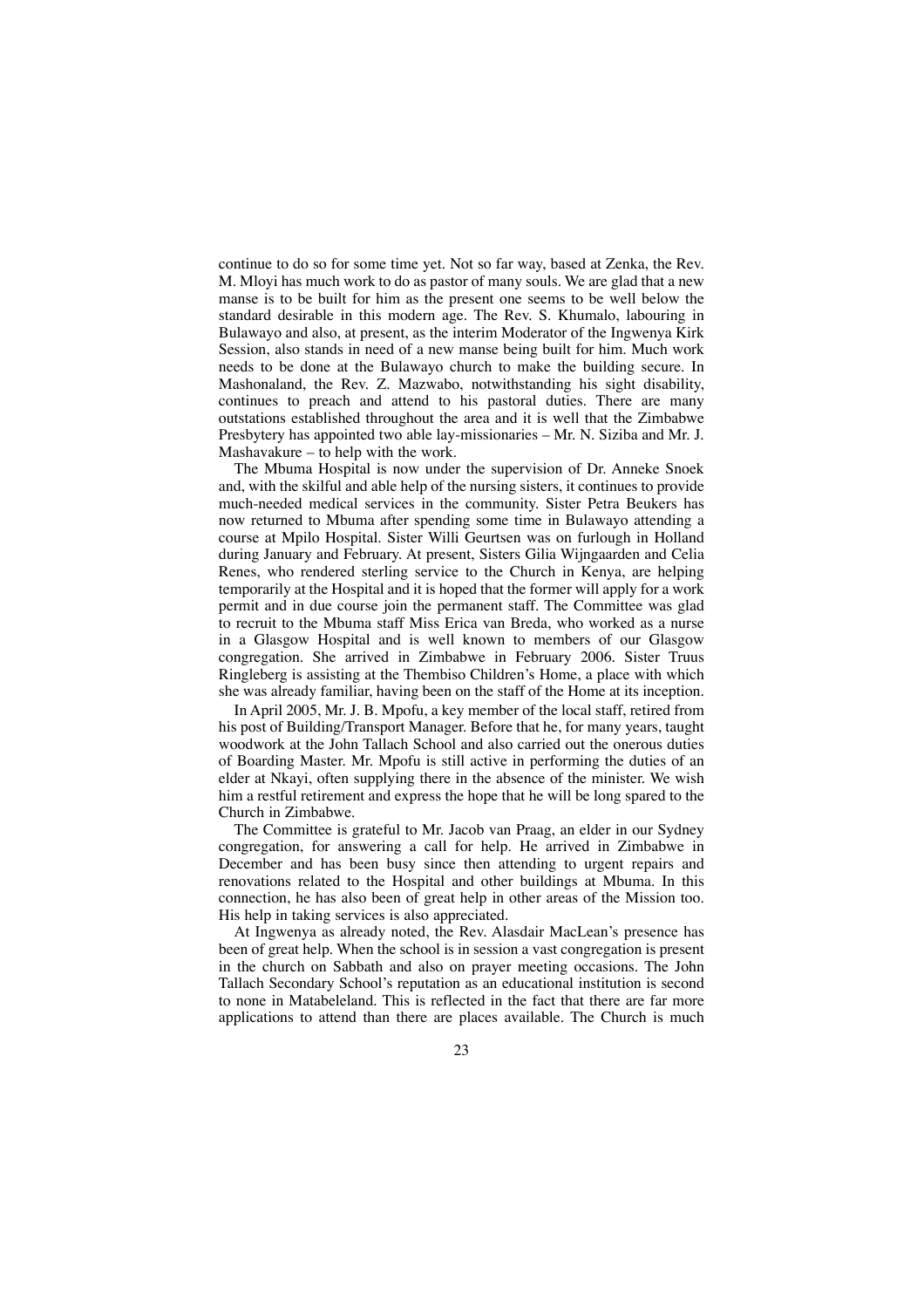continue to do so for some time yet. Not so far way, based at Zenka, the Rev. M. Mloyi has much work to do as pastor of many souls. We are glad that a new manse is to be built for him as the present one seems to be well below the standard desirable in this modern age. The Rev. S. Khumalo, labouring in Bulawayo and also, at present, as the interim Moderator of the Ingwenya Kirk Session, also stands in need of a new manse being built for him. Much work needs to be done at the Bulawayo church to make the building secure. In Mashonaland, the Rev. Z. Mazwabo, notwithstanding his sight disability, continues to preach and attend to his pastoral duties. There are many outstations established throughout the area and it is well that the Zimbabwe Presbytery has appointed two able lay-missionaries – Mr. N. Siziba and Mr. J. Mashavakure – to help with the work.

The Mbuma Hospital is now under the supervision of Dr. Anneke Snoek and, with the skilful and able help of the nursing sisters, it continues to provide much-needed medical services in the community. Sister Petra Beukers has now returned to Mbuma after spending some time in Bulawayo attending a course at Mpilo Hospital. Sister Willi Geurtsen was on furlough in Holland during January and February. At present, Sisters Gilia Wijngaarden and Celia Renes, who rendered sterling service to the Church in Kenya, are helping temporarily at the Hospital and it is hoped that the former will apply for a work permit and in due course join the permanent staff. The Committee was glad to recruit to the Mbuma staff Miss Erica van Breda, who worked as a nurse in a Glasgow Hospital and is well known to members of our Glasgow congregation. She arrived in Zimbabwe in February 2006. Sister Truus Ringleberg is assisting at the Thembiso Children's Home, a place with which she was already familiar, having been on the staff of the Home at its inception.

In April 2005, Mr. J. B. Mpofu, a key member of the local staff, retired from his post of Building/Transport Manager. Before that he, for many years, taught woodwork at the John Tallach School and also carried out the onerous duties of Boarding Master. Mr. Mpofu is still active in performing the duties of an elder at Nkayi, often supplying there in the absence of the minister. We wish him a restful retirement and express the hope that he will be long spared to the Church in Zimbabwe.

The Committee is grateful to Mr. Jacob van Praag, an elder in our Sydney congregation, for answering a call for help. He arrived in Zimbabwe in December and has been busy since then attending to urgent repairs and renovations related to the Hospital and other buildings at Mbuma. In this connection, he has also been of great help in other areas of the Mission too. His help in taking services is also appreciated.

At Ingwenya as already noted, the Rev. Alasdair MacLean's presence has been of great help. When the school is in session a vast congregation is present in the church on Sabbath and also on prayer meeting occasions. The John Tallach Secondary School's reputation as an educational institution is second to none in Matabeleland. This is reflected in the fact that there are far more applications to attend than there are places available. The Church is much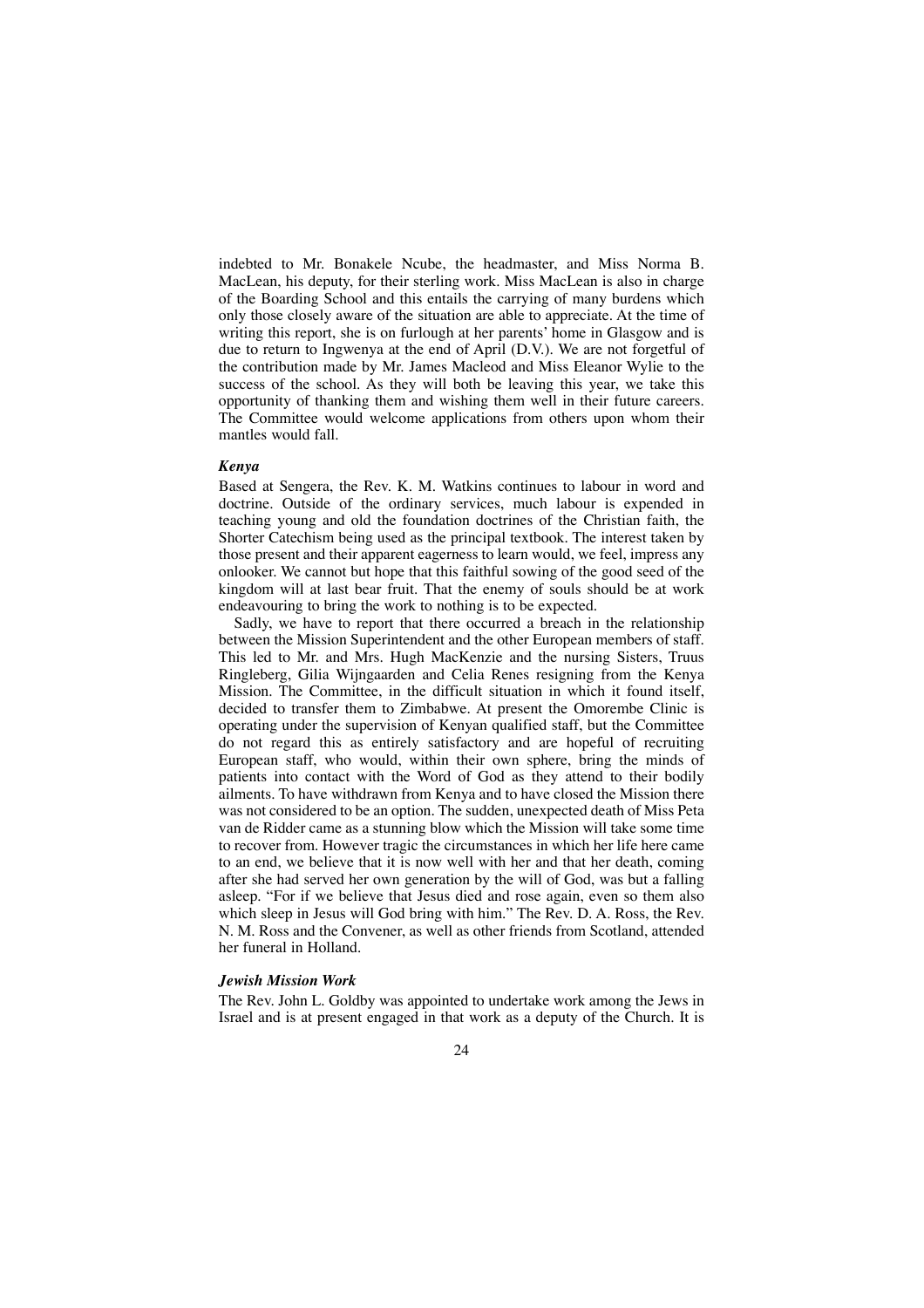indebted to Mr. Bonakele Ncube, the headmaster, and Miss Norma B. MacLean, his deputy, for their sterling work. Miss MacLean is also in charge of the Boarding School and this entails the carrying of many burdens which only those closely aware of the situation are able to appreciate. At the time of writing this report, she is on furlough at her parents' home in Glasgow and is due to return to Ingwenya at the end of April (D.V.). We are not forgetful of the contribution made by Mr. James Macleod and Miss Eleanor Wylie to the success of the school. As they will both be leaving this year, we take this opportunity of thanking them and wishing them well in their future careers. The Committee would welcome applications from others upon whom their mantles would fall.

### *Kenya*

Based at Sengera, the Rev. K. M. Watkins continues to labour in word and doctrine. Outside of the ordinary services, much labour is expended in teaching young and old the foundation doctrines of the Christian faith, the Shorter Catechism being used as the principal textbook. The interest taken by those present and their apparent eagerness to learn would, we feel, impress any onlooker. We cannot but hope that this faithful sowing of the good seed of the kingdom will at last bear fruit. That the enemy of souls should be at work endeavouring to bring the work to nothing is to be expected.

Sadly, we have to report that there occurred a breach in the relationship between the Mission Superintendent and the other European members of staff. This led to Mr. and Mrs. Hugh MacKenzie and the nursing Sisters, Truus Ringleberg, Gilia Wijngaarden and Celia Renes resigning from the Kenya Mission. The Committee, in the difficult situation in which it found itself, decided to transfer them to Zimbabwe. At present the Omorembe Clinic is operating under the supervision of Kenyan qualified staff, but the Committee do not regard this as entirely satisfactory and are hopeful of recruiting European staff, who would, within their own sphere, bring the minds of patients into contact with the Word of God as they attend to their bodily ailments. To have withdrawn from Kenya and to have closed the Mission there was not considered to be an option. The sudden, unexpected death of Miss Peta van de Ridder came as a stunning blow which the Mission will take some time to recover from. However tragic the circumstances in which her life here came to an end, we believe that it is now well with her and that her death, coming after she had served her own generation by the will of God, was but a falling asleep. "For if we believe that Jesus died and rose again, even so them also which sleep in Jesus will God bring with him." The Rev. D. A. Ross, the Rev. N. M. Ross and the Convener, as well as other friends from Scotland, attended her funeral in Holland.

#### *Jewish Mission Work*

The Rev. John L. Goldby was appointed to undertake work among the Jews in Israel and is at present engaged in that work as a deputy of the Church. It is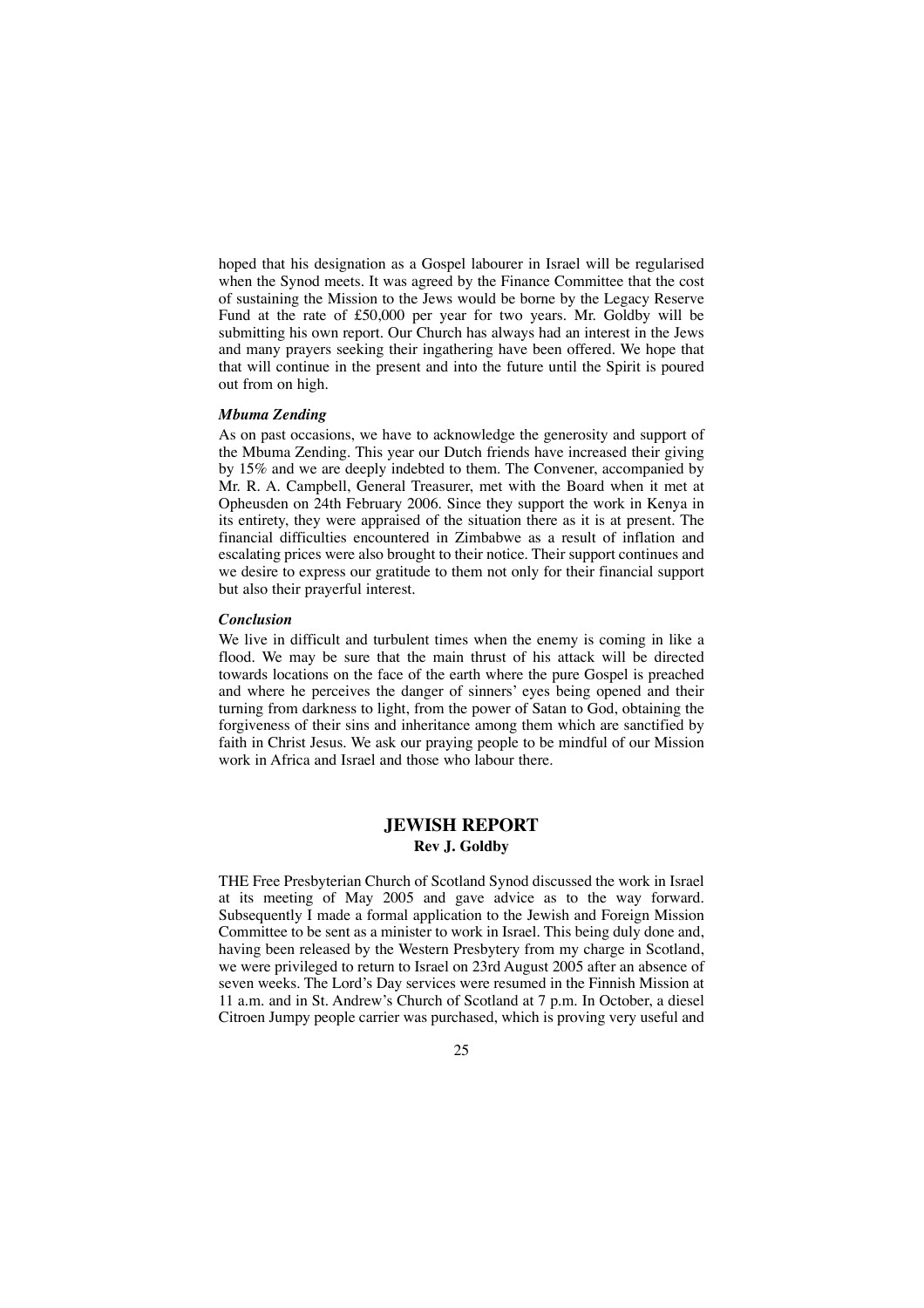hoped that his designation as a Gospel labourer in Israel will be regularised when the Synod meets. It was agreed by the Finance Committee that the cost of sustaining the Mission to the Jews would be borne by the Legacy Reserve Fund at the rate of £50,000 per year for two years. Mr. Goldby will be submitting his own report. Our Church has always had an interest in the Jews and many prayers seeking their ingathering have been offered. We hope that that will continue in the present and into the future until the Spirit is poured out from on high.

### *Mbuma Zending*

As on past occasions, we have to acknowledge the generosity and support of the Mbuma Zending. This year our Dutch friends have increased their giving by 15% and we are deeply indebted to them. The Convener, accompanied by Mr. R. A. Campbell, General Treasurer, met with the Board when it met at Opheusden on 24th February 2006. Since they support the work in Kenya in its entirety, they were appraised of the situation there as it is at present. The financial difficulties encountered in Zimbabwe as a result of inflation and escalating prices were also brought to their notice. Their support continues and we desire to express our gratitude to them not only for their financial support but also their prayerful interest.

### *Conclusion*

We live in difficult and turbulent times when the enemy is coming in like a flood. We may be sure that the main thrust of his attack will be directed towards locations on the face of the earth where the pure Gospel is preached and where he perceives the danger of sinners' eyes being opened and their turning from darkness to light, from the power of Satan to God, obtaining the forgiveness of their sins and inheritance among them which are sanctified by faith in Christ Jesus. We ask our praying people to be mindful of our Mission work in Africa and Israel and those who labour there.

### **JEWISH REPORT Rev J. Goldby**

THE Free Presbyterian Church of Scotland Synod discussed the work in Israel at its meeting of May 2005 and gave advice as to the way forward. Subsequently I made a formal application to the Jewish and Foreign Mission Committee to be sent as a minister to work in Israel. This being duly done and, having been released by the Western Presbytery from my charge in Scotland, we were privileged to return to Israel on 23rd August 2005 after an absence of seven weeks. The Lord's Day services were resumed in the Finnish Mission at 11 a.m. and in St. Andrew's Church of Scotland at 7 p.m. In October, a diesel Citroen Jumpy people carrier was purchased, which is proving very useful and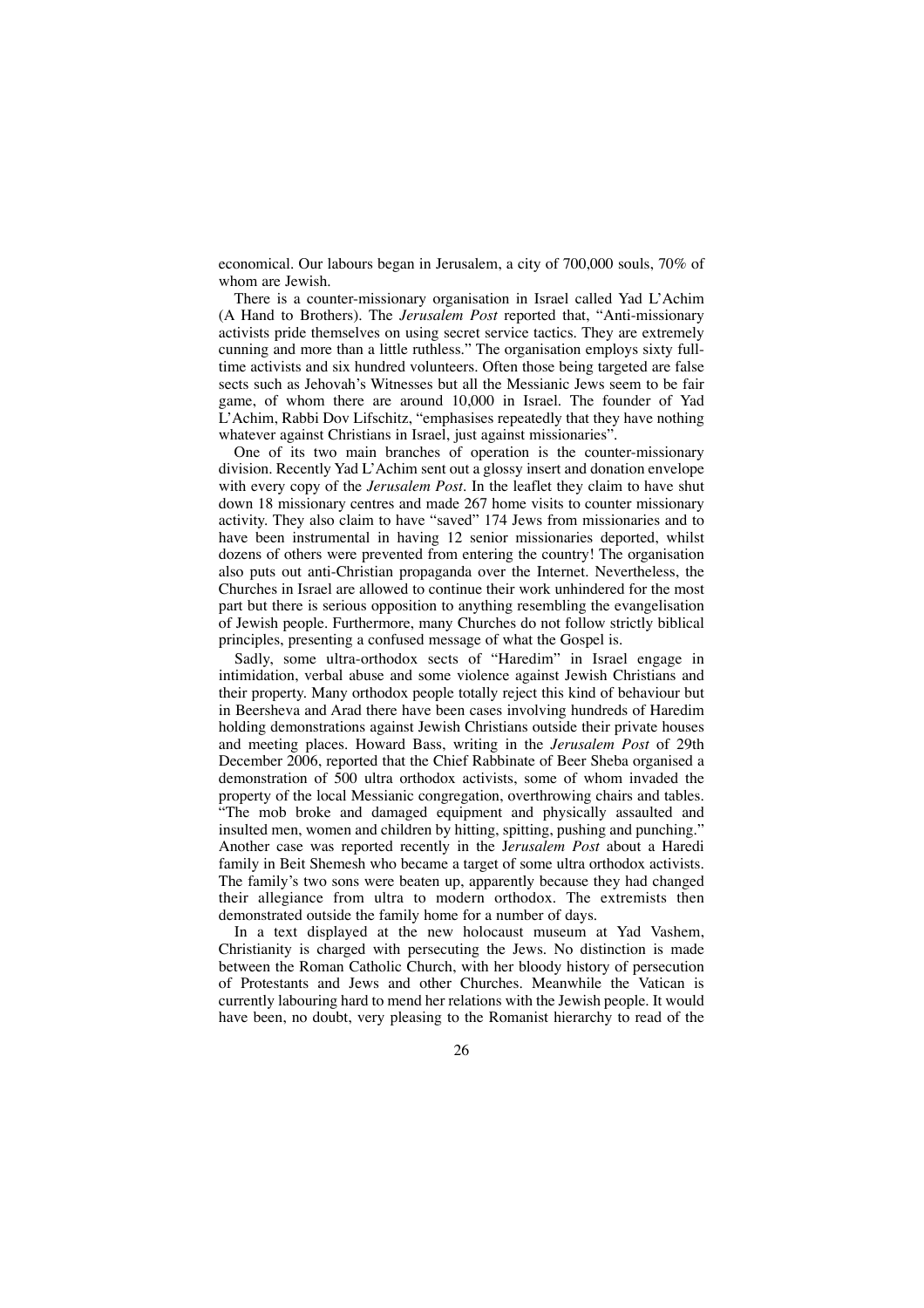economical. Our labours began in Jerusalem, a city of 700,000 souls, 70% of whom are Jewish.

There is a counter-missionary organisation in Israel called Yad L'Achim (A Hand to Brothers). The *Jerusalem Post* reported that, "Anti-missionary activists pride themselves on using secret service tactics. They are extremely cunning and more than a little ruthless." The organisation employs sixty fulltime activists and six hundred volunteers. Often those being targeted are false sects such as Jehovah's Witnesses but all the Messianic Jews seem to be fair game, of whom there are around 10,000 in Israel. The founder of Yad L'Achim, Rabbi Dov Lifschitz, "emphasises repeatedly that they have nothing whatever against Christians in Israel, just against missionaries".

One of its two main branches of operation is the counter-missionary division. Recently Yad L'Achim sent out a glossy insert and donation envelope with every copy of the *Jerusalem Post.* In the leaflet they claim to have shut down 18 missionary centres and made 267 home visits to counter missionary activity. They also claim to have "saved" 174 Jews from missionaries and to have been instrumental in having 12 senior missionaries deported, whilst dozens of others were prevented from entering the country! The organisation also puts out anti-Christian propaganda over the Internet. Nevertheless, the Churches in Israel are allowed to continue their work unhindered for the most part but there is serious opposition to anything resembling the evangelisation of Jewish people. Furthermore, many Churches do not follow strictly biblical principles, presenting a confused message of what the Gospel is.

Sadly, some ultra-orthodox sects of "Haredim" in Israel engage in intimidation, verbal abuse and some violence against Jewish Christians and their property. Many orthodox people totally reject this kind of behaviour but in Beersheva and Arad there have been cases involving hundreds of Haredim holding demonstrations against Jewish Christians outside their private houses and meeting places. Howard Bass, writing in the *Jerusalem Post* of 29th December 2006, reported that the Chief Rabbinate of Beer Sheba organised a demonstration of 500 ultra orthodox activists, some of whom invaded the property of the local Messianic congregation, overthrowing chairs and tables. "The mob broke and damaged equipment and physically assaulted and insulted men, women and children by hitting, spitting, pushing and punching." Another case was reported recently in the J*erusalem Post* about a Haredi family in Beit Shemesh who became a target of some ultra orthodox activists. The family's two sons were beaten up, apparently because they had changed their allegiance from ultra to modern orthodox. The extremists then demonstrated outside the family home for a number of days.

In a text displayed at the new holocaust museum at Yad Vashem, Christianity is charged with persecuting the Jews. No distinction is made between the Roman Catholic Church, with her bloody history of persecution of Protestants and Jews and other Churches. Meanwhile the Vatican is currently labouring hard to mend her relations with the Jewish people. It would have been, no doubt, very pleasing to the Romanist hierarchy to read of the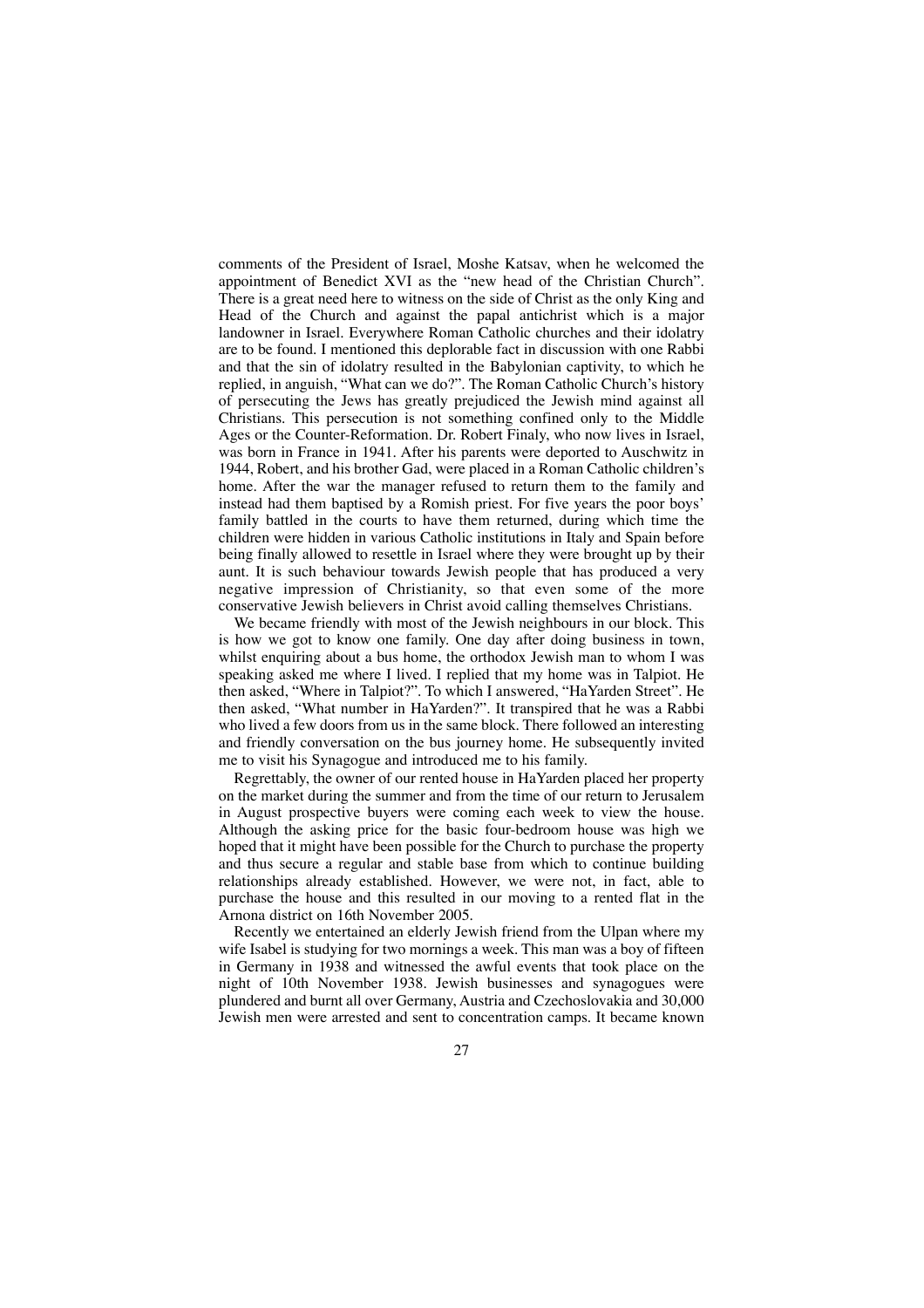comments of the President of Israel, Moshe Katsav, when he welcomed the appointment of Benedict XVI as the "new head of the Christian Church". There is a great need here to witness on the side of Christ as the only King and Head of the Church and against the papal antichrist which is a major landowner in Israel. Everywhere Roman Catholic churches and their idolatry are to be found. I mentioned this deplorable fact in discussion with one Rabbi and that the sin of idolatry resulted in the Babylonian captivity, to which he replied, in anguish, "What can we do?". The Roman Catholic Church's history of persecuting the Jews has greatly prejudiced the Jewish mind against all Christians. This persecution is not something confined only to the Middle Ages or the Counter-Reformation. Dr. Robert Finaly, who now lives in Israel, was born in France in 1941. After his parents were deported to Auschwitz in 1944, Robert, and his brother Gad, were placed in a Roman Catholic children's home. After the war the manager refused to return them to the family and instead had them baptised by a Romish priest. For five years the poor boys' family battled in the courts to have them returned, during which time the children were hidden in various Catholic institutions in Italy and Spain before being finally allowed to resettle in Israel where they were brought up by their aunt. It is such behaviour towards Jewish people that has produced a very negative impression of Christianity, so that even some of the more conservative Jewish believers in Christ avoid calling themselves Christians.

We became friendly with most of the Jewish neighbours in our block. This is how we got to know one family. One day after doing business in town, whilst enquiring about a bus home, the orthodox Jewish man to whom I was speaking asked me where I lived. I replied that my home was in Talpiot. He then asked, "Where in Talpiot?". To which I answered, "HaYarden Street". He then asked, "What number in HaYarden?". It transpired that he was a Rabbi who lived a few doors from us in the same block. There followed an interesting and friendly conversation on the bus journey home. He subsequently invited me to visit his Synagogue and introduced me to his family.

Regrettably, the owner of our rented house in HaYarden placed her property on the market during the summer and from the time of our return to Jerusalem in August prospective buyers were coming each week to view the house. Although the asking price for the basic four-bedroom house was high we hoped that it might have been possible for the Church to purchase the property and thus secure a regular and stable base from which to continue building relationships already established. However, we were not, in fact, able to purchase the house and this resulted in our moving to a rented flat in the Arnona district on 16th November 2005.

Recently we entertained an elderly Jewish friend from the Ulpan where my wife Isabel is studying for two mornings a week. This man was a boy of fifteen in Germany in 1938 and witnessed the awful events that took place on the night of 10th November 1938. Jewish businesses and synagogues were plundered and burnt all over Germany, Austria and Czechoslovakia and 30,000 Jewish men were arrested and sent to concentration camps. It became known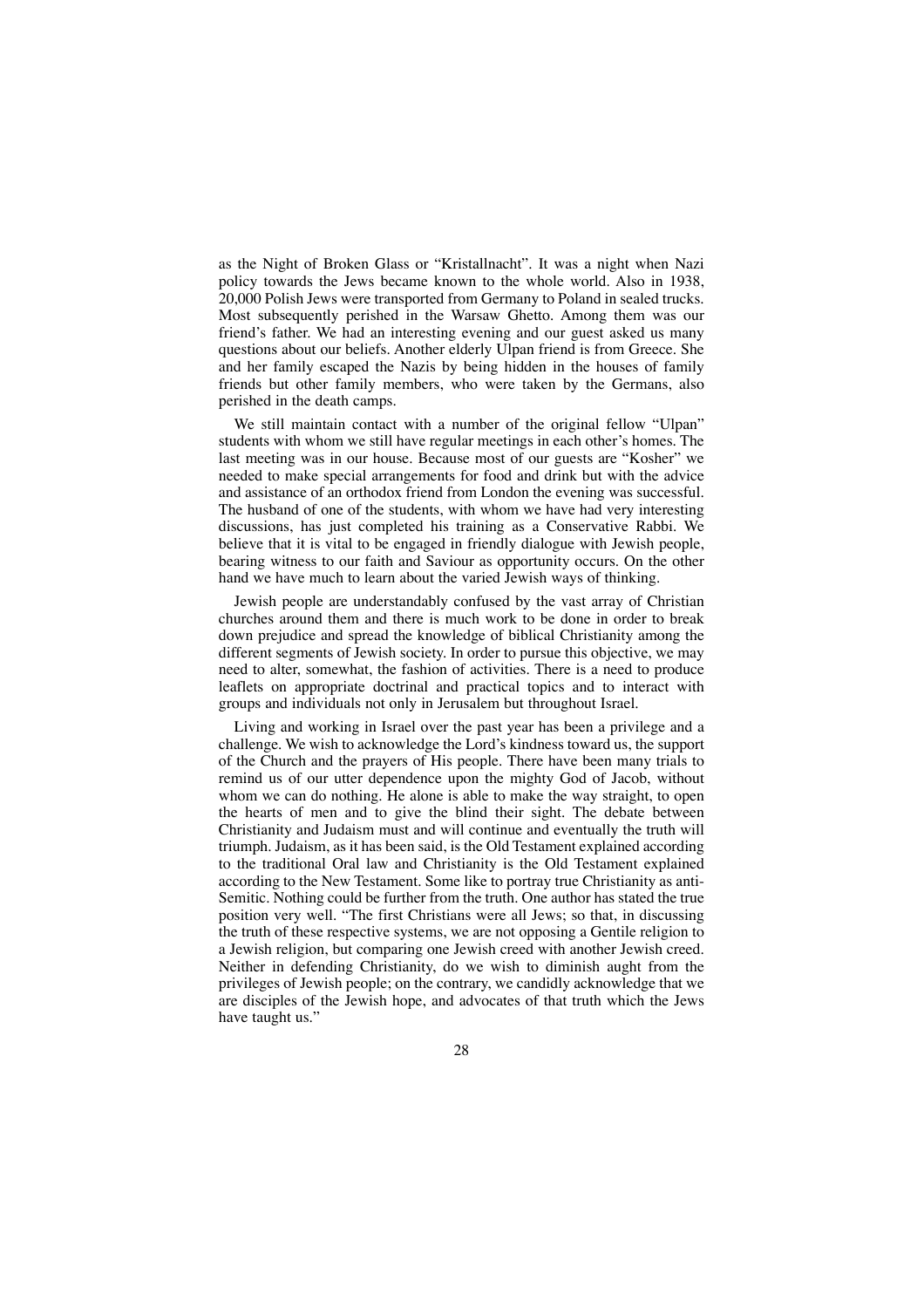as the Night of Broken Glass or "Kristallnacht". It was a night when Nazi policy towards the Jews became known to the whole world. Also in 1938, 20,000 Polish Jews were transported from Germany to Poland in sealed trucks. Most subsequently perished in the Warsaw Ghetto. Among them was our friend's father. We had an interesting evening and our guest asked us many questions about our beliefs. Another elderly Ulpan friend is from Greece. She and her family escaped the Nazis by being hidden in the houses of family friends but other family members, who were taken by the Germans, also perished in the death camps.

We still maintain contact with a number of the original fellow "Ulpan" students with whom we still have regular meetings in each other's homes. The last meeting was in our house. Because most of our guests are "Kosher" we needed to make special arrangements for food and drink but with the advice and assistance of an orthodox friend from London the evening was successful. The husband of one of the students, with whom we have had very interesting discussions, has just completed his training as a Conservative Rabbi. We believe that it is vital to be engaged in friendly dialogue with Jewish people, bearing witness to our faith and Saviour as opportunity occurs. On the other hand we have much to learn about the varied Jewish ways of thinking.

Jewish people are understandably confused by the vast array of Christian churches around them and there is much work to be done in order to break down prejudice and spread the knowledge of biblical Christianity among the different segments of Jewish society. In order to pursue this objective, we may need to alter, somewhat, the fashion of activities. There is a need to produce leaflets on appropriate doctrinal and practical topics and to interact with groups and individuals not only in Jerusalem but throughout Israel.

Living and working in Israel over the past year has been a privilege and a challenge. We wish to acknowledge the Lord's kindness toward us, the support of the Church and the prayers of His people. There have been many trials to remind us of our utter dependence upon the mighty God of Jacob, without whom we can do nothing. He alone is able to make the way straight, to open the hearts of men and to give the blind their sight. The debate between Christianity and Judaism must and will continue and eventually the truth will triumph. Judaism, as it has been said, is the Old Testament explained according to the traditional Oral law and Christianity is the Old Testament explained according to the New Testament. Some like to portray true Christianity as anti-Semitic. Nothing could be further from the truth. One author has stated the true position very well. "The first Christians were all Jews; so that, in discussing the truth of these respective systems, we are not opposing a Gentile religion to a Jewish religion, but comparing one Jewish creed with another Jewish creed. Neither in defending Christianity, do we wish to diminish aught from the privileges of Jewish people; on the contrary, we candidly acknowledge that we are disciples of the Jewish hope, and advocates of that truth which the Jews have taught us."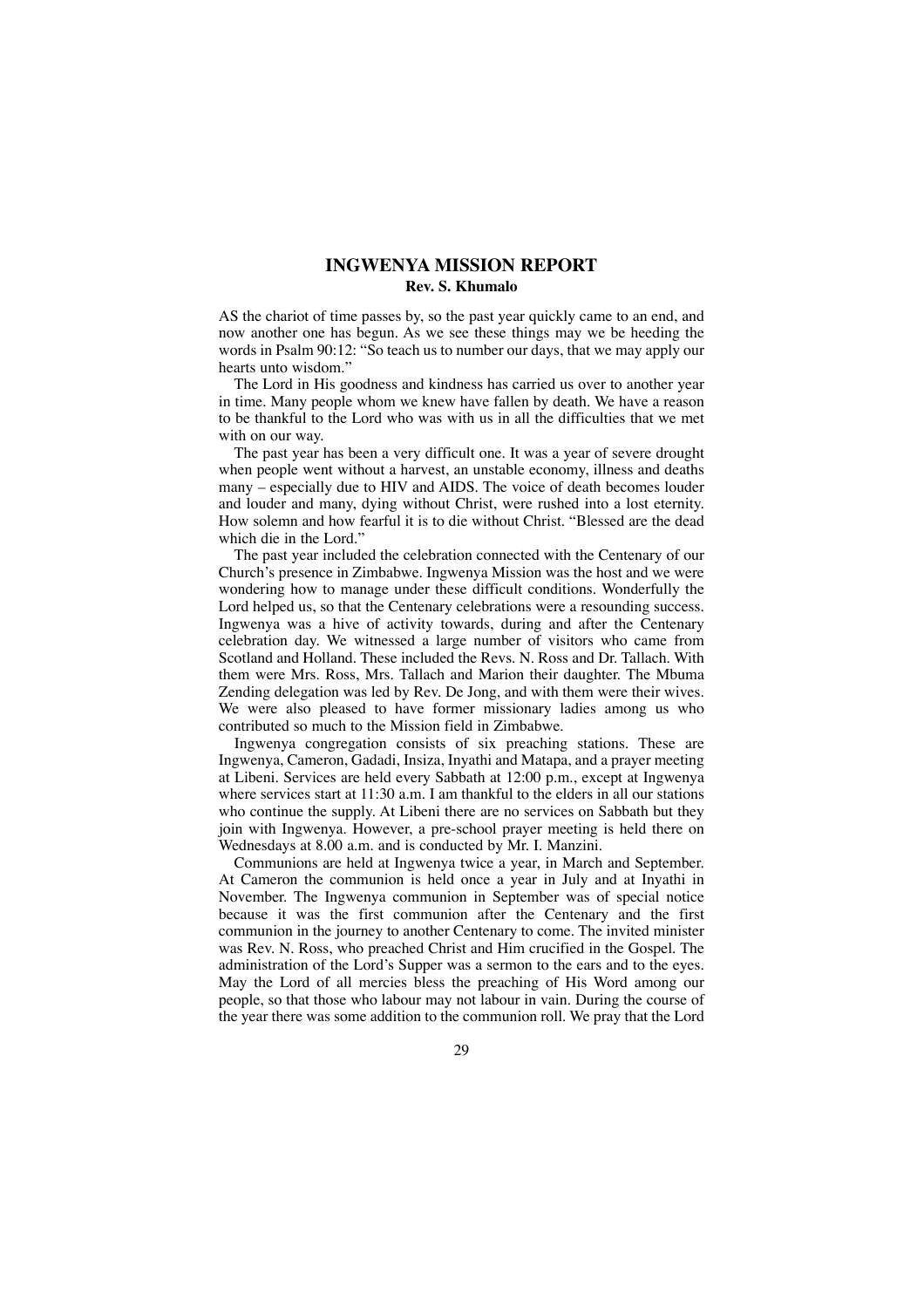### **INGWENYA MISSION REPORT Rev. S. Khumalo**

AS the chariot of time passes by, so the past year quickly came to an end, and now another one has begun. As we see these things may we be heeding the words in Psalm 90:12: "So teach us to number our days, that we may apply our hearts unto wisdom."

The Lord in His goodness and kindness has carried us over to another year in time. Many people whom we knew have fallen by death. We have a reason to be thankful to the Lord who was with us in all the difficulties that we met with on our way.

The past year has been a very difficult one. It was a year of severe drought when people went without a harvest, an unstable economy, illness and deaths many – especially due to HIV and AIDS. The voice of death becomes louder and louder and many, dying without Christ, were rushed into a lost eternity. How solemn and how fearful it is to die without Christ. "Blessed are the dead which die in the Lord."

The past year included the celebration connected with the Centenary of our Church's presence in Zimbabwe. Ingwenya Mission was the host and we were wondering how to manage under these difficult conditions. Wonderfully the Lord helped us, so that the Centenary celebrations were a resounding success. Ingwenya was a hive of activity towards, during and after the Centenary celebration day. We witnessed a large number of visitors who came from Scotland and Holland. These included the Revs. N. Ross and Dr. Tallach. With them were Mrs. Ross, Mrs. Tallach and Marion their daughter. The Mbuma Zending delegation was led by Rev. De Jong, and with them were their wives. We were also pleased to have former missionary ladies among us who contributed so much to the Mission field in Zimbabwe.

Ingwenya congregation consists of six preaching stations. These are Ingwenya, Cameron, Gadadi, Insiza, Inyathi and Matapa, and a prayer meeting at Libeni. Services are held every Sabbath at 12:00 p.m., except at Ingwenya where services start at 11:30 a.m. I am thankful to the elders in all our stations who continue the supply. At Libeni there are no services on Sabbath but they join with Ingwenya. However, a pre-school prayer meeting is held there on Wednesdays at 8.00 a.m. and is conducted by Mr. I. Manzini.

Communions are held at Ingwenya twice a year, in March and September. At Cameron the communion is held once a year in July and at Inyathi in November. The Ingwenya communion in September was of special notice because it was the first communion after the Centenary and the first communion in the journey to another Centenary to come. The invited minister was Rev. N. Ross, who preached Christ and Him crucified in the Gospel. The administration of the Lord's Supper was a sermon to the ears and to the eyes. May the Lord of all mercies bless the preaching of His Word among our people, so that those who labour may not labour in vain. During the course of the year there was some addition to the communion roll. We pray that the Lord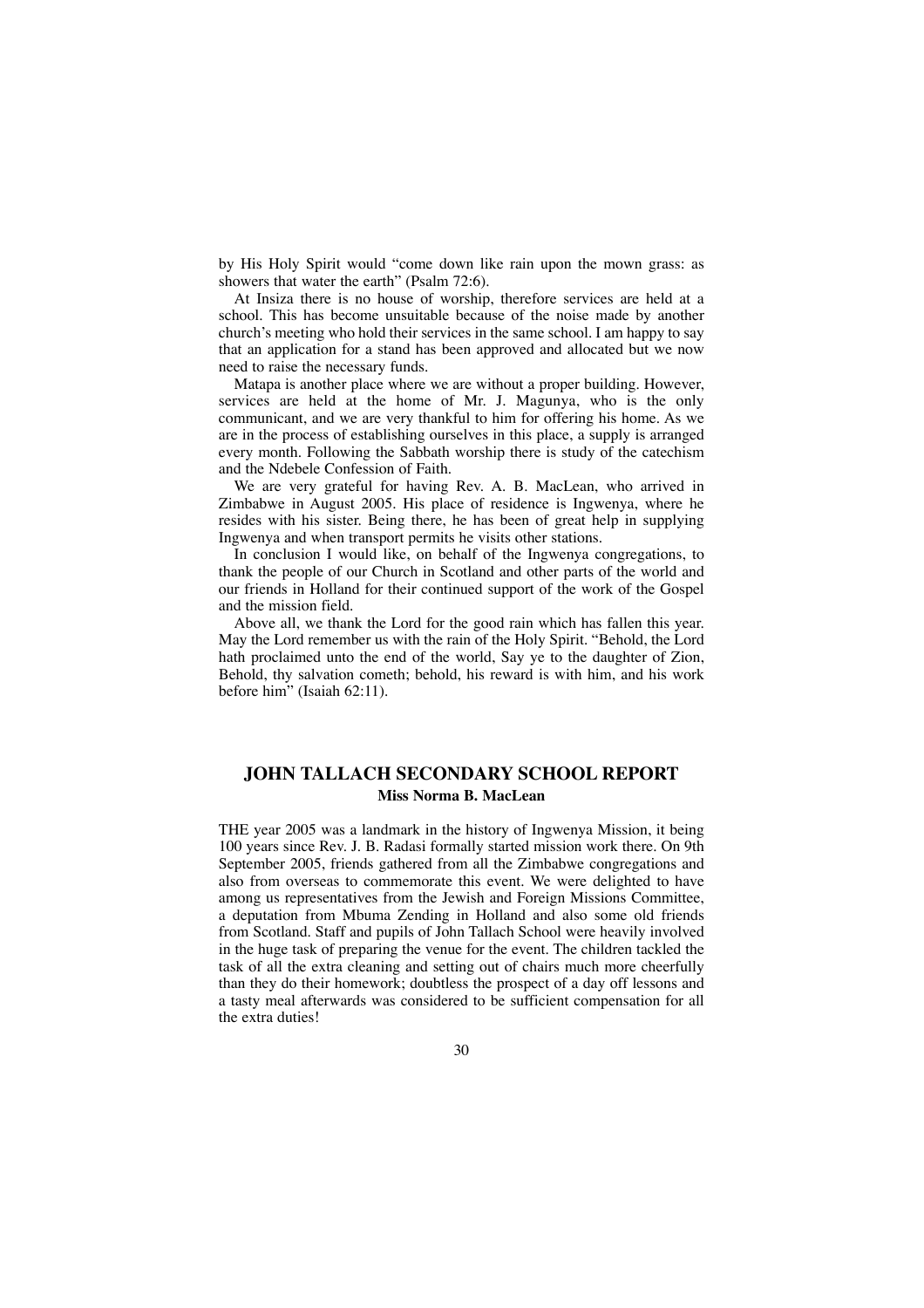by His Holy Spirit would "come down like rain upon the mown grass: as showers that water the earth" (Psalm 72:6).

At Insiza there is no house of worship, therefore services are held at a school. This has become unsuitable because of the noise made by another church's meeting who hold their services in the same school. I am happy to say that an application for a stand has been approved and allocated but we now need to raise the necessary funds.

Matapa is another place where we are without a proper building. However, services are held at the home of Mr. J. Magunya, who is the only communicant, and we are very thankful to him for offering his home. As we are in the process of establishing ourselves in this place, a supply is arranged every month. Following the Sabbath worship there is study of the catechism and the Ndebele Confession of Faith.

We are very grateful for having Rev. A. B. MacLean, who arrived in Zimbabwe in August 2005. His place of residence is Ingwenya, where he resides with his sister. Being there, he has been of great help in supplying Ingwenya and when transport permits he visits other stations.

In conclusion I would like, on behalf of the Ingwenya congregations, to thank the people of our Church in Scotland and other parts of the world and our friends in Holland for their continued support of the work of the Gospel and the mission field.

Above all, we thank the Lord for the good rain which has fallen this year. May the Lord remember us with the rain of the Holy Spirit. "Behold, the Lord hath proclaimed unto the end of the world, Say ye to the daughter of Zion, Behold, thy salvation cometh; behold, his reward is with him, and his work before him" (Isaiah 62:11).

### **JOHN TALLACH SECONDARY SCHOOL REPORT Miss Norma B. MacLean**

THE year 2005 was a landmark in the history of Ingwenya Mission, it being 100 years since Rev. J. B. Radasi formally started mission work there. On 9th September 2005, friends gathered from all the Zimbabwe congregations and also from overseas to commemorate this event. We were delighted to have among us representatives from the Jewish and Foreign Missions Committee, a deputation from Mbuma Zending in Holland and also some old friends from Scotland. Staff and pupils of John Tallach School were heavily involved in the huge task of preparing the venue for the event. The children tackled the task of all the extra cleaning and setting out of chairs much more cheerfully than they do their homework; doubtless the prospect of a day off lessons and a tasty meal afterwards was considered to be sufficient compensation for all the extra duties!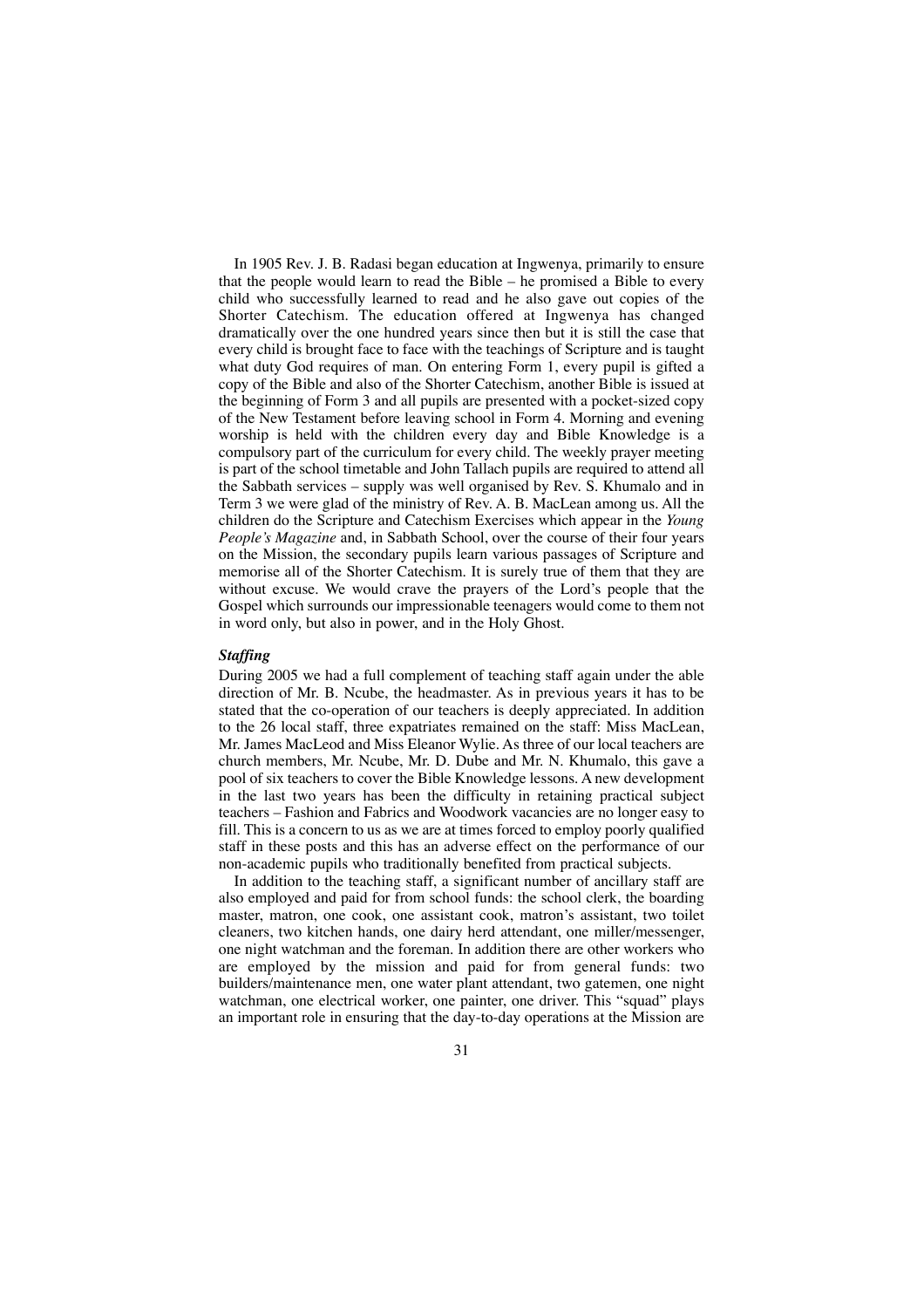In 1905 Rev. J. B. Radasi began education at Ingwenya, primarily to ensure that the people would learn to read the Bible – he promised a Bible to every child who successfully learned to read and he also gave out copies of the Shorter Catechism. The education offered at Ingwenya has changed dramatically over the one hundred years since then but it is still the case that every child is brought face to face with the teachings of Scripture and is taught what duty God requires of man. On entering Form 1, every pupil is gifted a copy of the Bible and also of the Shorter Catechism, another Bible is issued at the beginning of Form 3 and all pupils are presented with a pocket-sized copy of the New Testament before leaving school in Form 4. Morning and evening worship is held with the children every day and Bible Knowledge is a compulsory part of the curriculum for every child. The weekly prayer meeting is part of the school timetable and John Tallach pupils are required to attend all the Sabbath services – supply was well organised by Rev. S. Khumalo and in Term 3 we were glad of the ministry of Rev. A. B. MacLean among us. All the children do the Scripture and Catechism Exercises which appear in the *Young People's Magazine* and, in Sabbath School, over the course of their four years on the Mission, the secondary pupils learn various passages of Scripture and memorise all of the Shorter Catechism. It is surely true of them that they are without excuse. We would crave the prayers of the Lord's people that the Gospel which surrounds our impressionable teenagers would come to them not in word only, but also in power, and in the Holy Ghost.

### *Staffing*

During 2005 we had a full complement of teaching staff again under the able direction of Mr. B. Ncube, the headmaster. As in previous years it has to be stated that the co-operation of our teachers is deeply appreciated. In addition to the 26 local staff, three expatriates remained on the staff: Miss MacLean, Mr. James MacLeod and Miss Eleanor Wylie. As three of our local teachers are church members, Mr. Ncube, Mr. D. Dube and Mr. N. Khumalo, this gave a pool of six teachers to cover the Bible Knowledge lessons. A new development in the last two years has been the difficulty in retaining practical subject teachers – Fashion and Fabrics and Woodwork vacancies are no longer easy to fill. This is a concern to us as we are at times forced to employ poorly qualified staff in these posts and this has an adverse effect on the performance of our non-academic pupils who traditionally benefited from practical subjects.

In addition to the teaching staff, a significant number of ancillary staff are also employed and paid for from school funds: the school clerk, the boarding master, matron, one cook, one assistant cook, matron's assistant, two toilet cleaners, two kitchen hands, one dairy herd attendant, one miller/messenger, one night watchman and the foreman. In addition there are other workers who are employed by the mission and paid for from general funds: two builders/maintenance men, one water plant attendant, two gatemen, one night watchman, one electrical worker, one painter, one driver. This "squad" plays an important role in ensuring that the day-to-day operations at the Mission are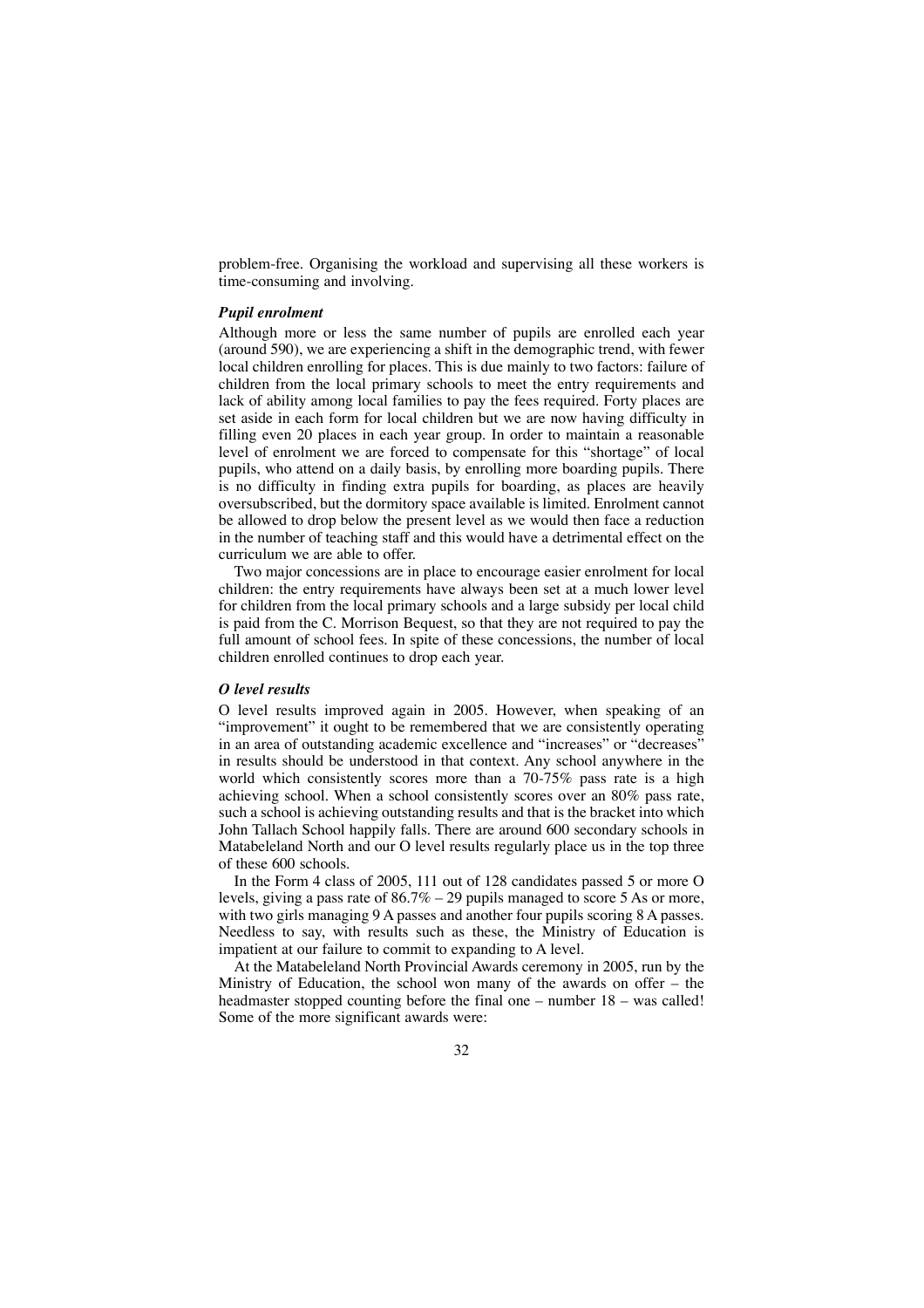problem-free. Organising the workload and supervising all these workers is time-consuming and involving.

### *Pupil enrolment*

Although more or less the same number of pupils are enrolled each year (around 590), we are experiencing a shift in the demographic trend, with fewer local children enrolling for places. This is due mainly to two factors: failure of children from the local primary schools to meet the entry requirements and lack of ability among local families to pay the fees required. Forty places are set aside in each form for local children but we are now having difficulty in filling even 20 places in each year group. In order to maintain a reasonable level of enrolment we are forced to compensate for this "shortage" of local pupils, who attend on a daily basis, by enrolling more boarding pupils. There is no difficulty in finding extra pupils for boarding, as places are heavily oversubscribed, but the dormitory space available is limited. Enrolment cannot be allowed to drop below the present level as we would then face a reduction in the number of teaching staff and this would have a detrimental effect on the curriculum we are able to offer.

Two major concessions are in place to encourage easier enrolment for local children: the entry requirements have always been set at a much lower level for children from the local primary schools and a large subsidy per local child is paid from the C. Morrison Bequest, so that they are not required to pay the full amount of school fees. In spite of these concessions, the number of local children enrolled continues to drop each year.

### *O level results*

O level results improved again in 2005. However, when speaking of an "improvement" it ought to be remembered that we are consistently operating in an area of outstanding academic excellence and "increases" or "decreases" in results should be understood in that context. Any school anywhere in the world which consistently scores more than a 70-75% pass rate is a high achieving school. When a school consistently scores over an 80% pass rate, such a school is achieving outstanding results and that is the bracket into which John Tallach School happily falls. There are around 600 secondary schools in Matabeleland North and our O level results regularly place us in the top three of these 600 schools.

In the Form 4 class of 2005, 111 out of 128 candidates passed 5 or more O levels, giving a pass rate of  $86.7\%$  – 29 pupils managed to score 5 As or more, with two girls managing 9 A passes and another four pupils scoring 8 A passes. Needless to say, with results such as these, the Ministry of Education is impatient at our failure to commit to expanding to A level.

At the Matabeleland North Provincial Awards ceremony in 2005, run by the Ministry of Education, the school won many of the awards on offer – the headmaster stopped counting before the final one – number  $18$  – was called! Some of the more significant awards were: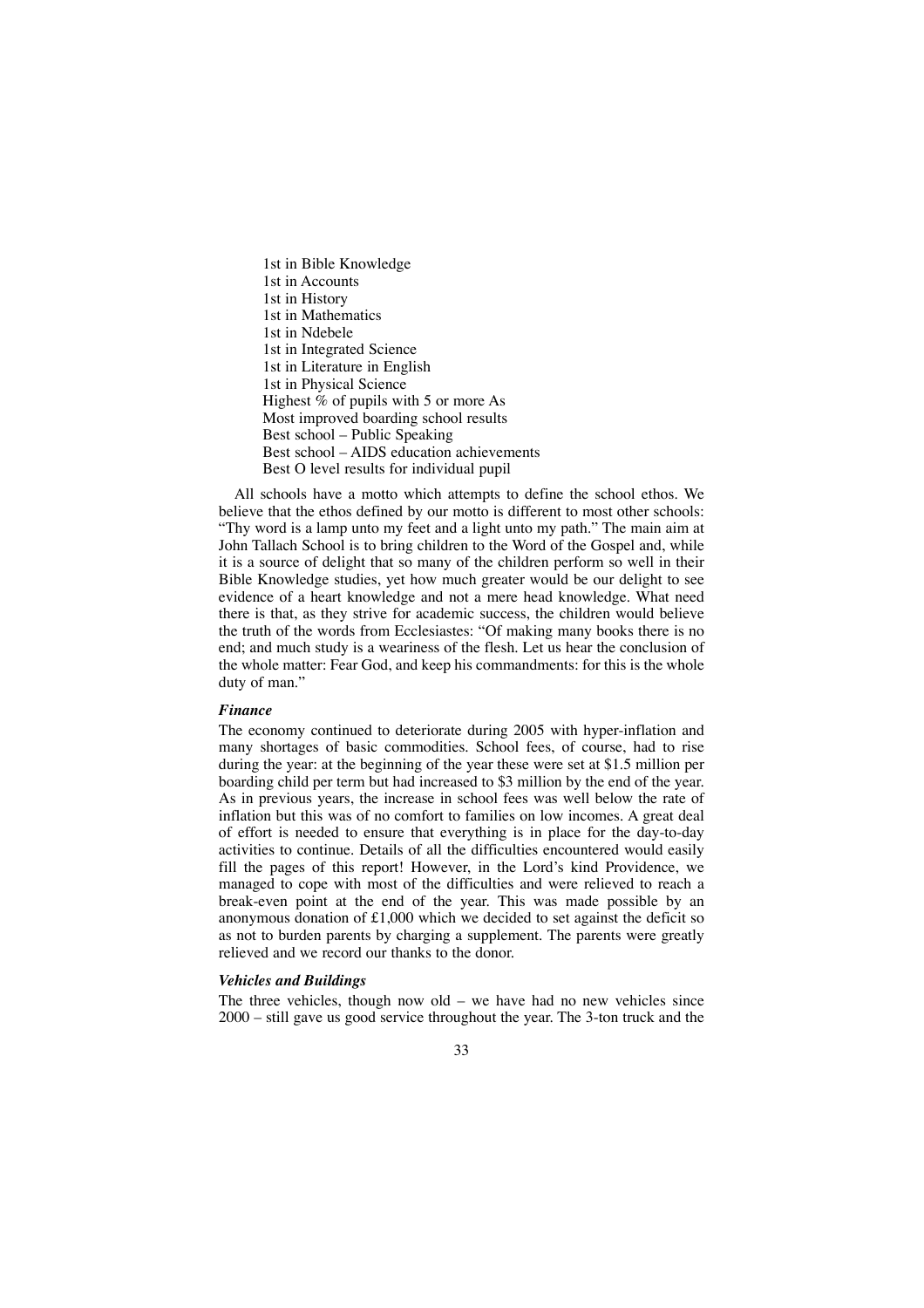1st in Bible Knowledge 1st in Accounts 1st in History 1st in Mathematics 1st in Ndebele 1st in Integrated Science 1st in Literature in English 1st in Physical Science Highest % of pupils with 5 or more As Most improved boarding school results Best school – Public Speaking Best school – AIDS education achievements Best O level results for individual pupil

All schools have a motto which attempts to define the school ethos. We believe that the ethos defined by our motto is different to most other schools: "Thy word is a lamp unto my feet and a light unto my path." The main aim at John Tallach School is to bring children to the Word of the Gospel and, while it is a source of delight that so many of the children perform so well in their Bible Knowledge studies, yet how much greater would be our delight to see evidence of a heart knowledge and not a mere head knowledge. What need there is that, as they strive for academic success, the children would believe the truth of the words from Ecclesiastes: "Of making many books there is no end; and much study is a weariness of the flesh. Let us hear the conclusion of the whole matter: Fear God, and keep his commandments: for this is the whole duty of man."

### *Finance*

The economy continued to deteriorate during 2005 with hyper-inflation and many shortages of basic commodities. School fees, of course, had to rise during the year: at the beginning of the year these were set at \$1.5 million per boarding child per term but had increased to \$3 million by the end of the year. As in previous years, the increase in school fees was well below the rate of inflation but this was of no comfort to families on low incomes. A great deal of effort is needed to ensure that everything is in place for the day-to-day activities to continue. Details of all the difficulties encountered would easily fill the pages of this report! However, in the Lord's kind Providence, we managed to cope with most of the difficulties and were relieved to reach a break-even point at the end of the year. This was made possible by an anonymous donation of  $£1,000$  which we decided to set against the deficit so as not to burden parents by charging a supplement. The parents were greatly relieved and we record our thanks to the donor.

### *Vehicles and Buildings*

The three vehicles, though now old – we have had no new vehicles since 2000 – still gave us good service throughout the year. The 3-ton truck and the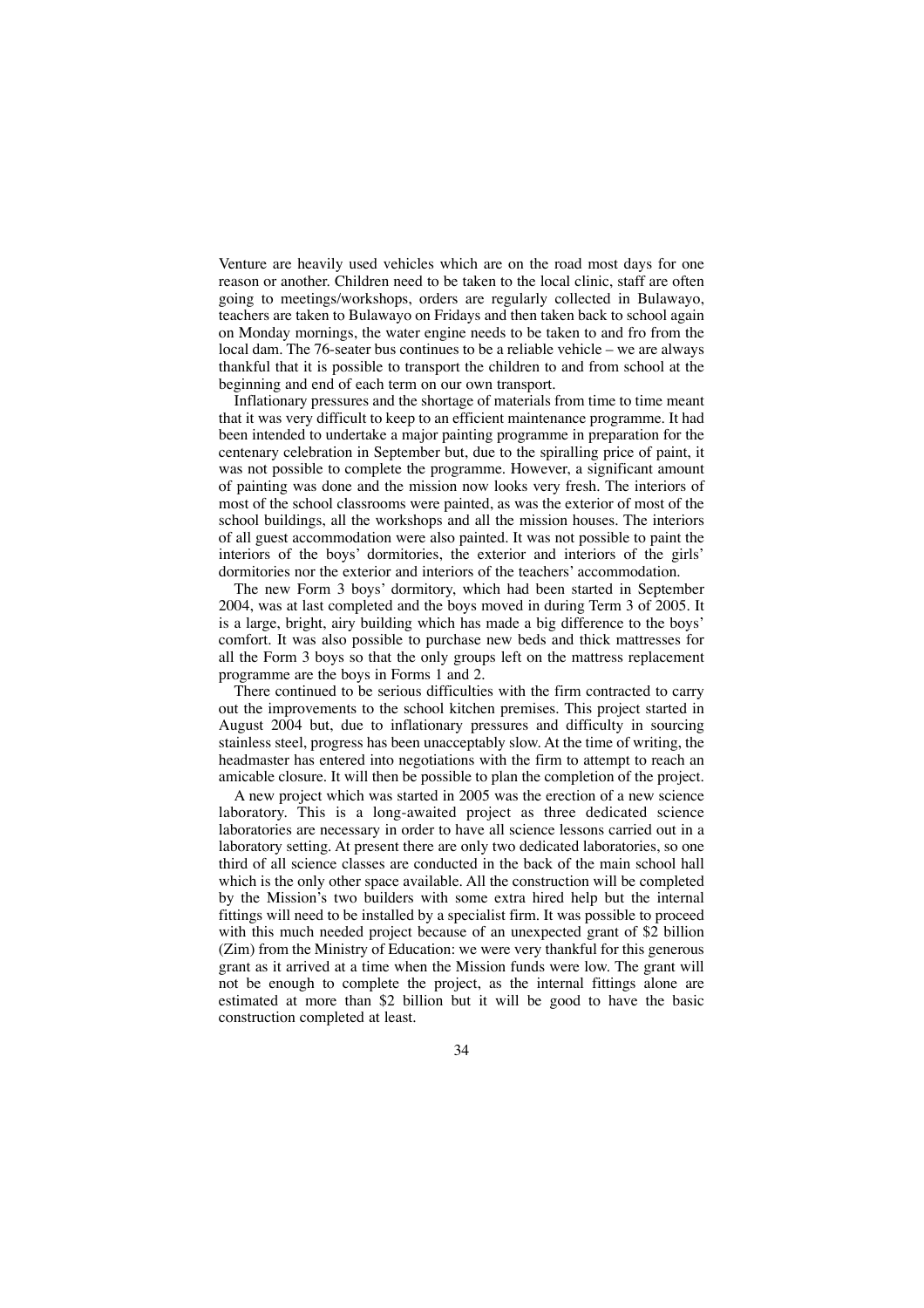Venture are heavily used vehicles which are on the road most days for one reason or another. Children need to be taken to the local clinic, staff are often going to meetings/workshops, orders are regularly collected in Bulawayo, teachers are taken to Bulawayo on Fridays and then taken back to school again on Monday mornings, the water engine needs to be taken to and fro from the local dam. The 76-seater bus continues to be a reliable vehicle – we are always thankful that it is possible to transport the children to and from school at the beginning and end of each term on our own transport.

Inflationary pressures and the shortage of materials from time to time meant that it was very difficult to keep to an efficient maintenance programme. It had been intended to undertake a major painting programme in preparation for the centenary celebration in September but, due to the spiralling price of paint, it was not possible to complete the programme. However, a significant amount of painting was done and the mission now looks very fresh. The interiors of most of the school classrooms were painted, as was the exterior of most of the school buildings, all the workshops and all the mission houses. The interiors of all guest accommodation were also painted. It was not possible to paint the interiors of the boys' dormitories, the exterior and interiors of the girls' dormitories nor the exterior and interiors of the teachers' accommodation.

The new Form 3 boys' dormitory, which had been started in September 2004, was at last completed and the boys moved in during Term 3 of 2005. It is a large, bright, airy building which has made a big difference to the boys' comfort. It was also possible to purchase new beds and thick mattresses for all the Form 3 boys so that the only groups left on the mattress replacement programme are the boys in Forms 1 and 2.

There continued to be serious difficulties with the firm contracted to carry out the improvements to the school kitchen premises. This project started in August 2004 but, due to inflationary pressures and difficulty in sourcing stainless steel, progress has been unacceptably slow. At the time of writing, the headmaster has entered into negotiations with the firm to attempt to reach an amicable closure. It will then be possible to plan the completion of the project.

A new project which was started in 2005 was the erection of a new science laboratory. This is a long-awaited project as three dedicated science laboratories are necessary in order to have all science lessons carried out in a laboratory setting. At present there are only two dedicated laboratories, so one third of all science classes are conducted in the back of the main school hall which is the only other space available. All the construction will be completed by the Mission's two builders with some extra hired help but the internal fittings will need to be installed by a specialist firm. It was possible to proceed with this much needed project because of an unexpected grant of \$2 billion (Zim) from the Ministry of Education: we were very thankful for this generous grant as it arrived at a time when the Mission funds were low. The grant will not be enough to complete the project, as the internal fittings alone are estimated at more than \$2 billion but it will be good to have the basic construction completed at least.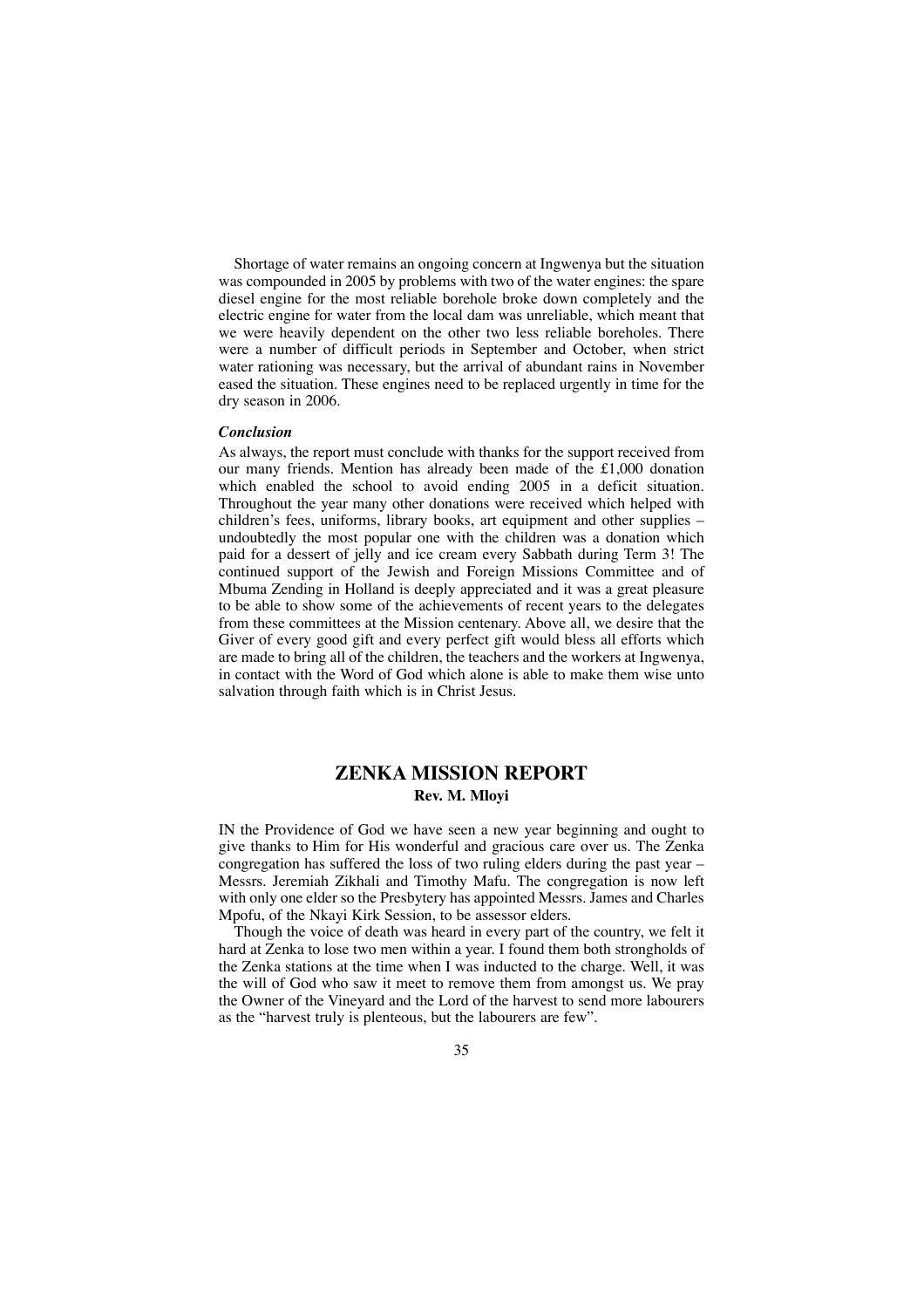Shortage of water remains an ongoing concern at Ingwenya but the situation was compounded in 2005 by problems with two of the water engines: the spare diesel engine for the most reliable borehole broke down completely and the electric engine for water from the local dam was unreliable, which meant that we were heavily dependent on the other two less reliable boreholes. There were a number of difficult periods in September and October, when strict water rationing was necessary, but the arrival of abundant rains in November eased the situation. These engines need to be replaced urgently in time for the dry season in 2006.

### *Conclusion*

As always, the report must conclude with thanks for the support received from our many friends. Mention has already been made of the £1,000 donation which enabled the school to avoid ending 2005 in a deficit situation. Throughout the year many other donations were received which helped with children's fees, uniforms, library books, art equipment and other supplies – undoubtedly the most popular one with the children was a donation which paid for a dessert of jelly and ice cream every Sabbath during Term 3! The continued support of the Jewish and Foreign Missions Committee and of Mbuma Zending in Holland is deeply appreciated and it was a great pleasure to be able to show some of the achievements of recent years to the delegates from these committees at the Mission centenary. Above all, we desire that the Giver of every good gift and every perfect gift would bless all efforts which are made to bring all of the children, the teachers and the workers at Ingwenya, in contact with the Word of God which alone is able to make them wise unto salvation through faith which is in Christ Jesus.

### **ZENKA MISSION REPORT Rev. M. Mloyi**

IN the Providence of God we have seen a new year beginning and ought to give thanks to Him for His wonderful and gracious care over us. The Zenka congregation has suffered the loss of two ruling elders during the past year – Messrs. Jeremiah Zikhali and Timothy Mafu. The congregation is now left with only one elder so the Presbytery has appointed Messrs. James and Charles Mpofu, of the Nkayi Kirk Session, to be assessor elders.

Though the voice of death was heard in every part of the country, we felt it hard at Zenka to lose two men within a year. I found them both strongholds of the Zenka stations at the time when I was inducted to the charge. Well, it was the will of God who saw it meet to remove them from amongst us. We pray the Owner of the Vineyard and the Lord of the harvest to send more labourers as the "harvest truly is plenteous, but the labourers are few".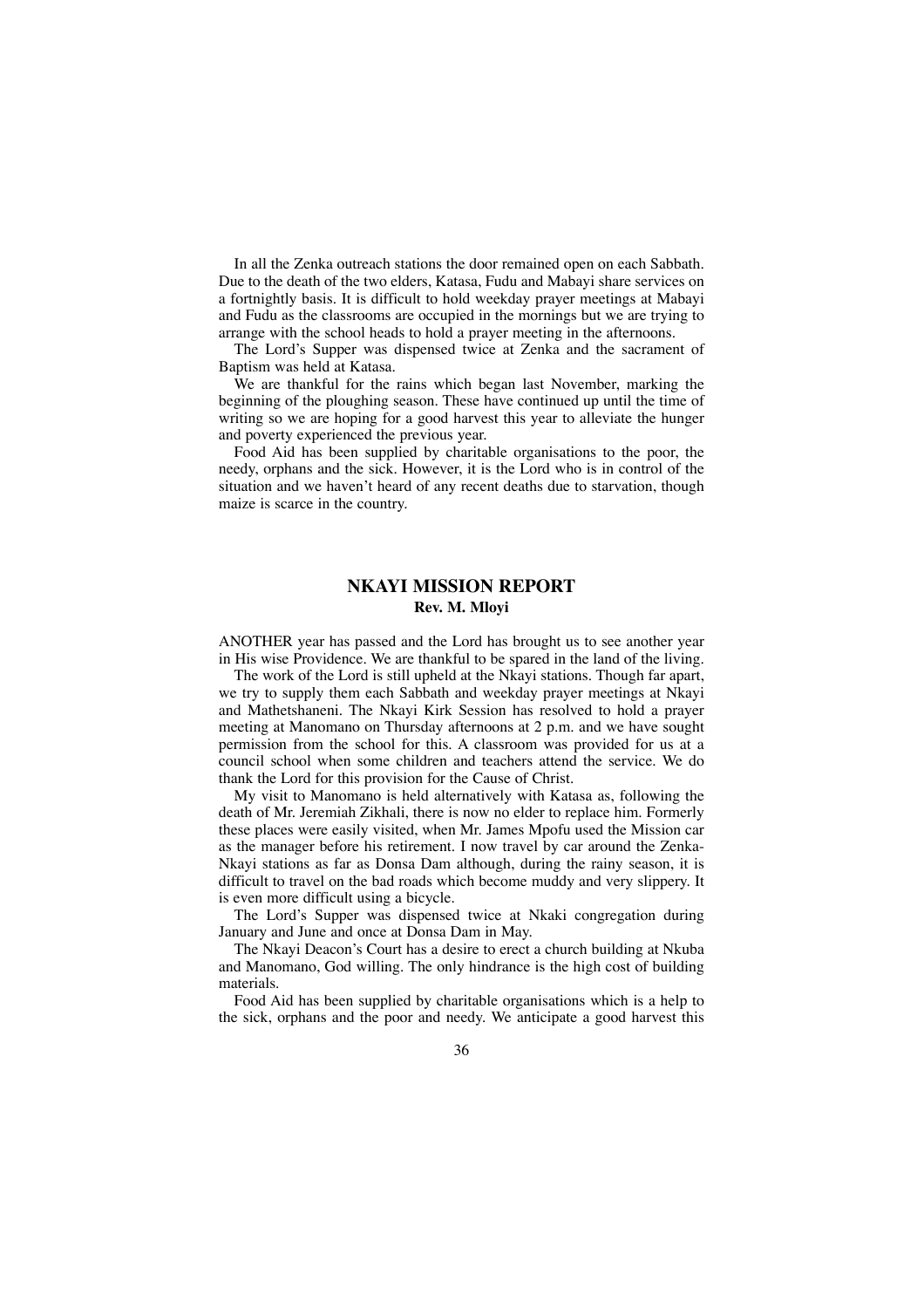In all the Zenka outreach stations the door remained open on each Sabbath. Due to the death of the two elders, Katasa, Fudu and Mabayi share services on a fortnightly basis. It is difficult to hold weekday prayer meetings at Mabayi and Fudu as the classrooms are occupied in the mornings but we are trying to arrange with the school heads to hold a prayer meeting in the afternoons.

The Lord's Supper was dispensed twice at Zenka and the sacrament of Baptism was held at Katasa.

We are thankful for the rains which began last November, marking the beginning of the ploughing season. These have continued up until the time of writing so we are hoping for a good harvest this year to alleviate the hunger and poverty experienced the previous year.

Food Aid has been supplied by charitable organisations to the poor, the needy, orphans and the sick. However, it is the Lord who is in control of the situation and we haven't heard of any recent deaths due to starvation, though maize is scarce in the country.

### **NKAYI MISSION REPORT Rev. M. Mloyi**

ANOTHER year has passed and the Lord has brought us to see another year in His wise Providence. We are thankful to be spared in the land of the living.

The work of the Lord is still upheld at the Nkayi stations. Though far apart, we try to supply them each Sabbath and weekday prayer meetings at Nkayi and Mathetshaneni. The Nkayi Kirk Session has resolved to hold a prayer meeting at Manomano on Thursday afternoons at 2 p.m. and we have sought permission from the school for this. A classroom was provided for us at a council school when some children and teachers attend the service. We do thank the Lord for this provision for the Cause of Christ.

My visit to Manomano is held alternatively with Katasa as, following the death of Mr. Jeremiah Zikhali, there is now no elder to replace him. Formerly these places were easily visited, when Mr. James Mpofu used the Mission car as the manager before his retirement. I now travel by car around the Zenka-Nkayi stations as far as Donsa Dam although, during the rainy season, it is difficult to travel on the bad roads which become muddy and very slippery. It is even more difficult using a bicycle.

The Lord's Supper was dispensed twice at Nkaki congregation during January and June and once at Donsa Dam in May.

The Nkayi Deacon's Court has a desire to erect a church building at Nkuba and Manomano, God willing. The only hindrance is the high cost of building materials.

Food Aid has been supplied by charitable organisations which is a help to the sick, orphans and the poor and needy. We anticipate a good harvest this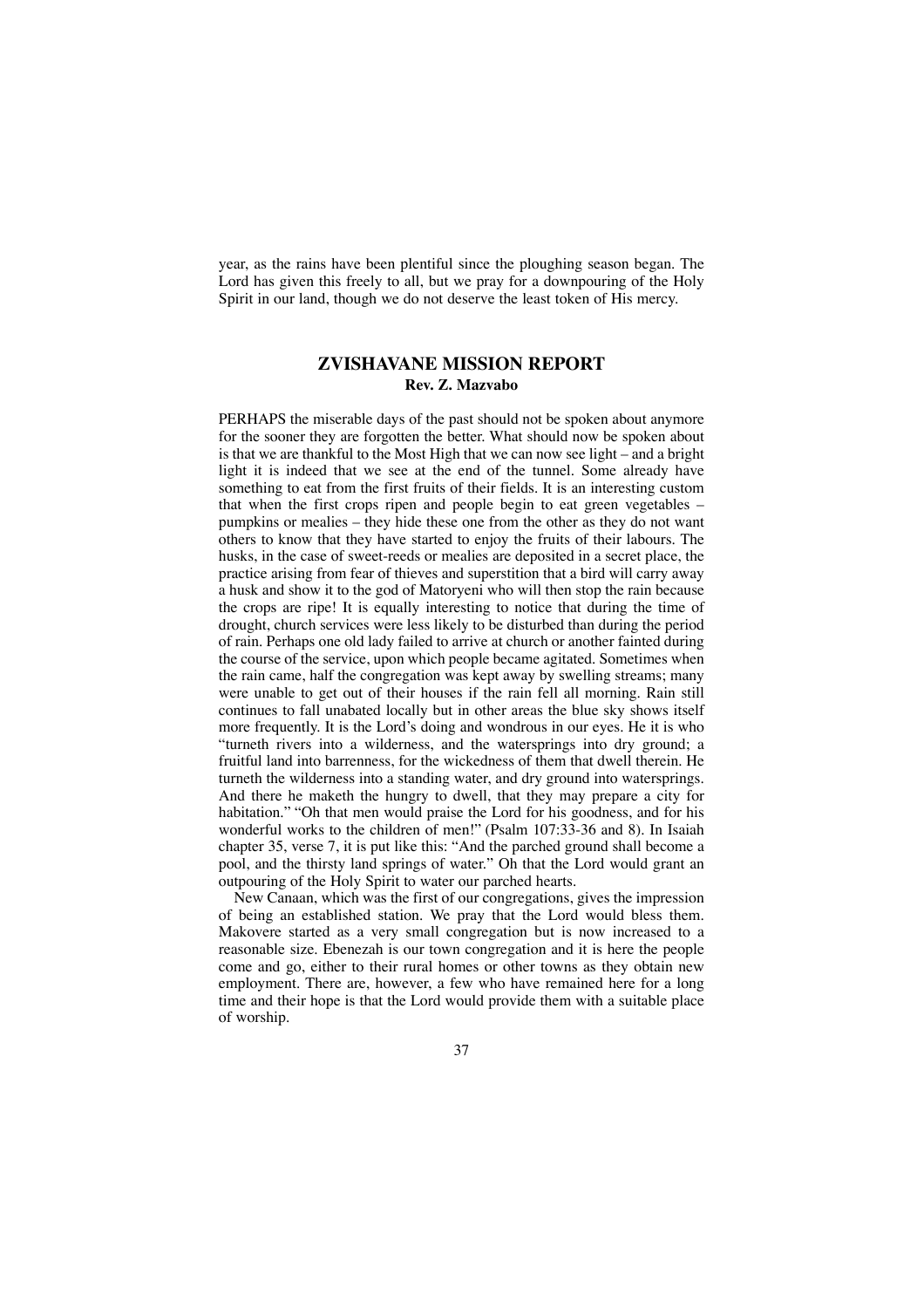year, as the rains have been plentiful since the ploughing season began. The Lord has given this freely to all, but we pray for a downpouring of the Holy Spirit in our land, though we do not deserve the least token of His mercy.

## **ZVISHAVANE MISSION REPORT Rev. Z. Mazvabo**

PERHAPS the miserable days of the past should not be spoken about anymore for the sooner they are forgotten the better. What should now be spoken about is that we are thankful to the Most High that we can now see light – and a bright light it is indeed that we see at the end of the tunnel. Some already have something to eat from the first fruits of their fields. It is an interesting custom that when the first crops ripen and people begin to eat green vegetables – pumpkins or mealies – they hide these one from the other as they do not want others to know that they have started to enjoy the fruits of their labours. The husks, in the case of sweet-reeds or mealies are deposited in a secret place, the practice arising from fear of thieves and superstition that a bird will carry away a husk and show it to the god of Matoryeni who will then stop the rain because the crops are ripe! It is equally interesting to notice that during the time of drought, church services were less likely to be disturbed than during the period of rain. Perhaps one old lady failed to arrive at church or another fainted during the course of the service, upon which people became agitated. Sometimes when the rain came, half the congregation was kept away by swelling streams; many were unable to get out of their houses if the rain fell all morning. Rain still continues to fall unabated locally but in other areas the blue sky shows itself more frequently. It is the Lord's doing and wondrous in our eyes. He it is who "turneth rivers into a wilderness, and the watersprings into dry ground; a fruitful land into barrenness, for the wickedness of them that dwell therein. He turneth the wilderness into a standing water, and dry ground into watersprings. And there he maketh the hungry to dwell, that they may prepare a city for habitation." "Oh that men would praise the Lord for his goodness, and for his wonderful works to the children of men!" (Psalm 107:33-36 and 8). In Isaiah chapter 35, verse 7, it is put like this: "And the parched ground shall become a pool, and the thirsty land springs of water." Oh that the Lord would grant an outpouring of the Holy Spirit to water our parched hearts.

New Canaan, which was the first of our congregations, gives the impression of being an established station. We pray that the Lord would bless them. Makovere started as a very small congregation but is now increased to a reasonable size. Ebenezah is our town congregation and it is here the people come and go, either to their rural homes or other towns as they obtain new employment. There are, however, a few who have remained here for a long time and their hope is that the Lord would provide them with a suitable place of worship.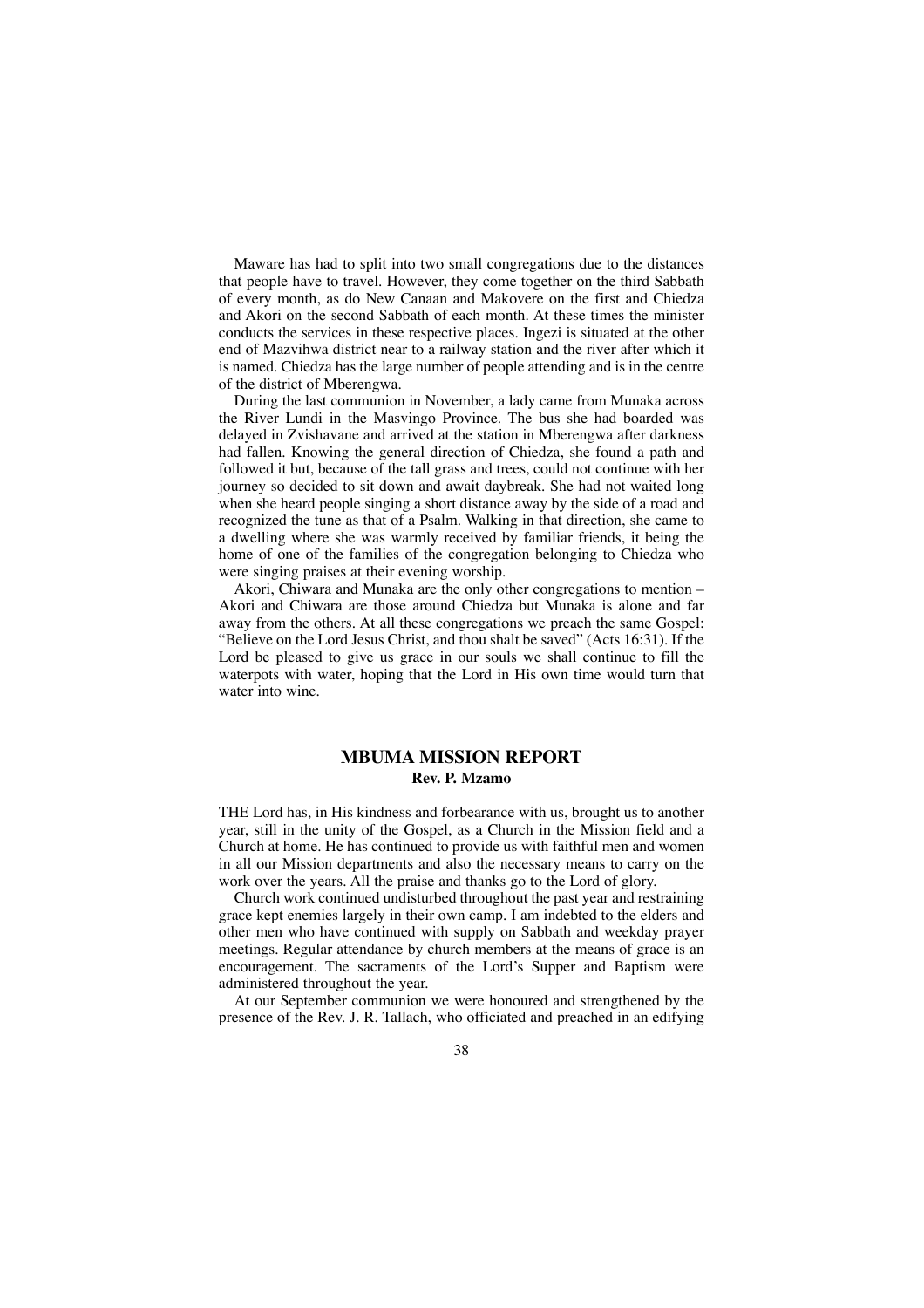Maware has had to split into two small congregations due to the distances that people have to travel. However, they come together on the third Sabbath of every month, as do New Canaan and Makovere on the first and Chiedza and Akori on the second Sabbath of each month. At these times the minister conducts the services in these respective places. Ingezi is situated at the other end of Mazvihwa district near to a railway station and the river after which it is named. Chiedza has the large number of people attending and is in the centre of the district of Mberengwa.

During the last communion in November, a lady came from Munaka across the River Lundi in the Masvingo Province. The bus she had boarded was delayed in Zvishavane and arrived at the station in Mberengwa after darkness had fallen. Knowing the general direction of Chiedza, she found a path and followed it but, because of the tall grass and trees, could not continue with her journey so decided to sit down and await daybreak. She had not waited long when she heard people singing a short distance away by the side of a road and recognized the tune as that of a Psalm. Walking in that direction, she came to a dwelling where she was warmly received by familiar friends, it being the home of one of the families of the congregation belonging to Chiedza who were singing praises at their evening worship.

Akori, Chiwara and Munaka are the only other congregations to mention – Akori and Chiwara are those around Chiedza but Munaka is alone and far away from the others. At all these congregations we preach the same Gospel: "Believe on the Lord Jesus Christ, and thou shalt be saved" (Acts 16:31). If the Lord be pleased to give us grace in our souls we shall continue to fill the waterpots with water, hoping that the Lord in His own time would turn that water into wine.

# **MBUMA MISSION REPORT Rev. P. Mzamo**

THE Lord has, in His kindness and forbearance with us, brought us to another year, still in the unity of the Gospel, as a Church in the Mission field and a Church at home. He has continued to provide us with faithful men and women in all our Mission departments and also the necessary means to carry on the work over the years. All the praise and thanks go to the Lord of glory.

Church work continued undisturbed throughout the past year and restraining grace kept enemies largely in their own camp. I am indebted to the elders and other men who have continued with supply on Sabbath and weekday prayer meetings. Regular attendance by church members at the means of grace is an encouragement. The sacraments of the Lord's Supper and Baptism were administered throughout the year.

At our September communion we were honoured and strengthened by the presence of the Rev. J. R. Tallach, who officiated and preached in an edifying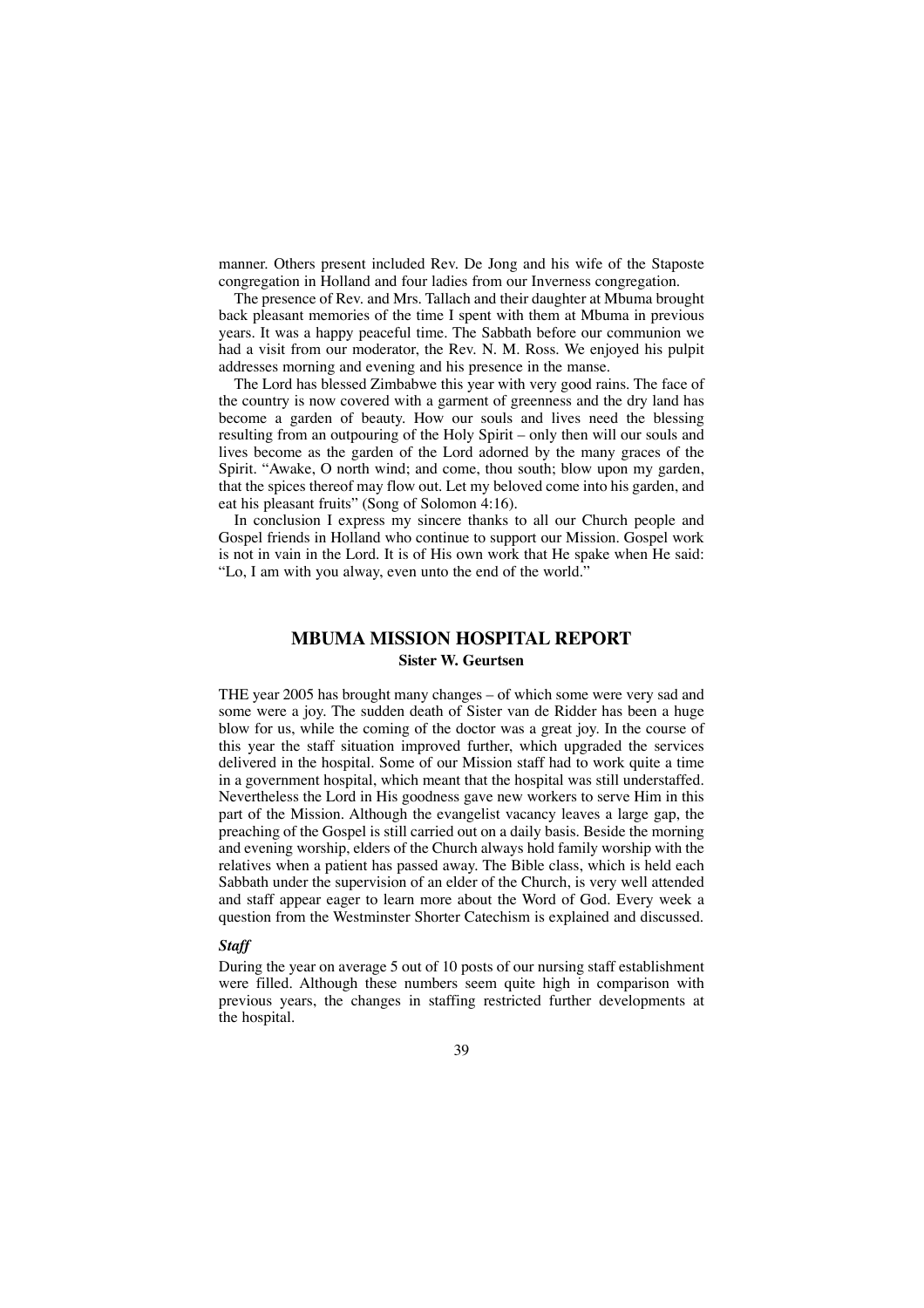manner. Others present included Rev. De Jong and his wife of the Staposte congregation in Holland and four ladies from our Inverness congregation.

The presence of Rev. and Mrs. Tallach and their daughter at Mbuma brought back pleasant memories of the time I spent with them at Mbuma in previous years. It was a happy peaceful time. The Sabbath before our communion we had a visit from our moderator, the Rev. N. M. Ross. We enjoyed his pulpit addresses morning and evening and his presence in the manse.

The Lord has blessed Zimbabwe this year with very good rains. The face of the country is now covered with a garment of greenness and the dry land has become a garden of beauty. How our souls and lives need the blessing resulting from an outpouring of the Holy Spirit – only then will our souls and lives become as the garden of the Lord adorned by the many graces of the Spirit. "Awake, O north wind; and come, thou south; blow upon my garden, that the spices thereof may flow out. Let my beloved come into his garden, and eat his pleasant fruits" (Song of Solomon 4:16).

In conclusion I express my sincere thanks to all our Church people and Gospel friends in Holland who continue to support our Mission. Gospel work is not in vain in the Lord. It is of His own work that He spake when He said: "Lo, I am with you alway, even unto the end of the world."

## **MBUMA MISSION HOSPITAL REPORT Sister W. Geurtsen**

THE year 2005 has brought many changes – of which some were very sad and some were a joy. The sudden death of Sister van de Ridder has been a huge blow for us, while the coming of the doctor was a great joy. In the course of this year the staff situation improved further, which upgraded the services delivered in the hospital. Some of our Mission staff had to work quite a time in a government hospital, which meant that the hospital was still understaffed. Nevertheless the Lord in His goodness gave new workers to serve Him in this part of the Mission. Although the evangelist vacancy leaves a large gap, the preaching of the Gospel is still carried out on a daily basis. Beside the morning and evening worship, elders of the Church always hold family worship with the relatives when a patient has passed away. The Bible class, which is held each Sabbath under the supervision of an elder of the Church, is very well attended and staff appear eager to learn more about the Word of God. Every week a question from the Westminster Shorter Catechism is explained and discussed.

### *Staff*

During the year on average 5 out of 10 posts of our nursing staff establishment were filled. Although these numbers seem quite high in comparison with previous years, the changes in staffing restricted further developments at the hospital.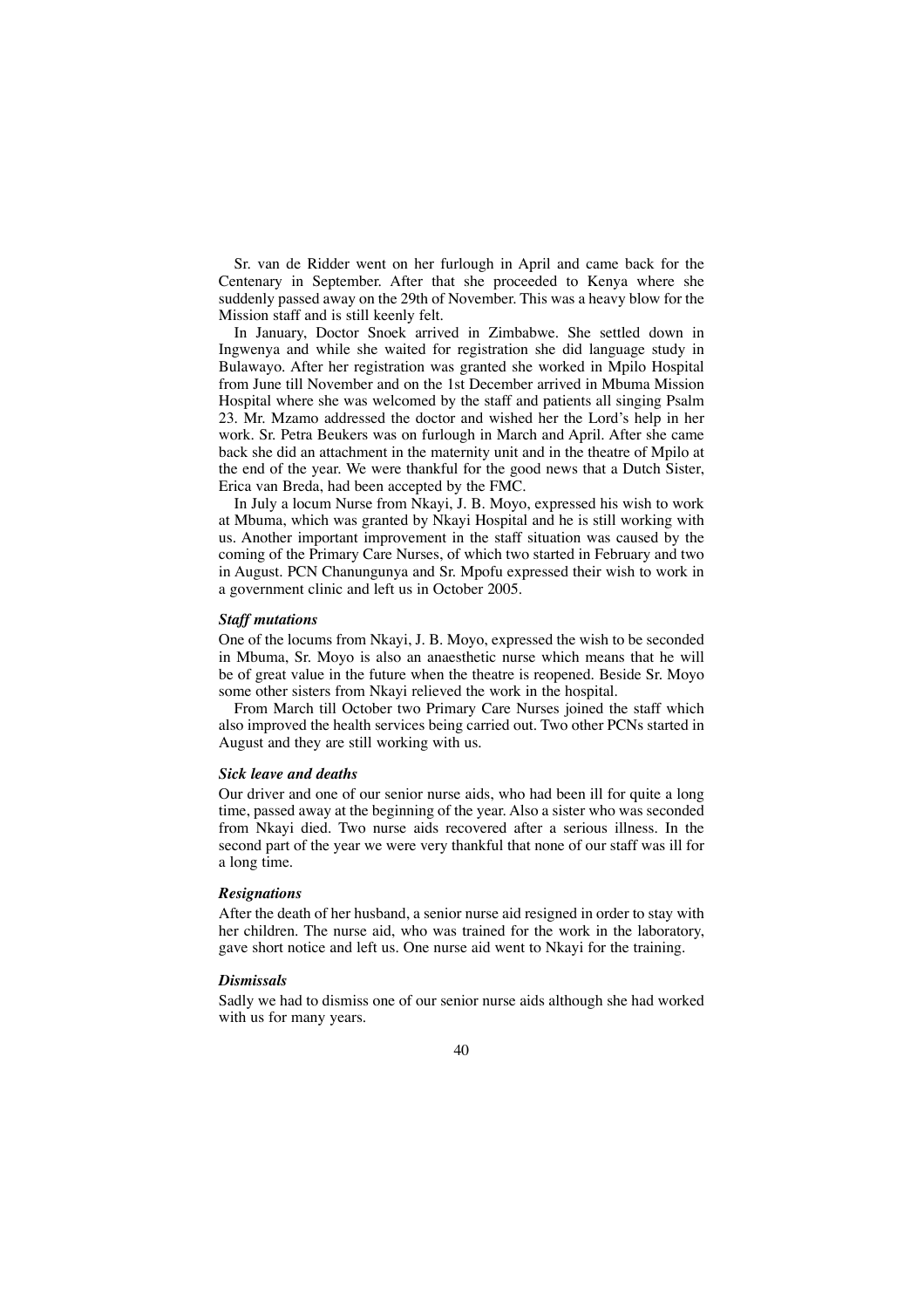Sr. van de Ridder went on her furlough in April and came back for the Centenary in September. After that she proceeded to Kenya where she suddenly passed away on the 29th of November. This was a heavy blow for the Mission staff and is still keenly felt.

In January, Doctor Snoek arrived in Zimbabwe. She settled down in Ingwenya and while she waited for registration she did language study in Bulawayo. After her registration was granted she worked in Mpilo Hospital from June till November and on the 1st December arrived in Mbuma Mission Hospital where she was welcomed by the staff and patients all singing Psalm 23. Mr. Mzamo addressed the doctor and wished her the Lord's help in her work. Sr. Petra Beukers was on furlough in March and April. After she came back she did an attachment in the maternity unit and in the theatre of Mpilo at the end of the year. We were thankful for the good news that a Dutch Sister, Erica van Breda, had been accepted by the FMC.

In July a locum Nurse from Nkayi, J. B. Moyo, expressed his wish to work at Mbuma, which was granted by Nkayi Hospital and he is still working with us. Another important improvement in the staff situation was caused by the coming of the Primary Care Nurses, of which two started in February and two in August. PCN Chanungunya and Sr. Mpofu expressed their wish to work in a government clinic and left us in October 2005.

#### *Staff mutations*

One of the locums from Nkayi, J. B. Moyo, expressed the wish to be seconded in Mbuma, Sr. Moyo is also an anaesthetic nurse which means that he will be of great value in the future when the theatre is reopened. Beside Sr. Moyo some other sisters from Nkayi relieved the work in the hospital.

From March till October two Primary Care Nurses joined the staff which also improved the health services being carried out. Two other PCNs started in August and they are still working with us.

#### *Sick leave and deaths*

Our driver and one of our senior nurse aids, who had been ill for quite a long time, passed away at the beginning of the year. Also a sister who was seconded from Nkayi died. Two nurse aids recovered after a serious illness. In the second part of the year we were very thankful that none of our staff was ill for a long time.

#### *Resignations*

After the death of her husband, a senior nurse aid resigned in order to stay with her children. The nurse aid, who was trained for the work in the laboratory, gave short notice and left us. One nurse aid went to Nkayi for the training.

### *Dismissals*

Sadly we had to dismiss one of our senior nurse aids although she had worked with us for many years.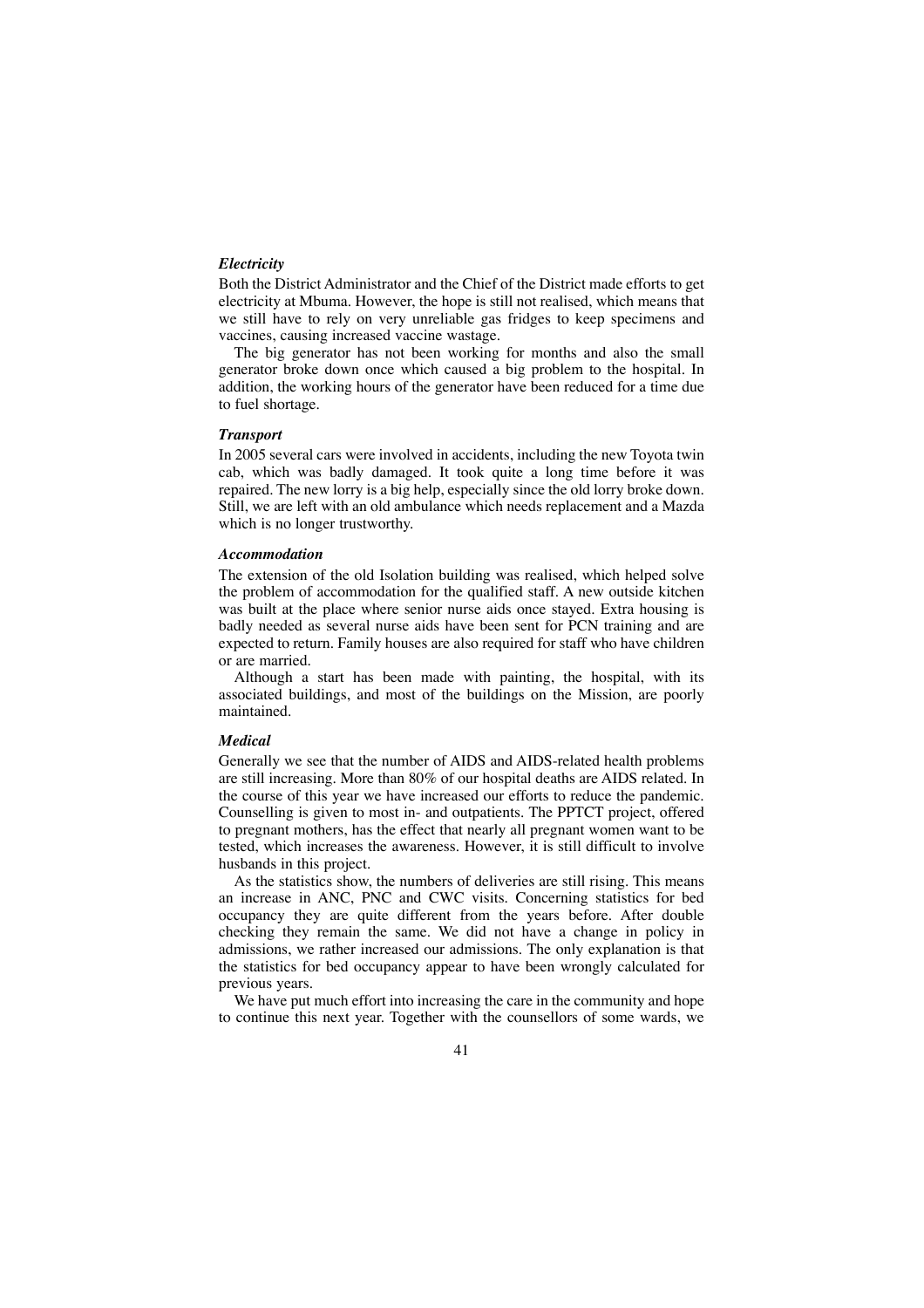### *Electricity*

Both the District Administrator and the Chief of the District made efforts to get electricity at Mbuma. However, the hope is still not realised, which means that we still have to rely on very unreliable gas fridges to keep specimens and vaccines, causing increased vaccine wastage.

The big generator has not been working for months and also the small generator broke down once which caused a big problem to the hospital. In addition, the working hours of the generator have been reduced for a time due to fuel shortage.

### *Transport*

In 2005 several cars were involved in accidents, including the new Toyota twin cab, which was badly damaged. It took quite a long time before it was repaired. The new lorry is a big help, especially since the old lorry broke down. Still, we are left with an old ambulance which needs replacement and a Mazda which is no longer trustworthy.

#### *Accommodation*

The extension of the old Isolation building was realised, which helped solve the problem of accommodation for the qualified staff. A new outside kitchen was built at the place where senior nurse aids once stayed. Extra housing is badly needed as several nurse aids have been sent for PCN training and are expected to return. Family houses are also required for staff who have children or are married.

Although a start has been made with painting, the hospital, with its associated buildings, and most of the buildings on the Mission, are poorly maintained.

### *Medical*

Generally we see that the number of AIDS and AIDS-related health problems are still increasing. More than 80% of our hospital deaths are AIDS related. In the course of this year we have increased our efforts to reduce the pandemic. Counselling is given to most in- and outpatients. The PPTCT project, offered to pregnant mothers, has the effect that nearly all pregnant women want to be tested, which increases the awareness. However, it is still difficult to involve husbands in this project.

As the statistics show, the numbers of deliveries are still rising. This means an increase in ANC, PNC and CWC visits. Concerning statistics for bed occupancy they are quite different from the years before. After double checking they remain the same. We did not have a change in policy in admissions, we rather increased our admissions. The only explanation is that the statistics for bed occupancy appear to have been wrongly calculated for previous years.

We have put much effort into increasing the care in the community and hope to continue this next year. Together with the counsellors of some wards, we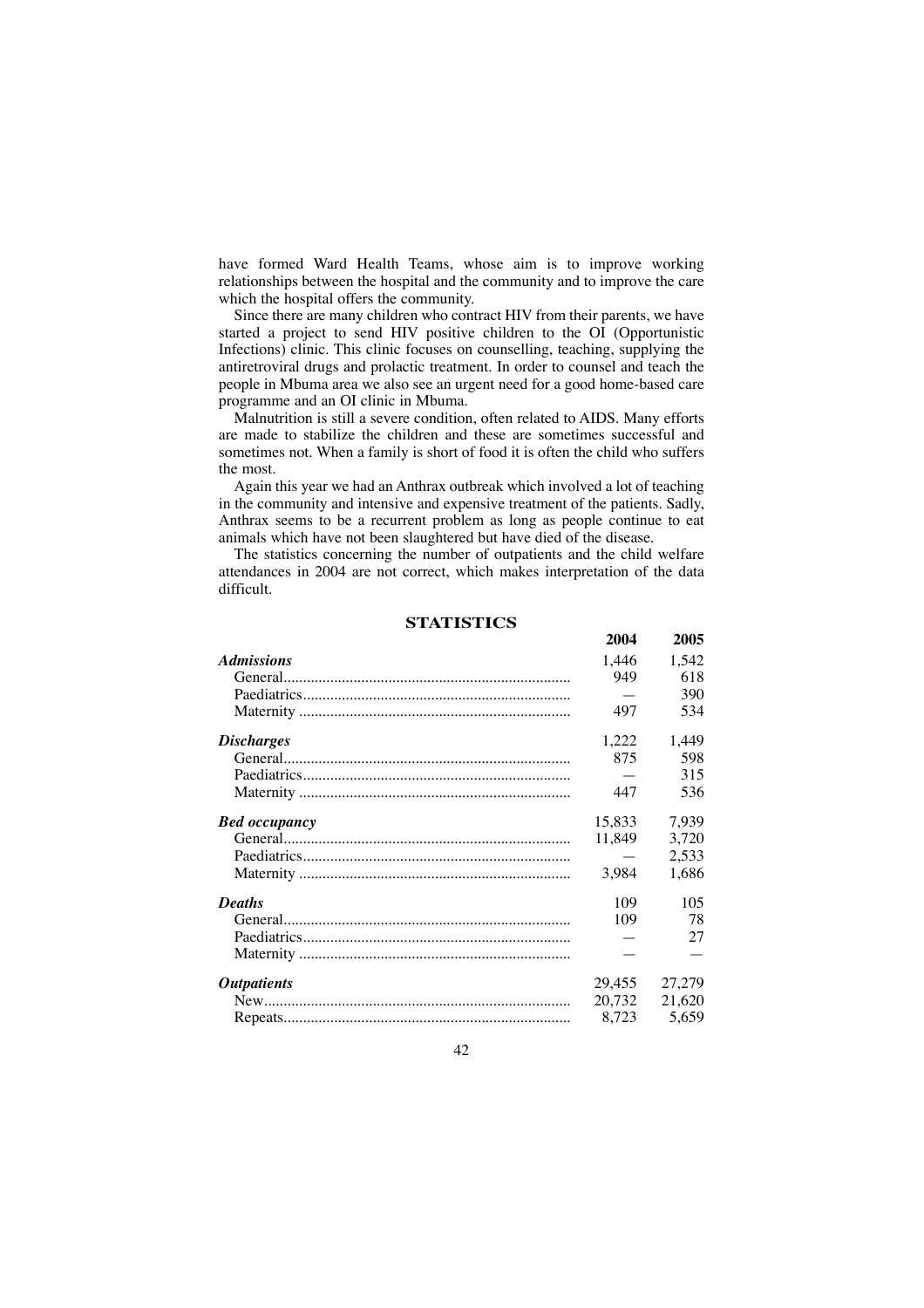have formed Ward Health Teams, whose aim is to improve working relationships between the hospital and the community and to improve the care which the hospital offers the community.

Since there are many children who contract HIV from their parents, we have started a project to send HIV positive children to the OI (Opportunistic Infections) clinic. This clinic focuses on counselling, teaching, supplying the antiretroviral drugs and prolactic treatment. In order to counsel and teach the people in Mbuma area we also see an urgent need for a good home-based care programme and an OI clinic in Mbuma.

Malnutrition is still a severe condition, often related to AIDS. Many efforts are made to stabilize the children and these are sometimes successful and sometimes not. When a family is short of food it is often the child who suffers the most.

Again this year we had an Anthrax outbreak which involved a lot of teaching in the community and intensive and expensive treatment of the patients. Sadly, Anthrax seems to be a recurrent problem as long as people continue to eat animals which have not been slaughtered but have died of the disease.

The statistics concerning the number of outpatients and the child welfare attendances in 2004 are not correct, which makes interpretation of the data difficult.

# **STATISTICS**

|                           | 2004   | 2005   |
|---------------------------|--------|--------|
| <b>Admissions</b>         | 1,446  | 1,542  |
|                           | 949    | 618    |
|                           |        | 390    |
|                           | 497    | 534    |
| <i>Discharges</i>         | 1,222  | 1,449  |
|                           | 875    | 598    |
|                           |        | 315    |
|                           | 447    | 536    |
| <b>Bed</b> occupancy      | 15,833 | 7,939  |
|                           | 11,849 | 3,720  |
|                           |        | 2,533  |
|                           | 3,984  | 1,686  |
| <b>Deaths</b>             | 109    | 105    |
|                           | 109    | 78     |
|                           |        | 27     |
|                           |        |        |
| <i><b>Outpatients</b></i> | 29.455 | 27,279 |
|                           | 20,732 | 21,620 |
|                           | 8,723  | 5,659  |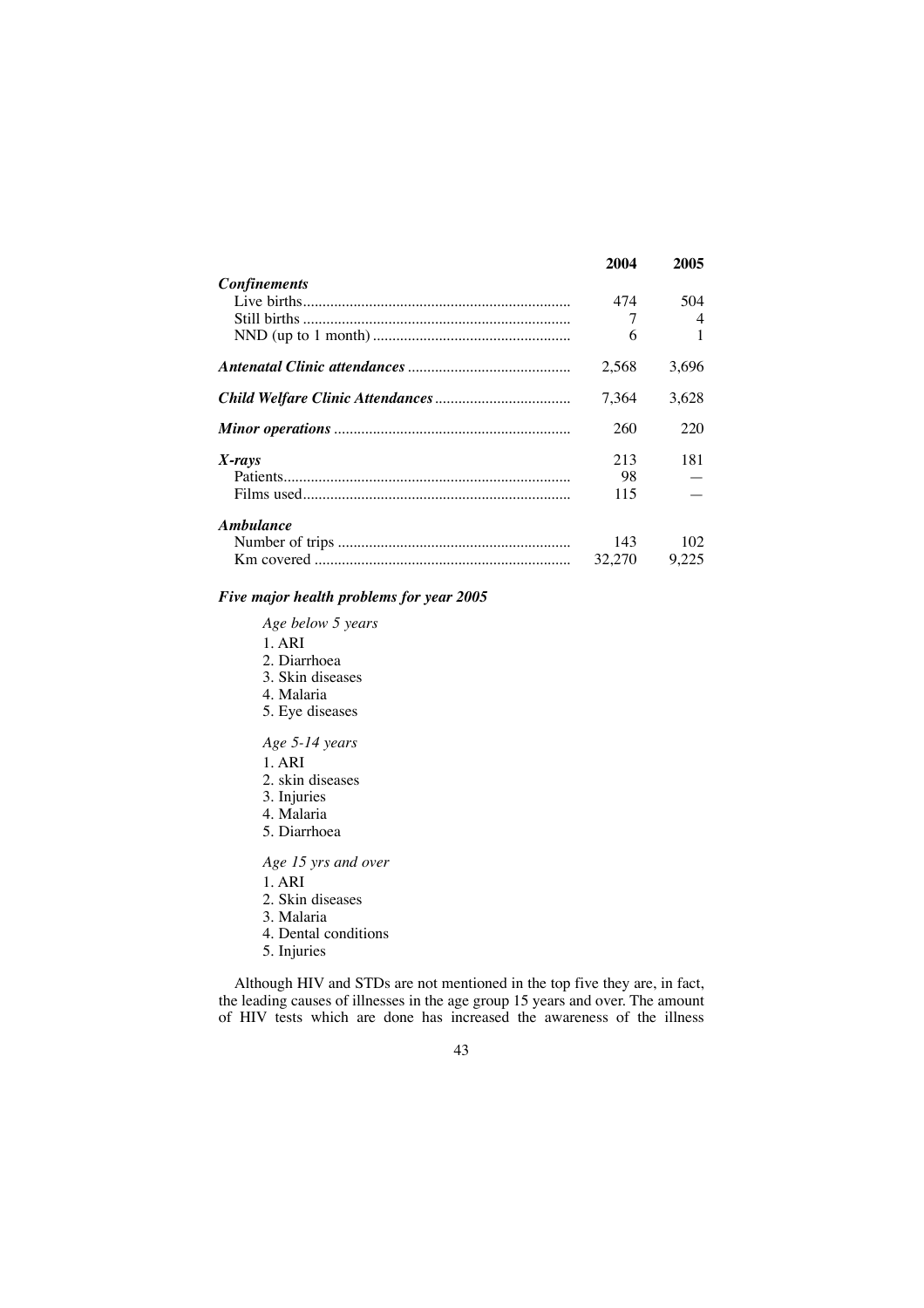|                     | 2004   | 2005  |
|---------------------|--------|-------|
| <b>Confinements</b> |        |       |
|                     | 474    | 504   |
|                     | 7      | 4     |
|                     | 6      |       |
|                     | 2.568  | 3.696 |
|                     | 7.364  | 3.628 |
|                     | 260    | 220   |
| $X$ -rays           | 213    | 181   |
|                     | 98     |       |
|                     | 115    |       |
| Ambulance           |        |       |
|                     | 143    | 102   |
|                     | 32,270 | 9.225 |

## *Five major health problems for year 2005*

*Age below 5 years*

- 1. ARI
- 2. Diarrhoea
- 3. Skin diseases
- 4. Malaria
- 5. Eye diseases

## *Age 5-14 years*

- 1. ARI
- 2. skin diseases
- 3. Injuries
- 4. Malaria
- 5. Diarrhoea

## *Age 15 yrs and over*

1. ARI

- 2. Skin diseases
- 3. Malaria
- 4. Dental conditions
- 5. Injuries

Although HIV and STDs are not mentioned in the top five they are, in fact, the leading causes of illnesses in the age group 15 years and over. The amount of HIV tests which are done has increased the awareness of the illness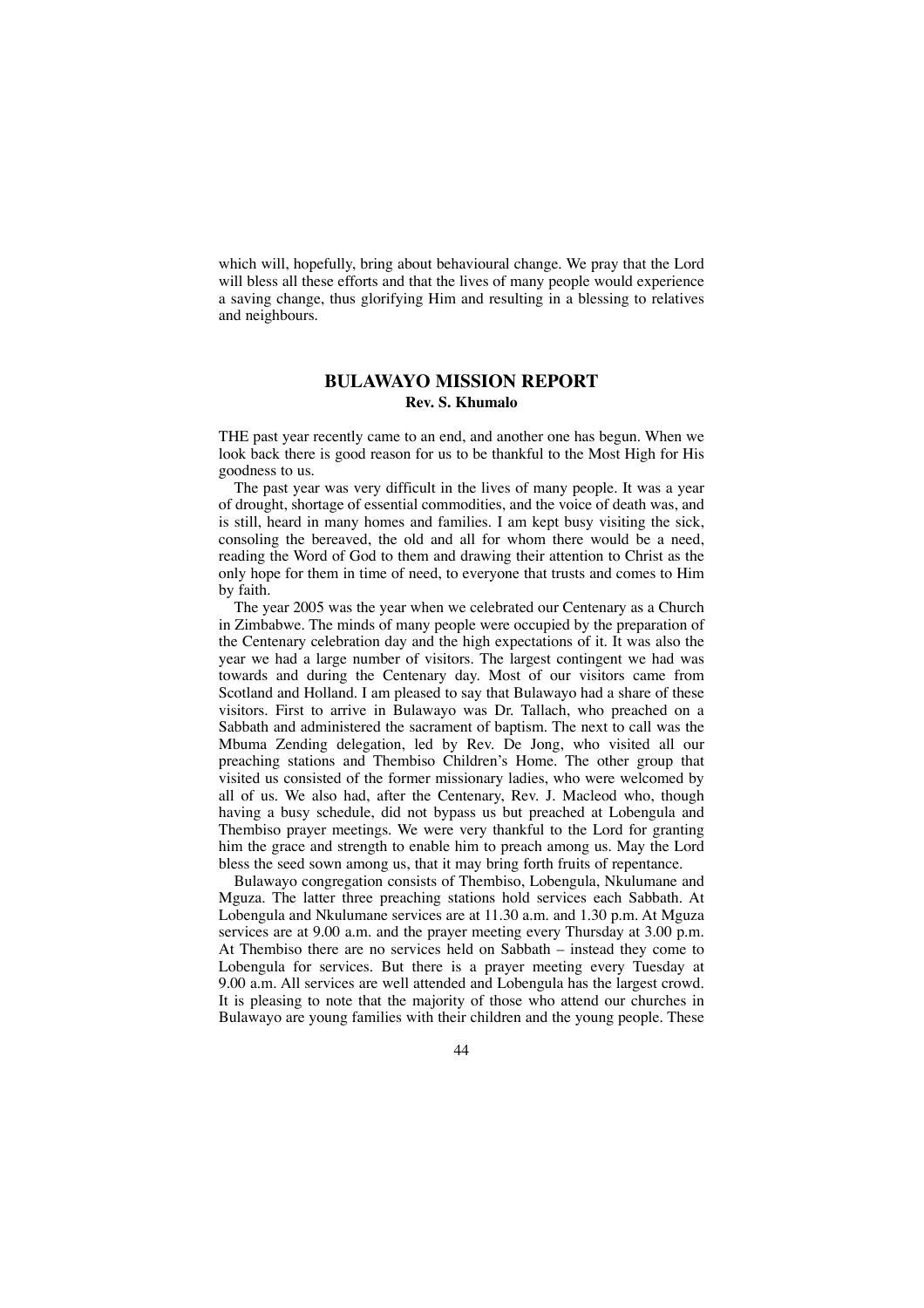which will, hopefully, bring about behavioural change. We pray that the Lord will bless all these efforts and that the lives of many people would experience a saving change, thus glorifying Him and resulting in a blessing to relatives and neighbours.

## **BULAWAYO MISSION REPORT Rev. S. Khumalo**

THE past year recently came to an end, and another one has begun. When we look back there is good reason for us to be thankful to the Most High for His goodness to us.

The past year was very difficult in the lives of many people. It was a year of drought, shortage of essential commodities, and the voice of death was, and is still, heard in many homes and families. I am kept busy visiting the sick, consoling the bereaved, the old and all for whom there would be a need, reading the Word of God to them and drawing their attention to Christ as the only hope for them in time of need, to everyone that trusts and comes to Him by faith.

The year 2005 was the year when we celebrated our Centenary as a Church in Zimbabwe. The minds of many people were occupied by the preparation of the Centenary celebration day and the high expectations of it. It was also the year we had a large number of visitors. The largest contingent we had was towards and during the Centenary day. Most of our visitors came from Scotland and Holland. I am pleased to say that Bulawayo had a share of these visitors. First to arrive in Bulawayo was Dr. Tallach, who preached on a Sabbath and administered the sacrament of baptism. The next to call was the Mbuma Zending delegation, led by Rev. De Jong, who visited all our preaching stations and Thembiso Children's Home. The other group that visited us consisted of the former missionary ladies, who were welcomed by all of us. We also had, after the Centenary, Rev. J. Macleod who, though having a busy schedule, did not bypass us but preached at Lobengula and Thembiso prayer meetings. We were very thankful to the Lord for granting him the grace and strength to enable him to preach among us. May the Lord bless the seed sown among us, that it may bring forth fruits of repentance.

Bulawayo congregation consists of Thembiso, Lobengula, Nkulumane and Mguza. The latter three preaching stations hold services each Sabbath. At Lobengula and Nkulumane services are at 11.30 a.m. and 1.30 p.m. At Mguza services are at 9.00 a.m. and the prayer meeting every Thursday at 3.00 p.m. At Thembiso there are no services held on Sabbath – instead they come to Lobengula for services. But there is a prayer meeting every Tuesday at 9.00 a.m. All services are well attended and Lobengula has the largest crowd. It is pleasing to note that the majority of those who attend our churches in Bulawayo are young families with their children and the young people. These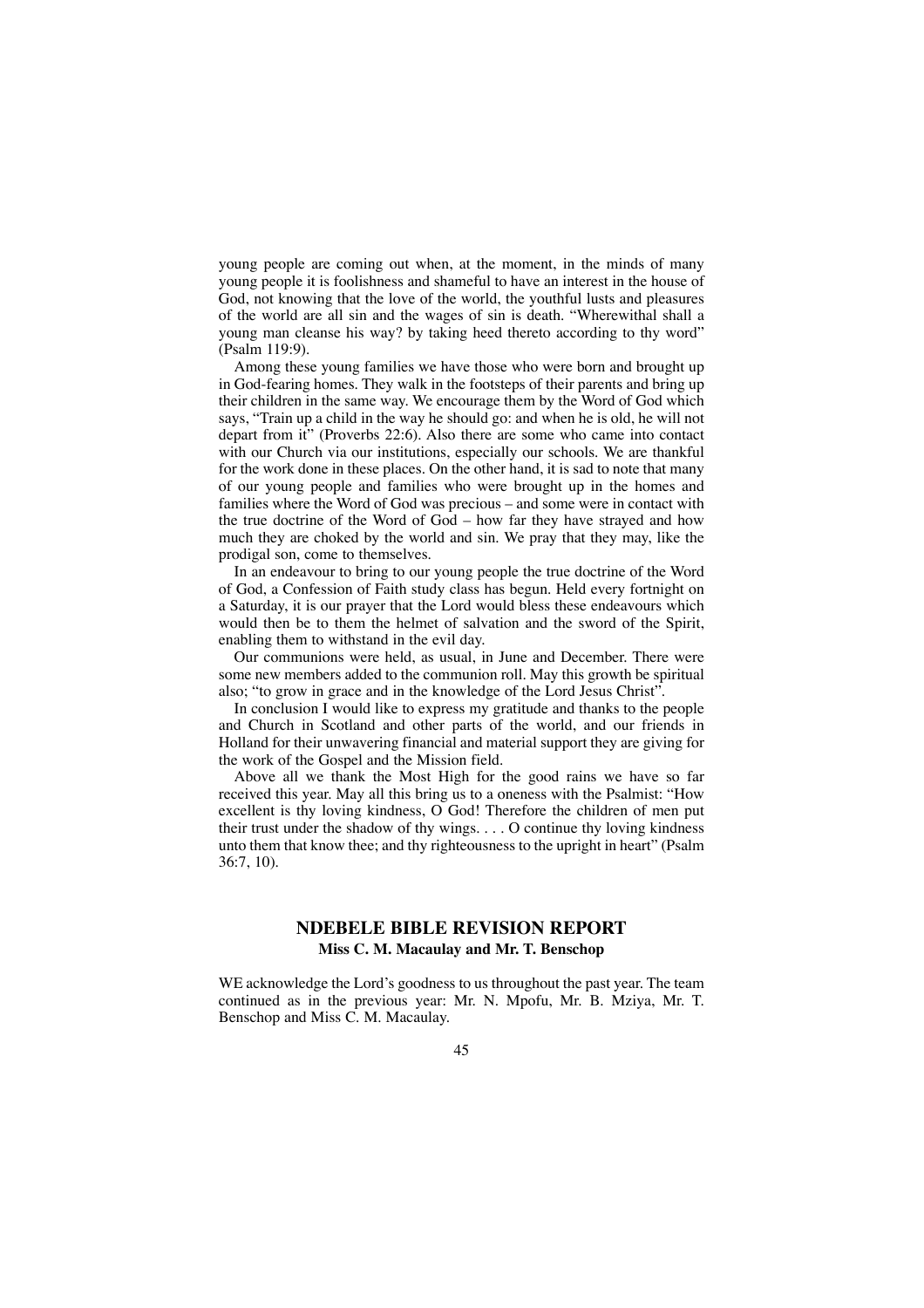young people are coming out when, at the moment, in the minds of many young people it is foolishness and shameful to have an interest in the house of God, not knowing that the love of the world, the youthful lusts and pleasures of the world are all sin and the wages of sin is death. "Wherewithal shall a young man cleanse his way? by taking heed thereto according to thy word" (Psalm 119:9).

Among these young families we have those who were born and brought up in God-fearing homes. They walk in the footsteps of their parents and bring up their children in the same way. We encourage them by the Word of God which says, "Train up a child in the way he should go: and when he is old, he will not depart from it" (Proverbs 22:6). Also there are some who came into contact with our Church via our institutions, especially our schools. We are thankful for the work done in these places. On the other hand, it is sad to note that many of our young people and families who were brought up in the homes and families where the Word of God was precious – and some were in contact with the true doctrine of the Word of God – how far they have strayed and how much they are choked by the world and sin. We pray that they may, like the prodigal son, come to themselves.

In an endeavour to bring to our young people the true doctrine of the Word of God, a Confession of Faith study class has begun. Held every fortnight on a Saturday, it is our prayer that the Lord would bless these endeavours which would then be to them the helmet of salvation and the sword of the Spirit, enabling them to withstand in the evil day.

Our communions were held, as usual, in June and December. There were some new members added to the communion roll. May this growth be spiritual also; "to grow in grace and in the knowledge of the Lord Jesus Christ".

In conclusion I would like to express my gratitude and thanks to the people and Church in Scotland and other parts of the world, and our friends in Holland for their unwavering financial and material support they are giving for the work of the Gospel and the Mission field.

Above all we thank the Most High for the good rains we have so far received this year. May all this bring us to a oneness with the Psalmist: "How excellent is thy loving kindness, O God! Therefore the children of men put their trust under the shadow of thy wings. . . . O continue thy loving kindness unto them that know thee; and thy righteousness to the upright in heart" (Psalm 36:7, 10).

### **NDEBELE BIBLE REVISION REPORT Miss C. M. Macaulay and Mr. T. Benschop**

WE acknowledge the Lord's goodness to us throughout the past year. The team continued as in the previous year: Mr. N. Mpofu, Mr. B. Mziya, Mr. T. Benschop and Miss C. M. Macaulay.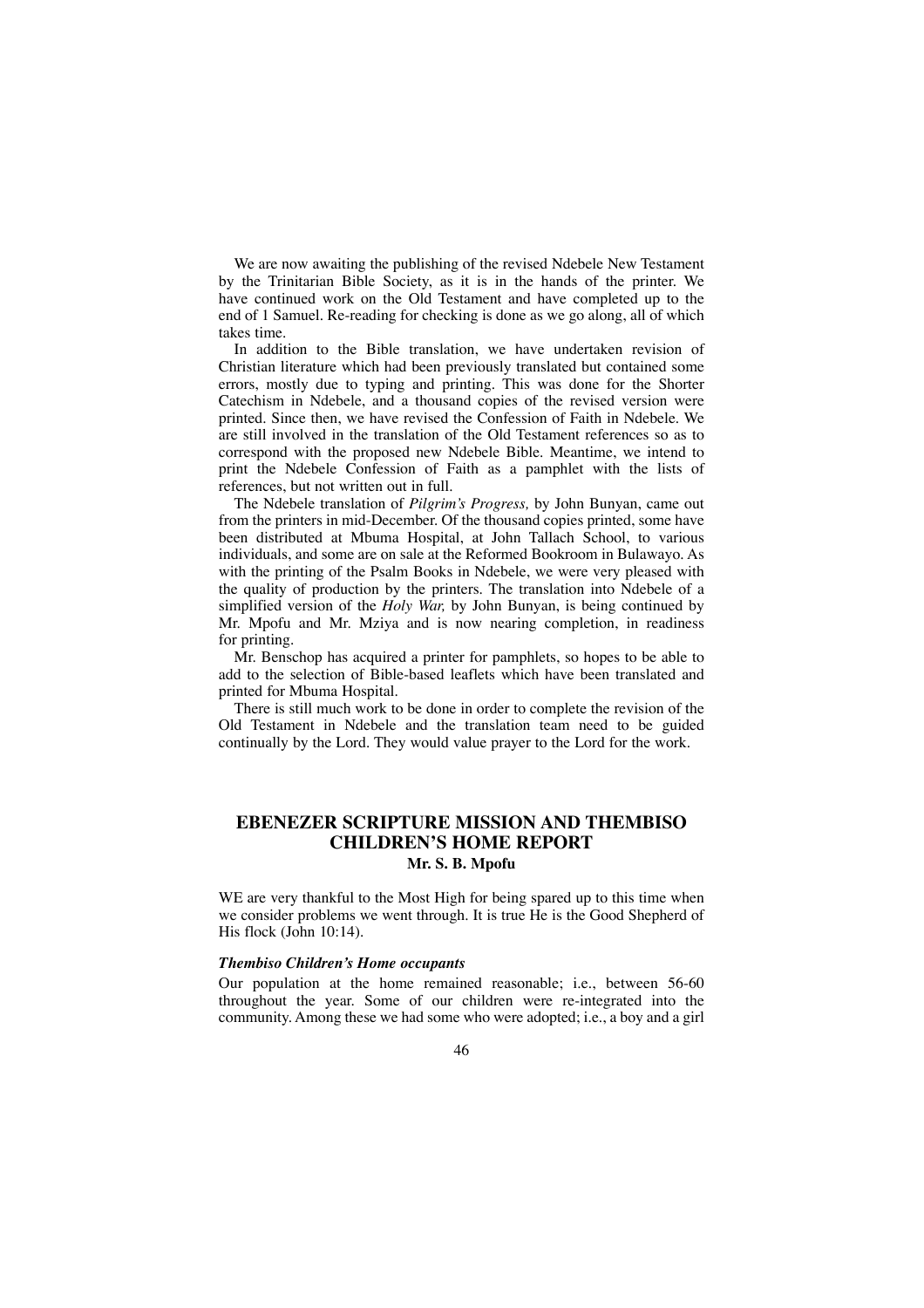We are now awaiting the publishing of the revised Ndebele New Testament by the Trinitarian Bible Society, as it is in the hands of the printer. We have continued work on the Old Testament and have completed up to the end of 1 Samuel. Re-reading for checking is done as we go along, all of which takes time.

In addition to the Bible translation, we have undertaken revision of Christian literature which had been previously translated but contained some errors, mostly due to typing and printing. This was done for the Shorter Catechism in Ndebele, and a thousand copies of the revised version were printed. Since then, we have revised the Confession of Faith in Ndebele. We are still involved in the translation of the Old Testament references so as to correspond with the proposed new Ndebele Bible. Meantime, we intend to print the Ndebele Confession of Faith as a pamphlet with the lists of references, but not written out in full.

The Ndebele translation of *Pilgrim's Progress,* by John Bunyan, came out from the printers in mid-December. Of the thousand copies printed, some have been distributed at Mbuma Hospital, at John Tallach School, to various individuals, and some are on sale at the Reformed Bookroom in Bulawayo. As with the printing of the Psalm Books in Ndebele, we were very pleased with the quality of production by the printers. The translation into Ndebele of a simplified version of the *Holy War,* by John Bunyan, is being continued by Mr. Mpofu and Mr. Mziya and is now nearing completion, in readiness for printing.

Mr. Benschop has acquired a printer for pamphlets, so hopes to be able to add to the selection of Bible-based leaflets which have been translated and printed for Mbuma Hospital.

There is still much work to be done in order to complete the revision of the Old Testament in Ndebele and the translation team need to be guided continually by the Lord. They would value prayer to the Lord for the work.

## **EBENEZER SCRIPTURE MISSION AND THEMBISO CHILDREN'S HOME REPORT Mr. S. B. Mpofu**

WE are very thankful to the Most High for being spared up to this time when we consider problems we went through. It is true He is the Good Shepherd of His flock (John 10:14).

#### *Thembiso Children's Home occupants*

Our population at the home remained reasonable; i.e., between 56-60 throughout the year. Some of our children were re-integrated into the community. Among these we had some who were adopted; i.e., a boy and a girl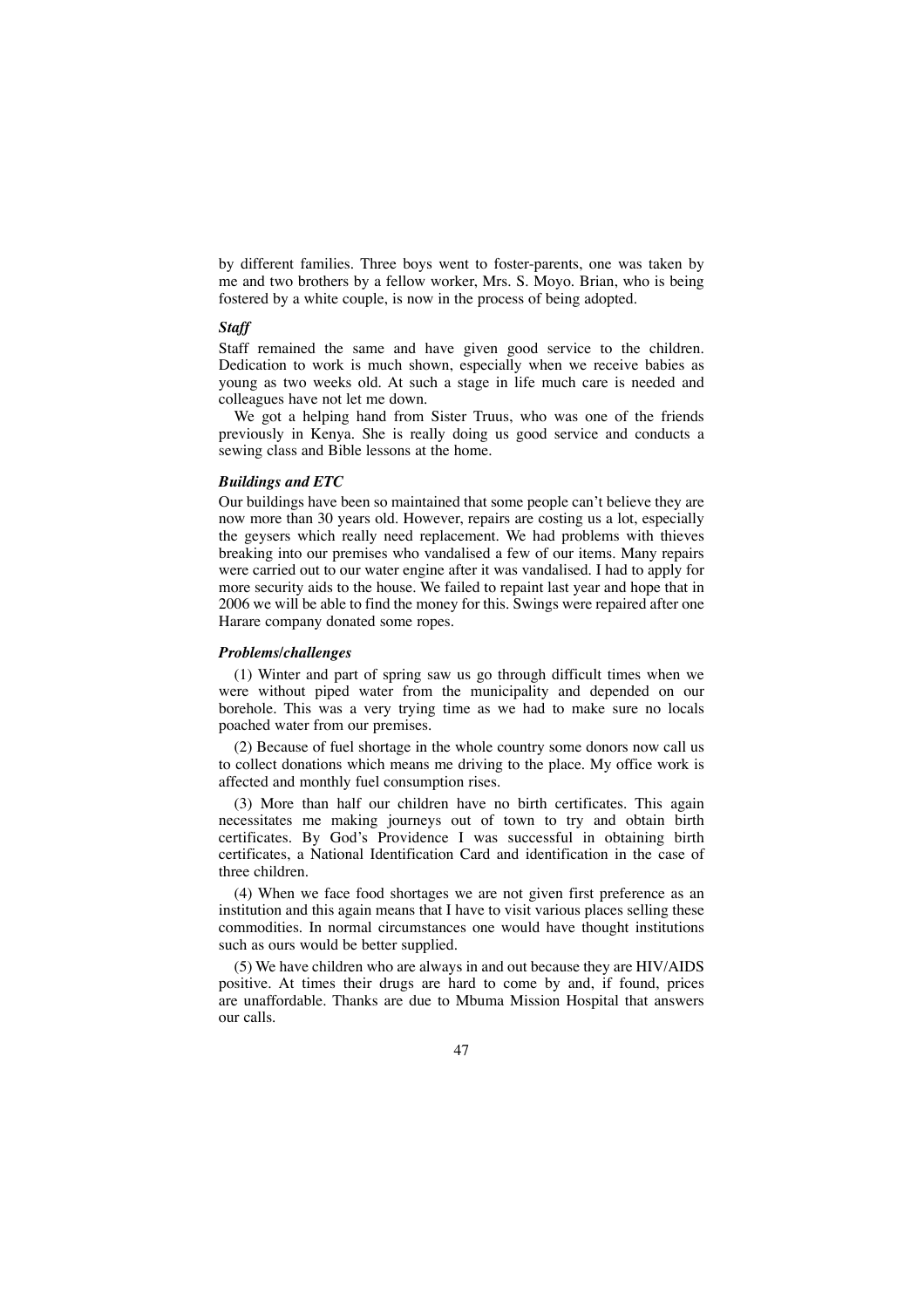by different families. Three boys went to foster-parents, one was taken by me and two brothers by a fellow worker, Mrs. S. Moyo. Brian, who is being fostered by a white couple, is now in the process of being adopted.

### *Staff*

Staff remained the same and have given good service to the children. Dedication to work is much shown, especially when we receive babies as young as two weeks old. At such a stage in life much care is needed and colleagues have not let me down.

We got a helping hand from Sister Truus, who was one of the friends previously in Kenya. She is really doing us good service and conducts a sewing class and Bible lessons at the home.

#### *Buildings and ETC*

Our buildings have been so maintained that some people can't believe they are now more than 30 years old. However, repairs are costing us a lot, especially the geysers which really need replacement. We had problems with thieves breaking into our premises who vandalised a few of our items. Many repairs were carried out to our water engine after it was vandalised. I had to apply for more security aids to the house. We failed to repaint last year and hope that in 2006 we will be able to find the money for this. Swings were repaired after one Harare company donated some ropes.

#### *Problems/challenges*

(1) Winter and part of spring saw us go through difficult times when we were without piped water from the municipality and depended on our borehole. This was a very trying time as we had to make sure no locals poached water from our premises.

(2) Because of fuel shortage in the whole country some donors now call us to collect donations which means me driving to the place. My office work is affected and monthly fuel consumption rises.

(3) More than half our children have no birth certificates. This again necessitates me making journeys out of town to try and obtain birth certificates. By God's Providence I was successful in obtaining birth certificates, a National Identification Card and identification in the case of three children.

(4) When we face food shortages we are not given first preference as an institution and this again means that I have to visit various places selling these commodities. In normal circumstances one would have thought institutions such as ours would be better supplied.

(5) We have children who are always in and out because they are HIV/AIDS positive. At times their drugs are hard to come by and, if found, prices are unaffordable. Thanks are due to Mbuma Mission Hospital that answers our calls.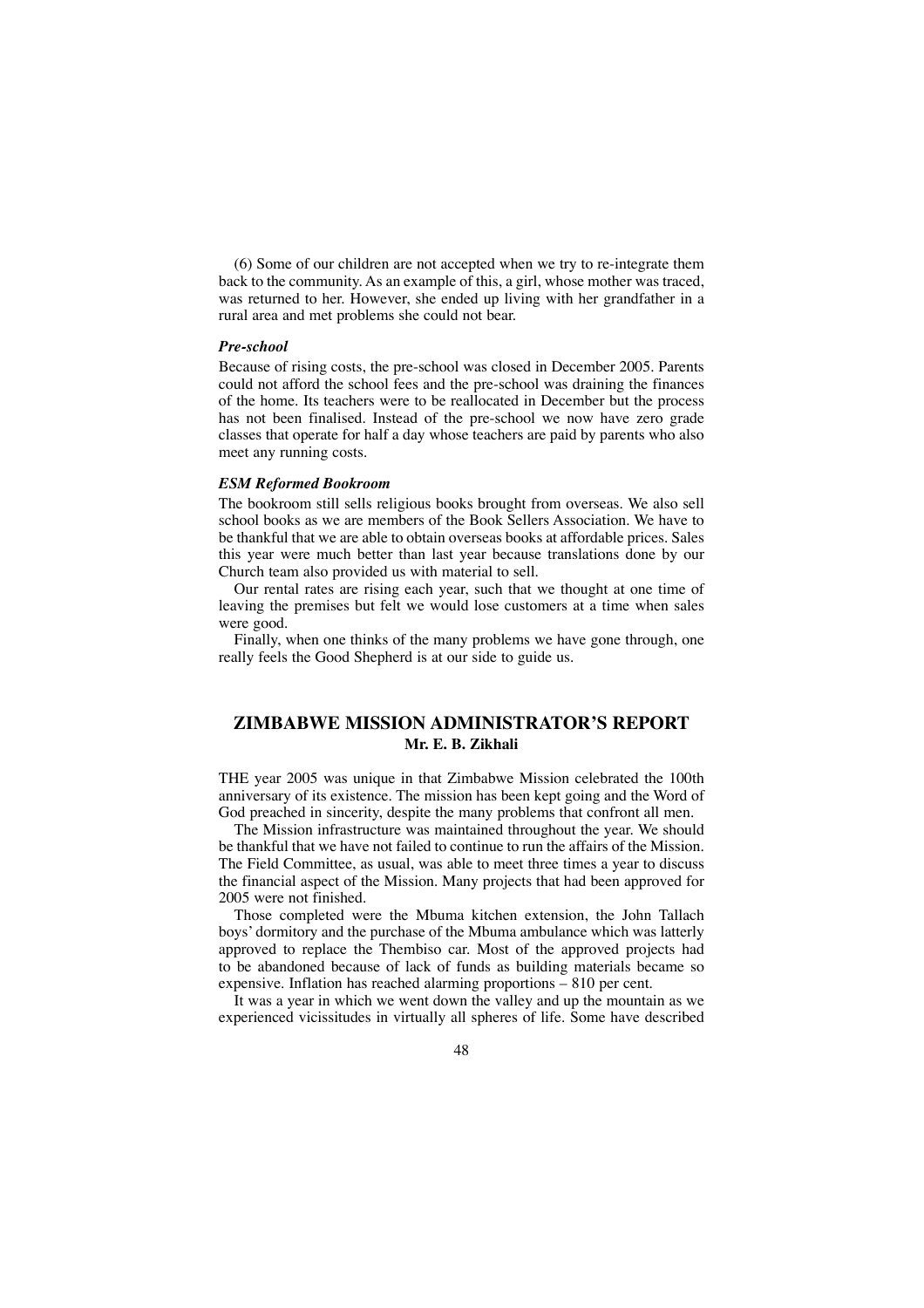(6) Some of our children are not accepted when we try to re-integrate them back to the community. As an example of this, a girl, whose mother was traced, was returned to her. However, she ended up living with her grandfather in a rural area and met problems she could not bear.

### *Pre-school*

Because of rising costs, the pre-school was closed in December 2005. Parents could not afford the school fees and the pre-school was draining the finances of the home. Its teachers were to be reallocated in December but the process has not been finalised. Instead of the pre-school we now have zero grade classes that operate for half a day whose teachers are paid by parents who also meet any running costs.

#### *ESM Reformed Bookroom*

The bookroom still sells religious books brought from overseas. We also sell school books as we are members of the Book Sellers Association. We have to be thankful that we are able to obtain overseas books at affordable prices. Sales this year were much better than last year because translations done by our Church team also provided us with material to sell.

Our rental rates are rising each year, such that we thought at one time of leaving the premises but felt we would lose customers at a time when sales were good.

Finally, when one thinks of the many problems we have gone through, one really feels the Good Shepherd is at our side to guide us.

# **ZIMBABWE MISSION ADMINISTRATOR'S REPORT Mr. E. B. Zikhali**

THE year 2005 was unique in that Zimbabwe Mission celebrated the 100th anniversary of its existence. The mission has been kept going and the Word of God preached in sincerity, despite the many problems that confront all men.

The Mission infrastructure was maintained throughout the year. We should be thankful that we have not failed to continue to run the affairs of the Mission. The Field Committee, as usual, was able to meet three times a year to discuss the financial aspect of the Mission. Many projects that had been approved for 2005 were not finished.

Those completed were the Mbuma kitchen extension, the John Tallach boys' dormitory and the purchase of the Mbuma ambulance which was latterly approved to replace the Thembiso car. Most of the approved projects had to be abandoned because of lack of funds as building materials became so expensive. Inflation has reached alarming proportions – 810 per cent.

It was a year in which we went down the valley and up the mountain as we experienced vicissitudes in virtually all spheres of life. Some have described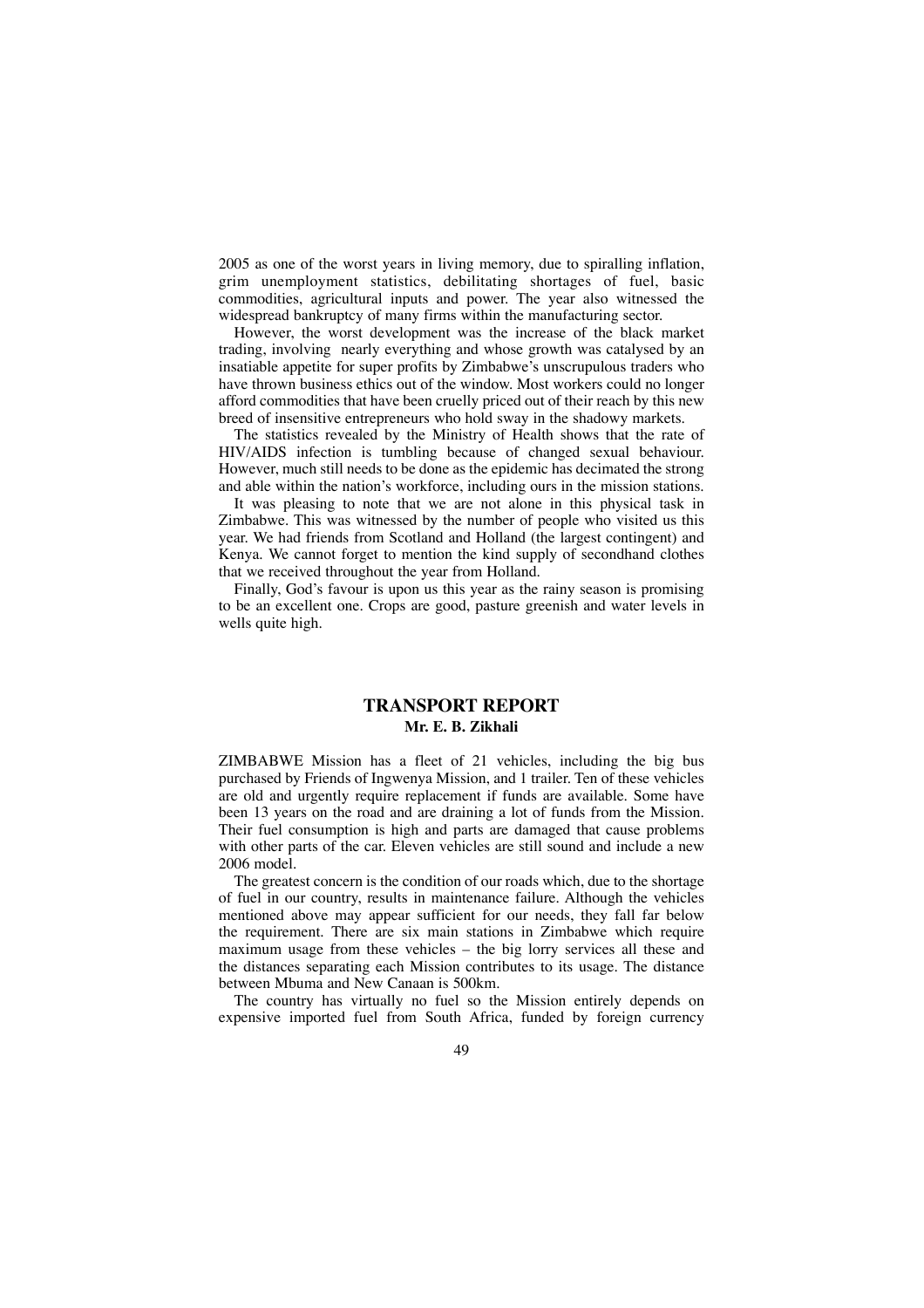2005 as one of the worst years in living memory, due to spiralling inflation, grim unemployment statistics, debilitating shortages of fuel, basic commodities, agricultural inputs and power. The year also witnessed the widespread bankruptcy of many firms within the manufacturing sector.

However, the worst development was the increase of the black market trading, involving nearly everything and whose growth was catalysed by an insatiable appetite for super profits by Zimbabwe's unscrupulous traders who have thrown business ethics out of the window. Most workers could no longer afford commodities that have been cruelly priced out of their reach by this new breed of insensitive entrepreneurs who hold sway in the shadowy markets.

The statistics revealed by the Ministry of Health shows that the rate of HIV/AIDS infection is tumbling because of changed sexual behaviour. However, much still needs to be done as the epidemic has decimated the strong and able within the nation's workforce, including ours in the mission stations.

It was pleasing to note that we are not alone in this physical task in Zimbabwe. This was witnessed by the number of people who visited us this year. We had friends from Scotland and Holland (the largest contingent) and Kenya. We cannot forget to mention the kind supply of secondhand clothes that we received throughout the year from Holland.

Finally, God's favour is upon us this year as the rainy season is promising to be an excellent one. Crops are good, pasture greenish and water levels in wells quite high.

## **TRANSPORT REPORT Mr. E. B. Zikhali**

ZIMBABWE Mission has a fleet of 21 vehicles, including the big bus purchased by Friends of Ingwenya Mission, and 1 trailer. Ten of these vehicles are old and urgently require replacement if funds are available. Some have been 13 years on the road and are draining a lot of funds from the Mission. Their fuel consumption is high and parts are damaged that cause problems with other parts of the car. Eleven vehicles are still sound and include a new 2006 model.

The greatest concern is the condition of our roads which, due to the shortage of fuel in our country, results in maintenance failure. Although the vehicles mentioned above may appear sufficient for our needs, they fall far below the requirement. There are six main stations in Zimbabwe which require maximum usage from these vehicles – the big lorry services all these and the distances separating each Mission contributes to its usage. The distance between Mbuma and New Canaan is 500km.

The country has virtually no fuel so the Mission entirely depends on expensive imported fuel from South Africa, funded by foreign currency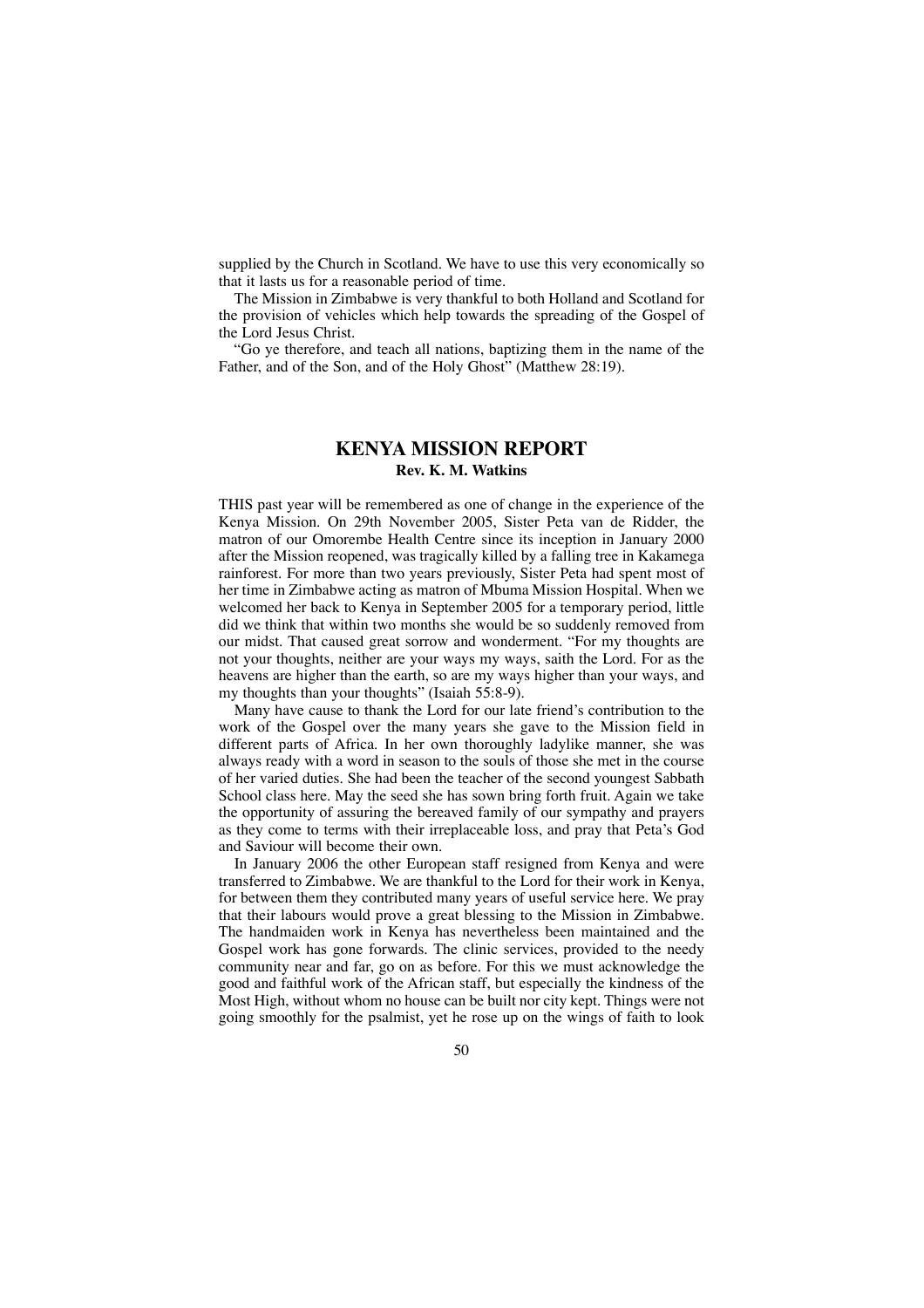supplied by the Church in Scotland. We have to use this very economically so that it lasts us for a reasonable period of time.

The Mission in Zimbabwe is very thankful to both Holland and Scotland for the provision of vehicles which help towards the spreading of the Gospel of the Lord Jesus Christ.

"Go ye therefore, and teach all nations, baptizing them in the name of the Father, and of the Son, and of the Holy Ghost" (Matthew 28:19).

# **KENYA MISSION REPORT Rev. K. M. Watkins**

THIS past year will be remembered as one of change in the experience of the Kenya Mission. On 29th November 2005, Sister Peta van de Ridder, the matron of our Omorembe Health Centre since its inception in January 2000 after the Mission reopened, was tragically killed by a falling tree in Kakamega rainforest. For more than two years previously, Sister Peta had spent most of her time in Zimbabwe acting as matron of Mbuma Mission Hospital. When we welcomed her back to Kenya in September 2005 for a temporary period, little did we think that within two months she would be so suddenly removed from our midst. That caused great sorrow and wonderment. "For my thoughts are not your thoughts, neither are your ways my ways, saith the Lord. For as the heavens are higher than the earth, so are my ways higher than your ways, and my thoughts than your thoughts" (Isaiah 55:8-9).

Many have cause to thank the Lord for our late friend's contribution to the work of the Gospel over the many years she gave to the Mission field in different parts of Africa. In her own thoroughly ladylike manner, she was always ready with a word in season to the souls of those she met in the course of her varied duties. She had been the teacher of the second youngest Sabbath School class here. May the seed she has sown bring forth fruit. Again we take the opportunity of assuring the bereaved family of our sympathy and prayers as they come to terms with their irreplaceable loss, and pray that Peta's God and Saviour will become their own.

In January 2006 the other European staff resigned from Kenya and were transferred to Zimbabwe. We are thankful to the Lord for their work in Kenya, for between them they contributed many years of useful service here. We pray that their labours would prove a great blessing to the Mission in Zimbabwe. The handmaiden work in Kenya has nevertheless been maintained and the Gospel work has gone forwards. The clinic services, provided to the needy community near and far, go on as before. For this we must acknowledge the good and faithful work of the African staff, but especially the kindness of the Most High, without whom no house can be built nor city kept. Things were not going smoothly for the psalmist, yet he rose up on the wings of faith to look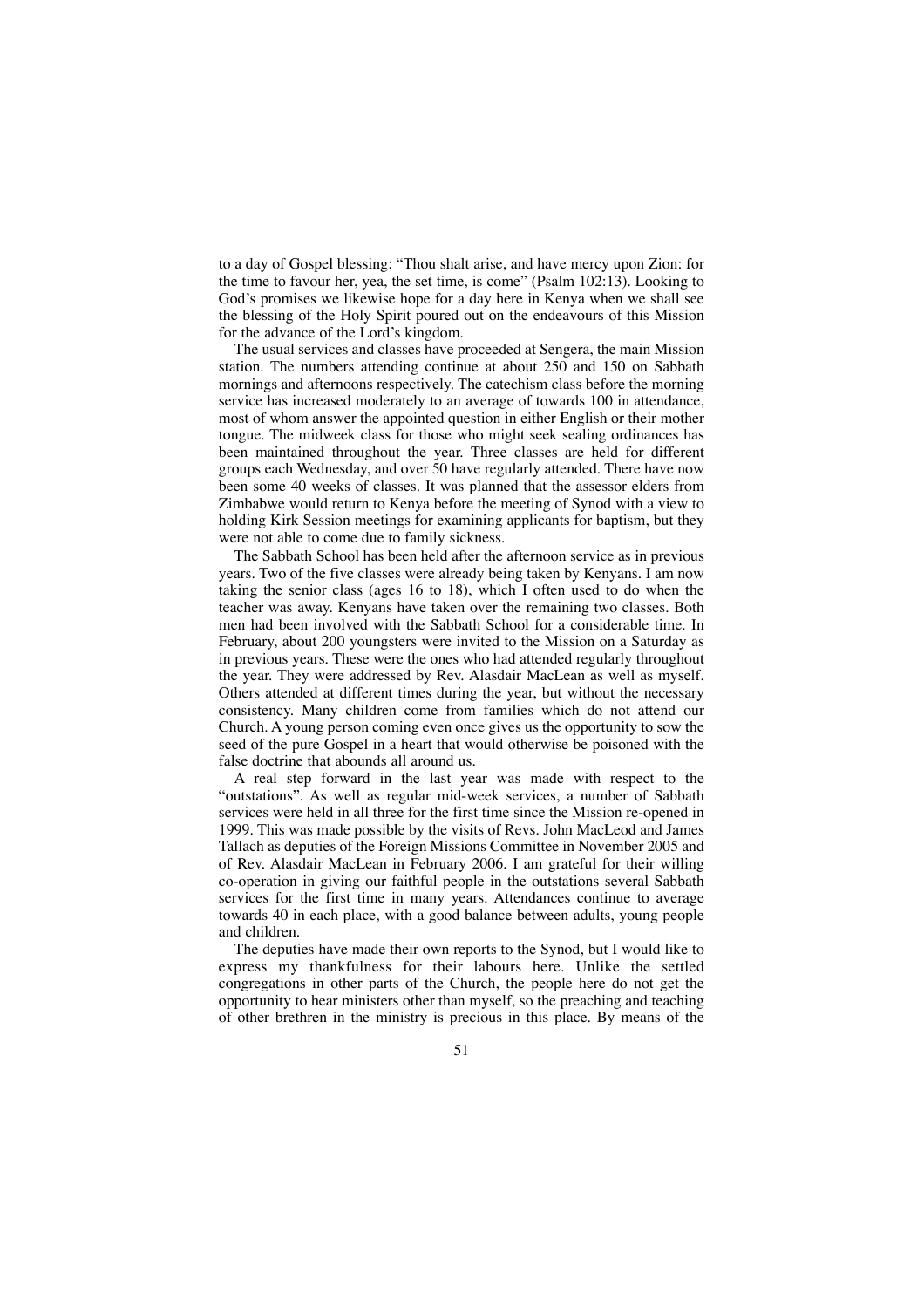to a day of Gospel blessing: "Thou shalt arise, and have mercy upon Zion: for the time to favour her, yea, the set time, is come" (Psalm 102:13). Looking to God's promises we likewise hope for a day here in Kenya when we shall see the blessing of the Holy Spirit poured out on the endeavours of this Mission for the advance of the Lord's kingdom.

The usual services and classes have proceeded at Sengera, the main Mission station. The numbers attending continue at about 250 and 150 on Sabbath mornings and afternoons respectively. The catechism class before the morning service has increased moderately to an average of towards 100 in attendance, most of whom answer the appointed question in either English or their mother tongue. The midweek class for those who might seek sealing ordinances has been maintained throughout the year. Three classes are held for different groups each Wednesday, and over 50 have regularly attended. There have now been some 40 weeks of classes. It was planned that the assessor elders from Zimbabwe would return to Kenya before the meeting of Synod with a view to holding Kirk Session meetings for examining applicants for baptism, but they were not able to come due to family sickness.

The Sabbath School has been held after the afternoon service as in previous years. Two of the five classes were already being taken by Kenyans. I am now taking the senior class (ages 16 to 18), which I often used to do when the teacher was away. Kenyans have taken over the remaining two classes. Both men had been involved with the Sabbath School for a considerable time. In February, about 200 youngsters were invited to the Mission on a Saturday as in previous years. These were the ones who had attended regularly throughout the year. They were addressed by Rev. Alasdair MacLean as well as myself. Others attended at different times during the year, but without the necessary consistency. Many children come from families which do not attend our Church. A young person coming even once gives us the opportunity to sow the seed of the pure Gospel in a heart that would otherwise be poisoned with the false doctrine that abounds all around us.

A real step forward in the last year was made with respect to the "outstations". As well as regular mid-week services, a number of Sabbath services were held in all three for the first time since the Mission re-opened in 1999. This was made possible by the visits of Revs. John MacLeod and James Tallach as deputies of the Foreign Missions Committee in November 2005 and of Rev. Alasdair MacLean in February 2006. I am grateful for their willing co-operation in giving our faithful people in the outstations several Sabbath services for the first time in many years. Attendances continue to average towards 40 in each place, with a good balance between adults, young people and children.

The deputies have made their own reports to the Synod, but I would like to express my thankfulness for their labours here. Unlike the settled congregations in other parts of the Church, the people here do not get the opportunity to hear ministers other than myself, so the preaching and teaching of other brethren in the ministry is precious in this place. By means of the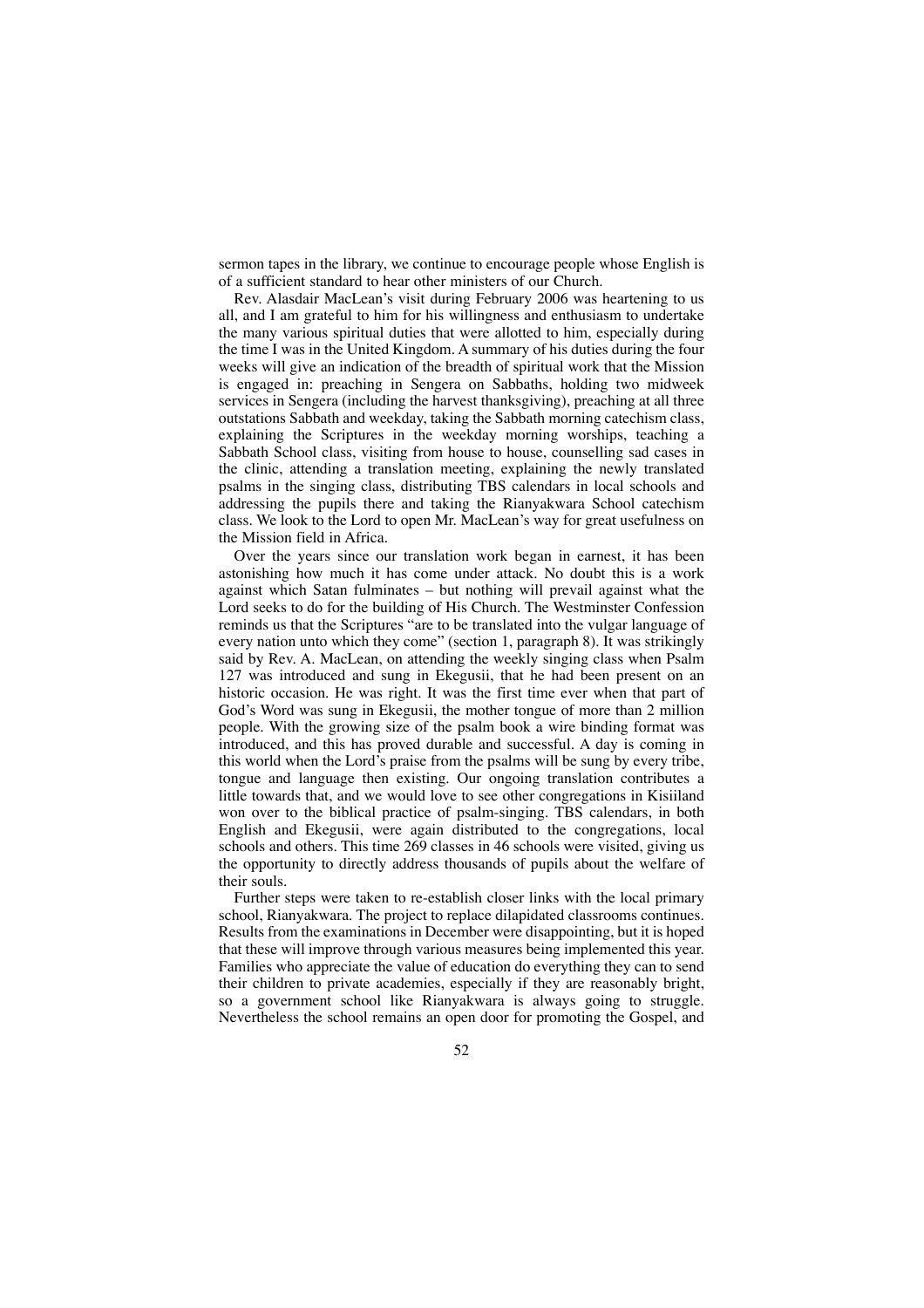sermon tapes in the library, we continue to encourage people whose English is of a sufficient standard to hear other ministers of our Church.

Rev. Alasdair MacLean's visit during February 2006 was heartening to us all, and I am grateful to him for his willingness and enthusiasm to undertake the many various spiritual duties that were allotted to him, especially during the time I was in the United Kingdom. A summary of his duties during the four weeks will give an indication of the breadth of spiritual work that the Mission is engaged in: preaching in Sengera on Sabbaths, holding two midweek services in Sengera (including the harvest thanksgiving), preaching at all three outstations Sabbath and weekday, taking the Sabbath morning catechism class, explaining the Scriptures in the weekday morning worships, teaching a Sabbath School class, visiting from house to house, counselling sad cases in the clinic, attending a translation meeting, explaining the newly translated psalms in the singing class, distributing TBS calendars in local schools and addressing the pupils there and taking the Rianyakwara School catechism class. We look to the Lord to open Mr. MacLean's way for great usefulness on the Mission field in Africa.

Over the years since our translation work began in earnest, it has been astonishing how much it has come under attack. No doubt this is a work against which Satan fulminates – but nothing will prevail against what the Lord seeks to do for the building of His Church. The Westminster Confession reminds us that the Scriptures "are to be translated into the vulgar language of every nation unto which they come" (section 1, paragraph 8). It was strikingly said by Rev. A. MacLean, on attending the weekly singing class when Psalm 127 was introduced and sung in Ekegusii, that he had been present on an historic occasion. He was right. It was the first time ever when that part of God's Word was sung in Ekegusii, the mother tongue of more than 2 million people. With the growing size of the psalm book a wire binding format was introduced, and this has proved durable and successful. A day is coming in this world when the Lord's praise from the psalms will be sung by every tribe, tongue and language then existing. Our ongoing translation contributes a little towards that, and we would love to see other congregations in Kisiiland won over to the biblical practice of psalm-singing. TBS calendars, in both English and Ekegusii, were again distributed to the congregations, local schools and others. This time 269 classes in 46 schools were visited, giving us the opportunity to directly address thousands of pupils about the welfare of their souls.

Further steps were taken to re-establish closer links with the local primary school, Rianyakwara. The project to replace dilapidated classrooms continues. Results from the examinations in December were disappointing, but it is hoped that these will improve through various measures being implemented this year. Families who appreciate the value of education do everything they can to send their children to private academies, especially if they are reasonably bright, so a government school like Rianyakwara is always going to struggle. Nevertheless the school remains an open door for promoting the Gospel, and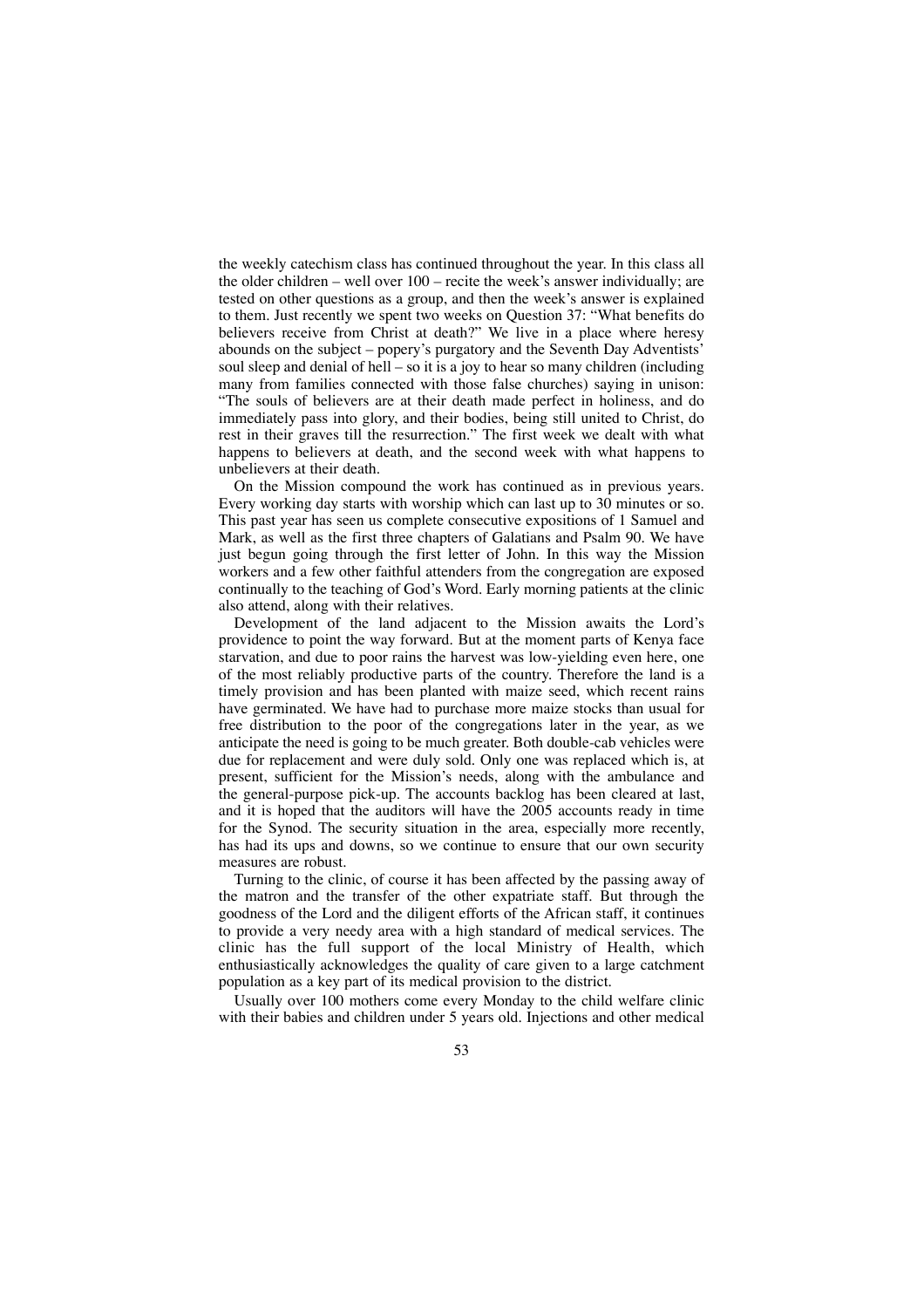the weekly catechism class has continued throughout the year. In this class all the older children – well over 100 – recite the week's answer individually; are tested on other questions as a group, and then the week's answer is explained to them. Just recently we spent two weeks on Question 37: "What benefits do believers receive from Christ at death?" We live in a place where heresy abounds on the subject – popery's purgatory and the Seventh Day Adventists' soul sleep and denial of hell – so it is a joy to hear so many children (including many from families connected with those false churches) saying in unison: "The souls of believers are at their death made perfect in holiness, and do immediately pass into glory, and their bodies, being still united to Christ, do rest in their graves till the resurrection." The first week we dealt with what happens to believers at death, and the second week with what happens to unbelievers at their death.

On the Mission compound the work has continued as in previous years. Every working day starts with worship which can last up to 30 minutes or so. This past year has seen us complete consecutive expositions of 1 Samuel and Mark, as well as the first three chapters of Galatians and Psalm 90. We have just begun going through the first letter of John. In this way the Mission workers and a few other faithful attenders from the congregation are exposed continually to the teaching of God's Word. Early morning patients at the clinic also attend, along with their relatives.

Development of the land adjacent to the Mission awaits the Lord's providence to point the way forward. But at the moment parts of Kenya face starvation, and due to poor rains the harvest was low-yielding even here, one of the most reliably productive parts of the country. Therefore the land is a timely provision and has been planted with maize seed, which recent rains have germinated. We have had to purchase more maize stocks than usual for free distribution to the poor of the congregations later in the year, as we anticipate the need is going to be much greater. Both double-cab vehicles were due for replacement and were duly sold. Only one was replaced which is, at present, sufficient for the Mission's needs, along with the ambulance and the general-purpose pick-up. The accounts backlog has been cleared at last, and it is hoped that the auditors will have the 2005 accounts ready in time for the Synod. The security situation in the area, especially more recently, has had its ups and downs, so we continue to ensure that our own security measures are robust.

Turning to the clinic, of course it has been affected by the passing away of the matron and the transfer of the other expatriate staff. But through the goodness of the Lord and the diligent efforts of the African staff, it continues to provide a very needy area with a high standard of medical services. The clinic has the full support of the local Ministry of Health, which enthusiastically acknowledges the quality of care given to a large catchment population as a key part of its medical provision to the district.

Usually over 100 mothers come every Monday to the child welfare clinic with their babies and children under 5 years old. Injections and other medical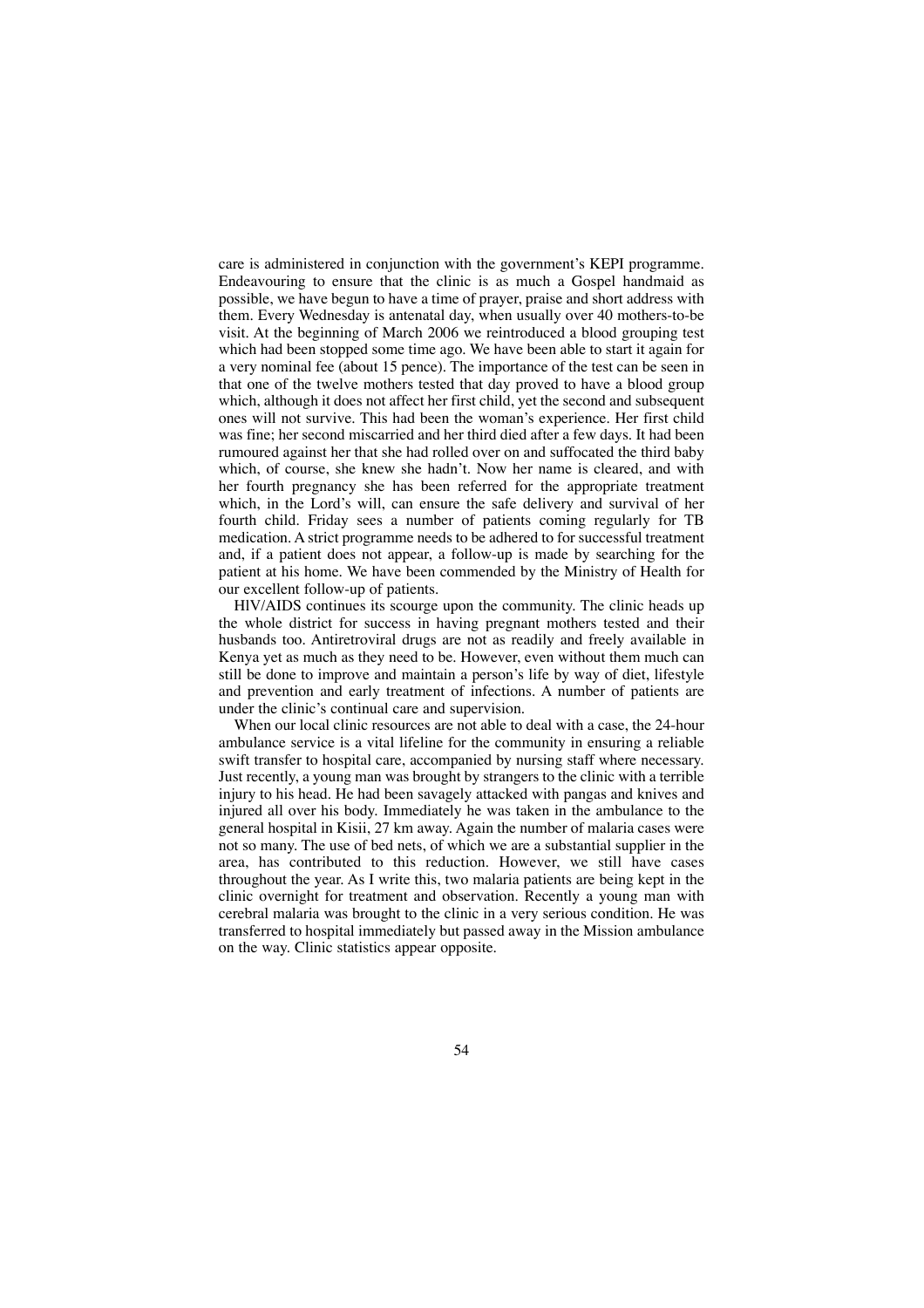care is administered in conjunction with the government's KEPI programme. Endeavouring to ensure that the clinic is as much a Gospel handmaid as possible, we have begun to have a time of prayer, praise and short address with them. Every Wednesday is antenatal day, when usually over 40 mothers-to-be visit. At the beginning of March 2006 we reintroduced a blood grouping test which had been stopped some time ago. We have been able to start it again for a very nominal fee (about 15 pence). The importance of the test can be seen in that one of the twelve mothers tested that day proved to have a blood group which, although it does not affect her first child, yet the second and subsequent ones will not survive. This had been the woman's experience. Her first child was fine; her second miscarried and her third died after a few days. It had been rumoured against her that she had rolled over on and suffocated the third baby which, of course, she knew she hadn't. Now her name is cleared, and with her fourth pregnancy she has been referred for the appropriate treatment which, in the Lord's will, can ensure the safe delivery and survival of her fourth child. Friday sees a number of patients coming regularly for TB medication. A strict programme needs to be adhered to for successful treatment and, if a patient does not appear, a follow-up is made by searching for the patient at his home. We have been commended by the Ministry of Health for our excellent follow-up of patients.

HlV/AIDS continues its scourge upon the community. The clinic heads up the whole district for success in having pregnant mothers tested and their husbands too. Antiretroviral drugs are not as readily and freely available in Kenya yet as much as they need to be. However, even without them much can still be done to improve and maintain a person's life by way of diet, lifestyle and prevention and early treatment of infections. A number of patients are under the clinic's continual care and supervision.

When our local clinic resources are not able to deal with a case, the 24-hour ambulance service is a vital lifeline for the community in ensuring a reliable swift transfer to hospital care, accompanied by nursing staff where necessary. Just recently, a young man was brought by strangers to the clinic with a terrible injury to his head. He had been savagely attacked with pangas and knives and injured all over his body. Immediately he was taken in the ambulance to the general hospital in Kisii, 27 km away. Again the number of malaria cases were not so many. The use of bed nets, of which we are a substantial supplier in the area, has contributed to this reduction. However, we still have cases throughout the year. As I write this, two malaria patients are being kept in the clinic overnight for treatment and observation. Recently a young man with cerebral malaria was brought to the clinic in a very serious condition. He was transferred to hospital immediately but passed away in the Mission ambulance on the way. Clinic statistics appear opposite.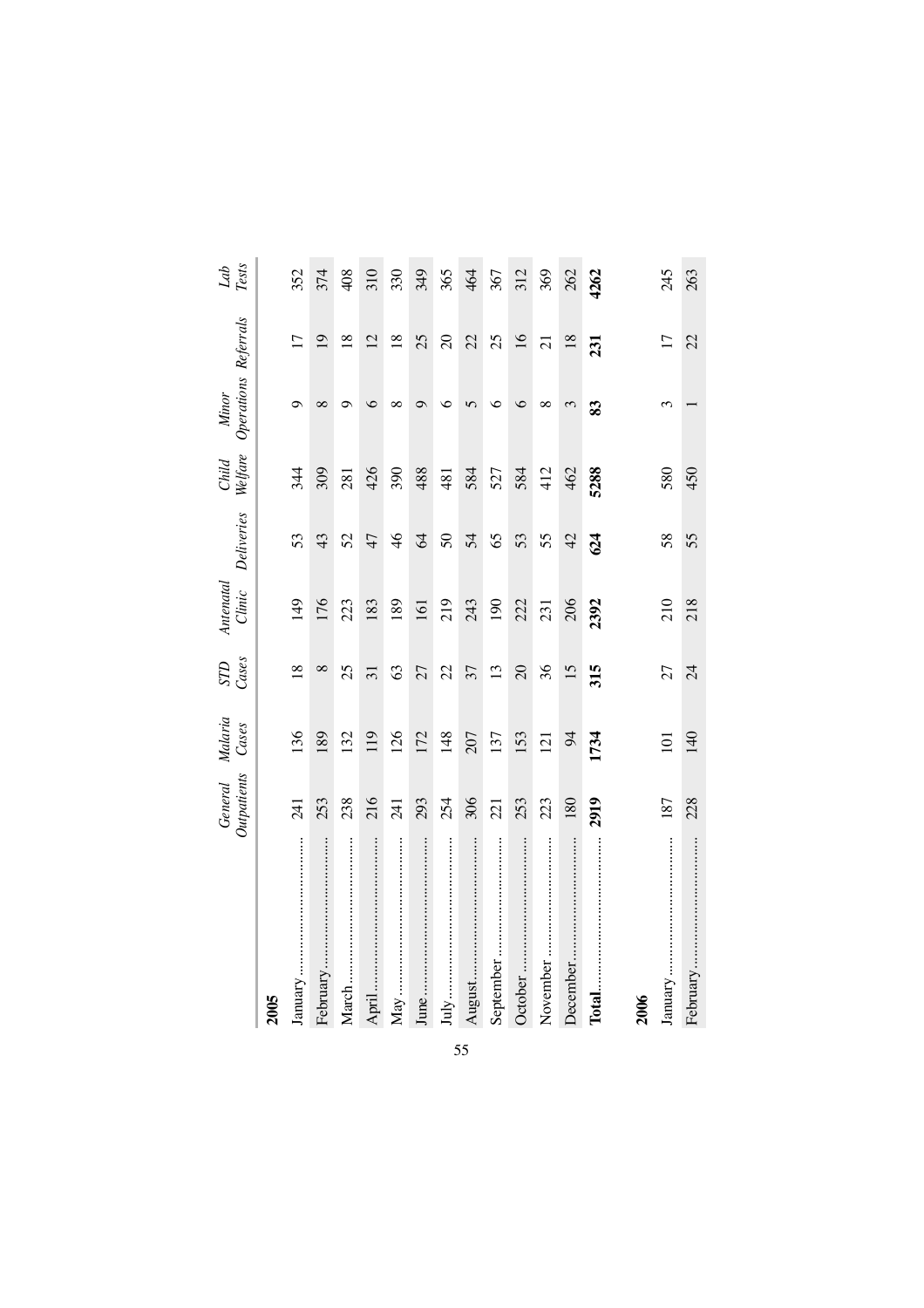|           | Outpatients<br>General | Malaria<br>Cases | STD<br>Cases    | Antenatal<br>Clinic | Deliveries    | Child<br>Welfare | Operations Referrals<br>Minor |                 | ${\it Lat}$ ${\it Test}$ |
|-----------|------------------------|------------------|-----------------|---------------------|---------------|------------------|-------------------------------|-----------------|--------------------------|
| 2005      |                        |                  |                 |                     |               |                  |                               |                 |                          |
| January   | 241                    | 136              | $\frac{8}{18}$  | 149                 | 53            | 344              | Ō                             | $\overline{17}$ | 352                      |
| February  | 253                    | 189              | $\infty$        | 176                 | 43            | 309              | $\infty$                      | $\overline{19}$ | 374                      |
| March     | 238                    | 132              | 25              | 223                 | 52            | 281              | ⌒                             | $\overline{18}$ | 408                      |
| April     | 216                    | 119              | $\overline{31}$ | 183                 | 47            | 426              | 6                             | 12              | 310                      |
|           | 241                    | 126              | 63              | 189                 | $\frac{4}{6}$ | 390              | ∞                             | $\overline{18}$ | 330                      |
|           | 293                    | 172              | 27              | 161                 | $\mathcal{Z}$ | 488              | $\sigma$                      | 25              | 349                      |
|           | 254                    | 148              | 22              | 219                 | $\mathcal{S}$ | 481              | ৩                             | $\Omega$        | 365                      |
| August    | 306                    | 207              | 37              | 243                 | 54            | 584              | $\sqrt{ }$                    | 22              | 464                      |
| September | 221                    | 137              | 13              | 190                 | 65            | 527              | ७                             | 25              | 367                      |
| October   | 253                    | 153              | $\overline{c}$  | 222                 | 53            | 584              | $\circ$                       | $16\,$          | 312                      |
| November  | 223                    | 121              | 36              | 231                 | 55            | 412              | $\infty$                      | $\overline{21}$ | 369                      |
| December  | 180                    | $\approx$        | 15              | 206                 | 42            | 462              | 3                             | $18\,$          | 262                      |
| Total     | 2919                   | 1734             | 315             | 2392                | 624           | 5288             | $\boldsymbol{3}$              | 231             | 4262                     |
| 2006      |                        |                  |                 |                     |               |                  |                               |                 |                          |
| January   | 187                    | $\Xi$            | 27              | 210                 | 58            | 580              | $\mathfrak{c}$                | $\overline{17}$ | 245                      |
| February  | 228                    | 140              | 24              | 218                 | 55            | 450              |                               | 22              | 263                      |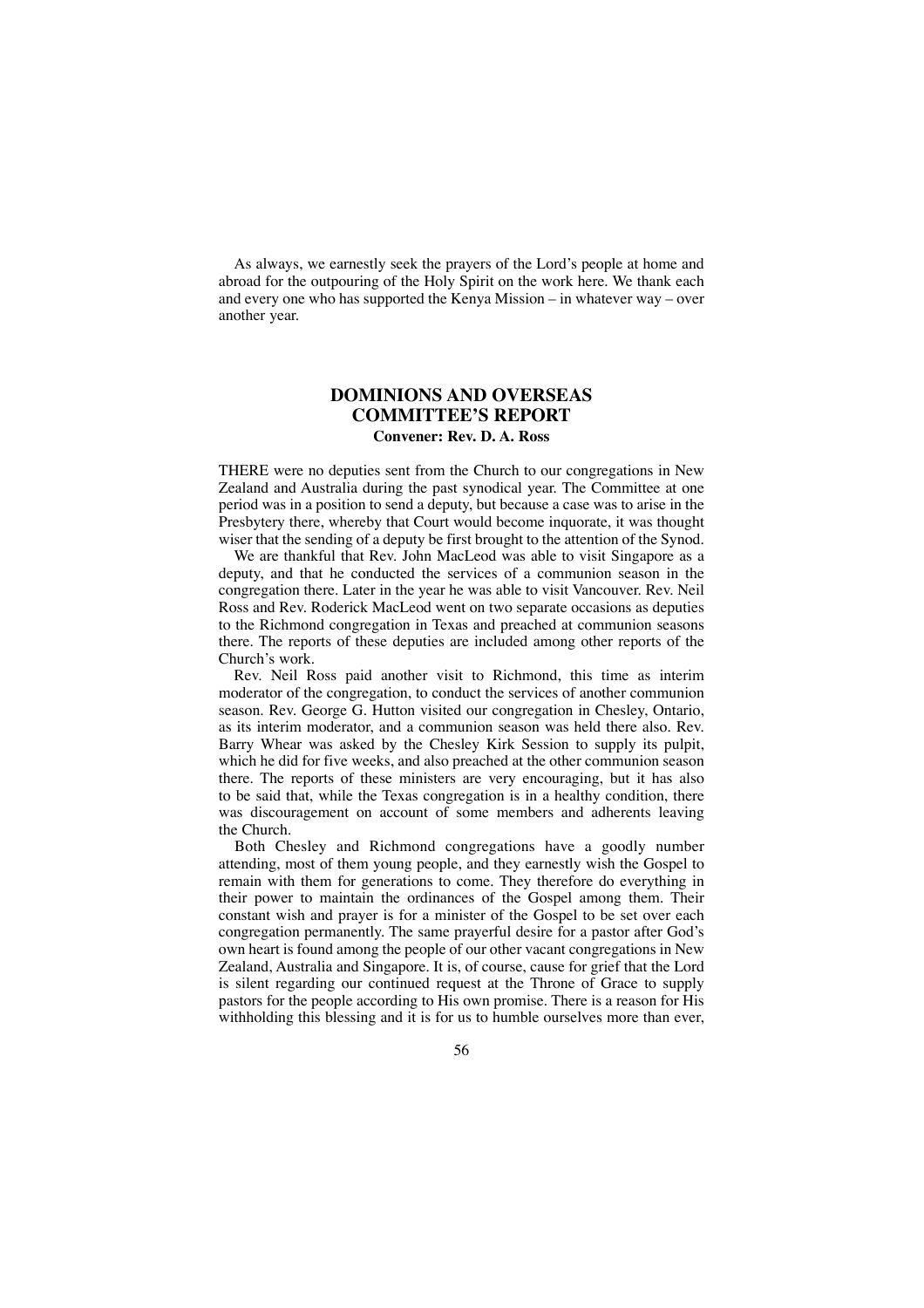As always, we earnestly seek the prayers of the Lord's people at home and abroad for the outpouring of the Holy Spirit on the work here. We thank each and every one who has supported the Kenya Mission – in whatever way – over another year.

## **DOMINIONS AND OVERSEAS COMMITTEE'S REPORT Convener: Rev. D. A. Ross**

THERE were no deputies sent from the Church to our congregations in New Zealand and Australia during the past synodical year. The Committee at one period was in a position to send a deputy, but because a case was to arise in the Presbytery there, whereby that Court would become inquorate, it was thought wiser that the sending of a deputy be first brought to the attention of the Synod.

We are thankful that Rev. John MacLeod was able to visit Singapore as a deputy, and that he conducted the services of a communion season in the congregation there. Later in the year he was able to visit Vancouver. Rev. Neil Ross and Rev. Roderick MacLeod went on two separate occasions as deputies to the Richmond congregation in Texas and preached at communion seasons there. The reports of these deputies are included among other reports of the Church's work.

Rev. Neil Ross paid another visit to Richmond, this time as interim moderator of the congregation, to conduct the services of another communion season. Rev. George G. Hutton visited our congregation in Chesley, Ontario, as its interim moderator, and a communion season was held there also. Rev. Barry Whear was asked by the Chesley Kirk Session to supply its pulpit, which he did for five weeks, and also preached at the other communion season there. The reports of these ministers are very encouraging, but it has also to be said that, while the Texas congregation is in a healthy condition, there was discouragement on account of some members and adherents leaving the Church.

Both Chesley and Richmond congregations have a goodly number attending, most of them young people, and they earnestly wish the Gospel to remain with them for generations to come. They therefore do everything in their power to maintain the ordinances of the Gospel among them. Their constant wish and prayer is for a minister of the Gospel to be set over each congregation permanently. The same prayerful desire for a pastor after God's own heart is found among the people of our other vacant congregations in New Zealand, Australia and Singapore. It is, of course, cause for grief that the Lord is silent regarding our continued request at the Throne of Grace to supply pastors for the people according to His own promise. There is a reason for His withholding this blessing and it is for us to humble ourselves more than ever,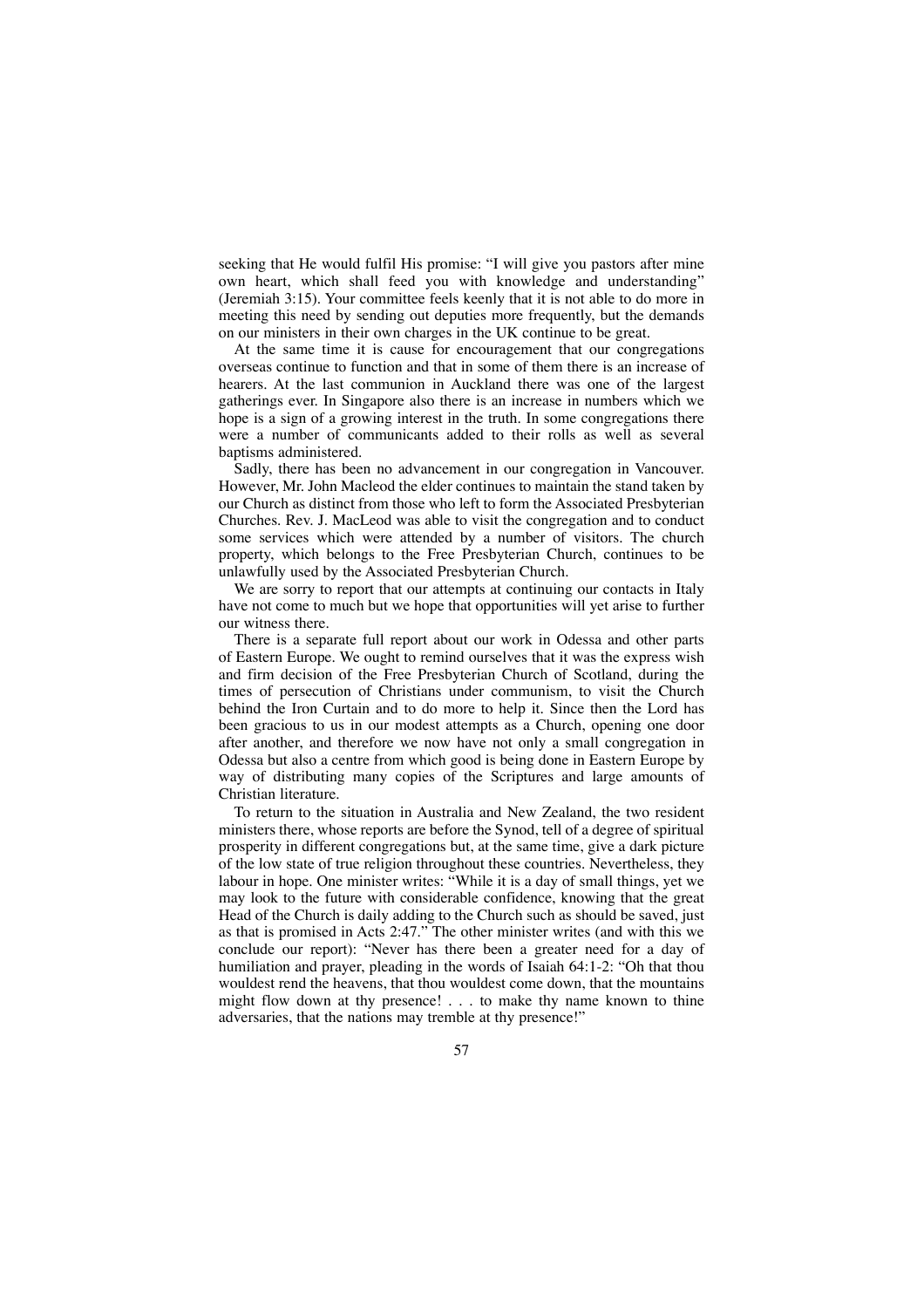seeking that He would fulfil His promise: "I will give you pastors after mine own heart, which shall feed you with knowledge and understanding" (Jeremiah 3:15). Your committee feels keenly that it is not able to do more in meeting this need by sending out deputies more frequently, but the demands on our ministers in their own charges in the UK continue to be great.

At the same time it is cause for encouragement that our congregations overseas continue to function and that in some of them there is an increase of hearers. At the last communion in Auckland there was one of the largest gatherings ever. In Singapore also there is an increase in numbers which we hope is a sign of a growing interest in the truth. In some congregations there were a number of communicants added to their rolls as well as several baptisms administered.

Sadly, there has been no advancement in our congregation in Vancouver. However, Mr. John Macleod the elder continues to maintain the stand taken by our Church as distinct from those who left to form the Associated Presbyterian Churches. Rev. J. MacLeod was able to visit the congregation and to conduct some services which were attended by a number of visitors. The church property, which belongs to the Free Presbyterian Church, continues to be unlawfully used by the Associated Presbyterian Church.

We are sorry to report that our attempts at continuing our contacts in Italy have not come to much but we hope that opportunities will yet arise to further our witness there.

There is a separate full report about our work in Odessa and other parts of Eastern Europe. We ought to remind ourselves that it was the express wish and firm decision of the Free Presbyterian Church of Scotland, during the times of persecution of Christians under communism, to visit the Church behind the Iron Curtain and to do more to help it. Since then the Lord has been gracious to us in our modest attempts as a Church, opening one door after another, and therefore we now have not only a small congregation in Odessa but also a centre from which good is being done in Eastern Europe by way of distributing many copies of the Scriptures and large amounts of Christian literature.

To return to the situation in Australia and New Zealand, the two resident ministers there, whose reports are before the Synod, tell of a degree of spiritual prosperity in different congregations but, at the same time, give a dark picture of the low state of true religion throughout these countries. Nevertheless, they labour in hope. One minister writes: "While it is a day of small things, yet we may look to the future with considerable confidence, knowing that the great Head of the Church is daily adding to the Church such as should be saved, just as that is promised in Acts 2:47." The other minister writes (and with this we conclude our report): "Never has there been a greater need for a day of humiliation and prayer, pleading in the words of Isaiah 64:1-2: "Oh that thou wouldest rend the heavens, that thou wouldest come down, that the mountains might flow down at thy presence! . . . to make thy name known to thine adversaries, that the nations may tremble at thy presence!"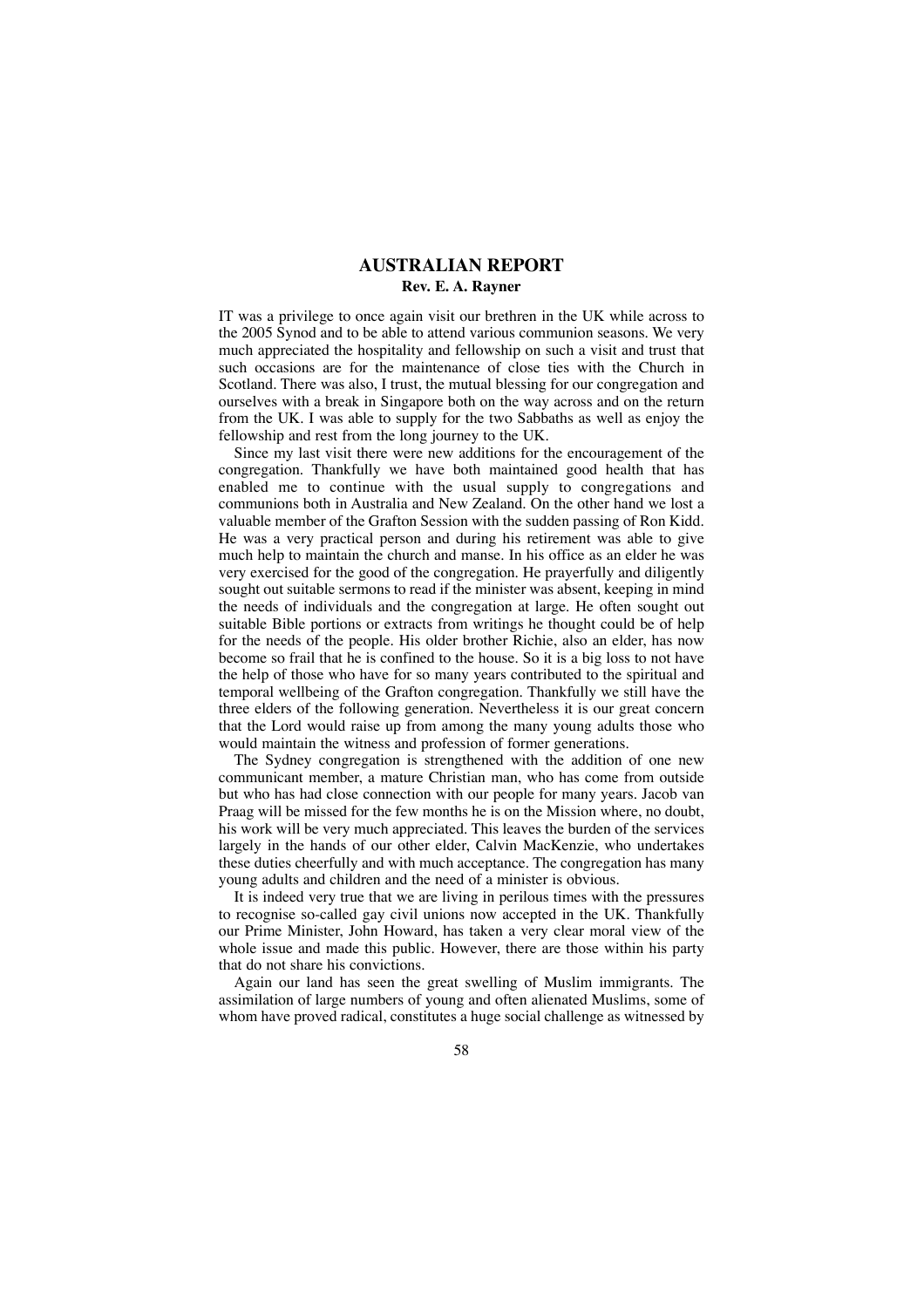## **AUSTRALIAN REPORT Rev. E. A. Rayner**

IT was a privilege to once again visit our brethren in the UK while across to the 2005 Synod and to be able to attend various communion seasons. We very much appreciated the hospitality and fellowship on such a visit and trust that such occasions are for the maintenance of close ties with the Church in Scotland. There was also, I trust, the mutual blessing for our congregation and ourselves with a break in Singapore both on the way across and on the return from the UK. I was able to supply for the two Sabbaths as well as enjoy the fellowship and rest from the long journey to the UK.

Since my last visit there were new additions for the encouragement of the congregation. Thankfully we have both maintained good health that has enabled me to continue with the usual supply to congregations and communions both in Australia and New Zealand. On the other hand we lost a valuable member of the Grafton Session with the sudden passing of Ron Kidd. He was a very practical person and during his retirement was able to give much help to maintain the church and manse. In his office as an elder he was very exercised for the good of the congregation. He prayerfully and diligently sought out suitable sermons to read if the minister was absent, keeping in mind the needs of individuals and the congregation at large. He often sought out suitable Bible portions or extracts from writings he thought could be of help for the needs of the people. His older brother Richie, also an elder, has now become so frail that he is confined to the house. So it is a big loss to not have the help of those who have for so many years contributed to the spiritual and temporal wellbeing of the Grafton congregation. Thankfully we still have the three elders of the following generation. Nevertheless it is our great concern that the Lord would raise up from among the many young adults those who would maintain the witness and profession of former generations.

The Sydney congregation is strengthened with the addition of one new communicant member, a mature Christian man, who has come from outside but who has had close connection with our people for many years. Jacob van Praag will be missed for the few months he is on the Mission where, no doubt, his work will be very much appreciated. This leaves the burden of the services largely in the hands of our other elder, Calvin MacKenzie, who undertakes these duties cheerfully and with much acceptance. The congregation has many young adults and children and the need of a minister is obvious.

It is indeed very true that we are living in perilous times with the pressures to recognise so-called gay civil unions now accepted in the UK. Thankfully our Prime Minister, John Howard, has taken a very clear moral view of the whole issue and made this public. However, there are those within his party that do not share his convictions.

Again our land has seen the great swelling of Muslim immigrants. The assimilation of large numbers of young and often alienated Muslims, some of whom have proved radical, constitutes a huge social challenge as witnessed by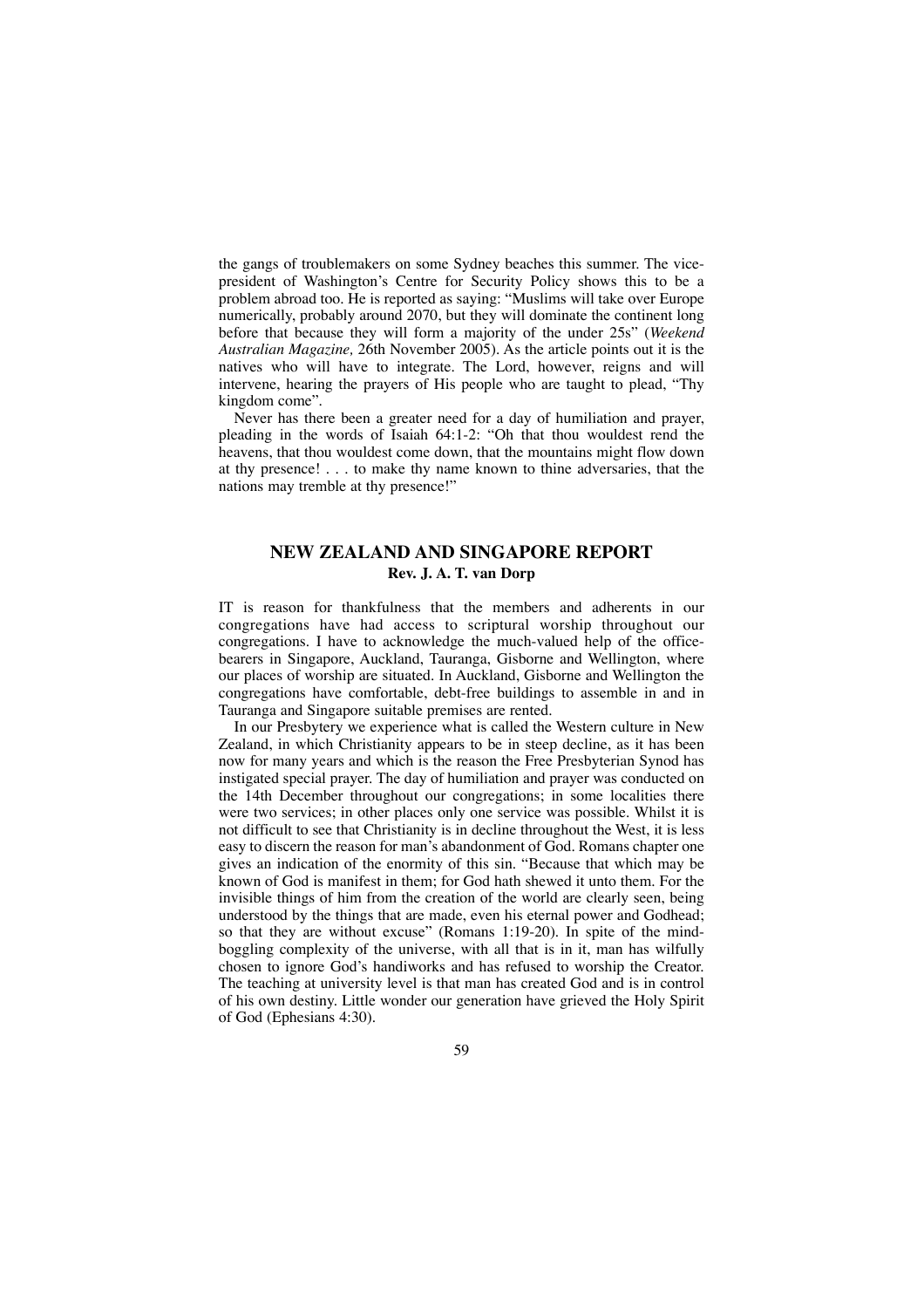the gangs of troublemakers on some Sydney beaches this summer. The vicepresident of Washington's Centre for Security Policy shows this to be a problem abroad too. He is reported as saying: "Muslims will take over Europe numerically, probably around 2070, but they will dominate the continent long before that because they will form a majority of the under 25s" (*Weekend Australian Magazine,* 26th November 2005). As the article points out it is the natives who will have to integrate. The Lord, however, reigns and will intervene, hearing the prayers of His people who are taught to plead, "Thy kingdom come".

Never has there been a greater need for a day of humiliation and prayer, pleading in the words of Isaiah 64:1-2: "Oh that thou wouldest rend the heavens, that thou wouldest come down, that the mountains might flow down at thy presence! . . . to make thy name known to thine adversaries, that the nations may tremble at thy presence!"

# **NEW ZEALAND AND SINGAPORE REPORT Rev. J. A. T. van Dorp**

IT is reason for thankfulness that the members and adherents in our congregations have had access to scriptural worship throughout our congregations. I have to acknowledge the much-valued help of the officebearers in Singapore, Auckland, Tauranga, Gisborne and Wellington, where our places of worship are situated. In Auckland, Gisborne and Wellington the congregations have comfortable, debt-free buildings to assemble in and in Tauranga and Singapore suitable premises are rented.

In our Presbytery we experience what is called the Western culture in New Zealand, in which Christianity appears to be in steep decline, as it has been now for many years and which is the reason the Free Presbyterian Synod has instigated special prayer. The day of humiliation and prayer was conducted on the 14th December throughout our congregations; in some localities there were two services; in other places only one service was possible. Whilst it is not difficult to see that Christianity is in decline throughout the West, it is less easy to discern the reason for man's abandonment of God. Romans chapter one gives an indication of the enormity of this sin. "Because that which may be known of God is manifest in them; for God hath shewed it unto them. For the invisible things of him from the creation of the world are clearly seen, being understood by the things that are made, even his eternal power and Godhead; so that they are without excuse" (Romans 1:19-20). In spite of the mindboggling complexity of the universe, with all that is in it, man has wilfully chosen to ignore God's handiworks and has refused to worship the Creator. The teaching at university level is that man has created God and is in control of his own destiny. Little wonder our generation have grieved the Holy Spirit of God (Ephesians 4:30).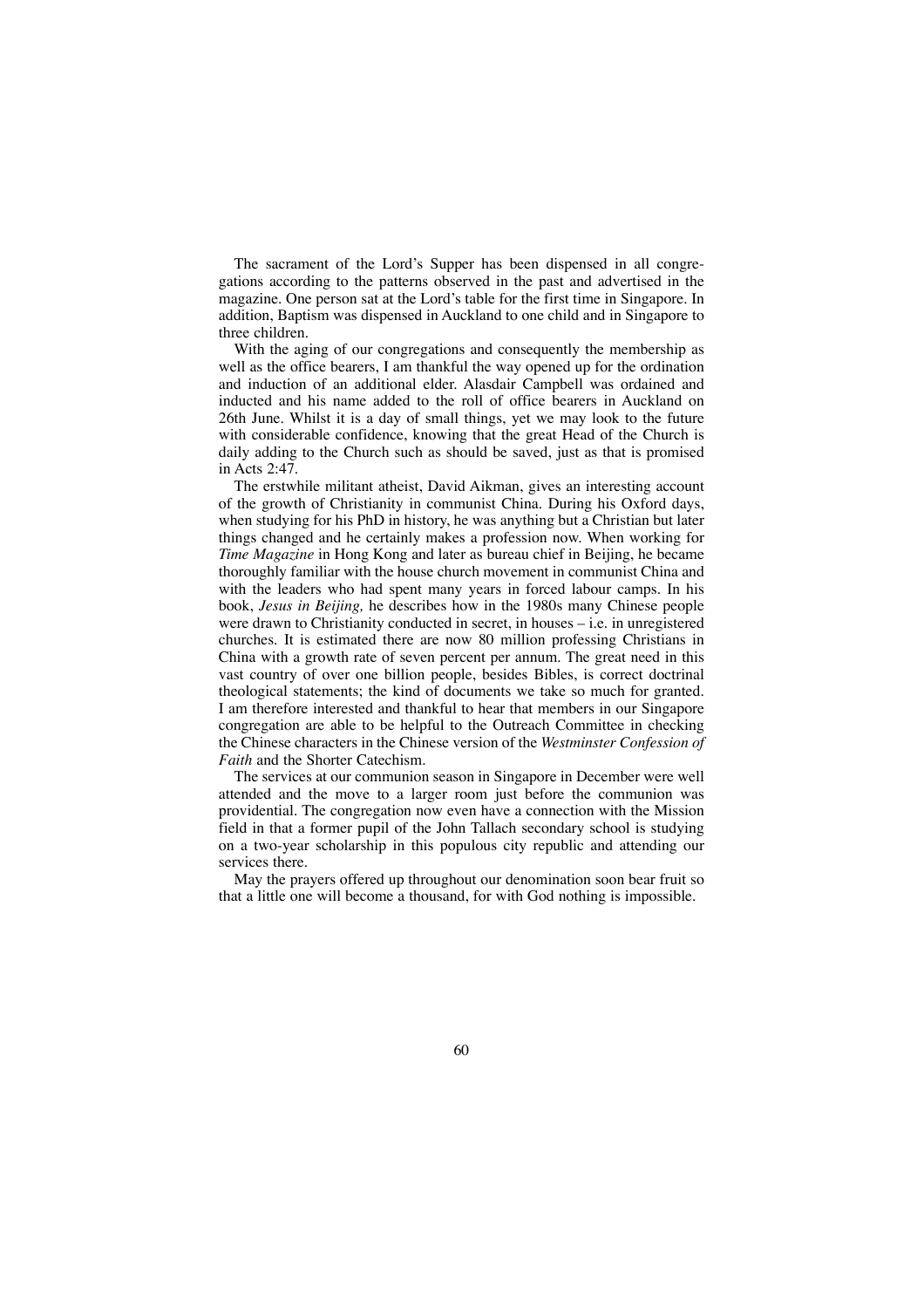The sacrament of the Lord's Supper has been dispensed in all congregations according to the patterns observed in the past and advertised in the magazine. One person sat at the Lord's table for the first time in Singapore. In addition, Baptism was dispensed in Auckland to one child and in Singapore to three children.

With the aging of our congregations and consequently the membership as well as the office bearers, I am thankful the way opened up for the ordination and induction of an additional elder. Alasdair Campbell was ordained and inducted and his name added to the roll of office bearers in Auckland on 26th June. Whilst it is a day of small things, yet we may look to the future with considerable confidence, knowing that the great Head of the Church is daily adding to the Church such as should be saved, just as that is promised in Acts 2:47.

The erstwhile militant atheist, David Aikman, gives an interesting account of the growth of Christianity in communist China. During his Oxford days, when studying for his PhD in history, he was anything but a Christian but later things changed and he certainly makes a profession now. When working for *Time Magazine* in Hong Kong and later as bureau chief in Beijing, he became thoroughly familiar with the house church movement in communist China and with the leaders who had spent many years in forced labour camps. In his book, *Jesus in Beijing,* he describes how in the 1980s many Chinese people were drawn to Christianity conducted in secret, in houses – i.e. in unregistered churches. It is estimated there are now 80 million professing Christians in China with a growth rate of seven percent per annum. The great need in this vast country of over one billion people, besides Bibles, is correct doctrinal theological statements; the kind of documents we take so much for granted. I am therefore interested and thankful to hear that members in our Singapore congregation are able to be helpful to the Outreach Committee in checking the Chinese characters in the Chinese version of the *Westminster Confession of Faith* and the Shorter Catechism.

The services at our communion season in Singapore in December were well attended and the move to a larger room just before the communion was providential. The congregation now even have a connection with the Mission field in that a former pupil of the John Tallach secondary school is studying on a two-year scholarship in this populous city republic and attending our services there.

May the prayers offered up throughout our denomination soon bear fruit so that a little one will become a thousand, for with God nothing is impossible.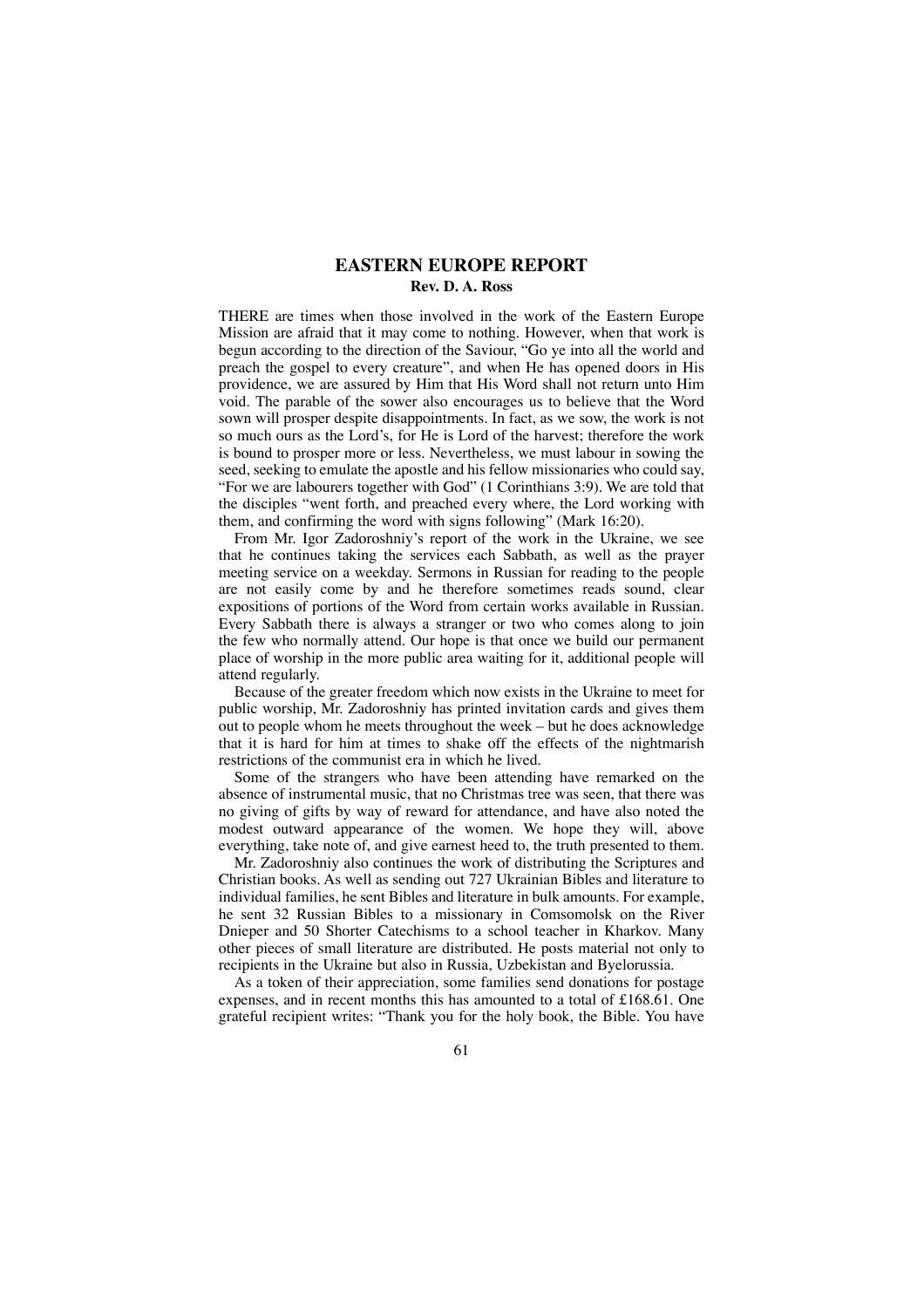### **EASTERN EUROPE REPORT Rev. D. A. Ross**

THERE are times when those involved in the work of the Eastern Europe Mission are afraid that it may come to nothing. However, when that work is begun according to the direction of the Saviour, "Go ye into all the world and preach the gospel to every creature", and when He has opened doors in His providence, we are assured by Him that His Word shall not return unto Him void. The parable of the sower also encourages us to believe that the Word sown will prosper despite disappointments. In fact, as we sow, the work is not so much ours as the Lord's, for He is Lord of the harvest; therefore the work is bound to prosper more or less. Nevertheless, we must labour in sowing the seed, seeking to emulate the apostle and his fellow missionaries who could say, "For we are labourers together with God" (1 Corinthians 3:9). We are told that the disciples "went forth, and preached every where, the Lord working with them, and confirming the word with signs following" (Mark 16:20).

From Mr. Igor Zadoroshniy's report of the work in the Ukraine, we see that he continues taking the services each Sabbath, as well as the prayer meeting service on a weekday. Sermons in Russian for reading to the people are not easily come by and he therefore sometimes reads sound, clear expositions of portions of the Word from certain works available in Russian. Every Sabbath there is always a stranger or two who comes along to join the few who normally attend. Our hope is that once we build our permanent place of worship in the more public area waiting for it, additional people will attend regularly.

Because of the greater freedom which now exists in the Ukraine to meet for public worship, Mr. Zadoroshniy has printed invitation cards and gives them out to people whom he meets throughout the week – but he does acknowledge that it is hard for him at times to shake off the effects of the nightmarish restrictions of the communist era in which he lived.

Some of the strangers who have been attending have remarked on the absence of instrumental music, that no Christmas tree was seen, that there was no giving of gifts by way of reward for attendance, and have also noted the modest outward appearance of the women. We hope they will, above everything, take note of, and give earnest heed to, the truth presented to them.

Mr. Zadoroshniy also continues the work of distributing the Scriptures and Christian books. As well as sending out 727 Ukrainian Bibles and literature to individual families, he sent Bibles and literature in bulk amounts. For example, he sent 32 Russian Bibles to a missionary in Comsomolsk on the River Dnieper and 50 Shorter Catechisms to a school teacher in Kharkov. Many other pieces of small literature are distributed. He posts material not only to recipients in the Ukraine but also in Russia, Uzbekistan and Byelorussia.

As a token of their appreciation, some families send donations for postage expenses, and in recent months this has amounted to a total of £168.61. One grateful recipient writes: "Thank you for the holy book, the Bible. You have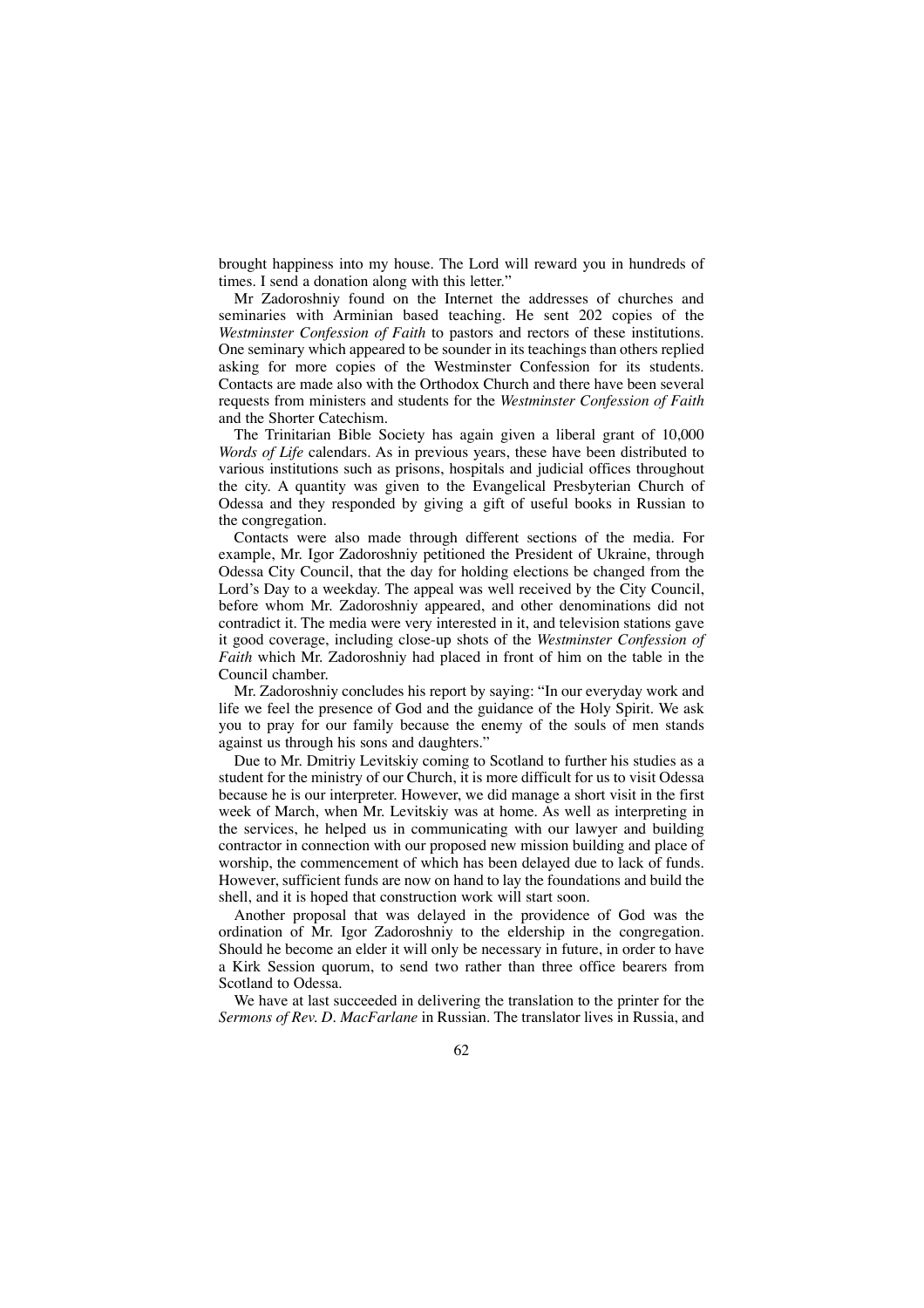brought happiness into my house. The Lord will reward you in hundreds of times. I send a donation along with this letter."

Mr Zadoroshniy found on the Internet the addresses of churches and seminaries with Arminian based teaching. He sent 202 copies of the *Westminster Confession of Faith* to pastors and rectors of these institutions. One seminary which appeared to be sounder in its teachings than others replied asking for more copies of the Westminster Confession for its students. Contacts are made also with the Orthodox Church and there have been several requests from ministers and students for the *Westminster Confession of Faith* and the Shorter Catechism.

The Trinitarian Bible Society has again given a liberal grant of 10,000 *Words of Life* calendars. As in previous years, these have been distributed to various institutions such as prisons, hospitals and judicial offices throughout the city. A quantity was given to the Evangelical Presbyterian Church of Odessa and they responded by giving a gift of useful books in Russian to the congregation.

Contacts were also made through different sections of the media. For example, Mr. Igor Zadoroshniy petitioned the President of Ukraine, through Odessa City Council, that the day for holding elections be changed from the Lord's Day to a weekday. The appeal was well received by the City Council, before whom Mr. Zadoroshniy appeared, and other denominations did not contradict it. The media were very interested in it, and television stations gave it good coverage, including close-up shots of the *Westminster Confession of Faith* which Mr. Zadoroshniy had placed in front of him on the table in the Council chamber.

Mr. Zadoroshniy concludes his report by saying: "In our everyday work and life we feel the presence of God and the guidance of the Holy Spirit. We ask you to pray for our family because the enemy of the souls of men stands against us through his sons and daughters."

Due to Mr. Dmitriy Levitskiy coming to Scotland to further his studies as a student for the ministry of our Church, it is more difficult for us to visit Odessa because he is our interpreter. However, we did manage a short visit in the first week of March, when Mr. Levitskiy was at home. As well as interpreting in the services, he helped us in communicating with our lawyer and building contractor in connection with our proposed new mission building and place of worship, the commencement of which has been delayed due to lack of funds. However, sufficient funds are now on hand to lay the foundations and build the shell, and it is hoped that construction work will start soon.

Another proposal that was delayed in the providence of God was the ordination of Mr. Igor Zadoroshniy to the eldership in the congregation. Should he become an elder it will only be necessary in future, in order to have a Kirk Session quorum, to send two rather than three office bearers from Scotland to Odessa.

We have at last succeeded in delivering the translation to the printer for the *Sermons of Rev. D. MacFarlane* in Russian. The translator lives in Russia, and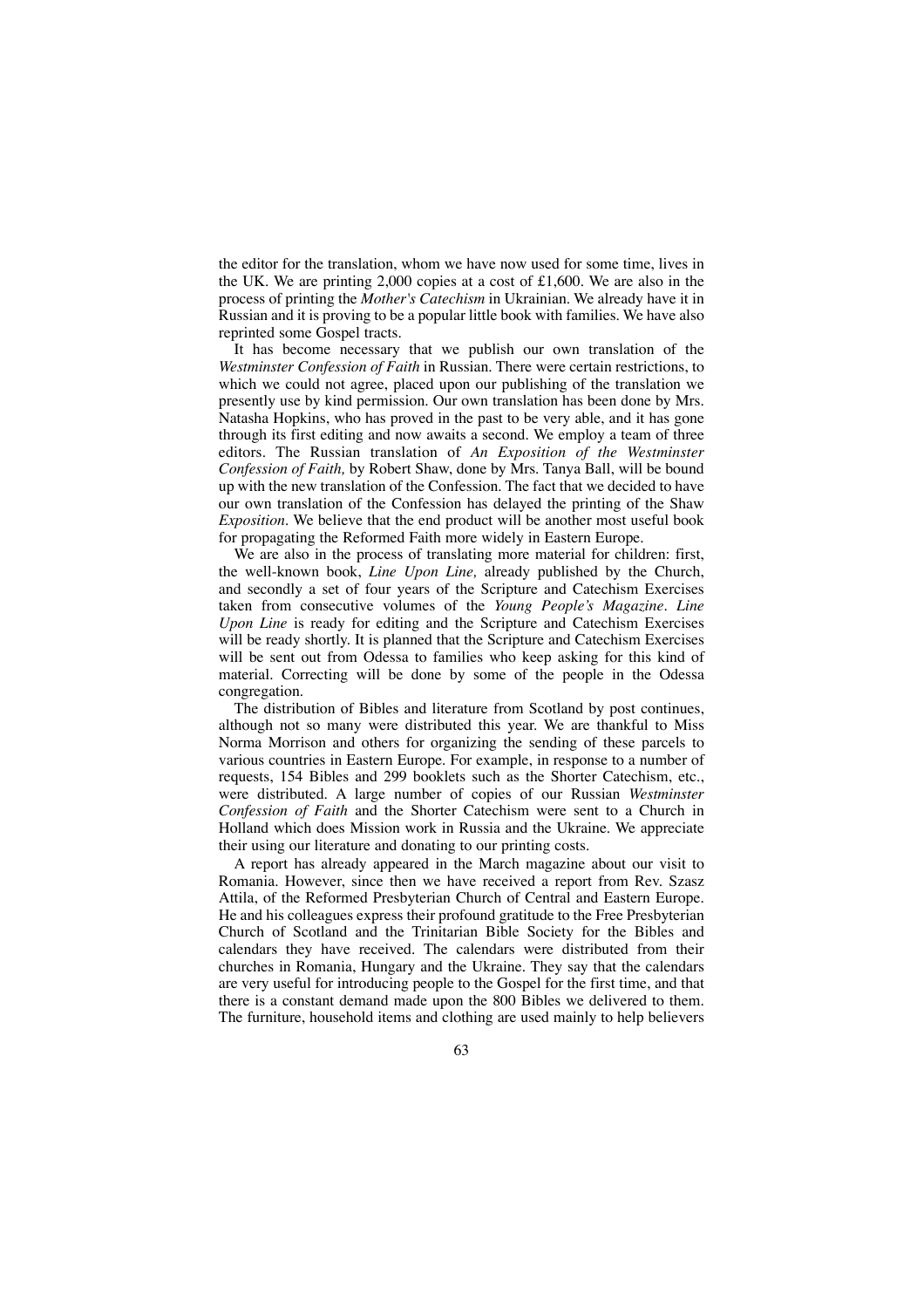the editor for the translation, whom we have now used for some time, lives in the UK. We are printing 2,000 copies at a cost of £1,600. We are also in the process of printing the *Mother's Catechism* in Ukrainian. We already have it in Russian and it is proving to be a popular little book with families. We have also reprinted some Gospel tracts.

It has become necessary that we publish our own translation of the *Westminster Confession of Faith* in Russian. There were certain restrictions, to which we could not agree, placed upon our publishing of the translation we presently use by kind permission. Our own translation has been done by Mrs. Natasha Hopkins, who has proved in the past to be very able, and it has gone through its first editing and now awaits a second. We employ a team of three editors. The Russian translation of *An Exposition of the Westminster Confession of Faith,* by Robert Shaw, done by Mrs. Tanya Ball, will be bound up with the new translation of the Confession. The fact that we decided to have our own translation of the Confession has delayed the printing of the Shaw *Exposition*. We believe that the end product will be another most useful book for propagating the Reformed Faith more widely in Eastern Europe.

We are also in the process of translating more material for children: first, the well-known book, *Line Upon Line,* already published by the Church, and secondly a set of four years of the Scripture and Catechism Exercises taken from consecutive volumes of the *Young People's Magazine. Line Upon Line* is ready for editing and the Scripture and Catechism Exercises will be ready shortly. It is planned that the Scripture and Catechism Exercises will be sent out from Odessa to families who keep asking for this kind of material. Correcting will be done by some of the people in the Odessa congregation.

The distribution of Bibles and literature from Scotland by post continues, although not so many were distributed this year. We are thankful to Miss Norma Morrison and others for organizing the sending of these parcels to various countries in Eastern Europe. For example, in response to a number of requests, 154 Bibles and 299 booklets such as the Shorter Catechism, etc., were distributed. A large number of copies of our Russian *Westminster Confession of Faith* and the Shorter Catechism were sent to a Church in Holland which does Mission work in Russia and the Ukraine. We appreciate their using our literature and donating to our printing costs.

A report has already appeared in the March magazine about our visit to Romania. However, since then we have received a report from Rev. Szasz Attila, of the Reformed Presbyterian Church of Central and Eastern Europe. He and his colleagues express their profound gratitude to the Free Presbyterian Church of Scotland and the Trinitarian Bible Society for the Bibles and calendars they have received. The calendars were distributed from their churches in Romania, Hungary and the Ukraine. They say that the calendars are very useful for introducing people to the Gospel for the first time, and that there is a constant demand made upon the 800 Bibles we delivered to them. The furniture, household items and clothing are used mainly to help believers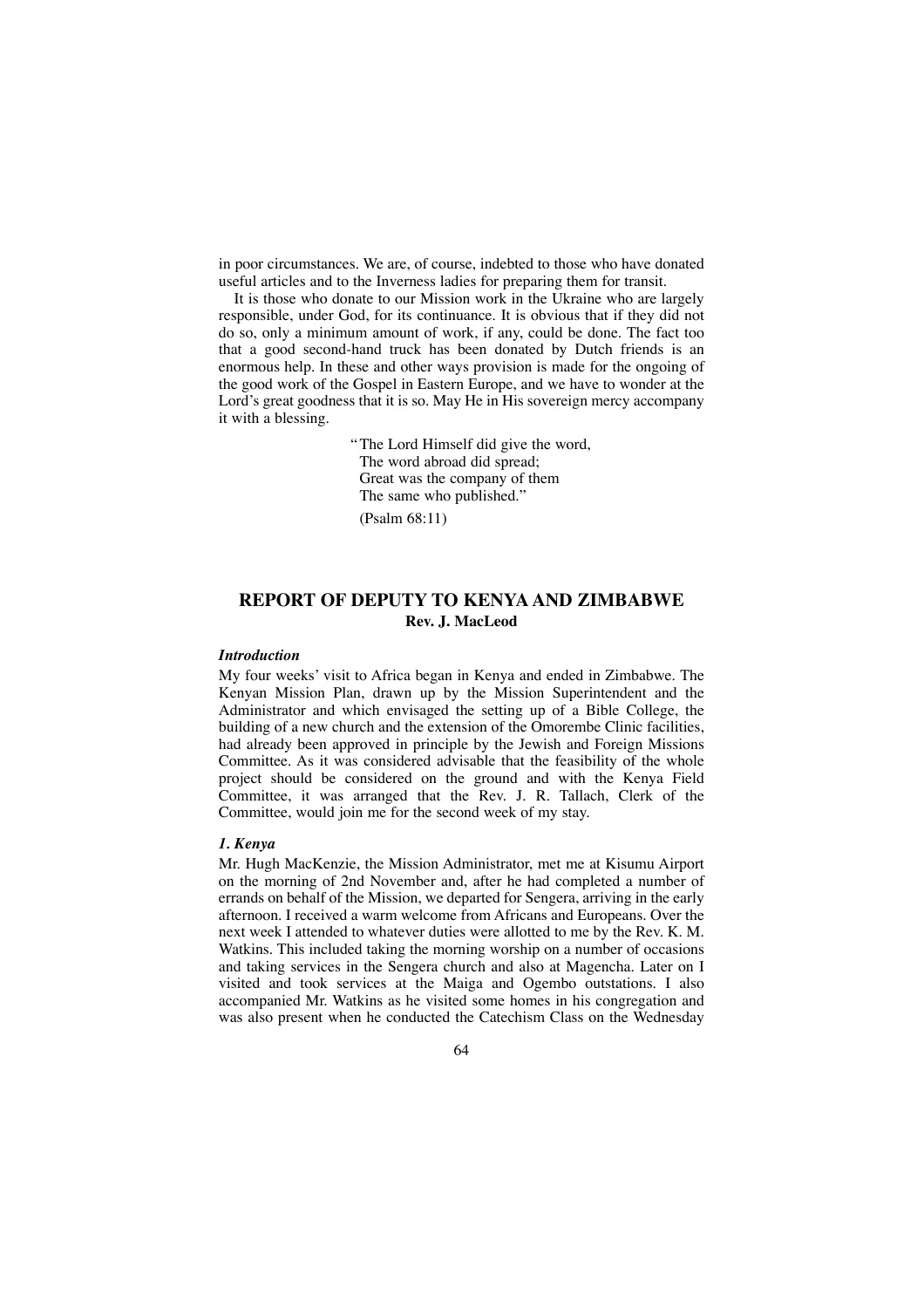in poor circumstances. We are, of course, indebted to those who have donated useful articles and to the Inverness ladies for preparing them for transit.

It is those who donate to our Mission work in the Ukraine who are largely responsible, under God, for its continuance. It is obvious that if they did not do so, only a minimum amount of work, if any, could be done. The fact too that a good second-hand truck has been donated by Dutch friends is an enormous help. In these and other ways provision is made for the ongoing of the good work of the Gospel in Eastern Europe, and we have to wonder at the Lord's great goodness that it is so. May He in His sovereign mercy accompany it with a blessing.

> "The Lord Himself did give the word, The word abroad did spread; Great was the company of them The same who published."

(Psalm 68:11)

# **REPORT OF DEPUTY TO KENYA AND ZIMBABWE Rev. J. MacLeod**

### *Introduction*

My four weeks' visit to Africa began in Kenya and ended in Zimbabwe. The Kenyan Mission Plan, drawn up by the Mission Superintendent and the Administrator and which envisaged the setting up of a Bible College, the building of a new church and the extension of the Omorembe Clinic facilities, had already been approved in principle by the Jewish and Foreign Missions Committee. As it was considered advisable that the feasibility of the whole project should be considered on the ground and with the Kenya Field Committee, it was arranged that the Rev. J. R. Tallach, Clerk of the Committee, would join me for the second week of my stay.

#### *1. Kenya*

Mr. Hugh MacKenzie, the Mission Administrator, met me at Kisumu Airport on the morning of 2nd November and, after he had completed a number of errands on behalf of the Mission, we departed for Sengera, arriving in the early afternoon. I received a warm welcome from Africans and Europeans. Over the next week I attended to whatever duties were allotted to me by the Rev. K. M. Watkins. This included taking the morning worship on a number of occasions and taking services in the Sengera church and also at Magencha. Later on I visited and took services at the Maiga and Ogembo outstations. I also accompanied Mr. Watkins as he visited some homes in his congregation and was also present when he conducted the Catechism Class on the Wednesday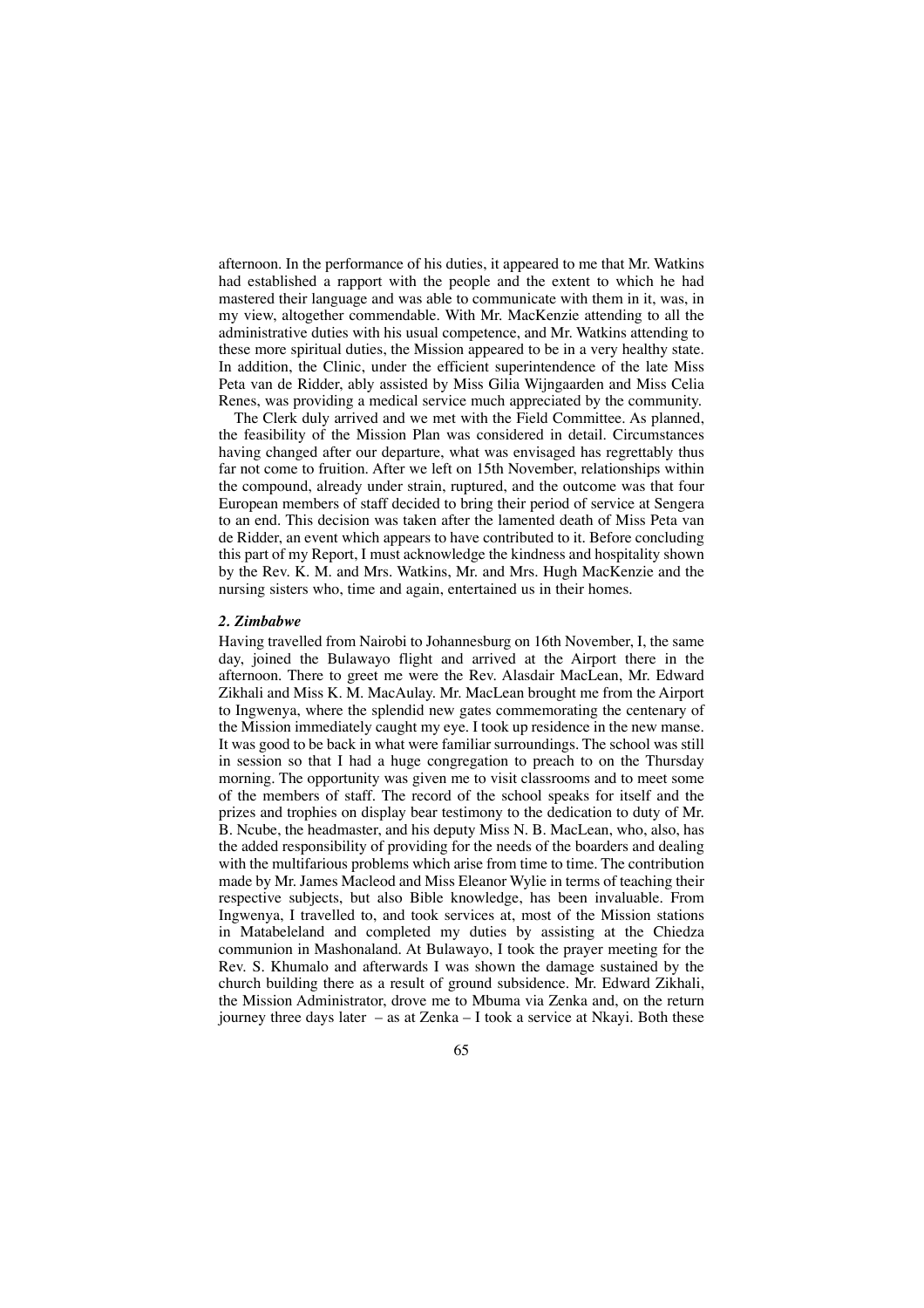afternoon. In the performance of his duties, it appeared to me that Mr. Watkins had established a rapport with the people and the extent to which he had mastered their language and was able to communicate with them in it, was, in my view, altogether commendable. With Mr. MacKenzie attending to all the administrative duties with his usual competence, and Mr. Watkins attending to these more spiritual duties, the Mission appeared to be in a very healthy state. In addition, the Clinic, under the efficient superintendence of the late Miss Peta van de Ridder, ably assisted by Miss Gilia Wijngaarden and Miss Celia Renes, was providing a medical service much appreciated by the community.

The Clerk duly arrived and we met with the Field Committee. As planned, the feasibility of the Mission Plan was considered in detail. Circumstances having changed after our departure, what was envisaged has regrettably thus far not come to fruition. After we left on 15th November, relationships within the compound, already under strain, ruptured, and the outcome was that four European members of staff decided to bring their period of service at Sengera to an end. This decision was taken after the lamented death of Miss Peta van de Ridder, an event which appears to have contributed to it. Before concluding this part of my Report, I must acknowledge the kindness and hospitality shown by the Rev. K. M. and Mrs. Watkins, Mr. and Mrs. Hugh MacKenzie and the nursing sisters who, time and again, entertained us in their homes.

#### *2. Zimbabwe*

Having travelled from Nairobi to Johannesburg on 16th November, I, the same day, joined the Bulawayo flight and arrived at the Airport there in the afternoon. There to greet me were the Rev. Alasdair MacLean, Mr. Edward Zikhali and Miss K. M. MacAulay. Mr. MacLean brought me from the Airport to Ingwenya, where the splendid new gates commemorating the centenary of the Mission immediately caught my eye. I took up residence in the new manse. It was good to be back in what were familiar surroundings. The school was still in session so that I had a huge congregation to preach to on the Thursday morning. The opportunity was given me to visit classrooms and to meet some of the members of staff. The record of the school speaks for itself and the prizes and trophies on display bear testimony to the dedication to duty of Mr. B. Ncube, the headmaster, and his deputy Miss N. B. MacLean, who, also, has the added responsibility of providing for the needs of the boarders and dealing with the multifarious problems which arise from time to time. The contribution made by Mr. James Macleod and Miss Eleanor Wylie in terms of teaching their respective subjects, but also Bible knowledge, has been invaluable. From Ingwenya, I travelled to, and took services at, most of the Mission stations in Matabeleland and completed my duties by assisting at the Chiedza communion in Mashonaland. At Bulawayo, I took the prayer meeting for the Rev. S. Khumalo and afterwards I was shown the damage sustained by the church building there as a result of ground subsidence. Mr. Edward Zikhali, the Mission Administrator, drove me to Mbuma via Zenka and, on the return journey three days later – as at Zenka – I took a service at Nkayi. Both these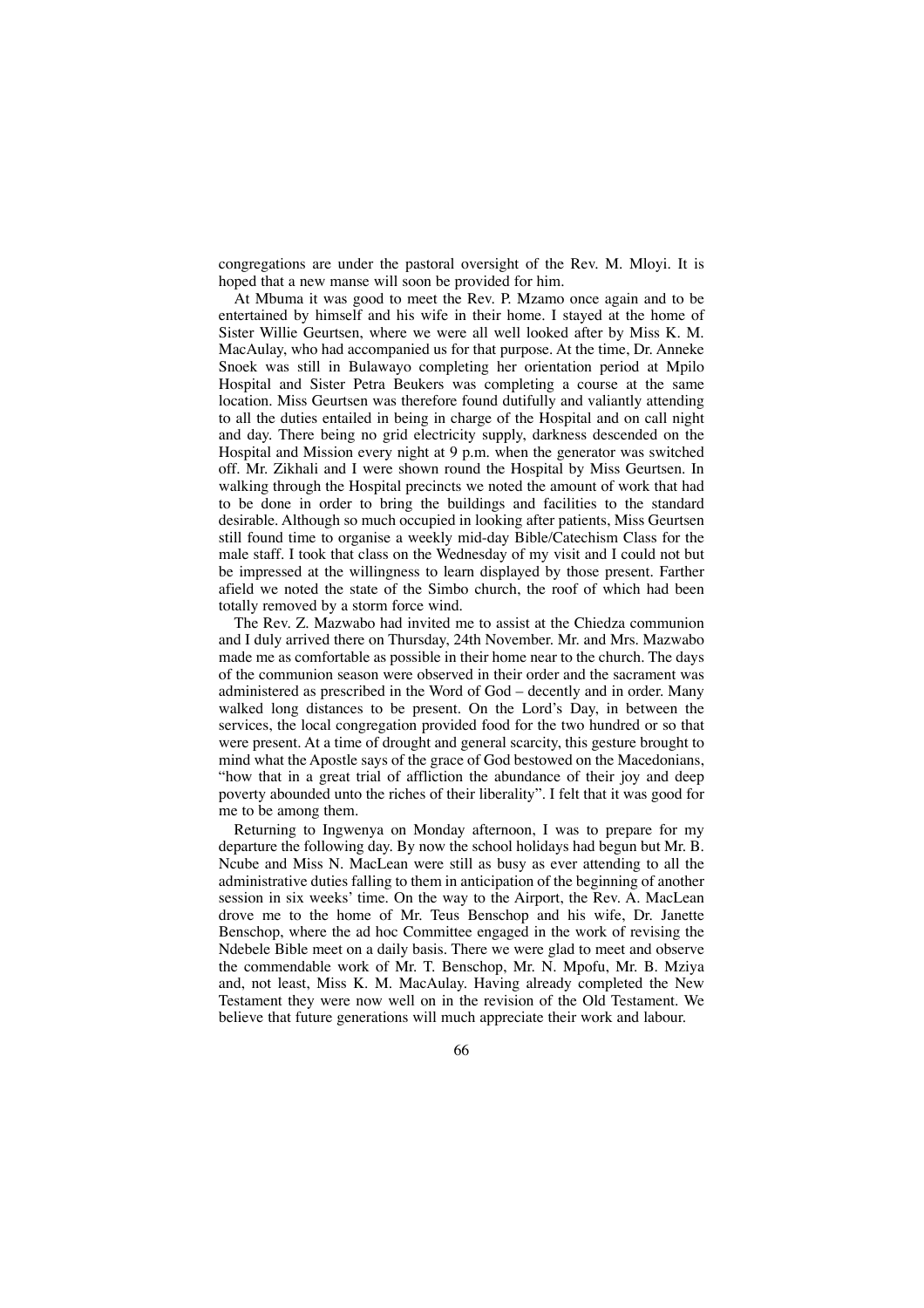congregations are under the pastoral oversight of the Rev. M. Mloyi. It is hoped that a new manse will soon be provided for him.

At Mbuma it was good to meet the Rev. P. Mzamo once again and to be entertained by himself and his wife in their home. I stayed at the home of Sister Willie Geurtsen, where we were all well looked after by Miss K. M. MacAulay, who had accompanied us for that purpose. At the time, Dr. Anneke Snoek was still in Bulawayo completing her orientation period at Mpilo Hospital and Sister Petra Beukers was completing a course at the same location. Miss Geurtsen was therefore found dutifully and valiantly attending to all the duties entailed in being in charge of the Hospital and on call night and day. There being no grid electricity supply, darkness descended on the Hospital and Mission every night at 9 p.m. when the generator was switched off. Mr. Zikhali and I were shown round the Hospital by Miss Geurtsen. In walking through the Hospital precincts we noted the amount of work that had to be done in order to bring the buildings and facilities to the standard desirable. Although so much occupied in looking after patients, Miss Geurtsen still found time to organise a weekly mid-day Bible/Catechism Class for the male staff. I took that class on the Wednesday of my visit and I could not but be impressed at the willingness to learn displayed by those present. Farther afield we noted the state of the Simbo church, the roof of which had been totally removed by a storm force wind.

The Rev. Z. Mazwabo had invited me to assist at the Chiedza communion and I duly arrived there on Thursday, 24th November. Mr. and Mrs. Mazwabo made me as comfortable as possible in their home near to the church. The days of the communion season were observed in their order and the sacrament was administered as prescribed in the Word of God – decently and in order. Many walked long distances to be present. On the Lord's Day, in between the services, the local congregation provided food for the two hundred or so that were present. At a time of drought and general scarcity, this gesture brought to mind what the Apostle says of the grace of God bestowed on the Macedonians, "how that in a great trial of affliction the abundance of their joy and deep poverty abounded unto the riches of their liberality". I felt that it was good for me to be among them.

Returning to Ingwenya on Monday afternoon, I was to prepare for my departure the following day. By now the school holidays had begun but Mr. B. Ncube and Miss N. MacLean were still as busy as ever attending to all the administrative duties falling to them in anticipation of the beginning of another session in six weeks' time. On the way to the Airport, the Rev. A. MacLean drove me to the home of Mr. Teus Benschop and his wife, Dr. Janette Benschop, where the ad hoc Committee engaged in the work of revising the Ndebele Bible meet on a daily basis. There we were glad to meet and observe the commendable work of Mr. T. Benschop, Mr. N. Mpofu, Mr. B. Mziya and, not least, Miss K. M. MacAulay. Having already completed the New Testament they were now well on in the revision of the Old Testament. We believe that future generations will much appreciate their work and labour.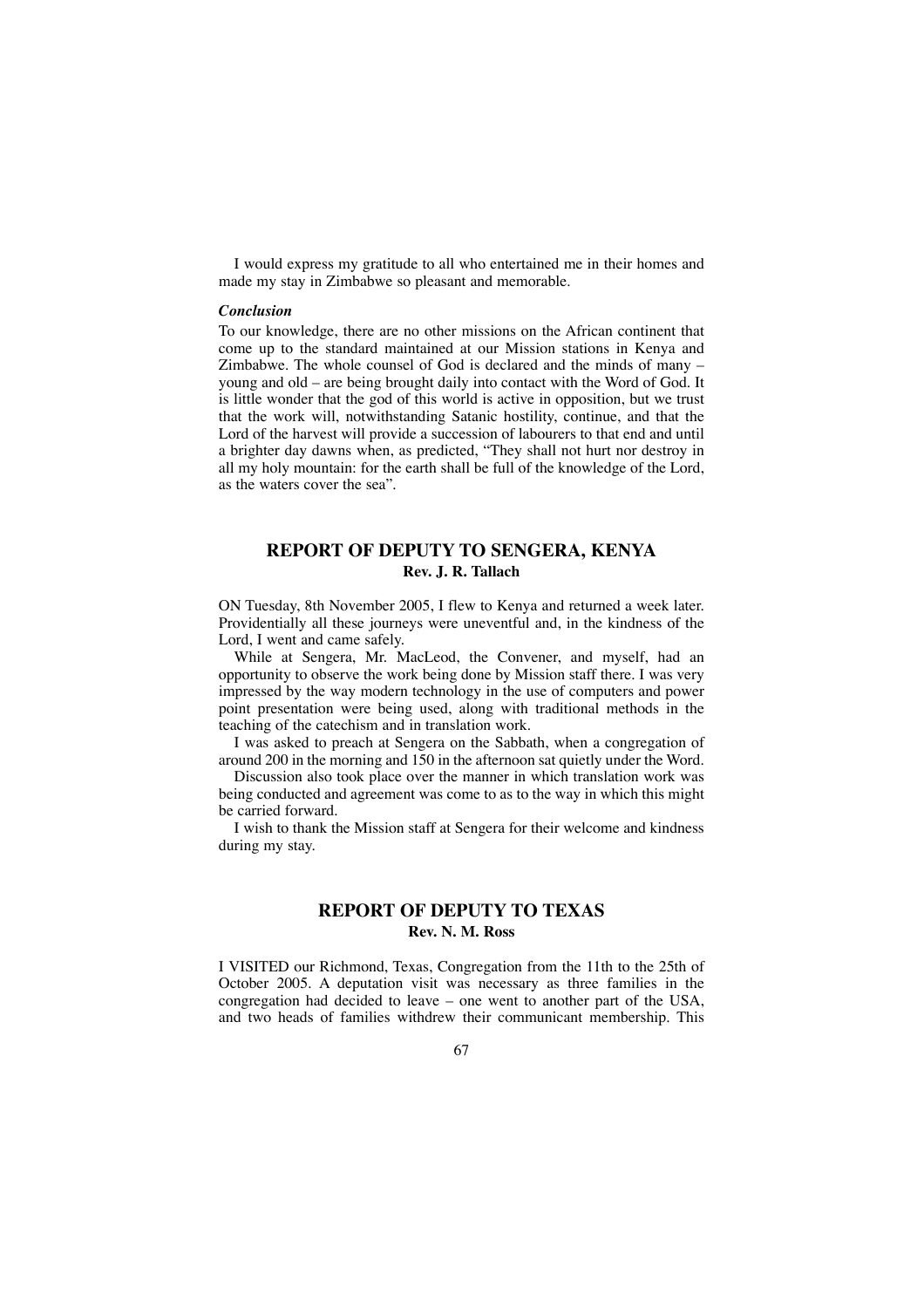I would express my gratitude to all who entertained me in their homes and made my stay in Zimbabwe so pleasant and memorable.

### *Conclusion*

To our knowledge, there are no other missions on the African continent that come up to the standard maintained at our Mission stations in Kenya and Zimbabwe. The whole counsel of God is declared and the minds of many – young and old – are being brought daily into contact with the Word of God. It is little wonder that the god of this world is active in opposition, but we trust that the work will, notwithstanding Satanic hostility, continue, and that the Lord of the harvest will provide a succession of labourers to that end and until a brighter day dawns when, as predicted, "They shall not hurt nor destroy in all my holy mountain: for the earth shall be full of the knowledge of the Lord, as the waters cover the sea".

## **REPORT OF DEPUTY TO SENGERA, KENYA Rev. J. R. Tallach**

ON Tuesday, 8th November 2005, I flew to Kenya and returned a week later. Providentially all these journeys were uneventful and, in the kindness of the Lord, I went and came safely.

While at Sengera, Mr. MacLeod, the Convener, and myself, had an opportunity to observe the work being done by Mission staff there. I was very impressed by the way modern technology in the use of computers and power point presentation were being used, along with traditional methods in the teaching of the catechism and in translation work.

I was asked to preach at Sengera on the Sabbath, when a congregation of around 200 in the morning and 150 in the afternoon sat quietly under the Word.

Discussion also took place over the manner in which translation work was being conducted and agreement was come to as to the way in which this might be carried forward.

I wish to thank the Mission staff at Sengera for their welcome and kindness during my stay.

# **REPORT OF DEPUTY TO TEXAS Rev. N. M. Ross**

I VISITED our Richmond, Texas, Congregation from the 11th to the 25th of October 2005. A deputation visit was necessary as three families in the congregation had decided to leave – one went to another part of the USA, and two heads of families withdrew their communicant membership. This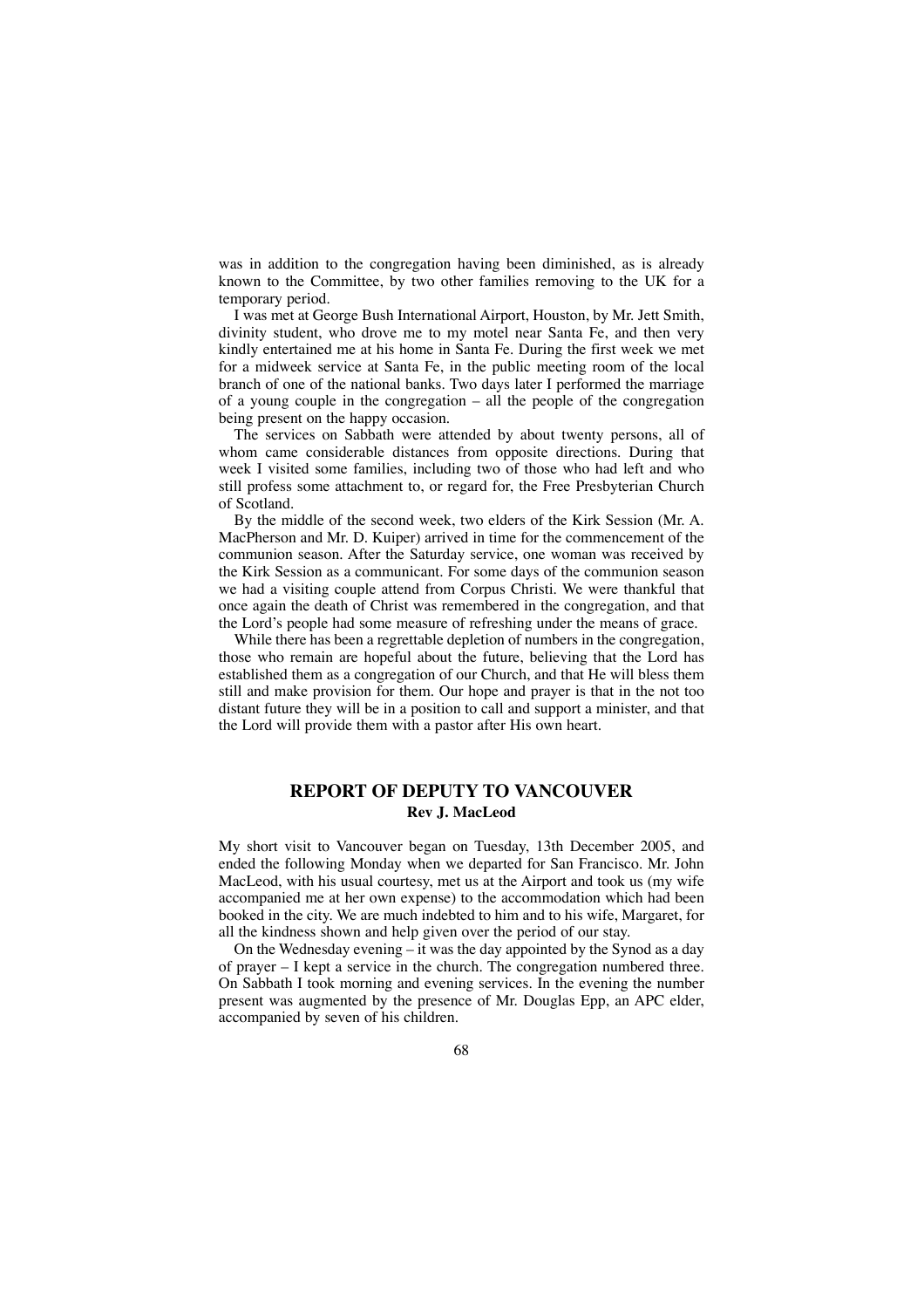was in addition to the congregation having been diminished, as is already known to the Committee, by two other families removing to the UK for a temporary period.

I was met at George Bush International Airport, Houston, by Mr. Jett Smith, divinity student, who drove me to my motel near Santa Fe, and then very kindly entertained me at his home in Santa Fe. During the first week we met for a midweek service at Santa Fe, in the public meeting room of the local branch of one of the national banks. Two days later I performed the marriage of a young couple in the congregation – all the people of the congregation being present on the happy occasion.

The services on Sabbath were attended by about twenty persons, all of whom came considerable distances from opposite directions. During that week I visited some families, including two of those who had left and who still profess some attachment to, or regard for, the Free Presbyterian Church of Scotland.

By the middle of the second week, two elders of the Kirk Session (Mr. A. MacPherson and Mr. D. Kuiper) arrived in time for the commencement of the communion season. After the Saturday service, one woman was received by the Kirk Session as a communicant. For some days of the communion season we had a visiting couple attend from Corpus Christi. We were thankful that once again the death of Christ was remembered in the congregation, and that the Lord's people had some measure of refreshing under the means of grace.

While there has been a regrettable depletion of numbers in the congregation, those who remain are hopeful about the future, believing that the Lord has established them as a congregation of our Church, and that He will bless them still and make provision for them. Our hope and prayer is that in the not too distant future they will be in a position to call and support a minister, and that the Lord will provide them with a pastor after His own heart.

# **REPORT OF DEPUTY TO VANCOUVER Rev J. MacLeod**

My short visit to Vancouver began on Tuesday, 13th December 2005, and ended the following Monday when we departed for San Francisco. Mr. John MacLeod, with his usual courtesy, met us at the Airport and took us (my wife accompanied me at her own expense) to the accommodation which had been booked in the city. We are much indebted to him and to his wife, Margaret, for all the kindness shown and help given over the period of our stay.

On the Wednesday evening – it was the day appointed by the Synod as a day of prayer – I kept a service in the church. The congregation numbered three. On Sabbath I took morning and evening services. In the evening the number present was augmented by the presence of Mr. Douglas Epp, an APC elder, accompanied by seven of his children.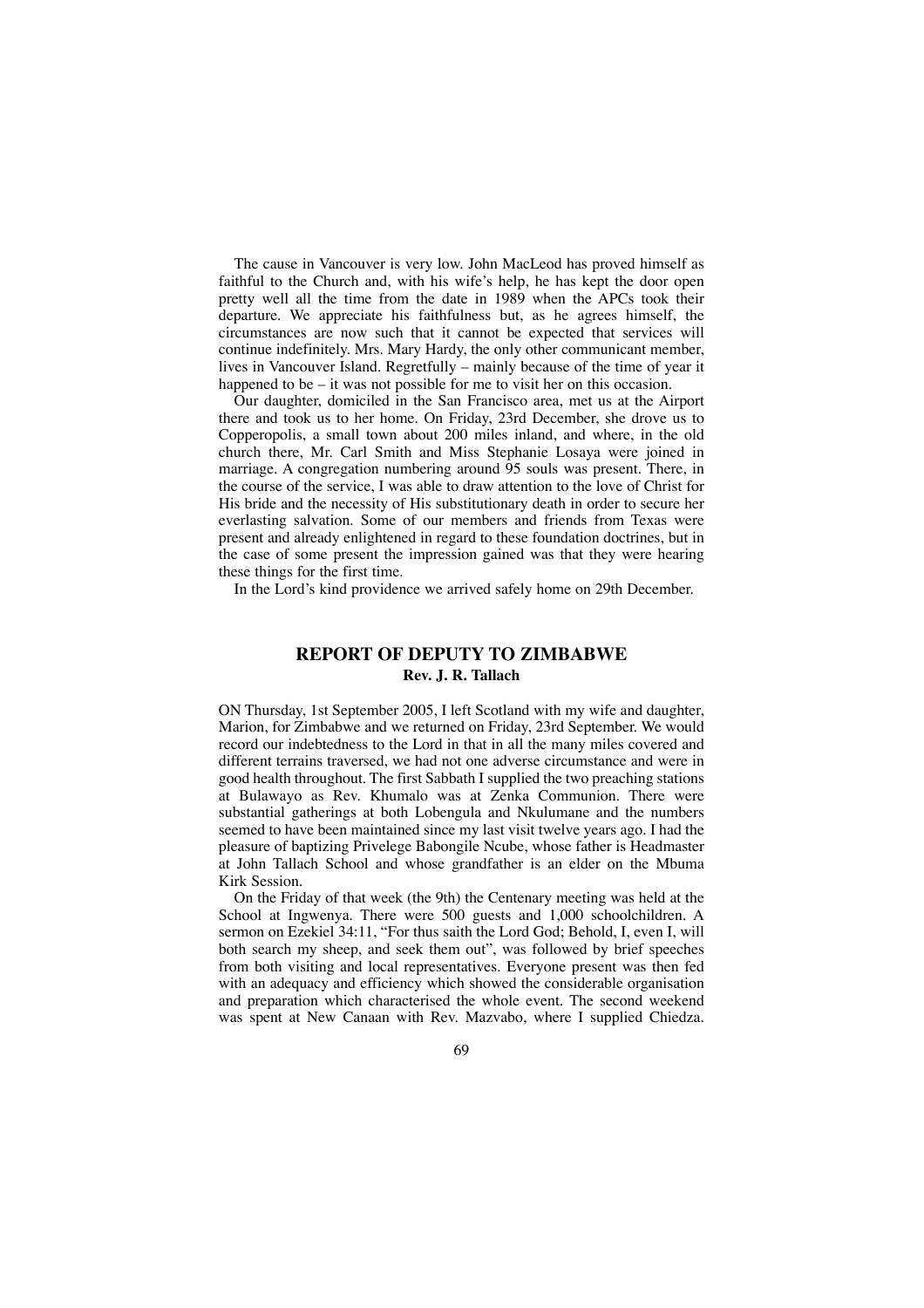The cause in Vancouver is very low. John MacLeod has proved himself as faithful to the Church and, with his wife's help, he has kept the door open pretty well all the time from the date in 1989 when the APCs took their departure. We appreciate his faithfulness but, as he agrees himself, the circumstances are now such that it cannot be expected that services will continue indefinitely. Mrs. Mary Hardy, the only other communicant member, lives in Vancouver Island. Regretfully – mainly because of the time of year it happened to be – it was not possible for me to visit her on this occasion.

Our daughter, domiciled in the San Francisco area, met us at the Airport there and took us to her home. On Friday, 23rd December, she drove us to Copperopolis, a small town about 200 miles inland, and where, in the old church there, Mr. Carl Smith and Miss Stephanie Losaya were joined in marriage. A congregation numbering around 95 souls was present. There, in the course of the service, I was able to draw attention to the love of Christ for His bride and the necessity of His substitutionary death in order to secure her everlasting salvation. Some of our members and friends from Texas were present and already enlightened in regard to these foundation doctrines, but in the case of some present the impression gained was that they were hearing these things for the first time.

In the Lord's kind providence we arrived safely home on 29th December.

## **REPORT OF DEPUTY TO ZIMBABWE Rev. J. R. Tallach**

ON Thursday, 1st September 2005, I left Scotland with my wife and daughter, Marion, for Zimbabwe and we returned on Friday, 23rd September. We would record our indebtedness to the Lord in that in all the many miles covered and different terrains traversed, we had not one adverse circumstance and were in good health throughout. The first Sabbath I supplied the two preaching stations at Bulawayo as Rev. Khumalo was at Zenka Communion. There were substantial gatherings at both Lobengula and Nkulumane and the numbers seemed to have been maintained since my last visit twelve years ago. I had the pleasure of baptizing Privelege Babongile Ncube, whose father is Headmaster at John Tallach School and whose grandfather is an elder on the Mbuma Kirk Session.

On the Friday of that week (the 9th) the Centenary meeting was held at the School at Ingwenya. There were 500 guests and 1,000 schoolchildren. A sermon on Ezekiel 34:11, "For thus saith the Lord God; Behold, I, even I, will both search my sheep, and seek them out", was followed by brief speeches from both visiting and local representatives. Everyone present was then fed with an adequacy and efficiency which showed the considerable organisation and preparation which characterised the whole event. The second weekend was spent at New Canaan with Rev. Mazvabo, where I supplied Chiedza.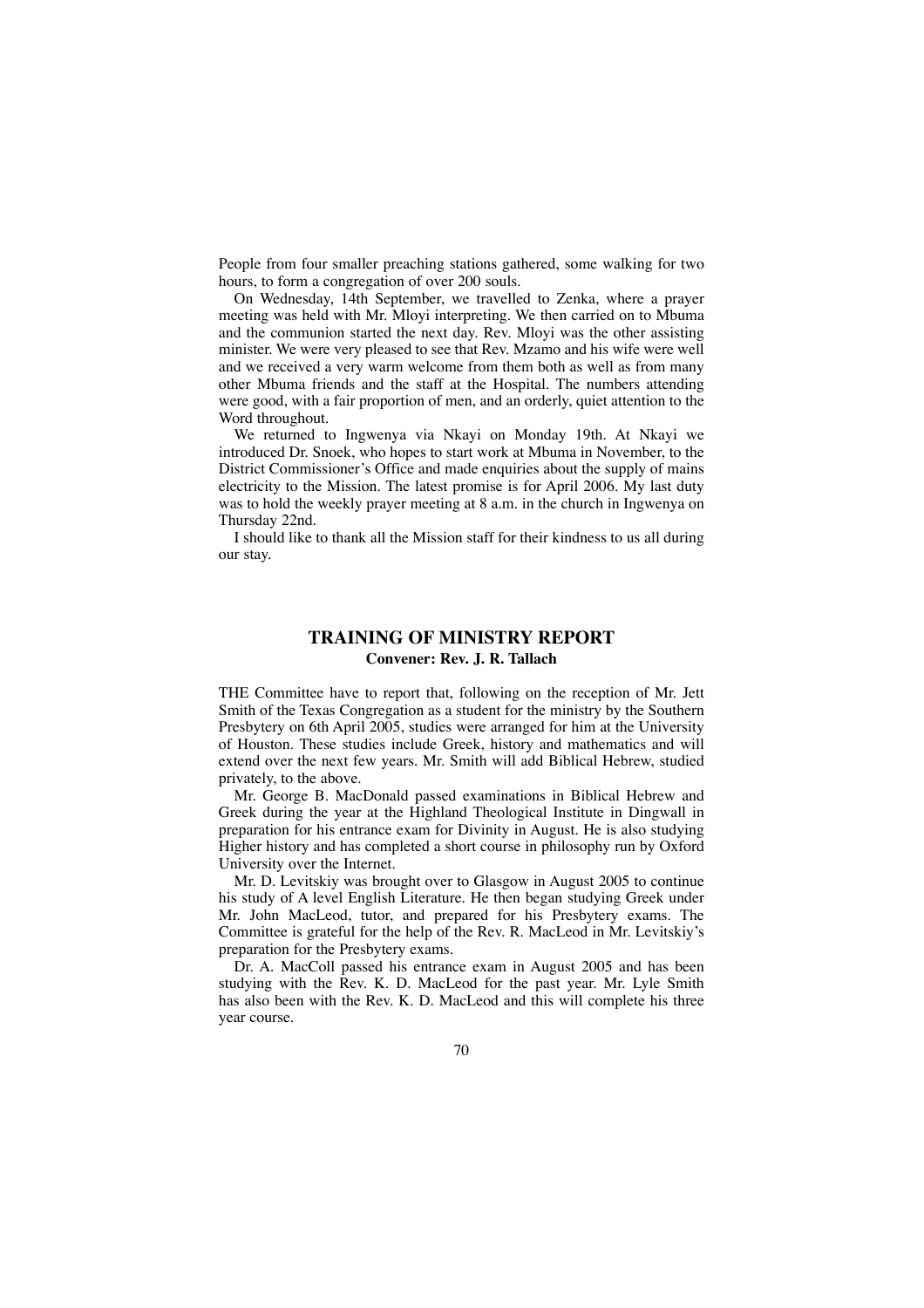People from four smaller preaching stations gathered, some walking for two hours, to form a congregation of over 200 souls.

On Wednesday, 14th September, we travelled to Zenka, where a prayer meeting was held with Mr. Mloyi interpreting. We then carried on to Mbuma and the communion started the next day. Rev. Mloyi was the other assisting minister. We were very pleased to see that Rev. Mzamo and his wife were well and we received a very warm welcome from them both as well as from many other Mbuma friends and the staff at the Hospital. The numbers attending were good, with a fair proportion of men, and an orderly, quiet attention to the Word throughout.

We returned to Ingwenya via Nkayi on Monday 19th. At Nkayi we introduced Dr. Snoek, who hopes to start work at Mbuma in November, to the District Commissioner's Office and made enquiries about the supply of mains electricity to the Mission. The latest promise is for April 2006. My last duty was to hold the weekly prayer meeting at 8 a.m. in the church in Ingwenya on Thursday 22nd.

I should like to thank all the Mission staff for their kindness to us all during our stay.

# **TRAINING OF MINISTRY REPORT Convener: Rev. J. R. Tallach**

THE Committee have to report that, following on the reception of Mr. Jett Smith of the Texas Congregation as a student for the ministry by the Southern Presbytery on 6th April 2005, studies were arranged for him at the University of Houston. These studies include Greek, history and mathematics and will extend over the next few years. Mr. Smith will add Biblical Hebrew, studied privately, to the above.

Mr. George B. MacDonald passed examinations in Biblical Hebrew and Greek during the year at the Highland Theological Institute in Dingwall in preparation for his entrance exam for Divinity in August. He is also studying Higher history and has completed a short course in philosophy run by Oxford University over the Internet.

Mr. D. Levitskiy was brought over to Glasgow in August 2005 to continue his study of A level English Literature. He then began studying Greek under Mr. John MacLeod, tutor, and prepared for his Presbytery exams. The Committee is grateful for the help of the Rev. R. MacLeod in Mr. Levitskiy's preparation for the Presbytery exams.

Dr. A. MacColl passed his entrance exam in August 2005 and has been studying with the Rev. K. D. MacLeod for the past year. Mr. Lyle Smith has also been with the Rev. K. D. MacLeod and this will complete his three year course.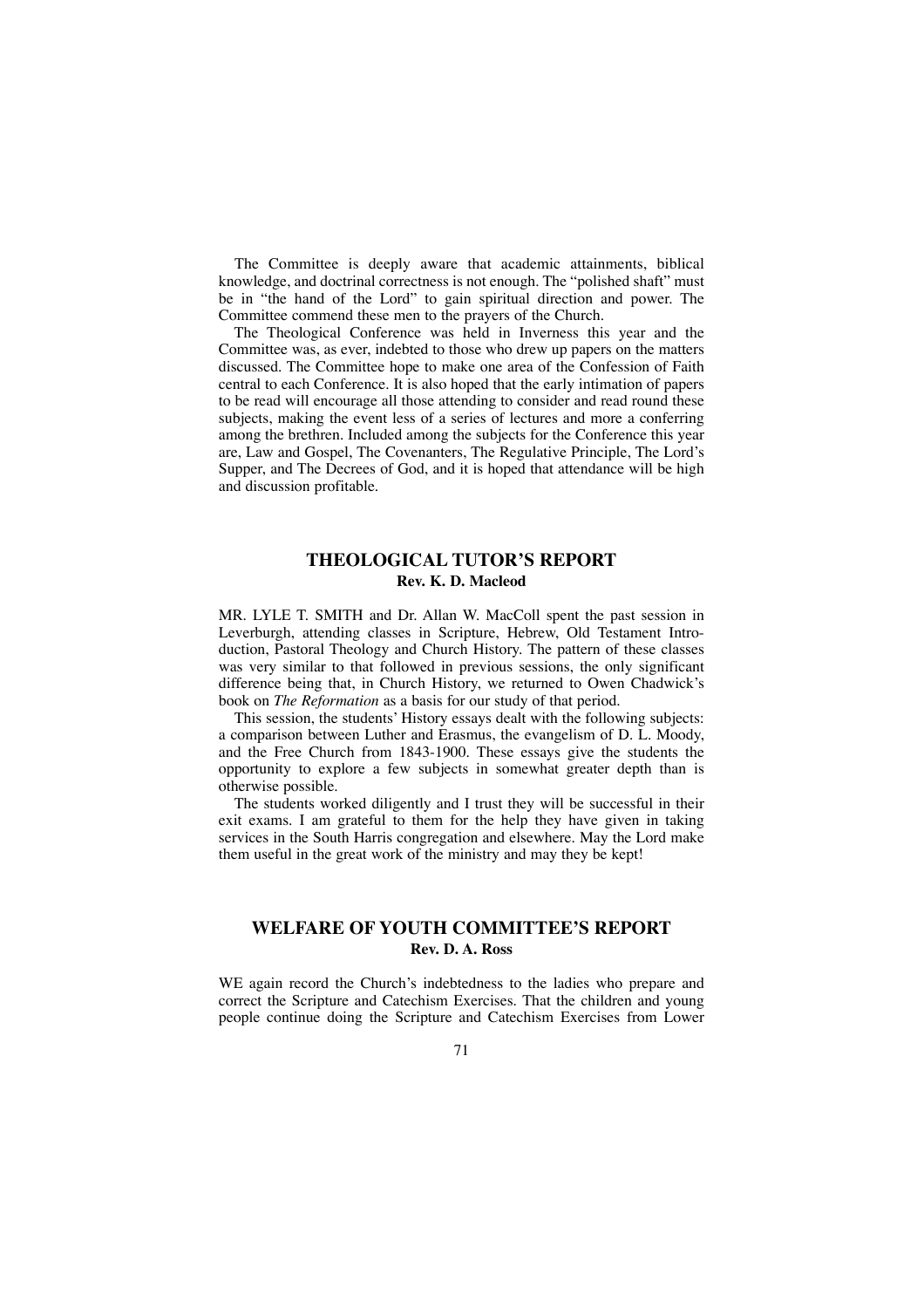The Committee is deeply aware that academic attainments, biblical knowledge, and doctrinal correctness is not enough. The "polished shaft" must be in "the hand of the Lord" to gain spiritual direction and power. The Committee commend these men to the prayers of the Church.

The Theological Conference was held in Inverness this year and the Committee was, as ever, indebted to those who drew up papers on the matters discussed. The Committee hope to make one area of the Confession of Faith central to each Conference. It is also hoped that the early intimation of papers to be read will encourage all those attending to consider and read round these subjects, making the event less of a series of lectures and more a conferring among the brethren. Included among the subjects for the Conference this year are, Law and Gospel, The Covenanters, The Regulative Principle, The Lord's Supper, and The Decrees of God, and it is hoped that attendance will be high and discussion profitable.

## **THEOLOGICAL TUTOR'S REPORT Rev. K. D. Macleod**

MR. LYLE T. SMITH and Dr. Allan W. MacColl spent the past session in Leverburgh, attending classes in Scripture, Hebrew, Old Testament Introduction, Pastoral Theology and Church History. The pattern of these classes was very similar to that followed in previous sessions, the only significant difference being that, in Church History, we returned to Owen Chadwick's book on *The Reformation* as a basis for our study of that period.

This session, the students' History essays dealt with the following subjects: a comparison between Luther and Erasmus, the evangelism of D. L. Moody, and the Free Church from 1843-1900. These essays give the students the opportunity to explore a few subjects in somewhat greater depth than is otherwise possible.

The students worked diligently and I trust they will be successful in their exit exams. I am grateful to them for the help they have given in taking services in the South Harris congregation and elsewhere. May the Lord make them useful in the great work of the ministry and may they be kept!

### **WELFARE OF YOUTH COMMITTEE'S REPORT Rev. D. A. Ross**

WE again record the Church's indebtedness to the ladies who prepare and correct the Scripture and Catechism Exercises. That the children and young people continue doing the Scripture and Catechism Exercises from Lower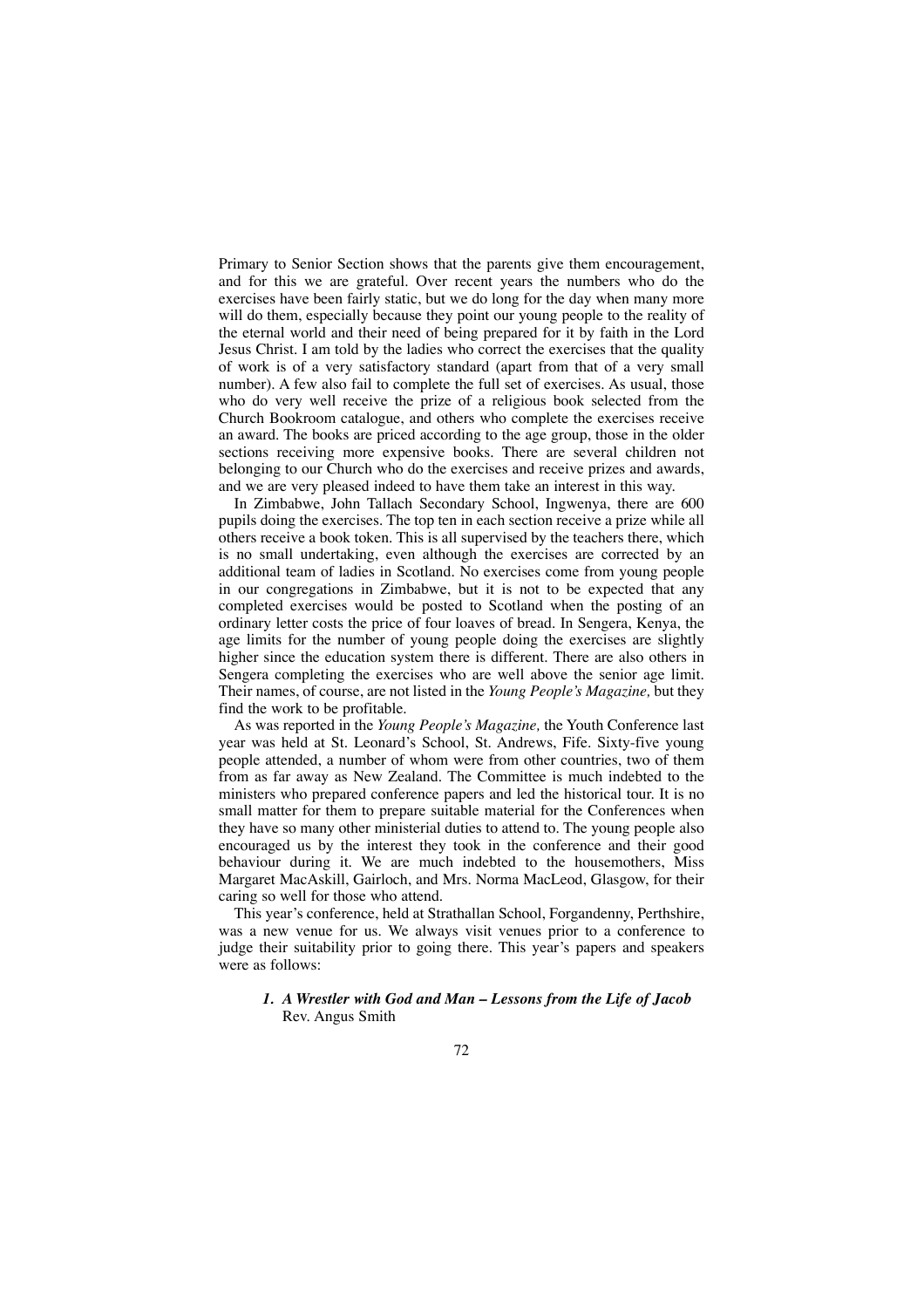Primary to Senior Section shows that the parents give them encouragement, and for this we are grateful. Over recent years the numbers who do the exercises have been fairly static, but we do long for the day when many more will do them, especially because they point our young people to the reality of the eternal world and their need of being prepared for it by faith in the Lord Jesus Christ. I am told by the ladies who correct the exercises that the quality of work is of a very satisfactory standard (apart from that of a very small number). A few also fail to complete the full set of exercises. As usual, those who do very well receive the prize of a religious book selected from the Church Bookroom catalogue, and others who complete the exercises receive an award. The books are priced according to the age group, those in the older sections receiving more expensive books. There are several children not belonging to our Church who do the exercises and receive prizes and awards, and we are very pleased indeed to have them take an interest in this way.

In Zimbabwe, John Tallach Secondary School, Ingwenya, there are 600 pupils doing the exercises. The top ten in each section receive a prize while all others receive a book token. This is all supervised by the teachers there, which is no small undertaking, even although the exercises are corrected by an additional team of ladies in Scotland. No exercises come from young people in our congregations in Zimbabwe, but it is not to be expected that any completed exercises would be posted to Scotland when the posting of an ordinary letter costs the price of four loaves of bread. In Sengera, Kenya, the age limits for the number of young people doing the exercises are slightly higher since the education system there is different. There are also others in Sengera completing the exercises who are well above the senior age limit. Their names, of course, are not listed in the *Young People's Magazine,* but they find the work to be profitable.

As was reported in the *Young People's Magazine,* the Youth Conference last year was held at St. Leonard's School, St. Andrews, Fife. Sixty-five young people attended, a number of whom were from other countries, two of them from as far away as New Zealand. The Committee is much indebted to the ministers who prepared conference papers and led the historical tour. It is no small matter for them to prepare suitable material for the Conferences when they have so many other ministerial duties to attend to. The young people also encouraged us by the interest they took in the conference and their good behaviour during it. We are much indebted to the housemothers, Miss Margaret MacAskill, Gairloch, and Mrs. Norma MacLeod, Glasgow, for their caring so well for those who attend.

This year's conference, held at Strathallan School, Forgandenny, Perthshire, was a new venue for us. We always visit venues prior to a conference to judge their suitability prior to going there. This year's papers and speakers were as follows:

### *1. A Wrestler with God and Man – Lessons from the Life of Jacob* Rev. Angus Smith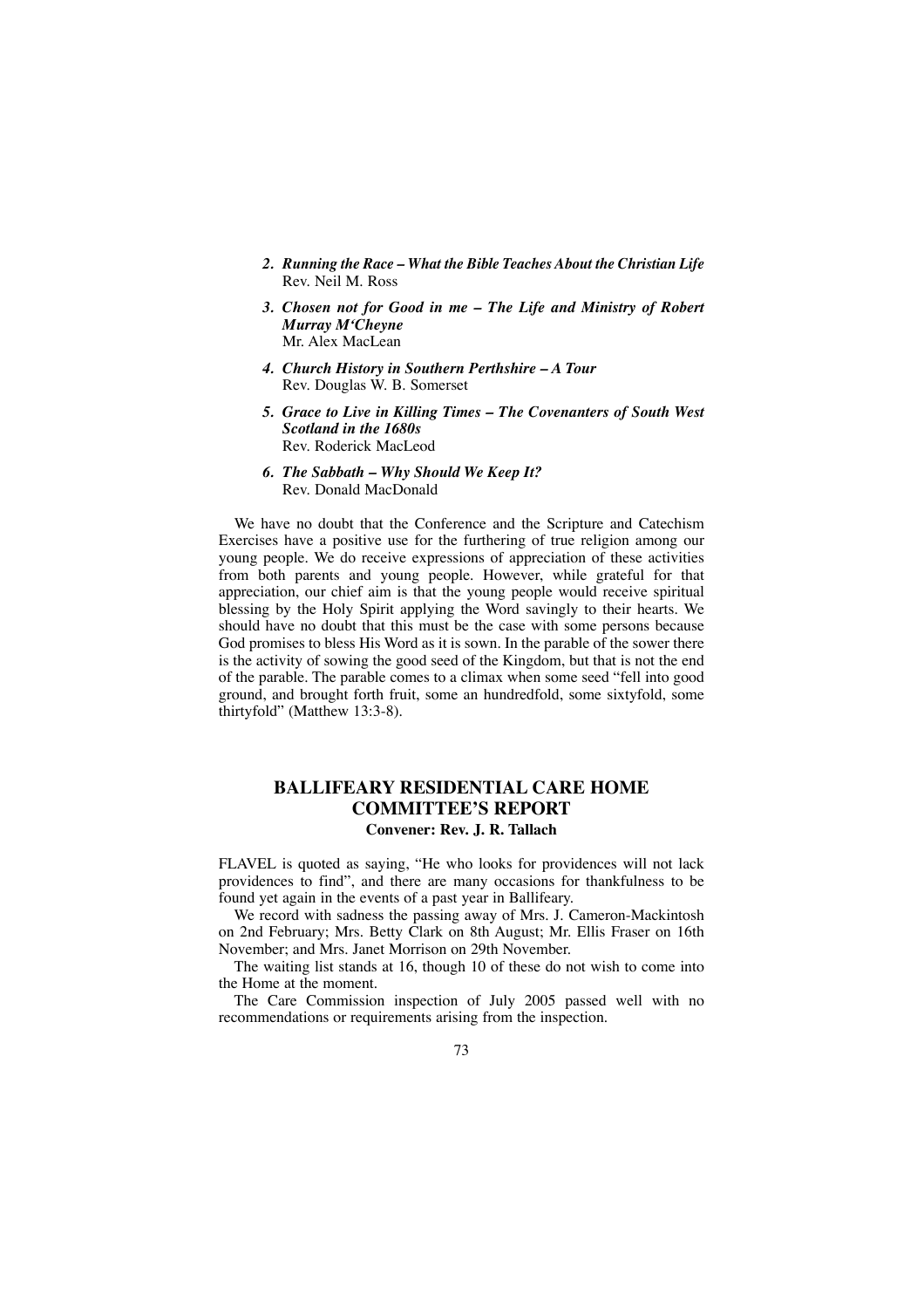- *2. Running the Race What the Bible Teaches About the Christian Life* Rev. Neil M. Ross
- *3. Chosen not for Good in me The Life and Ministry of Robert Murray M'Cheyne* Mr. Alex MacLean
- *4. Church History in Southern Perthshire A Tour* Rev. Douglas W. B. Somerset
- *5. Grace to Live in Killing Times The Covenanters of South West Scotland in the 1680s* Rev. Roderick MacLeod
- *6. The Sabbath Why Should We Keep It?* Rev. Donald MacDonald

We have no doubt that the Conference and the Scripture and Catechism Exercises have a positive use for the furthering of true religion among our young people. We do receive expressions of appreciation of these activities from both parents and young people. However, while grateful for that appreciation, our chief aim is that the young people would receive spiritual blessing by the Holy Spirit applying the Word savingly to their hearts. We should have no doubt that this must be the case with some persons because God promises to bless His Word as it is sown. In the parable of the sower there is the activity of sowing the good seed of the Kingdom, but that is not the end of the parable. The parable comes to a climax when some seed "fell into good ground, and brought forth fruit, some an hundredfold, some sixtyfold, some thirtyfold" (Matthew 13:3-8).

## **BALLIFEARY RESIDENTIAL CARE HOME COMMITTEE'S REPORT Convener: Rev. J. R. Tallach**

FLAVEL is quoted as saying, "He who looks for providences will not lack providences to find", and there are many occasions for thankfulness to be found yet again in the events of a past year in Ballifeary.

We record with sadness the passing away of Mrs. J. Cameron-Mackintosh on 2nd February; Mrs. Betty Clark on 8th August; Mr. Ellis Fraser on 16th November; and Mrs. Janet Morrison on 29th November.

The waiting list stands at 16, though 10 of these do not wish to come into the Home at the moment.

The Care Commission inspection of July 2005 passed well with no recommendations or requirements arising from the inspection.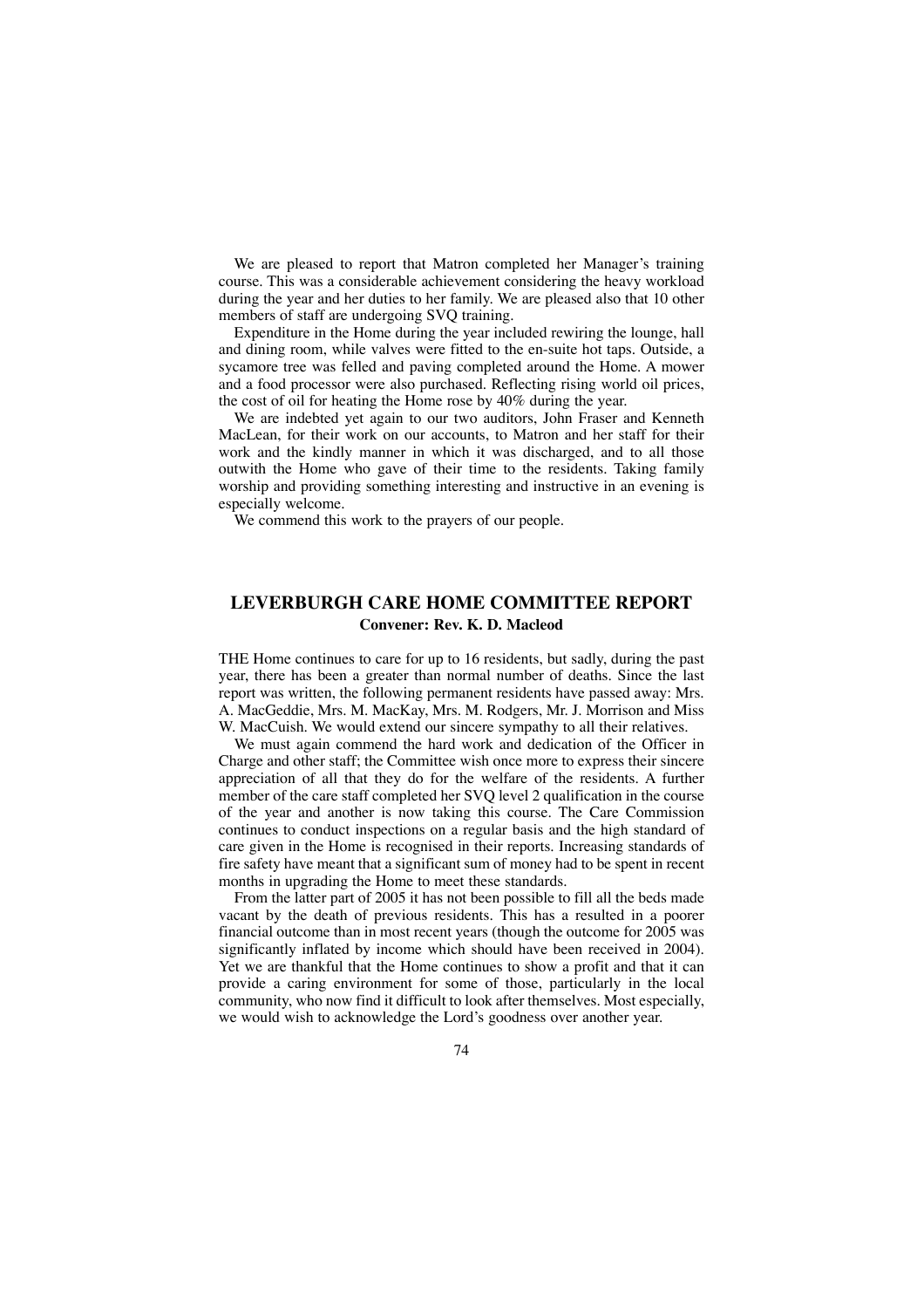We are pleased to report that Matron completed her Manager's training course. This was a considerable achievement considering the heavy workload during the year and her duties to her family. We are pleased also that 10 other members of staff are undergoing SVQ training.

Expenditure in the Home during the year included rewiring the lounge, hall and dining room, while valves were fitted to the en-suite hot taps. Outside, a sycamore tree was felled and paving completed around the Home. A mower and a food processor were also purchased. Reflecting rising world oil prices, the cost of oil for heating the Home rose by 40% during the year.

We are indebted yet again to our two auditors, John Fraser and Kenneth MacLean, for their work on our accounts, to Matron and her staff for their work and the kindly manner in which it was discharged, and to all those outwith the Home who gave of their time to the residents. Taking family worship and providing something interesting and instructive in an evening is especially welcome.

We commend this work to the prayers of our people.

# **LEVERBURGH CARE HOME COMMITTEE REPORT Convener: Rev. K. D. Macleod**

THE Home continues to care for up to 16 residents, but sadly, during the past year, there has been a greater than normal number of deaths. Since the last report was written, the following permanent residents have passed away: Mrs. A. MacGeddie, Mrs. M. MacKay, Mrs. M. Rodgers, Mr. J. Morrison and Miss W. MacCuish. We would extend our sincere sympathy to all their relatives.

We must again commend the hard work and dedication of the Officer in Charge and other staff; the Committee wish once more to express their sincere appreciation of all that they do for the welfare of the residents. A further member of the care staff completed her SVQ level 2 qualification in the course of the year and another is now taking this course. The Care Commission continues to conduct inspections on a regular basis and the high standard of care given in the Home is recognised in their reports. Increasing standards of fire safety have meant that a significant sum of money had to be spent in recent months in upgrading the Home to meet these standards.

From the latter part of 2005 it has not been possible to fill all the beds made vacant by the death of previous residents. This has a resulted in a poorer financial outcome than in most recent years (though the outcome for 2005 was significantly inflated by income which should have been received in 2004). Yet we are thankful that the Home continues to show a profit and that it can provide a caring environment for some of those, particularly in the local community, who now find it difficult to look after themselves. Most especially, we would wish to acknowledge the Lord's goodness over another year.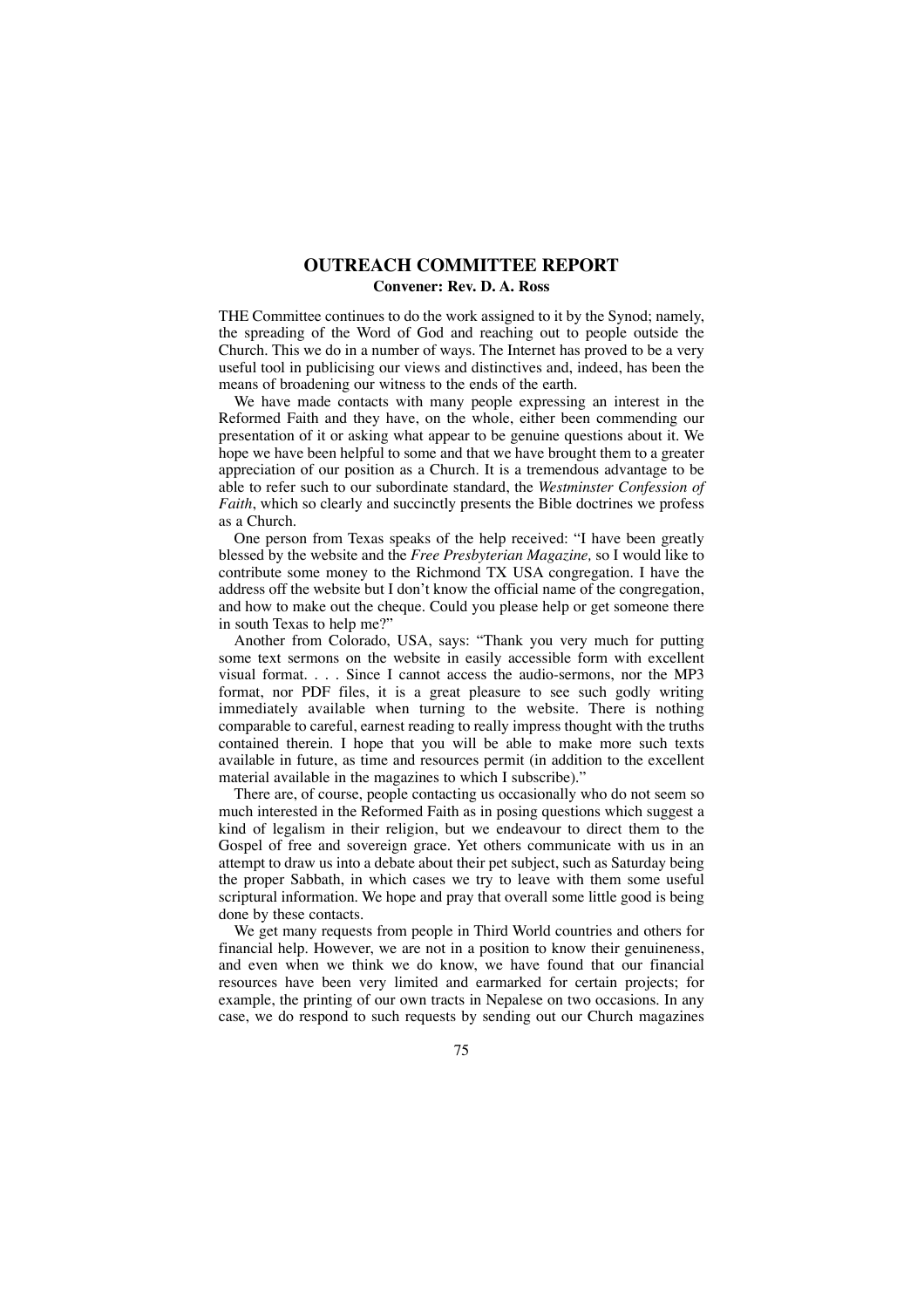## **OUTREACH COMMITTEE REPORT Convener: Rev. D. A. Ross**

THE Committee continues to do the work assigned to it by the Synod; namely, the spreading of the Word of God and reaching out to people outside the Church. This we do in a number of ways. The Internet has proved to be a very useful tool in publicising our views and distinctives and, indeed, has been the means of broadening our witness to the ends of the earth.

We have made contacts with many people expressing an interest in the Reformed Faith and they have, on the whole, either been commending our presentation of it or asking what appear to be genuine questions about it. We hope we have been helpful to some and that we have brought them to a greater appreciation of our position as a Church. It is a tremendous advantage to be able to refer such to our subordinate standard, the *Westminster Confession of Faith*, which so clearly and succinctly presents the Bible doctrines we profess as a Church.

One person from Texas speaks of the help received: "I have been greatly blessed by the website and the *Free Presbyterian Magazine,* so I would like to contribute some money to the Richmond TX USA congregation. I have the address off the website but I don't know the official name of the congregation, and how to make out the cheque. Could you please help or get someone there in south Texas to help me?"

Another from Colorado, USA, says: "Thank you very much for putting some text sermons on the website in easily accessible form with excellent visual format. . . . Since I cannot access the audio-sermons, nor the MP3 format, nor PDF files, it is a great pleasure to see such godly writing immediately available when turning to the website. There is nothing comparable to careful, earnest reading to really impress thought with the truths contained therein. I hope that you will be able to make more such texts available in future, as time and resources permit (in addition to the excellent material available in the magazines to which I subscribe)."

There are, of course, people contacting us occasionally who do not seem so much interested in the Reformed Faith as in posing questions which suggest a kind of legalism in their religion, but we endeavour to direct them to the Gospel of free and sovereign grace. Yet others communicate with us in an attempt to draw us into a debate about their pet subject, such as Saturday being the proper Sabbath, in which cases we try to leave with them some useful scriptural information. We hope and pray that overall some little good is being done by these contacts.

We get many requests from people in Third World countries and others for financial help. However, we are not in a position to know their genuineness, and even when we think we do know, we have found that our financial resources have been very limited and earmarked for certain projects; for example, the printing of our own tracts in Nepalese on two occasions. In any case, we do respond to such requests by sending out our Church magazines

75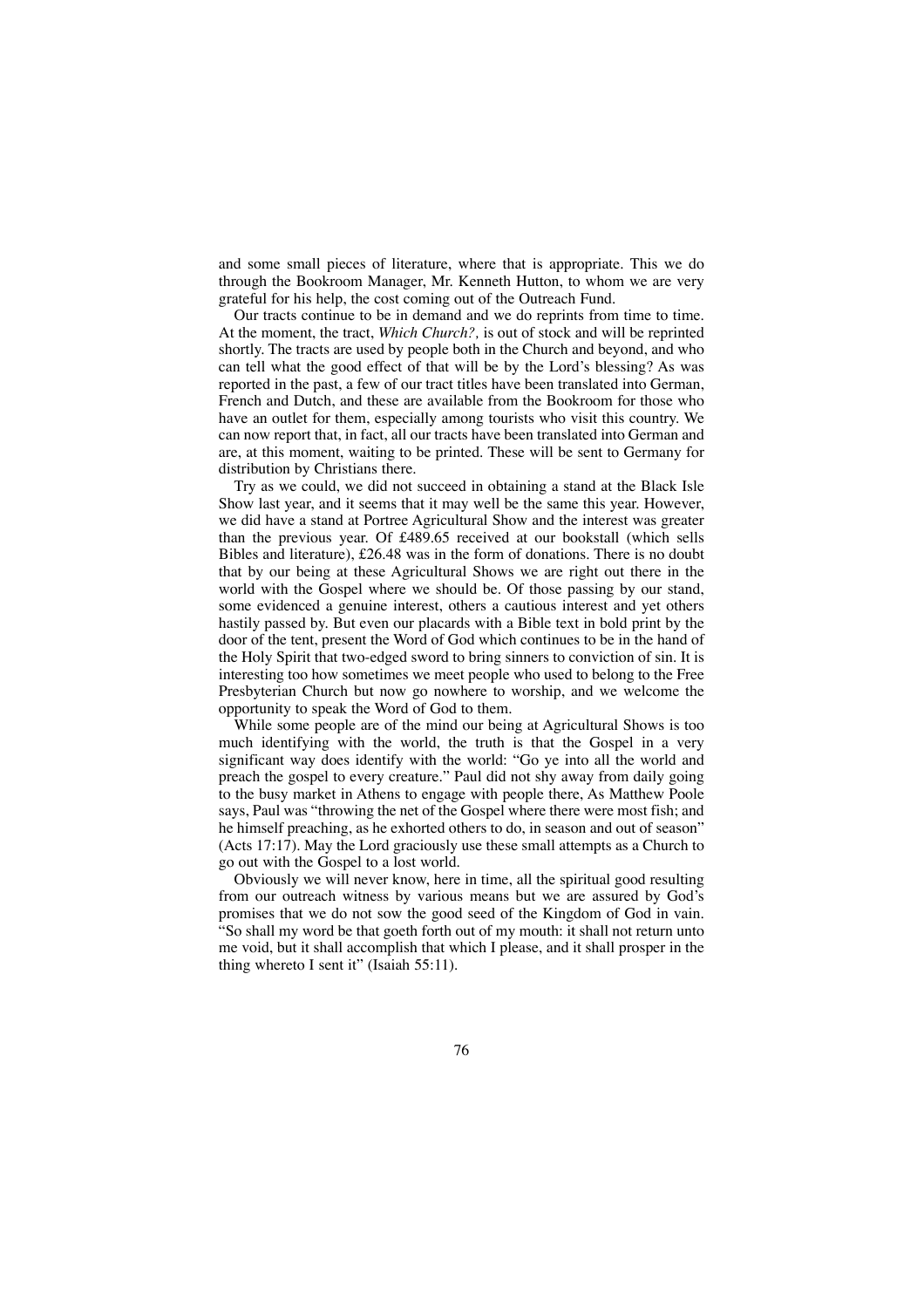and some small pieces of literature, where that is appropriate. This we do through the Bookroom Manager, Mr. Kenneth Hutton, to whom we are very grateful for his help, the cost coming out of the Outreach Fund.

Our tracts continue to be in demand and we do reprints from time to time. At the moment, the tract, *Which Church?,* is out of stock and will be reprinted shortly. The tracts are used by people both in the Church and beyond, and who can tell what the good effect of that will be by the Lord's blessing? As was reported in the past, a few of our tract titles have been translated into German, French and Dutch, and these are available from the Bookroom for those who have an outlet for them, especially among tourists who visit this country. We can now report that, in fact, all our tracts have been translated into German and are, at this moment, waiting to be printed. These will be sent to Germany for distribution by Christians there.

Try as we could, we did not succeed in obtaining a stand at the Black Isle Show last year, and it seems that it may well be the same this year. However, we did have a stand at Portree Agricultural Show and the interest was greater than the previous year. Of £489.65 received at our bookstall (which sells Bibles and literature), £26.48 was in the form of donations. There is no doubt that by our being at these Agricultural Shows we are right out there in the world with the Gospel where we should be. Of those passing by our stand, some evidenced a genuine interest, others a cautious interest and yet others hastily passed by. But even our placards with a Bible text in bold print by the door of the tent, present the Word of God which continues to be in the hand of the Holy Spirit that two-edged sword to bring sinners to conviction of sin. It is interesting too how sometimes we meet people who used to belong to the Free Presbyterian Church but now go nowhere to worship, and we welcome the opportunity to speak the Word of God to them.

While some people are of the mind our being at Agricultural Shows is too much identifying with the world, the truth is that the Gospel in a very significant way does identify with the world: "Go ye into all the world and preach the gospel to every creature." Paul did not shy away from daily going to the busy market in Athens to engage with people there, As Matthew Poole says, Paul was "throwing the net of the Gospel where there were most fish; and he himself preaching, as he exhorted others to do, in season and out of season" (Acts 17:17). May the Lord graciously use these small attempts as a Church to go out with the Gospel to a lost world.

Obviously we will never know, here in time, all the spiritual good resulting from our outreach witness by various means but we are assured by God's promises that we do not sow the good seed of the Kingdom of God in vain. "So shall my word be that goeth forth out of my mouth: it shall not return unto me void, but it shall accomplish that which I please, and it shall prosper in the thing whereto I sent it" (Isaiah 55:11).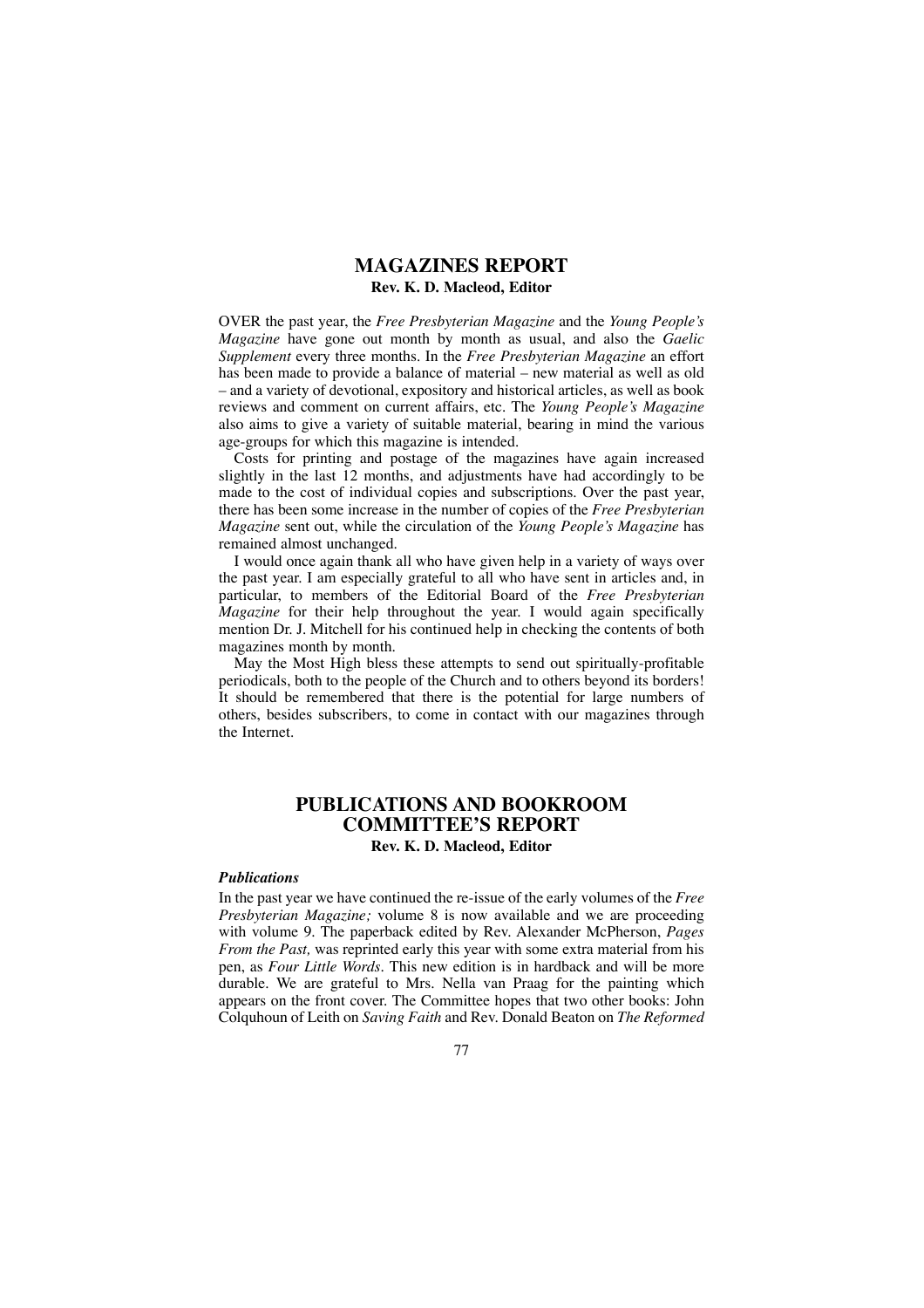## **MAGAZINES REPORT Rev. K. D. Macleod, Editor**

OVER the past year, the *Free Presbyterian Magazine* and the *Young People's Magazine* have gone out month by month as usual, and also the *Gaelic Supplement* every three months. In the *Free Presbyterian Magazine* an effort has been made to provide a balance of material – new material as well as old – and a variety of devotional, expository and historical articles, as well as book reviews and comment on current affairs, etc. The *Young People's Magazine* also aims to give a variety of suitable material, bearing in mind the various age-groups for which this magazine is intended.

Costs for printing and postage of the magazines have again increased slightly in the last 12 months, and adjustments have had accordingly to be made to the cost of individual copies and subscriptions. Over the past year, there has been some increase in the number of copies of the *Free Presbyterian Magazine* sent out, while the circulation of the *Young People's Magazine* has remained almost unchanged.

I would once again thank all who have given help in a variety of ways over the past year. I am especially grateful to all who have sent in articles and, in particular, to members of the Editorial Board of the *Free Presbyterian Magazine* for their help throughout the year. I would again specifically mention Dr. J. Mitchell for his continued help in checking the contents of both magazines month by month.

May the Most High bless these attempts to send out spiritually-profitable periodicals, both to the people of the Church and to others beyond its borders! It should be remembered that there is the potential for large numbers of others, besides subscribers, to come in contact with our magazines through the Internet.

### **PUBLICATIONS AND BOOKROOM COMMITTEE'S REPORT Rev. K. D. Macleod, Editor**

### *Publications*

In the past year we have continued the re-issue of the early volumes of the *Free Presbyterian Magazine;* volume 8 is now available and we are proceeding with volume 9. The paperback edited by Rev. Alexander McPherson, *Pages From the Past,* was reprinted early this year with some extra material from his pen, as *Four Little Words.* This new edition is in hardback and will be more durable. We are grateful to Mrs. Nella van Praag for the painting which appears on the front cover. The Committee hopes that two other books: John Colquhoun of Leith on *Saving Faith* and Rev. Donald Beaton on *The Reformed*